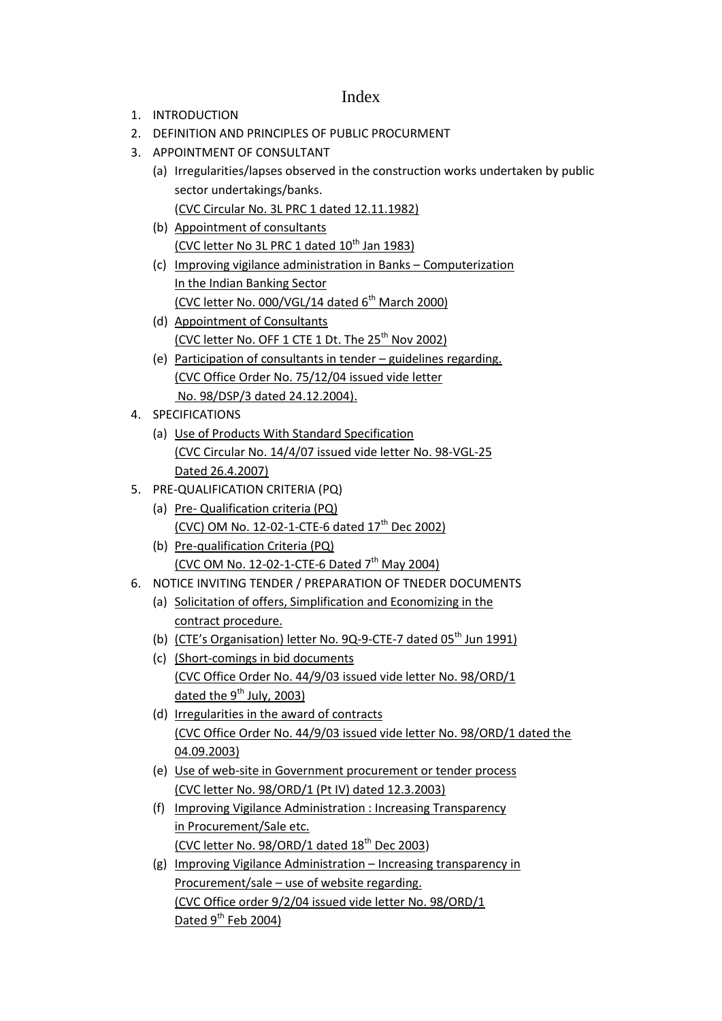### Index

- 1. INTRODUCTION
- 2. DEFINITION AND PRINCIPLES OF PUBLIC PROCURMENT
- 3. APPOINTMENT OF CONSULTANT
	- (a) Irregularities/lapses observed in the construction works undertaken by public sector undertakings/banks. (CVC Circular No. 3L PRC 1 dated 12.11.1982)
	- (b) Appointment of consultants (CVC letter No 3L PRC 1 dated  $10^{th}$  Jan 1983)
	- (c) Improving vigilance administration in Banks Computerization In the Indian Banking Sector (CVC letter No. 000/VGL/14 dated 6<sup>th</sup> March 2000)
	- (d) Appointment of Consultants (CVC letter No. OFF 1 CTE 1 Dt. The  $25<sup>th</sup>$  Nov 2002)
	- (e) Participation of consultants in tender guidelines regarding. (CVC Office Order No. 75/12/04 issued vide letter No. 98/DSP/3 dated 24.12.2004).
- 4. SPECIFICATIONS
	- (a) Use of Products With Standard Specification (CVC Circular No. 14/4/07 issued vide letter No. 98-VGL-25 Dated 26.4.2007)
- 5. PRE-QUALIFICATION CRITERIA (PQ)
	- (a) Pre- Qualification criteria (PQ) (CVC) OM No. 12-02-1-CTE-6 dated  $17<sup>th</sup>$  Dec 2002)
	- (b) Pre-qualification Criteria (PQ) (CVC OM No. 12-02-1-CTE-6 Dated  $7<sup>th</sup>$  May 2004)
- 6. NOTICE INVITING TENDER / PREPARATION OF TNEDER DOCUMENTS
	- (a) Solicitation of offers, Simplification and Economizing in the contract procedure.
	- (b) (CTE's Organisation) letter No. 9Q-9-CTE-7 dated 05<sup>th</sup> Jun 1991)
	- (c) (Short-comings in bid documents (CVC Office Order No. 44/9/03 issued vide letter No. 98/ORD/1 dated the  $9^{th}$  July, 2003)
	- (d) Irregularities in the award of contracts (CVC Office Order No. 44/9/03 issued vide letter No. 98/ORD/1 dated the 04.09.2003)
	- (e) Use of web-site in Government procurement or tender process (CVC letter No. 98/ORD/1 (Pt IV) dated 12.3.2003)
	- (f) Improving Vigilance Administration : Increasing Transparency in Procurement/Sale etc. (CVC letter No. 98/ORD/1 dated  $18^{th}$  Dec 2003)
	- (g) Improving Vigilance Administration Increasing transparency in Procurement/sale – use of website regarding. (CVC Office order 9/2/04 issued vide letter No. 98/ORD/1 Dated  $9^{th}$  Feb 2004)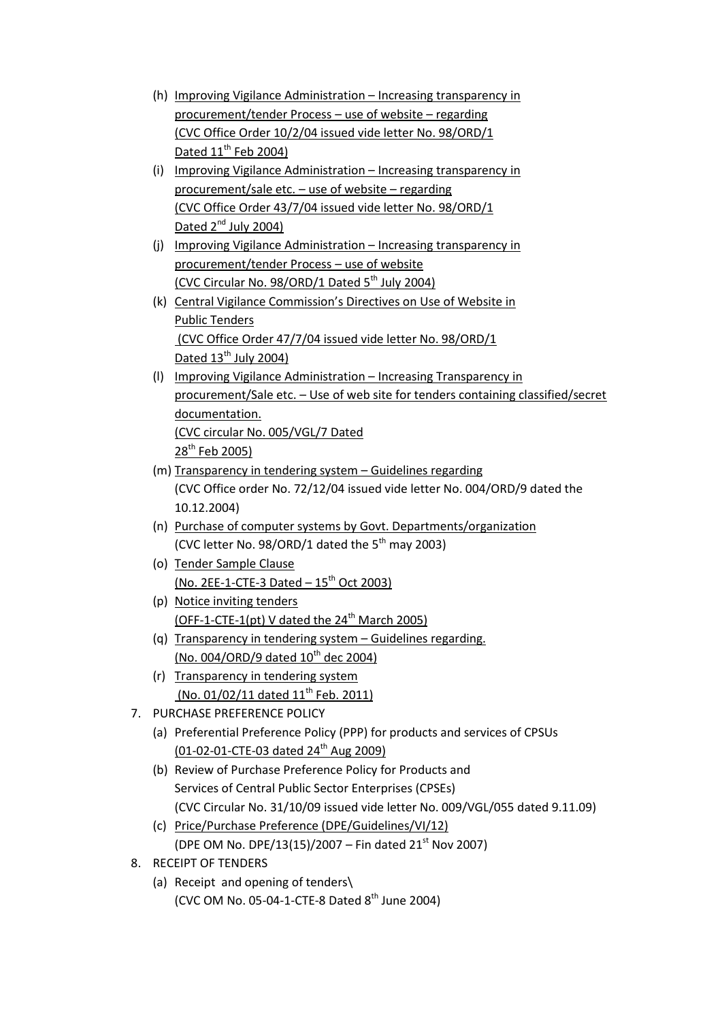- (h) Improving Vigilance Administration Increasing transparency in procurement/tender Process – use of website – regarding (CVC Office Order 10/2/04 issued vide letter No. 98/ORD/1 Dated 11<sup>th</sup> Feb 2004)
- (i) Improving Vigilance Administration Increasing transparency in procurement/sale etc. – use of website – regarding (CVC Office Order 43/7/04 issued vide letter No. 98/ORD/1 Dated 2<sup>nd</sup> July 2004)
- (j) Improving Vigilance Administration Increasing transparency in procurement/tender Process – use of website (CVC Circular No. 98/ORD/1 Dated  $5<sup>th</sup>$  July 2004)
- (k) Central Vigilance Commission's Directives on Use of Website in Public Tenders (CVC Office Order 47/7/04 issued vide letter No. 98/ORD/1 Dated  $13^{\text{th}}$  July 2004)
- (l) Improving Vigilance Administration Increasing Transparency in procurement/Sale etc. – Use of web site for tenders containing classified/secret documentation. (CVC circular No. 005/VGL/7 Dated  $28^{th}$  Feb 2005)
- (m) Transparency in tendering system Guidelines regarding (CVC Office order No. 72/12/04 issued vide letter No. 004/ORD/9 dated the 10.12.2004)
- (n) Purchase of computer systems by Govt. Departments/organization (CVC letter No. 98/ORD/1 dated the  $5<sup>th</sup>$  may 2003)
- (o) Tender Sample Clause  $(No. 2EE-1-CTE-3 Dated - 15<sup>th</sup> Oct 2003)$
- (p) Notice inviting tenders (OFF-1-CTE-1(pt) V dated the  $24<sup>th</sup>$  March 2005)
- (q) Transparency in tendering system Guidelines regarding. (No. 004/ORD/9 dated  $10^{th}$  dec 2004)
- (r) Transparency in tendering system (No. 01/02/11 dated 11<sup>th</sup> Feb. 2011)
- 7. PURCHASE PREFERENCE POLICY
	- (a) Preferential Preference Policy (PPP) for products and services of CPSUs  $(01-02-01$ -CTE-03 dated  $24<sup>th</sup>$  Aug 2009)
	- (b) Review of Purchase Preference Policy for Products and Services of Central Public Sector Enterprises (CPSEs) (CVC Circular No. 31/10/09 issued vide letter No. 009/VGL/055 dated 9.11.09)
	- (c) Price/Purchase Preference (DPE/Guidelines/VI/12) (DPE OM No. DPE/13(15)/2007 – Fin dated  $21<sup>st</sup>$  Nov 2007)
- 8. RECEIPT OF TENDERS
	- (a) Receipt and opening of tenders\ (CVC OM No. 05-04-1-CTE-8 Dated  $8<sup>th</sup>$  June 2004)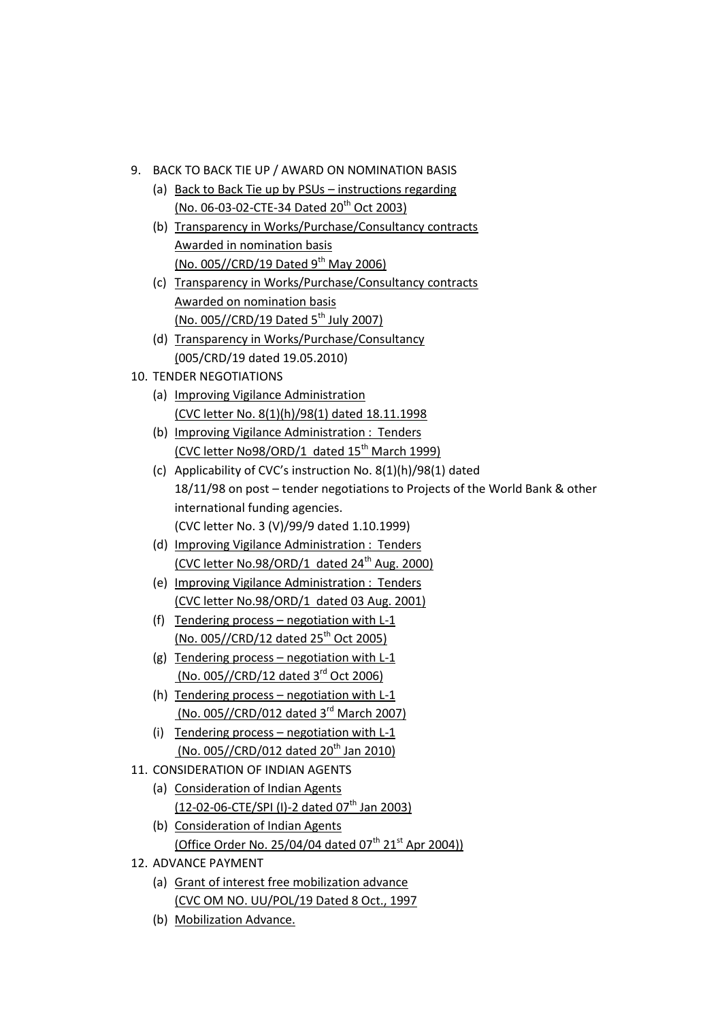- 9. BACK TO BACK TIE UP / AWARD ON NOMINATION BASIS
	- (a) Back to Back Tie up by PSUs instructions regarding  $(No. 06-03-02$ -CTE-34 Dated  $20<sup>th</sup>$  Oct 2003)
	- (b) Transparency in Works/Purchase/Consultancy contracts Awarded in nomination basis (No. 005//CRD/19 Dated  $9^{th}$  May 2006)
	- (c) Transparency in Works/Purchase/Consultancy contracts Awarded on nomination basis (No. 005//CRD/19 Dated 5<sup>th</sup> July 2007)
	- (d) Transparency in Works/Purchase/Consultancy (005/CRD/19 dated 19.05.2010)
- 10. TENDER NEGOTIATIONS
	- (a) Improving Vigilance Administration (CVC letter No. 8(1)(h)/98(1) dated 18.11.1998
	- (b) Improving Vigilance Administration : Tenders (CVC letter No98/ORD/1 dated  $15<sup>th</sup>$  March 1999)
	- (c) Applicability of CVC's instruction No. 8(1)(h)/98(1) dated 18/11/98 on post – tender negotiations to Projects of the World Bank & other international funding agencies. (CVC letter No. 3 (V)/99/9 dated 1.10.1999)
	- (d) Improving Vigilance Administration : Tenders (CVC letter No.98/ORD/1 dated  $24<sup>th</sup>$  Aug. 2000)
	- (e) Improving Vigilance Administration : Tenders (CVC letter No.98/ORD/1 dated 03 Aug. 2001)
	- (f) Tendering process negotiation with L-1 (No. 005//CRD/12 dated  $25^{th}$  Oct 2005)
	- (g) Tendering process negotiation with L-1 (No. 005//CRD/12 dated 3<sup>rd</sup> Oct 2006)
	- (h) Tendering process negotiation with L-1 (No. 005//CRD/012 dated 3<sup>rd</sup> March 2007)
	- (i) Tendering process negotiation with L-1 (No. 005//CRD/012 dated  $20^{th}$  Jan 2010)
- 11. CONSIDERATION OF INDIAN AGENTS
	- (a) Consideration of Indian Agents (12-02-06-CTE/SPI (I)-2 dated 07<sup>th</sup> Jan 2003)
	- (b) Consideration of Indian Agents (Office Order No. 25/04/04 dated  $07^{th}$  21<sup>st</sup> Apr 2004))
- 12. ADVANCE PAYMENT
	- (a) Grant of interest free mobilization advance (CVC OM NO. UU/POL/19 Dated 8 Oct., 1997
	- (b) Mobilization Advance.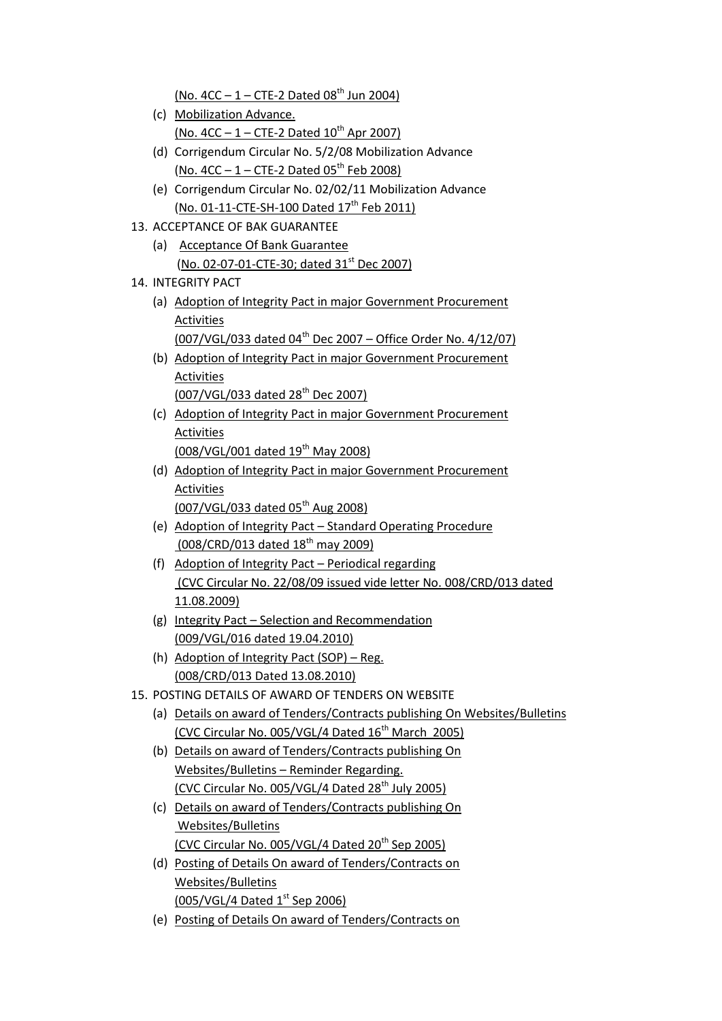(No.  $4CC - 1 - CTE-2$  Dated  $08<sup>th</sup>$  Jun 2004)

- (c) Mobilization Advance.  $(No. 4CC - 1 - CTE-2 Dated 10<sup>th</sup> Apr 2007)$
- (d) Corrigendum Circular No. 5/2/08 Mobilization Advance (No.  $4CC - 1 - CTE-2$  Dated  $05^{th}$  Feb 2008)
- (e) Corrigendum Circular No. 02/02/11 Mobilization Advance (No. 01-11-CTE-SH-100 Dated  $17^{th}$  Feb 2011)
- 13. ACCEPTANCE OF BAK GUARANTEE
	- (a) Acceptance Of Bank Guarantee (No. 02-07-01-CTE-30; dated 31<sup>st</sup> Dec 2007)
- 14. INTEGRITY PACT
	- (a) Adoption of Integrity Pact in major Government Procurement Activities (007/VGL/033 dated 04<sup>th</sup> Dec 2007 – Office Order No.  $4/12/07$ )
	- (b) Adoption of Integrity Pact in major Government Procurement Activities
		- (007/VGL/033 dated 28<sup>th</sup> Dec 2007)
	- (c) Adoption of Integrity Pact in major Government Procurement Activities (008/VGL/001 dated 19<sup>th</sup> May 2008)
	- (d) Adoption of Integrity Pact in major Government Procurement Activities (007/VGL/033 dated 05th Aug 2008)
	- (e) Adoption of Integrity Pact Standard Operating Procedure (008/CRD/013 dated 18<sup>th</sup> may 2009)
	- (f) Adoption of Integrity Pact Periodical regarding (CVC Circular No. 22/08/09 issued vide letter No. 008/CRD/013 dated 11.08.2009)
	- (g) Integrity Pact Selection and Recommendation (009/VGL/016 dated 19.04.2010)
	- (h) Adoption of Integrity Pact (SOP) Reg. (008/CRD/013 Dated 13.08.2010)
- 15. POSTING DETAILS OF AWARD OF TENDERS ON WEBSITE
	- (a) Details on award of Tenders/Contracts publishing On Websites/Bulletins (CVC Circular No. 005/VGL/4 Dated 16<sup>th</sup> March 2005)
	- (b) Details on award of Tenders/Contracts publishing On Websites/Bulletins – Reminder Regarding. (CVC Circular No.  $005/VGL/4$  Dated 28<sup>th</sup> July 2005)
	- (c) Details on award of Tenders/Contracts publishing On Websites/Bulletins (CVC Circular No.  $005/VGL/4$  Dated  $20<sup>th</sup>$  Sep 2005)
	- (d) Posting of Details On award of Tenders/Contracts on Websites/Bulletins (005/VGL/4 Dated  $1^{st}$  Sep 2006)
	- (e) Posting of Details On award of Tenders/Contracts on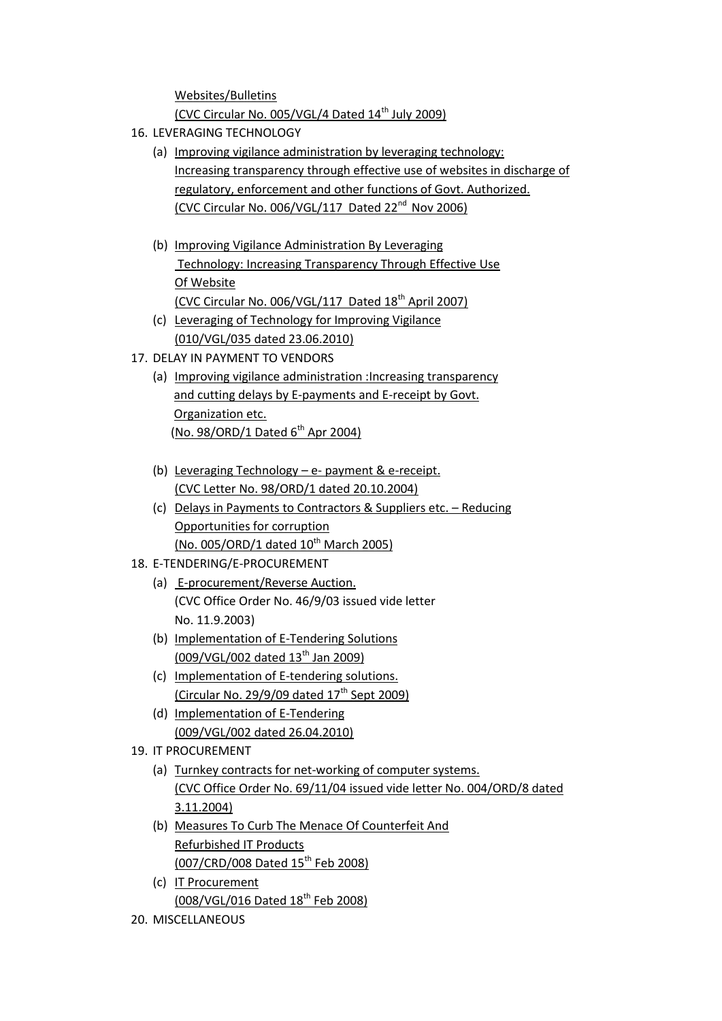Websites/Bulletins (CVC Circular No.  $005/VGL/4$  Dated  $14<sup>th</sup>$  July 2009)

- 16. LEVERAGING TECHNOLOGY
	- (a) Improving vigilance administration by leveraging technology: Increasing transparency through effective use of websites in discharge of regulatory, enforcement and other functions of Govt. Authorized. (CVC Circular No. 006/VGL/117 Dated 22nd Nov 2006)
	- (b) Improving Vigilance Administration By Leveraging Technology: Increasing Transparency Through Effective Use Of Website (CVC Circular No.  $006/VGL/117$  Dated  $18<sup>th</sup>$  April 2007)
	- (c) Leveraging of Technology for Improving Vigilance (010/VGL/035 dated 23.06.2010)
- 17. DELAY IN PAYMENT TO VENDORS
	- (a) Improving vigilance administration :Increasing transparency and cutting delays by E-payments and E-receipt by Govt. Organization etc.  $(No. 98/ORD/1$  Dated  $6<sup>th</sup>$  Apr 2004)
	- (b) Leveraging Technology e- payment & e-receipt. (CVC Letter No. 98/ORD/1 dated 20.10.2004)
	- (c) Delays in Payments to Contractors & Suppliers etc. Reducing Opportunities for corruption (No. 005/ORD/1 dated  $10^{th}$  March 2005)
- 18. E-TENDERING/E-PROCUREMENT
	- (a) E-procurement/Reverse Auction. (CVC Office Order No. 46/9/03 issued vide letter No. 11.9.2003)
	- (b) Implementation of E-Tendering Solutions (009/VGL/002 dated 13th Jan 2009)
	- (c) Implementation of E-tendering solutions. (Circular No. 29/9/09 dated  $17<sup>th</sup>$  Sept 2009)
	- (d) Implementation of E-Tendering (009/VGL/002 dated 26.04.2010)
- 19. IT PROCUREMENT
	- (a) Turnkey contracts for net-working of computer systems. (CVC Office Order No. 69/11/04 issued vide letter No. 004/ORD/8 dated 3.11.2004)
	- (b) Measures To Curb The Menace Of Counterfeit And Refurbished IT Products (007/CRD/008 Dated 15<sup>th</sup> Feb 2008)
	- (c) IT Procurement (008/VGL/016 Dated 18<sup>th</sup> Feb 2008)
- 20. MISCELLANEOUS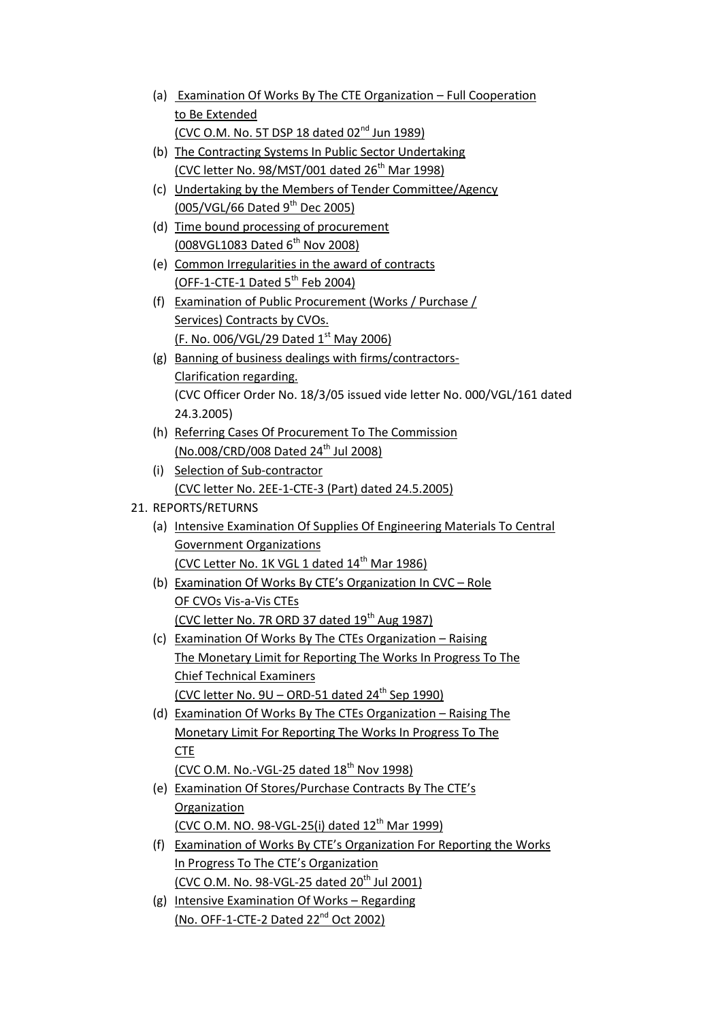| (a) Examination Of Works By The CTE Organization – Full Cooperation |
|---------------------------------------------------------------------|
| to Be Extended                                                      |
| (CVC O.M. No. 5T DSP 18 dated $02^{nd}$ Jun 1989)                   |

- (b) The Contracting Systems In Public Sector Undertaking (CVC letter No. 98/MST/001 dated  $26<sup>th</sup>$  Mar 1998)
- (c) Undertaking by the Members of Tender Committee/Agency (005/VGL/66 Dated  $9^{th}$  Dec 2005)
- (d) Time bound processing of procurement (008VGL1083 Dated 6<sup>th</sup> Nov 2008)
- (e) Common Irregularities in the award of contracts (OFF-1-CTE-1 Dated  $5^{th}$  Feb 2004)
- (f) Examination of Public Procurement (Works / Purchase / Services) Contracts by CVOs. (F. No. 006/VGL/29 Dated 1<sup>st</sup> May 2006)
- (g) Banning of business dealings with firms/contractors-Clarification regarding. (CVC Officer Order No. 18/3/05 issued vide letter No. 000/VGL/161 dated 24.3.2005)
- (h) Referring Cases Of Procurement To The Commission (No.008/CRD/008 Dated 24<sup>th</sup> Jul 2008)
- (i) Selection of Sub-contractor (CVC letter No. 2EE-1-CTE-3 (Part) dated 24.5.2005)

## 21. REPORTS/RETURNS

- (a) Intensive Examination Of Supplies Of Engineering Materials To Central Government Organizations (CVC Letter No. 1K VGL 1 dated  $14<sup>th</sup>$  Mar 1986)
- (b) Examination Of Works By CTE's Organization In CVC Role OF CVOs Vis-a-Vis CTEs (CVC letter No. 7R ORD 37 dated 19<sup>th</sup> Aug 1987)
- (c) Examination Of Works By The CTEs Organization Raising The Monetary Limit for Reporting The Works In Progress To The Chief Technical Examiners (CVC letter No.  $9U - ORD-51$  dated  $24<sup>th</sup>$  Sep 1990)
- (d) Examination Of Works By The CTEs Organization Raising The Monetary Limit For Reporting The Works In Progress To The CTE

(CVC O.M. No.-VGL-25 dated  $18<sup>th</sup>$  Nov 1998)

- (e) Examination Of Stores/Purchase Contracts By The CTE's **Organization** (CVC O.M. NO. 98-VGL-25(i) dated  $12^{th}$  Mar 1999)
- (f) Examination of Works By CTE's Organization For Reporting the Works In Progress To The CTE's Organization (CVC O.M. No. 98-VGL-25 dated  $20^{th}$  Jul 2001)
- (g) Intensive Examination Of Works Regarding (No. OFF-1-CTE-2 Dated 22nd Oct 2002)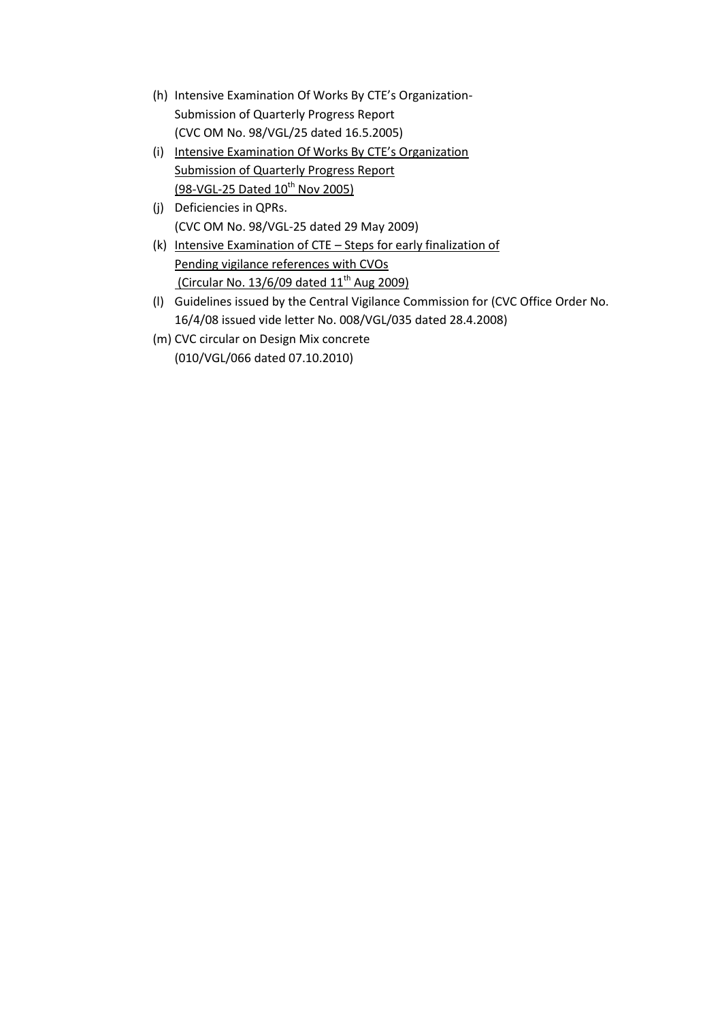- (h) Intensive Examination Of Works By CTE's Organization-Submission of Quarterly Progress Report (CVC OM No. 98/VGL/25 dated 16.5.2005)
- (i) Intensive Examination Of Works By CTE's Organization Submission of Quarterly Progress Report  $(98-\sqrt{GL-25}$  Dated  $10^{th}$  Nov 2005)
- (j) Deficiencies in QPRs. (CVC OM No. 98/VGL-25 dated 29 May 2009)
- (k) Intensive Examination of CTE Steps for early finalization of Pending vigilance references with CVOs (Circular No.  $13/6/09$  dated  $11<sup>th</sup>$  Aug 2009)
- (l) Guidelines issued by the Central Vigilance Commission for (CVC Office Order No. 16/4/08 issued vide letter No. 008/VGL/035 dated 28.4.2008)
- (m) CVC circular on Design Mix concrete (010/VGL/066 dated 07.10.2010)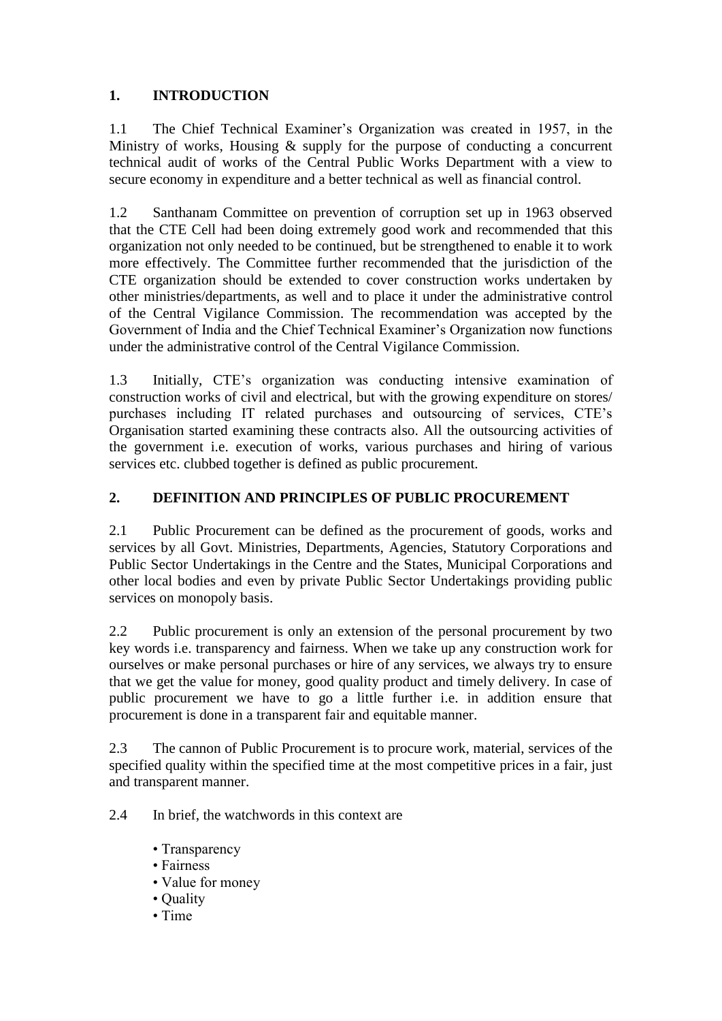## **1. INTRODUCTION**

1.1 The Chief Technical Examiner"s Organization was created in 1957, in the Ministry of works, Housing & supply for the purpose of conducting a concurrent technical audit of works of the Central Public Works Department with a view to secure economy in expenditure and a better technical as well as financial control.

1.2 Santhanam Committee on prevention of corruption set up in 1963 observed that the CTE Cell had been doing extremely good work and recommended that this organization not only needed to be continued, but be strengthened to enable it to work more effectively. The Committee further recommended that the jurisdiction of the CTE organization should be extended to cover construction works undertaken by other ministries/departments, as well and to place it under the administrative control of the Central Vigilance Commission. The recommendation was accepted by the Government of India and the Chief Technical Examiner"s Organization now functions under the administrative control of the Central Vigilance Commission.

1.3 Initially, CTE"s organization was conducting intensive examination of construction works of civil and electrical, but with the growing expenditure on stores/ purchases including IT related purchases and outsourcing of services, CTE"s Organisation started examining these contracts also. All the outsourcing activities of the government i.e. execution of works, various purchases and hiring of various services etc. clubbed together is defined as public procurement.

## **2. DEFINITION AND PRINCIPLES OF PUBLIC PROCUREMENT**

2.1 Public Procurement can be defined as the procurement of goods, works and services by all Govt. Ministries, Departments, Agencies, Statutory Corporations and Public Sector Undertakings in the Centre and the States, Municipal Corporations and other local bodies and even by private Public Sector Undertakings providing public services on monopoly basis.

2.2 Public procurement is only an extension of the personal procurement by two key words i.e. transparency and fairness. When we take up any construction work for ourselves or make personal purchases or hire of any services, we always try to ensure that we get the value for money, good quality product and timely delivery. In case of public procurement we have to go a little further i.e. in addition ensure that procurement is done in a transparent fair and equitable manner.

2.3 The cannon of Public Procurement is to procure work, material, services of the specified quality within the specified time at the most competitive prices in a fair, just and transparent manner.

2.4 In brief, the watchwords in this context are

- Transparency
- Fairness
- Value for money
- Quality
- Time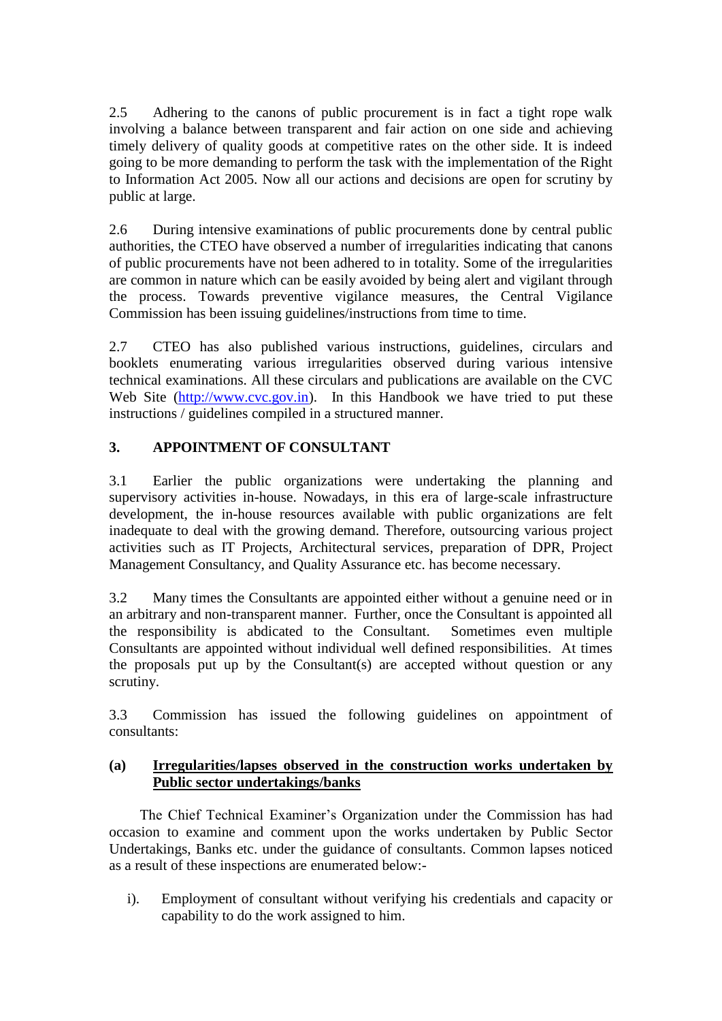2.5 Adhering to the canons of public procurement is in fact a tight rope walk involving a balance between transparent and fair action on one side and achieving timely delivery of quality goods at competitive rates on the other side. It is indeed going to be more demanding to perform the task with the implementation of the Right to Information Act 2005. Now all our actions and decisions are open for scrutiny by public at large.

2.6 During intensive examinations of public procurements done by central public authorities, the CTEO have observed a number of irregularities indicating that canons of public procurements have not been adhered to in totality. Some of the irregularities are common in nature which can be easily avoided by being alert and vigilant through the process. Towards preventive vigilance measures, the Central Vigilance Commission has been issuing guidelines/instructions from time to time.

2.7 CTEO has also published various instructions, guidelines, circulars and booklets enumerating various irregularities observed during various intensive technical examinations. All these circulars and publications are available on the CVC Web Site [\(http://www.cvc.gov.in\)](http://www.cvc.gov.in/). In this Handbook we have tried to put these instructions / guidelines compiled in a structured manner.

## **3. APPOINTMENT OF CONSULTANT**

3.1 Earlier the public organizations were undertaking the planning and supervisory activities in-house. Nowadays, in this era of large-scale infrastructure development, the in-house resources available with public organizations are felt inadequate to deal with the growing demand. Therefore, outsourcing various project activities such as IT Projects, Architectural services, preparation of DPR, Project Management Consultancy, and Quality Assurance etc. has become necessary.

3.2 Many times the Consultants are appointed either without a genuine need or in an arbitrary and non-transparent manner. Further, once the Consultant is appointed all the responsibility is abdicated to the Consultant. Sometimes even multiple Consultants are appointed without individual well defined responsibilities. At times the proposals put up by the Consultant(s) are accepted without question or any scrutiny.

3.3 Commission has issued the following guidelines on appointment of consultants:

### **(a) Irregularities/lapses observed in the construction works undertaken by Public sector undertakings/banks**

The Chief Technical Examiner"s Organization under the Commission has had occasion to examine and comment upon the works undertaken by Public Sector Undertakings, Banks etc. under the guidance of consultants. Common lapses noticed as a result of these inspections are enumerated below:-

i). Employment of consultant without verifying his credentials and capacity or capability to do the work assigned to him.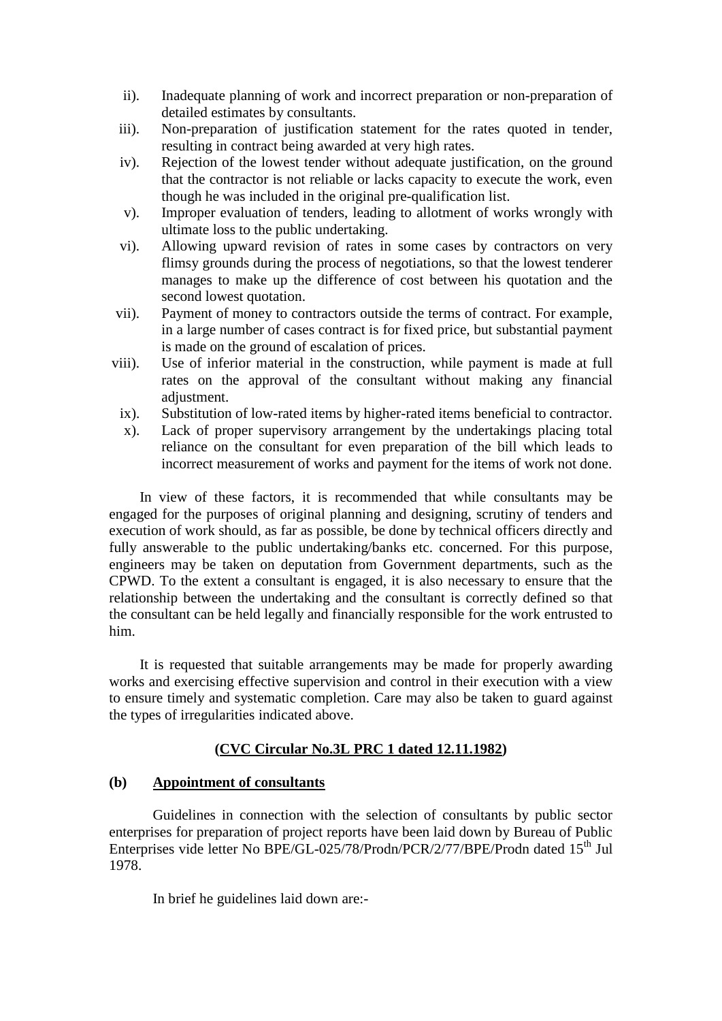- ii). Inadequate planning of work and incorrect preparation or non-preparation of detailed estimates by consultants.
- iii). Non-preparation of justification statement for the rates quoted in tender, resulting in contract being awarded at very high rates.
- iv). Rejection of the lowest tender without adequate justification, on the ground that the contractor is not reliable or lacks capacity to execute the work, even though he was included in the original pre-qualification list.
- v). Improper evaluation of tenders, leading to allotment of works wrongly with ultimate loss to the public undertaking.
- vi). Allowing upward revision of rates in some cases by contractors on very flimsy grounds during the process of negotiations, so that the lowest tenderer manages to make up the difference of cost between his quotation and the second lowest quotation.
- vii). Payment of money to contractors outside the terms of contract. For example, in a large number of cases contract is for fixed price, but substantial payment is made on the ground of escalation of prices.
- viii). Use of inferior material in the construction, while payment is made at full rates on the approval of the consultant without making any financial adjustment.
	- ix). Substitution of low-rated items by higher-rated items beneficial to contractor.
	- x). Lack of proper supervisory arrangement by the undertakings placing total reliance on the consultant for even preparation of the bill which leads to incorrect measurement of works and payment for the items of work not done.

In view of these factors, it is recommended that while consultants may be engaged for the purposes of original planning and designing, scrutiny of tenders and execution of work should, as far as possible, be done by technical officers directly and fully answerable to the public undertaking/banks etc. concerned. For this purpose, engineers may be taken on deputation from Government departments, such as the CPWD. To the extent a consultant is engaged, it is also necessary to ensure that the relationship between the undertaking and the consultant is correctly defined so that the consultant can be held legally and financially responsible for the work entrusted to him.

It is requested that suitable arrangements may be made for properly awarding works and exercising effective supervision and control in their execution with a view to ensure timely and systematic completion. Care may also be taken to guard against the types of irregularities indicated above.

#### **(CVC Circular No.3L PRC 1 dated 12.11.1982)**

#### **(b) Appointment of consultants**

Guidelines in connection with the selection of consultants by public sector enterprises for preparation of project reports have been laid down by Bureau of Public Enterprises vide letter No BPE/GL-025/78/Prodn/PCR/2/77/BPE/Prodn dated 15<sup>th</sup> Jul 1978.

In brief he guidelines laid down are:-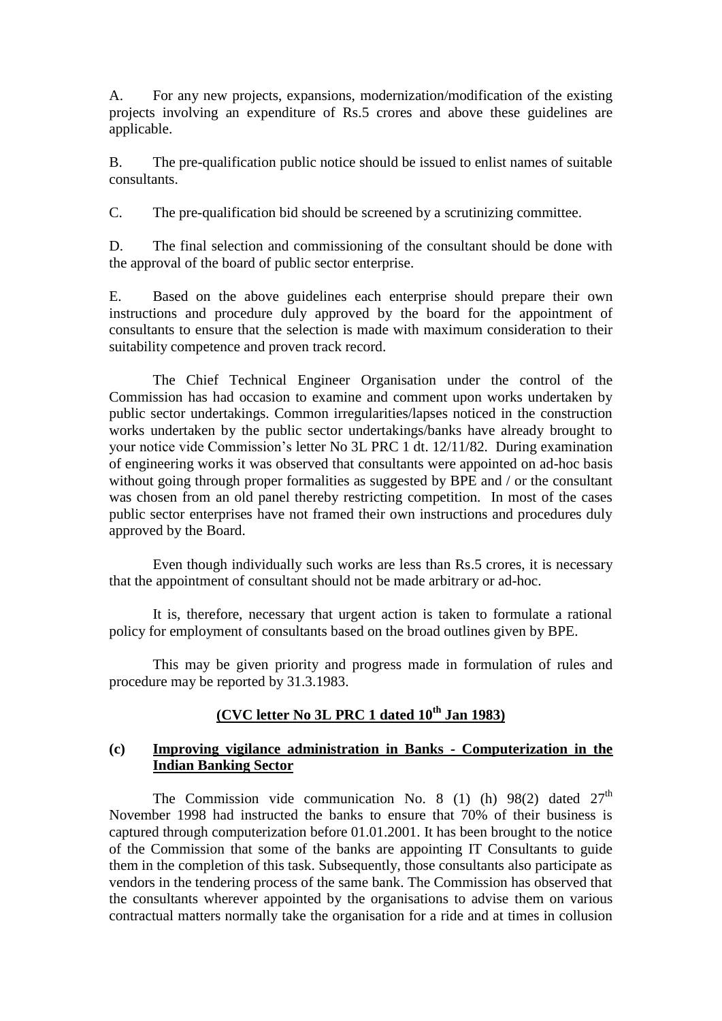A. For any new projects, expansions, modernization/modification of the existing projects involving an expenditure of Rs.5 crores and above these guidelines are applicable.

B. The pre-qualification public notice should be issued to enlist names of suitable consultants.

C. The pre-qualification bid should be screened by a scrutinizing committee.

D. The final selection and commissioning of the consultant should be done with the approval of the board of public sector enterprise.

E. Based on the above guidelines each enterprise should prepare their own instructions and procedure duly approved by the board for the appointment of consultants to ensure that the selection is made with maximum consideration to their suitability competence and proven track record.

The Chief Technical Engineer Organisation under the control of the Commission has had occasion to examine and comment upon works undertaken by public sector undertakings. Common irregularities/lapses noticed in the construction works undertaken by the public sector undertakings/banks have already brought to your notice vide Commission"s letter No 3L PRC 1 dt. 12/11/82. During examination of engineering works it was observed that consultants were appointed on ad-hoc basis without going through proper formalities as suggested by BPE and / or the consultant was chosen from an old panel thereby restricting competition. In most of the cases public sector enterprises have not framed their own instructions and procedures duly approved by the Board.

Even though individually such works are less than Rs.5 crores, it is necessary that the appointment of consultant should not be made arbitrary or ad-hoc.

It is, therefore, necessary that urgent action is taken to formulate a rational policy for employment of consultants based on the broad outlines given by BPE.

This may be given priority and progress made in formulation of rules and procedure may be reported by 31.3.1983.

## **(CVC letter No 3L PRC 1 dated 10th Jan 1983)**

#### **(c) Improving vigilance administration in Banks - Computerization in the Indian Banking Sector**

The Commission vide communication No. 8 (1) (h)  $98(2)$  dated  $27<sup>th</sup>$ November 1998 had instructed the banks to ensure that 70% of their business is captured through computerization before 01.01.2001. It has been brought to the notice of the Commission that some of the banks are appointing IT Consultants to guide them in the completion of this task. Subsequently, those consultants also participate as vendors in the tendering process of the same bank. The Commission has observed that the consultants wherever appointed by the organisations to advise them on various contractual matters normally take the organisation for a ride and at times in collusion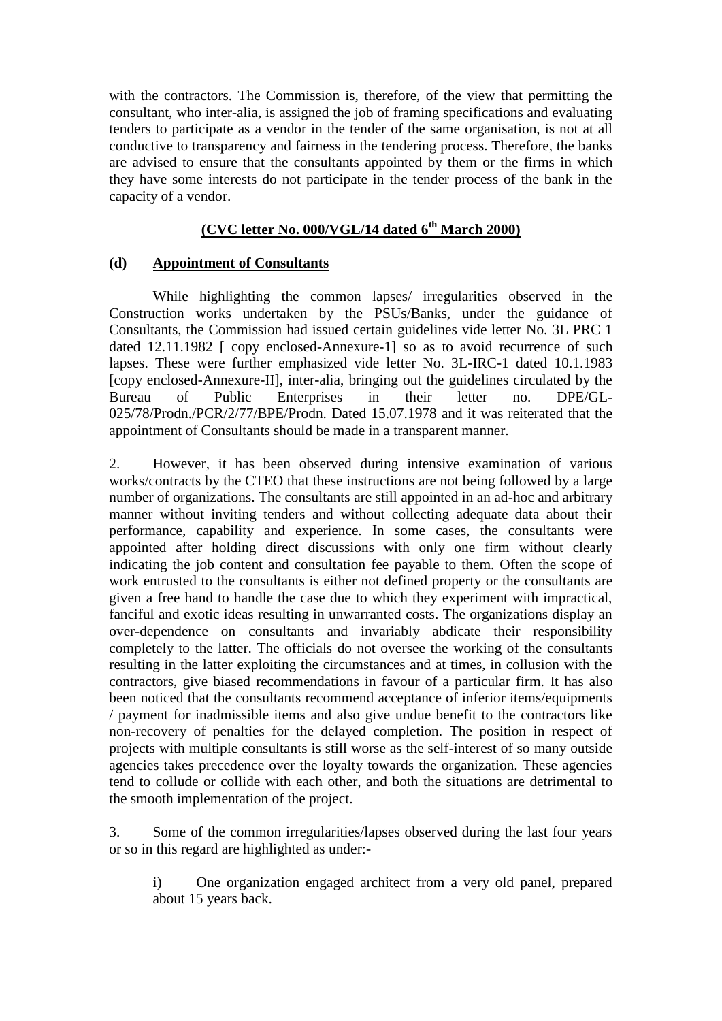with the contractors. The Commission is, therefore, of the view that permitting the consultant, who inter-alia, is assigned the job of framing specifications and evaluating tenders to participate as a vendor in the tender of the same organisation, is not at all conductive to transparency and fairness in the tendering process. Therefore, the banks are advised to ensure that the consultants appointed by them or the firms in which they have some interests do not participate in the tender process of the bank in the capacity of a vendor.

## **(CVC letter No. 000/VGL/14 dated 6th March 2000)**

#### **(d) Appointment of Consultants**

While highlighting the common lapses/ irregularities observed in the Construction works undertaken by the PSUs/Banks, under the guidance of Consultants, the Commission had issued certain guidelines vide letter No. 3L PRC 1 dated 12.11.1982 [ copy enclosed-Annexure-1] so as to avoid recurrence of such lapses. These were further emphasized vide letter No. 3L-IRC-1 dated 10.1.1983 [copy enclosed-Annexure-II], inter-alia, bringing out the guidelines circulated by the Bureau of Public Enterprises in their letter no. DPE/GL-025/78/Prodn./PCR/2/77/BPE/Prodn. Dated 15.07.1978 and it was reiterated that the appointment of Consultants should be made in a transparent manner.

2. However, it has been observed during intensive examination of various works/contracts by the CTEO that these instructions are not being followed by a large number of organizations. The consultants are still appointed in an ad-hoc and arbitrary manner without inviting tenders and without collecting adequate data about their performance, capability and experience. In some cases, the consultants were appointed after holding direct discussions with only one firm without clearly indicating the job content and consultation fee payable to them. Often the scope of work entrusted to the consultants is either not defined property or the consultants are given a free hand to handle the case due to which they experiment with impractical, fanciful and exotic ideas resulting in unwarranted costs. The organizations display an over-dependence on consultants and invariably abdicate their responsibility completely to the latter. The officials do not oversee the working of the consultants resulting in the latter exploiting the circumstances and at times, in collusion with the contractors, give biased recommendations in favour of a particular firm. It has also been noticed that the consultants recommend acceptance of inferior items/equipments / payment for inadmissible items and also give undue benefit to the contractors like non-recovery of penalties for the delayed completion. The position in respect of projects with multiple consultants is still worse as the self-interest of so many outside agencies takes precedence over the loyalty towards the organization. These agencies tend to collude or collide with each other, and both the situations are detrimental to the smooth implementation of the project.

3. Some of the common irregularities/lapses observed during the last four years or so in this regard are highlighted as under:-

i) One organization engaged architect from a very old panel, prepared about 15 years back.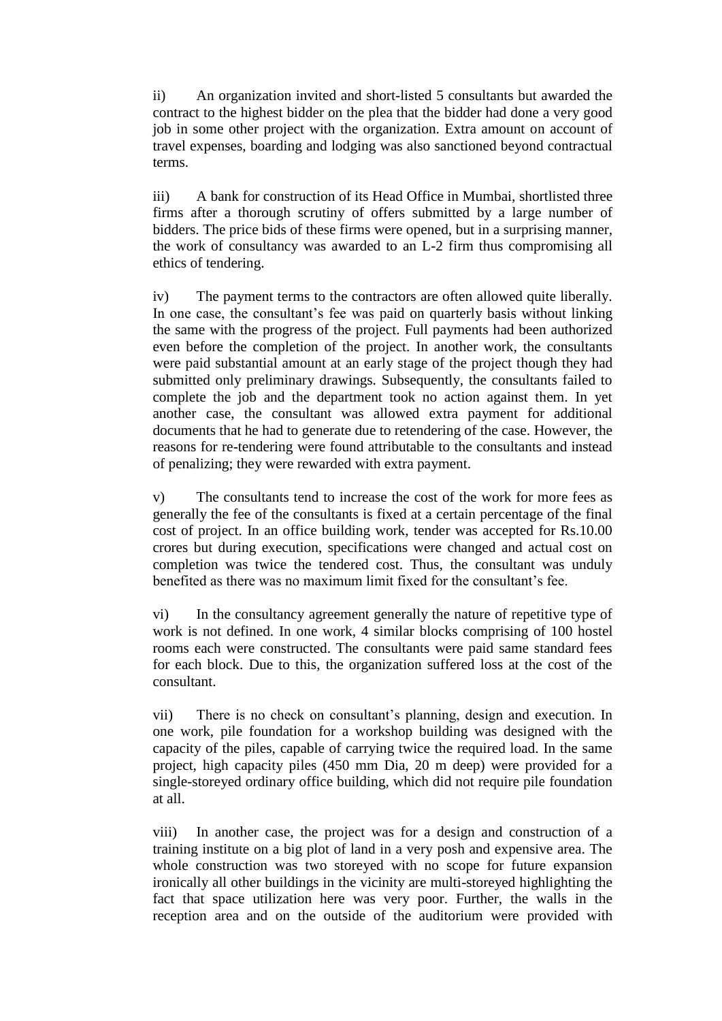ii) An organization invited and short-listed 5 consultants but awarded the contract to the highest bidder on the plea that the bidder had done a very good job in some other project with the organization. Extra amount on account of travel expenses, boarding and lodging was also sanctioned beyond contractual terms.

iii) A bank for construction of its Head Office in Mumbai, shortlisted three firms after a thorough scrutiny of offers submitted by a large number of bidders. The price bids of these firms were opened, but in a surprising manner, the work of consultancy was awarded to an L-2 firm thus compromising all ethics of tendering.

iv) The payment terms to the contractors are often allowed quite liberally. In one case, the consultant's fee was paid on quarterly basis without linking the same with the progress of the project. Full payments had been authorized even before the completion of the project. In another work, the consultants were paid substantial amount at an early stage of the project though they had submitted only preliminary drawings. Subsequently, the consultants failed to complete the job and the department took no action against them. In yet another case, the consultant was allowed extra payment for additional documents that he had to generate due to retendering of the case. However, the reasons for re-tendering were found attributable to the consultants and instead of penalizing; they were rewarded with extra payment.

v) The consultants tend to increase the cost of the work for more fees as generally the fee of the consultants is fixed at a certain percentage of the final cost of project. In an office building work, tender was accepted for Rs.10.00 crores but during execution, specifications were changed and actual cost on completion was twice the tendered cost. Thus, the consultant was unduly benefited as there was no maximum limit fixed for the consultant"s fee.

vi) In the consultancy agreement generally the nature of repetitive type of work is not defined. In one work, 4 similar blocks comprising of 100 hostel rooms each were constructed. The consultants were paid same standard fees for each block. Due to this, the organization suffered loss at the cost of the consultant.

vii) There is no check on consultant"s planning, design and execution. In one work, pile foundation for a workshop building was designed with the capacity of the piles, capable of carrying twice the required load. In the same project, high capacity piles (450 mm Dia, 20 m deep) were provided for a single-storeyed ordinary office building, which did not require pile foundation at all.

viii) In another case, the project was for a design and construction of a training institute on a big plot of land in a very posh and expensive area. The whole construction was two storeyed with no scope for future expansion ironically all other buildings in the vicinity are multi-storeyed highlighting the fact that space utilization here was very poor. Further, the walls in the reception area and on the outside of the auditorium were provided with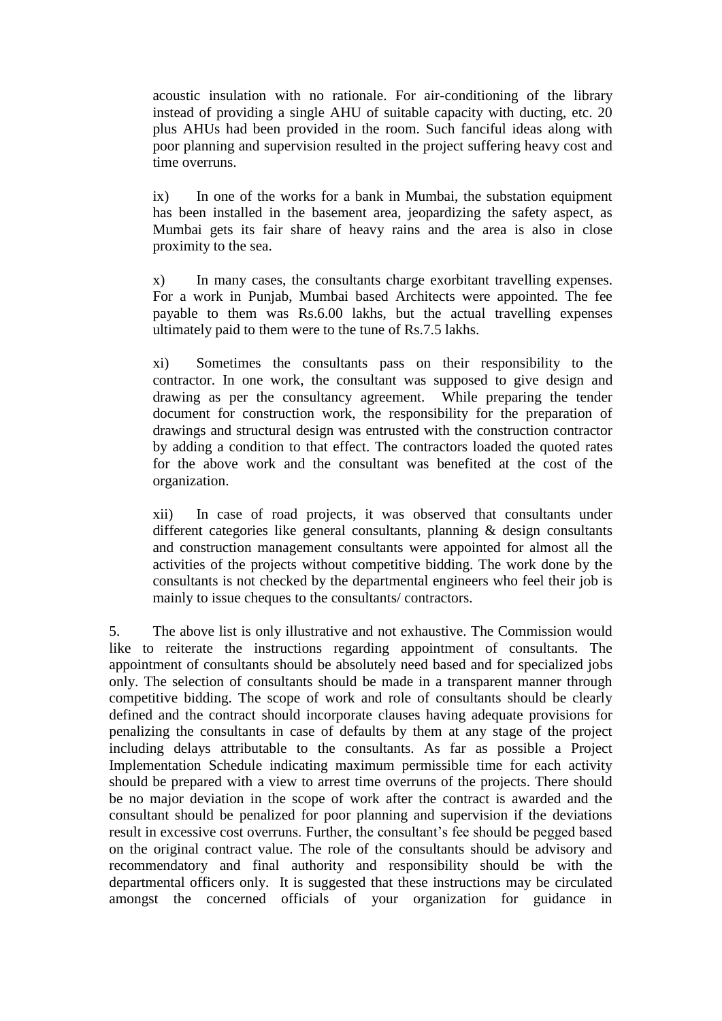acoustic insulation with no rationale. For air-conditioning of the library instead of providing a single AHU of suitable capacity with ducting, etc. 20 plus AHUs had been provided in the room. Such fanciful ideas along with poor planning and supervision resulted in the project suffering heavy cost and time overruns.

ix) In one of the works for a bank in Mumbai, the substation equipment has been installed in the basement area, jeopardizing the safety aspect, as Mumbai gets its fair share of heavy rains and the area is also in close proximity to the sea.

x) In many cases, the consultants charge exorbitant travelling expenses. For a work in Punjab, Mumbai based Architects were appointed. The fee payable to them was Rs.6.00 lakhs, but the actual travelling expenses ultimately paid to them were to the tune of Rs.7.5 lakhs.

xi) Sometimes the consultants pass on their responsibility to the contractor. In one work, the consultant was supposed to give design and drawing as per the consultancy agreement. While preparing the tender document for construction work, the responsibility for the preparation of drawings and structural design was entrusted with the construction contractor by adding a condition to that effect. The contractors loaded the quoted rates for the above work and the consultant was benefited at the cost of the organization.

xii) In case of road projects, it was observed that consultants under different categories like general consultants, planning & design consultants and construction management consultants were appointed for almost all the activities of the projects without competitive bidding. The work done by the consultants is not checked by the departmental engineers who feel their job is mainly to issue cheques to the consultants/ contractors.

5. The above list is only illustrative and not exhaustive. The Commission would like to reiterate the instructions regarding appointment of consultants. The appointment of consultants should be absolutely need based and for specialized jobs only. The selection of consultants should be made in a transparent manner through competitive bidding. The scope of work and role of consultants should be clearly defined and the contract should incorporate clauses having adequate provisions for penalizing the consultants in case of defaults by them at any stage of the project including delays attributable to the consultants. As far as possible a Project Implementation Schedule indicating maximum permissible time for each activity should be prepared with a view to arrest time overruns of the projects. There should be no major deviation in the scope of work after the contract is awarded and the consultant should be penalized for poor planning and supervision if the deviations result in excessive cost overruns. Further, the consultant"s fee should be pegged based on the original contract value. The role of the consultants should be advisory and recommendatory and final authority and responsibility should be with the departmental officers only. It is suggested that these instructions may be circulated amongst the concerned officials of your organization for guidance in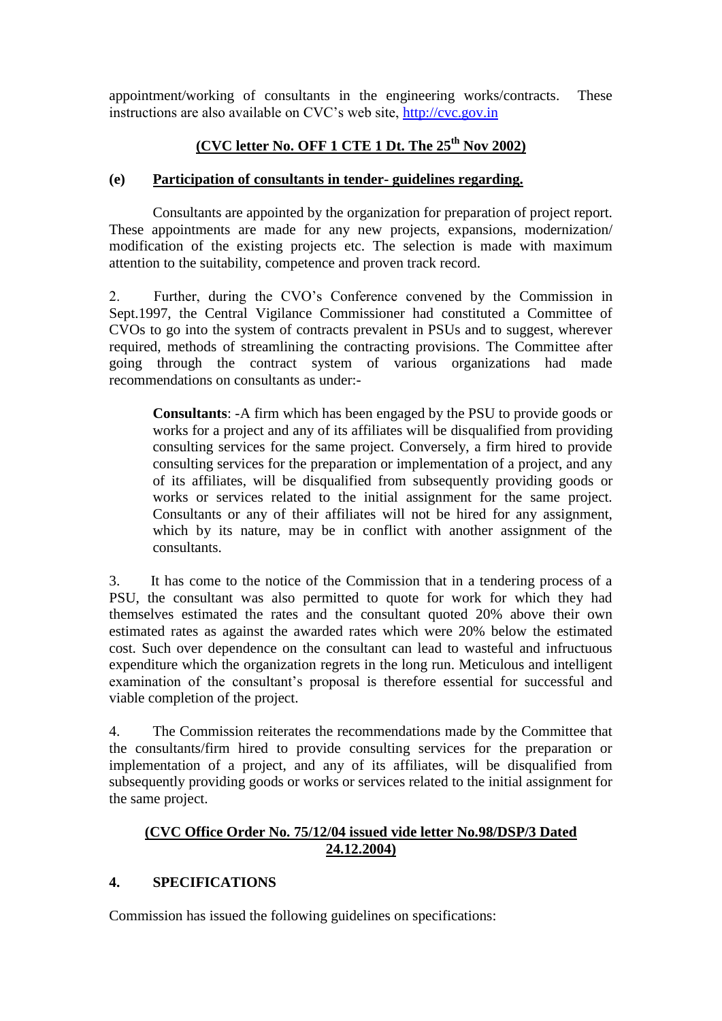appointment/working of consultants in the engineering works/contracts. These instructions are also available on CVC"s web site, [http://cvc.gov.in](http://cvc.gov.in/)

## **(CVC letter No. OFF 1 CTE 1 Dt. The 25th Nov 2002)**

#### **(e) Participation of consultants in tender- guidelines regarding.**

Consultants are appointed by the organization for preparation of project report. These appointments are made for any new projects, expansions, modernization/ modification of the existing projects etc. The selection is made with maximum attention to the suitability, competence and proven track record.

2. Further, during the CVO"s Conference convened by the Commission in Sept.1997, the Central Vigilance Commissioner had constituted a Committee of CVOs to go into the system of contracts prevalent in PSUs and to suggest, wherever required, methods of streamlining the contracting provisions. The Committee after going through the contract system of various organizations had made recommendations on consultants as under:-

**Consultants**: -A firm which has been engaged by the PSU to provide goods or works for a project and any of its affiliates will be disqualified from providing consulting services for the same project. Conversely, a firm hired to provide consulting services for the preparation or implementation of a project, and any of its affiliates, will be disqualified from subsequently providing goods or works or services related to the initial assignment for the same project. Consultants or any of their affiliates will not be hired for any assignment, which by its nature, may be in conflict with another assignment of the consultants.

3. It has come to the notice of the Commission that in a tendering process of a PSU, the consultant was also permitted to quote for work for which they had themselves estimated the rates and the consultant quoted 20% above their own estimated rates as against the awarded rates which were 20% below the estimated cost. Such over dependence on the consultant can lead to wasteful and infructuous expenditure which the organization regrets in the long run. Meticulous and intelligent examination of the consultant's proposal is therefore essential for successful and viable completion of the project.

4. The Commission reiterates the recommendations made by the Committee that the consultants/firm hired to provide consulting services for the preparation or implementation of a project, and any of its affiliates, will be disqualified from subsequently providing goods or works or services related to the initial assignment for the same project.

## **(CVC Office Order No. 75/12/04 issued vide letter No.98/DSP/3 Dated 24.12.2004)**

### **4. SPECIFICATIONS**

Commission has issued the following guidelines on specifications: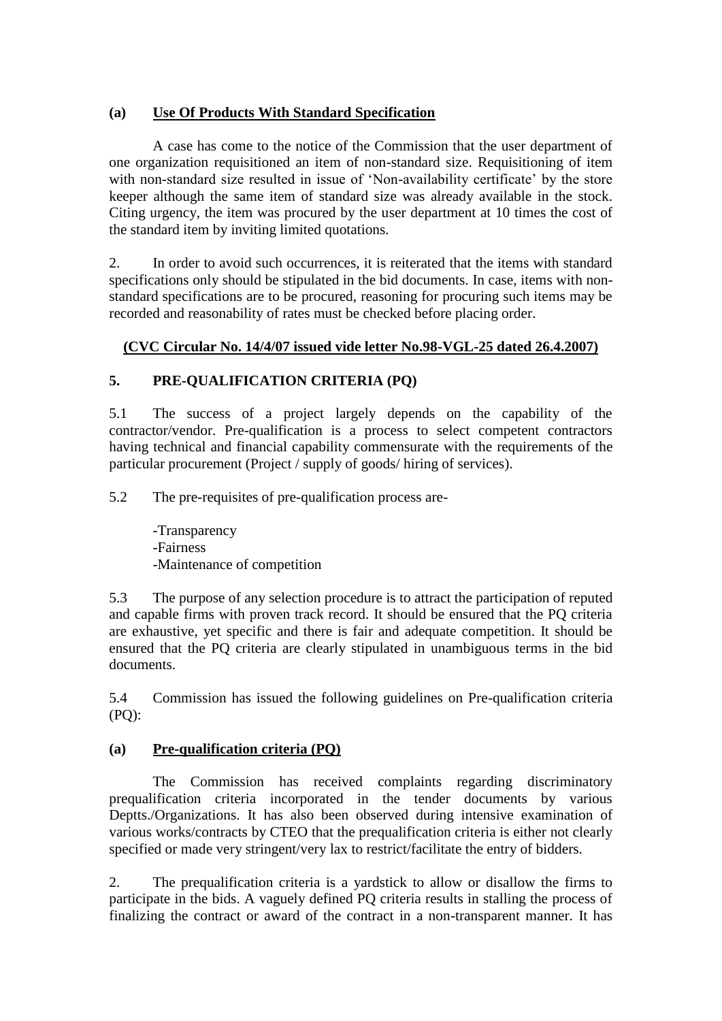## **(a) Use Of Products With Standard Specification**

A case has come to the notice of the Commission that the user department of one organization requisitioned an item of non-standard size. Requisitioning of item with non-standard size resulted in issue of 'Non-availability certificate' by the store keeper although the same item of standard size was already available in the stock. Citing urgency, the item was procured by the user department at 10 times the cost of the standard item by inviting limited quotations.

2. In order to avoid such occurrences, it is reiterated that the items with standard specifications only should be stipulated in the bid documents. In case, items with nonstandard specifications are to be procured, reasoning for procuring such items may be recorded and reasonability of rates must be checked before placing order.

## **(CVC Circular No. 14/4/07 issued vide letter No.98-VGL-25 dated 26.4.2007)**

## **5. PRE-QUALIFICATION CRITERIA (PQ)**

5.1 The success of a project largely depends on the capability of the contractor/vendor. Pre-qualification is a process to select competent contractors having technical and financial capability commensurate with the requirements of the particular procurement (Project / supply of goods/ hiring of services).

5.2 The pre-requisites of pre-qualification process are-

-Transparency -Fairness -Maintenance of competition

5.3 The purpose of any selection procedure is to attract the participation of reputed and capable firms with proven track record. It should be ensured that the PQ criteria are exhaustive, yet specific and there is fair and adequate competition. It should be ensured that the PQ criteria are clearly stipulated in unambiguous terms in the bid documents.

5.4 Commission has issued the following guidelines on Pre-qualification criteria (PQ):

### **(a) Pre-qualification criteria (PQ)**

 The Commission has received complaints regarding discriminatory prequalification criteria incorporated in the tender documents by various Deptts./Organizations. It has also been observed during intensive examination of various works/contracts by CTEO that the prequalification criteria is either not clearly specified or made very stringent/very lax to restrict/facilitate the entry of bidders.

2. The prequalification criteria is a yardstick to allow or disallow the firms to participate in the bids. A vaguely defined PQ criteria results in stalling the process of finalizing the contract or award of the contract in a non-transparent manner. It has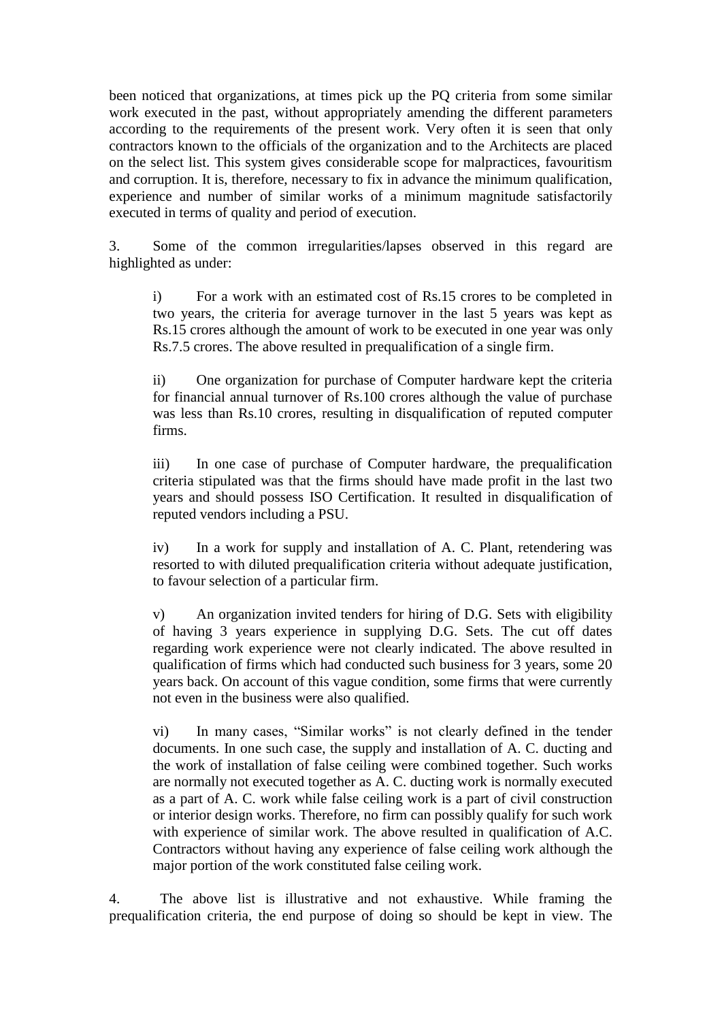been noticed that organizations, at times pick up the PQ criteria from some similar work executed in the past, without appropriately amending the different parameters according to the requirements of the present work. Very often it is seen that only contractors known to the officials of the organization and to the Architects are placed on the select list. This system gives considerable scope for malpractices, favouritism and corruption. It is, therefore, necessary to fix in advance the minimum qualification, experience and number of similar works of a minimum magnitude satisfactorily executed in terms of quality and period of execution.

3. Some of the common irregularities/lapses observed in this regard are highlighted as under:

i) For a work with an estimated cost of Rs.15 crores to be completed in two years, the criteria for average turnover in the last 5 years was kept as Rs.15 crores although the amount of work to be executed in one year was only Rs.7.5 crores. The above resulted in prequalification of a single firm.

ii) One organization for purchase of Computer hardware kept the criteria for financial annual turnover of Rs.100 crores although the value of purchase was less than Rs.10 crores, resulting in disqualification of reputed computer firms.

iii) In one case of purchase of Computer hardware, the prequalification criteria stipulated was that the firms should have made profit in the last two years and should possess ISO Certification. It resulted in disqualification of reputed vendors including a PSU.

iv) In a work for supply and installation of A. C. Plant, retendering was resorted to with diluted prequalification criteria without adequate justification, to favour selection of a particular firm.

v) An organization invited tenders for hiring of D.G. Sets with eligibility of having 3 years experience in supplying D.G. Sets. The cut off dates regarding work experience were not clearly indicated. The above resulted in qualification of firms which had conducted such business for 3 years, some 20 years back. On account of this vague condition, some firms that were currently not even in the business were also qualified.

vi) In many cases, "Similar works" is not clearly defined in the tender documents. In one such case, the supply and installation of A. C. ducting and the work of installation of false ceiling were combined together. Such works are normally not executed together as A. C. ducting work is normally executed as a part of A. C. work while false ceiling work is a part of civil construction or interior design works. Therefore, no firm can possibly qualify for such work with experience of similar work. The above resulted in qualification of A.C. Contractors without having any experience of false ceiling work although the major portion of the work constituted false ceiling work.

4. The above list is illustrative and not exhaustive. While framing the prequalification criteria, the end purpose of doing so should be kept in view. The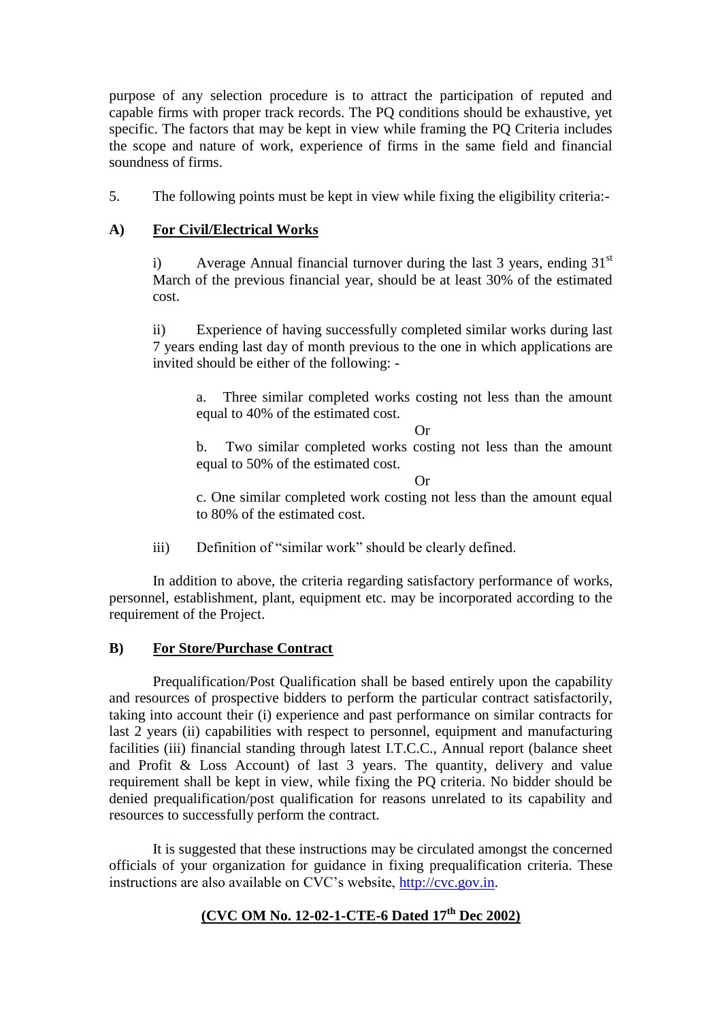purpose of any selection procedure is to attract the participation of reputed and capable firms with proper track records. The PQ conditions should be exhaustive, yet specific. The factors that may be kept in view while framing the PQ Criteria includes the scope and nature of work, experience of firms in the same field and financial soundness of firms.

5. The following points must be kept in view while fixing the eligibility criteria:-

## **A) For Civil/Electrical Works**

i) Average Annual financial turnover during the last 3 years, ending  $31<sup>st</sup>$ March of the previous financial year, should be at least 30% of the estimated cost.

ii) Experience of having successfully completed similar works during last 7 years ending last day of month previous to the one in which applications are invited should be either of the following: -

a. Three similar completed works costing not less than the amount equal to 40% of the estimated cost.

Or

b. Two similar completed works costing not less than the amount equal to 50% of the estimated cost.

Or

c. One similar completed work costing not less than the amount equal to 80% of the estimated cost.

iii) Definition of "similar work" should be clearly defined.

In addition to above, the criteria regarding satisfactory performance of works, personnel, establishment, plant, equipment etc. may be incorporated according to the requirement of the Project.

## **B) For Store/Purchase Contract**

Prequalification/Post Qualification shall be based entirely upon the capability and resources of prospective bidders to perform the particular contract satisfactorily, taking into account their (i) experience and past performance on similar contracts for last 2 years (ii) capabilities with respect to personnel, equipment and manufacturing facilities (iii) financial standing through latest I.T.C.C., Annual report (balance sheet and Profit & Loss Account) of last 3 years. The quantity, delivery and value requirement shall be kept in view, while fixing the PQ criteria. No bidder should be denied prequalification/post qualification for reasons unrelated to its capability and resources to successfully perform the contract.

It is suggested that these instructions may be circulated amongst the concerned officials of your organization for guidance in fixing prequalification criteria. These instructions are also available on CVC"s website, [http://cvc.gov.in.](http://cvc.gov.in/)

## **(CVC OM No. 12-02-1-CTE-6 Dated 17th Dec 2002)**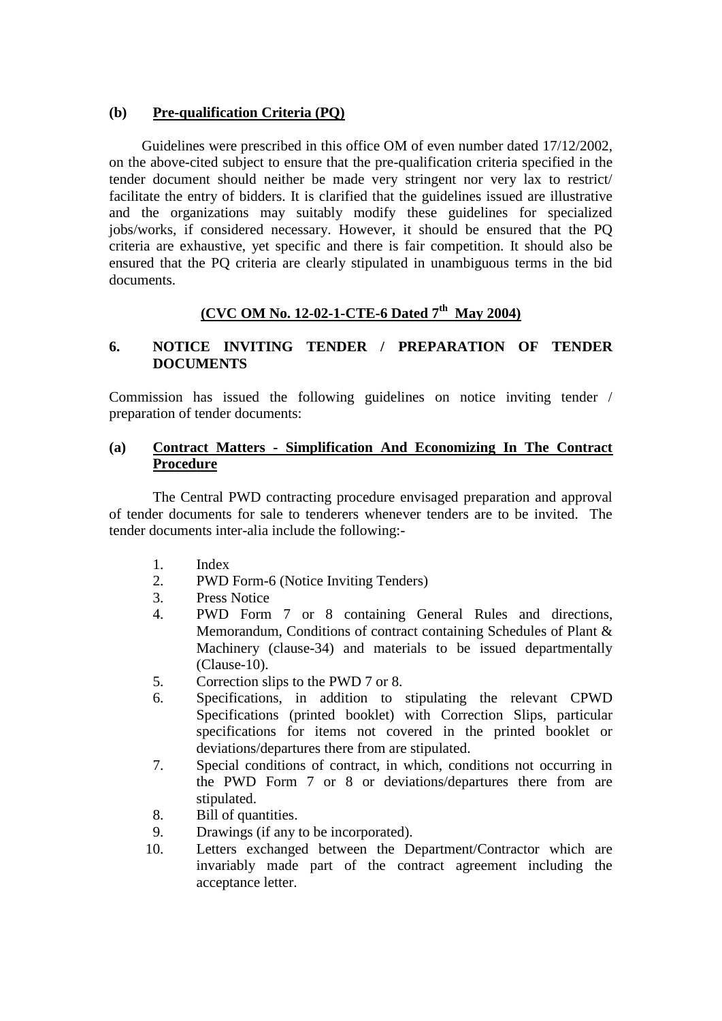#### **(b) Pre-qualification Criteria (PQ)**

 Guidelines were prescribed in this office OM of even number dated 17/12/2002, on the above-cited subject to ensure that the pre-qualification criteria specified in the tender document should neither be made very stringent nor very lax to restrict/ facilitate the entry of bidders. It is clarified that the guidelines issued are illustrative and the organizations may suitably modify these guidelines for specialized jobs/works, if considered necessary. However, it should be ensured that the PQ criteria are exhaustive, yet specific and there is fair competition. It should also be ensured that the PQ criteria are clearly stipulated in unambiguous terms in the bid documents.

## **(CVC OM No. 12-02-1-CTE-6 Dated 7th May 2004)**

### **6. NOTICE INVITING TENDER / PREPARATION OF TENDER DOCUMENTS**

Commission has issued the following guidelines on notice inviting tender / preparation of tender documents:

#### **(a) Contract Matters - Simplification And Economizing In The Contract Procedure**

The Central PWD contracting procedure envisaged preparation and approval of tender documents for sale to tenderers whenever tenders are to be invited. The tender documents inter-alia include the following:-

- 1. Index
- 2. PWD Form-6 (Notice Inviting Tenders)
- 3. Press Notice
- 4. PWD Form 7 or 8 containing General Rules and directions, Memorandum, Conditions of contract containing Schedules of Plant & Machinery (clause-34) and materials to be issued departmentally (Clause-10).
- 5. Correction slips to the PWD 7 or 8.
- 6. Specifications, in addition to stipulating the relevant CPWD Specifications (printed booklet) with Correction Slips, particular specifications for items not covered in the printed booklet or deviations/departures there from are stipulated.
- 7. Special conditions of contract, in which, conditions not occurring in the PWD Form 7 or 8 or deviations/departures there from are stipulated.
- 8. Bill of quantities.
- 9. Drawings (if any to be incorporated).
- 10. Letters exchanged between the Department/Contractor which are invariably made part of the contract agreement including the acceptance letter.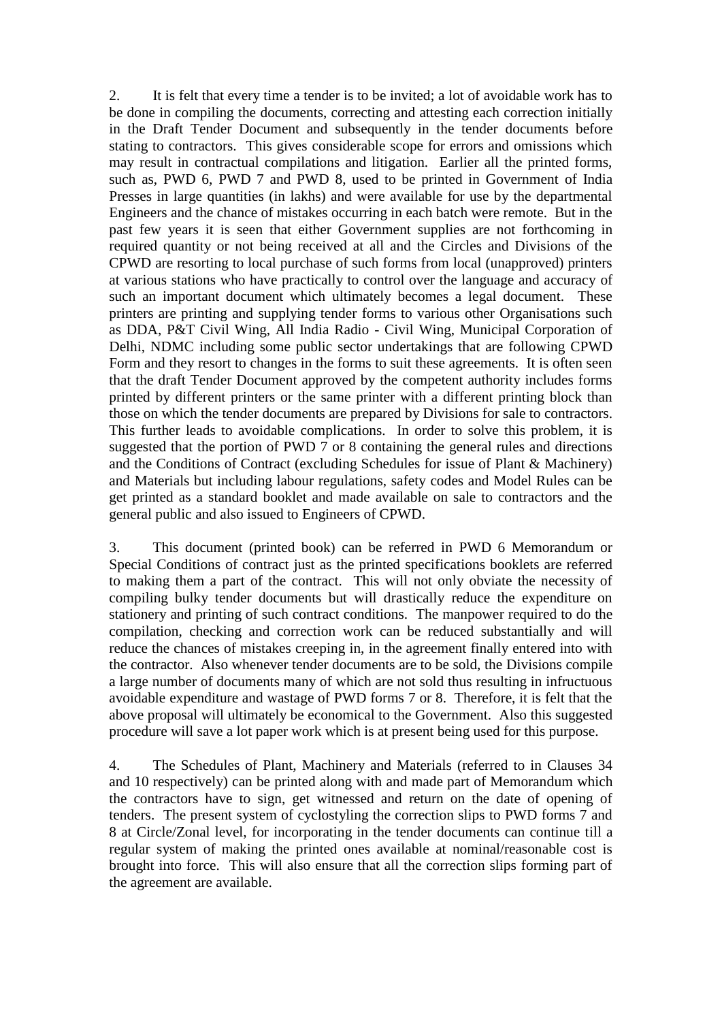2. It is felt that every time a tender is to be invited; a lot of avoidable work has to be done in compiling the documents, correcting and attesting each correction initially in the Draft Tender Document and subsequently in the tender documents before stating to contractors. This gives considerable scope for errors and omissions which may result in contractual compilations and litigation. Earlier all the printed forms, such as, PWD 6, PWD 7 and PWD 8, used to be printed in Government of India Presses in large quantities (in lakhs) and were available for use by the departmental Engineers and the chance of mistakes occurring in each batch were remote. But in the past few years it is seen that either Government supplies are not forthcoming in required quantity or not being received at all and the Circles and Divisions of the CPWD are resorting to local purchase of such forms from local (unapproved) printers at various stations who have practically to control over the language and accuracy of such an important document which ultimately becomes a legal document. These printers are printing and supplying tender forms to various other Organisations such as DDA, P&T Civil Wing, All India Radio - Civil Wing, Municipal Corporation of Delhi, NDMC including some public sector undertakings that are following CPWD Form and they resort to changes in the forms to suit these agreements. It is often seen that the draft Tender Document approved by the competent authority includes forms printed by different printers or the same printer with a different printing block than those on which the tender documents are prepared by Divisions for sale to contractors. This further leads to avoidable complications. In order to solve this problem, it is suggested that the portion of PWD 7 or 8 containing the general rules and directions and the Conditions of Contract (excluding Schedules for issue of Plant & Machinery) and Materials but including labour regulations, safety codes and Model Rules can be get printed as a standard booklet and made available on sale to contractors and the general public and also issued to Engineers of CPWD.

3. This document (printed book) can be referred in PWD 6 Memorandum or Special Conditions of contract just as the printed specifications booklets are referred to making them a part of the contract. This will not only obviate the necessity of compiling bulky tender documents but will drastically reduce the expenditure on stationery and printing of such contract conditions. The manpower required to do the compilation, checking and correction work can be reduced substantially and will reduce the chances of mistakes creeping in, in the agreement finally entered into with the contractor. Also whenever tender documents are to be sold, the Divisions compile a large number of documents many of which are not sold thus resulting in infructuous avoidable expenditure and wastage of PWD forms 7 or 8. Therefore, it is felt that the above proposal will ultimately be economical to the Government. Also this suggested procedure will save a lot paper work which is at present being used for this purpose.

4. The Schedules of Plant, Machinery and Materials (referred to in Clauses 34 and 10 respectively) can be printed along with and made part of Memorandum which the contractors have to sign, get witnessed and return on the date of opening of tenders. The present system of cyclostyling the correction slips to PWD forms 7 and 8 at Circle/Zonal level, for incorporating in the tender documents can continue till a regular system of making the printed ones available at nominal/reasonable cost is brought into force. This will also ensure that all the correction slips forming part of the agreement are available.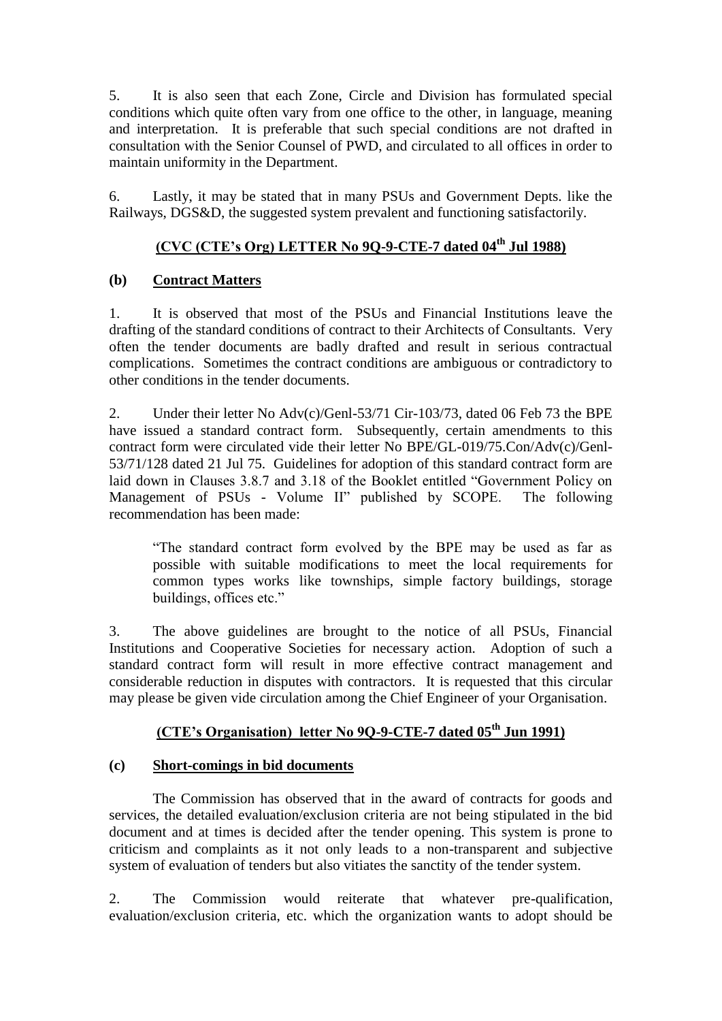5. It is also seen that each Zone, Circle and Division has formulated special conditions which quite often vary from one office to the other, in language, meaning and interpretation. It is preferable that such special conditions are not drafted in consultation with the Senior Counsel of PWD, and circulated to all offices in order to maintain uniformity in the Department.

6. Lastly, it may be stated that in many PSUs and Government Depts. like the Railways, DGS&D, the suggested system prevalent and functioning satisfactorily.

## **(CVC (CTE"s Org) LETTER No 9Q-9-CTE-7 dated 04th Jul 1988)**

## **(b) Contract Matters**

1. It is observed that most of the PSUs and Financial Institutions leave the drafting of the standard conditions of contract to their Architects of Consultants. Very often the tender documents are badly drafted and result in serious contractual complications. Sometimes the contract conditions are ambiguous or contradictory to other conditions in the tender documents.

2. Under their letter No Adv(c)/Genl-53/71 Cir-103/73, dated 06 Feb 73 the BPE have issued a standard contract form. Subsequently, certain amendments to this contract form were circulated vide their letter No BPE/GL-019/75.Con/Adv(c)/Genl-53/71/128 dated 21 Jul 75. Guidelines for adoption of this standard contract form are laid down in Clauses 3.8.7 and 3.18 of the Booklet entitled "Government Policy on Management of PSUs - Volume II" published by SCOPE. The following recommendation has been made:

"The standard contract form evolved by the BPE may be used as far as possible with suitable modifications to meet the local requirements for common types works like townships, simple factory buildings, storage buildings, offices etc."

3. The above guidelines are brought to the notice of all PSUs, Financial Institutions and Cooperative Societies for necessary action. Adoption of such a standard contract form will result in more effective contract management and considerable reduction in disputes with contractors. It is requested that this circular may please be given vide circulation among the Chief Engineer of your Organisation.

## **(CTE"s Organisation) letter No 9Q-9-CTE-7 dated 05th Jun 1991)**

### **(c) Short-comings in bid documents**

The Commission has observed that in the award of contracts for goods and services, the detailed evaluation/exclusion criteria are not being stipulated in the bid document and at times is decided after the tender opening. This system is prone to criticism and complaints as it not only leads to a non-transparent and subjective system of evaluation of tenders but also vitiates the sanctity of the tender system.

2. The Commission would reiterate that whatever pre-qualification, evaluation/exclusion criteria, etc. which the organization wants to adopt should be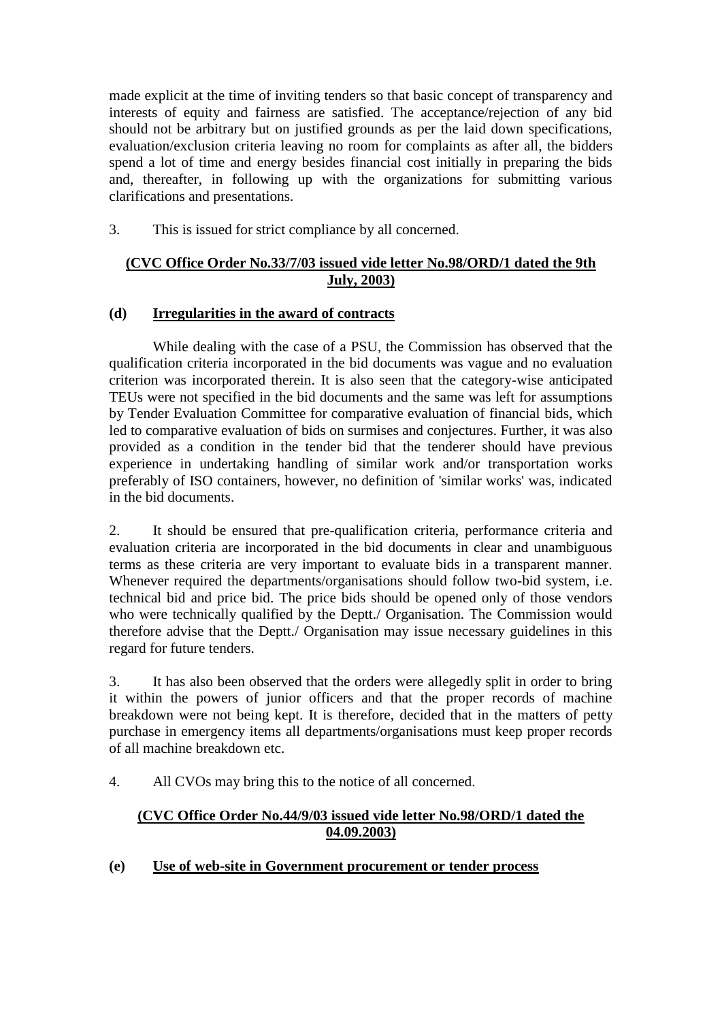made explicit at the time of inviting tenders so that basic concept of transparency and interests of equity and fairness are satisfied. The acceptance/rejection of any bid should not be arbitrary but on justified grounds as per the laid down specifications, evaluation/exclusion criteria leaving no room for complaints as after all, the bidders spend a lot of time and energy besides financial cost initially in preparing the bids and, thereafter, in following up with the organizations for submitting various clarifications and presentations.

3. This is issued for strict compliance by all concerned.

## **(CVC Office Order No.33/7/03 issued vide letter No.98/ORD/1 dated the 9th July, 2003)**

## **(d) Irregularities in the award of contracts**

While dealing with the case of a PSU, the Commission has observed that the qualification criteria incorporated in the bid documents was vague and no evaluation criterion was incorporated therein. It is also seen that the category-wise anticipated TEUs were not specified in the bid documents and the same was left for assumptions by Tender Evaluation Committee for comparative evaluation of financial bids, which led to comparative evaluation of bids on surmises and conjectures. Further, it was also provided as a condition in the tender bid that the tenderer should have previous experience in undertaking handling of similar work and/or transportation works preferably of ISO containers, however, no definition of 'similar works' was, indicated in the bid documents.

2. It should be ensured that pre-qualification criteria, performance criteria and evaluation criteria are incorporated in the bid documents in clear and unambiguous terms as these criteria are very important to evaluate bids in a transparent manner. Whenever required the departments/organisations should follow two-bid system, i.e. technical bid and price bid. The price bids should be opened only of those vendors who were technically qualified by the Deptt./ Organisation. The Commission would therefore advise that the Deptt./ Organisation may issue necessary guidelines in this regard for future tenders.

3. It has also been observed that the orders were allegedly split in order to bring it within the powers of junior officers and that the proper records of machine breakdown were not being kept. It is therefore, decided that in the matters of petty purchase in emergency items all departments/organisations must keep proper records of all machine breakdown etc.

4. All CVOs may bring this to the notice of all concerned.

## **(CVC Office Order No.44/9/03 issued vide letter No.98/ORD/1 dated the 04.09.2003)**

**(e) Use of web-site in Government procurement or tender process**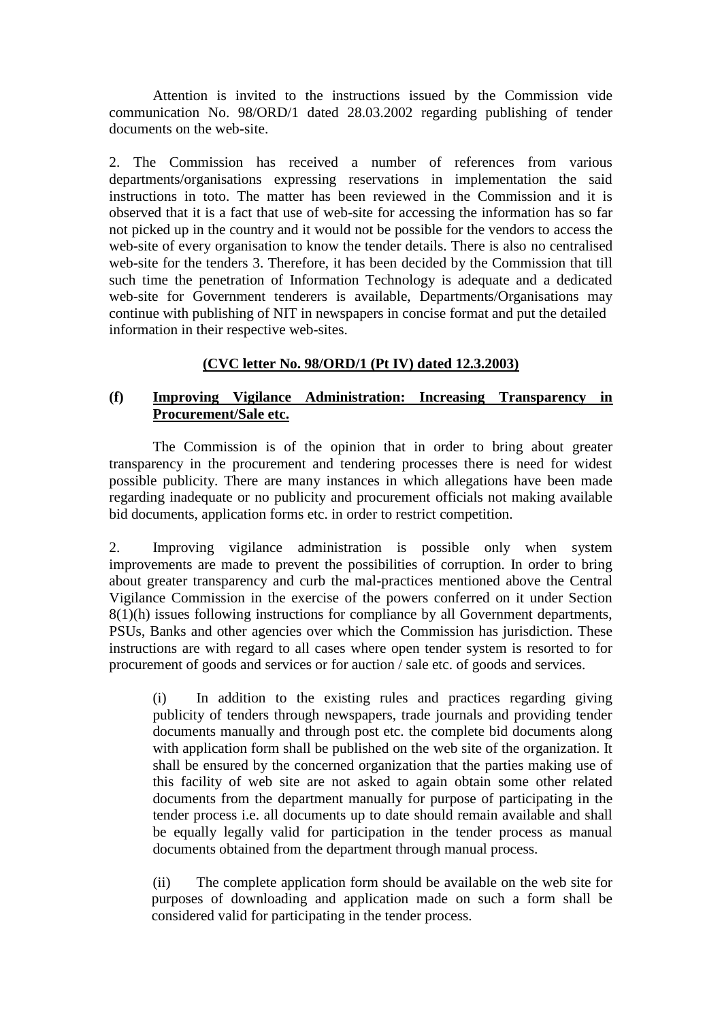Attention is invited to the instructions issued by the Commission vide communication No. 98/ORD/1 dated 28.03.2002 regarding publishing of tender documents on the web-site.

2. The Commission has received a number of references from various departments/organisations expressing reservations in implementation the said instructions in toto. The matter has been reviewed in the Commission and it is observed that it is a fact that use of web-site for accessing the information has so far not picked up in the country and it would not be possible for the vendors to access the web-site of every organisation to know the tender details. There is also no centralised web-site for the tenders 3. Therefore, it has been decided by the Commission that till such time the penetration of Information Technology is adequate and a dedicated web-site for Government tenderers is available, Departments/Organisations may continue with publishing of NIT in newspapers in concise format and put the detailed information in their respective web-sites.

## **(CVC letter No. 98/ORD/1 (Pt IV) dated 12.3.2003)**

#### **(f) Improving Vigilance Administration: Increasing Transparency in Procurement/Sale etc.**

The Commission is of the opinion that in order to bring about greater transparency in the procurement and tendering processes there is need for widest possible publicity. There are many instances in which allegations have been made regarding inadequate or no publicity and procurement officials not making available bid documents, application forms etc. in order to restrict competition.

2. Improving vigilance administration is possible only when system improvements are made to prevent the possibilities of corruption. In order to bring about greater transparency and curb the mal-practices mentioned above the Central Vigilance Commission in the exercise of the powers conferred on it under Section 8(1)(h) issues following instructions for compliance by all Government departments, PSUs, Banks and other agencies over which the Commission has jurisdiction. These instructions are with regard to all cases where open tender system is resorted to for procurement of goods and services or for auction / sale etc. of goods and services.

(i) In addition to the existing rules and practices regarding giving publicity of tenders through newspapers, trade journals and providing tender documents manually and through post etc. the complete bid documents along with application form shall be published on the web site of the organization. It shall be ensured by the concerned organization that the parties making use of this facility of web site are not asked to again obtain some other related documents from the department manually for purpose of participating in the tender process i.e. all documents up to date should remain available and shall be equally legally valid for participation in the tender process as manual documents obtained from the department through manual process.

(ii) The complete application form should be available on the web site for purposes of downloading and application made on such a form shall be considered valid for participating in the tender process.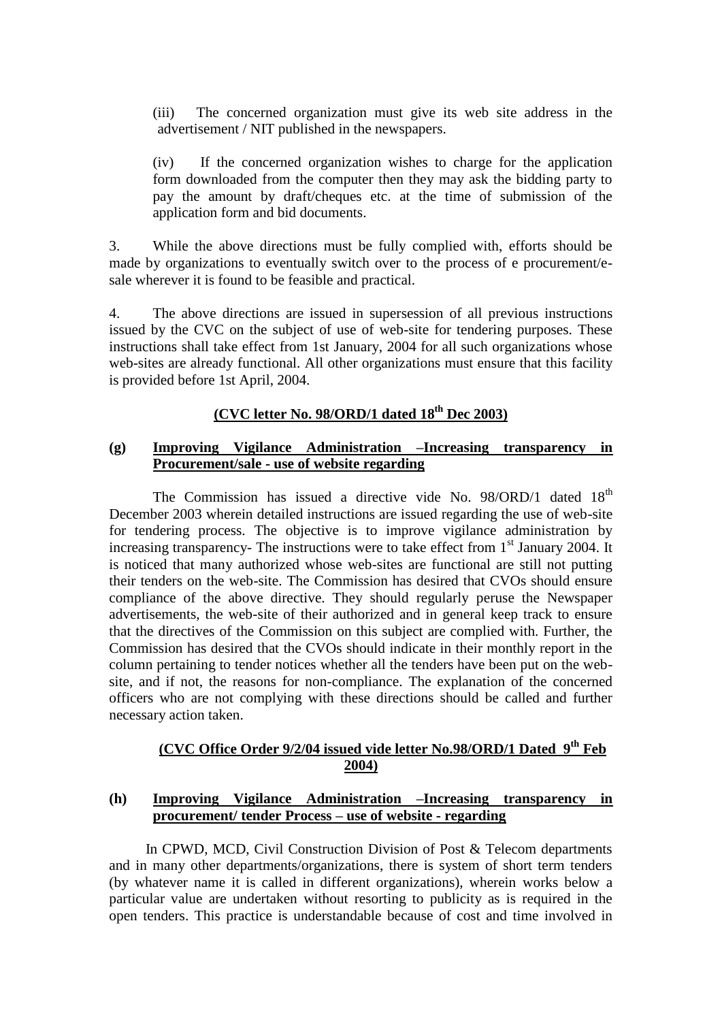(iii) The concerned organization must give its web site address in the advertisement / NIT published in the newspapers.

(iv) If the concerned organization wishes to charge for the application form downloaded from the computer then they may ask the bidding party to pay the amount by draft/cheques etc. at the time of submission of the application form and bid documents.

3. While the above directions must be fully complied with, efforts should be made by organizations to eventually switch over to the process of e procurement/esale wherever it is found to be feasible and practical.

4. The above directions are issued in supersession of all previous instructions issued by the CVC on the subject of use of web-site for tendering purposes. These instructions shall take effect from 1st January, 2004 for all such organizations whose web-sites are already functional. All other organizations must ensure that this facility is provided before 1st April, 2004.

## **(CVC letter No. 98/ORD/1 dated 18th Dec 2003)**

#### **(g) Improving Vigilance Administration –Increasing transparency in Procurement/sale - use of website regarding**

The Commission has issued a directive vide No.  $98/ORD/1$  dated  $18<sup>th</sup>$ December 2003 wherein detailed instructions are issued regarding the use of web-site for tendering process. The objective is to improve vigilance administration by increasing transparency- The instructions were to take effect from  $1<sup>st</sup>$  January 2004. It is noticed that many authorized whose web-sites are functional are still not putting their tenders on the web-site. The Commission has desired that CVOs should ensure compliance of the above directive. They should regularly peruse the Newspaper advertisements, the web-site of their authorized and in general keep track to ensure that the directives of the Commission on this subject are complied with. Further, the Commission has desired that the CVOs should indicate in their monthly report in the column pertaining to tender notices whether all the tenders have been put on the website, and if not, the reasons for non-compliance. The explanation of the concerned officers who are not complying with these directions should be called and further necessary action taken.

## **(CVC Office Order 9/2/04 issued vide letter No.98/ORD/1 Dated 9th Feb 2004)**

#### **(h) Improving Vigilance Administration –Increasing transparency in procurement/ tender Process – use of website - regarding**

In CPWD, MCD, Civil Construction Division of Post & Telecom departments and in many other departments/organizations, there is system of short term tenders (by whatever name it is called in different organizations), wherein works below a particular value are undertaken without resorting to publicity as is required in the open tenders. This practice is understandable because of cost and time involved in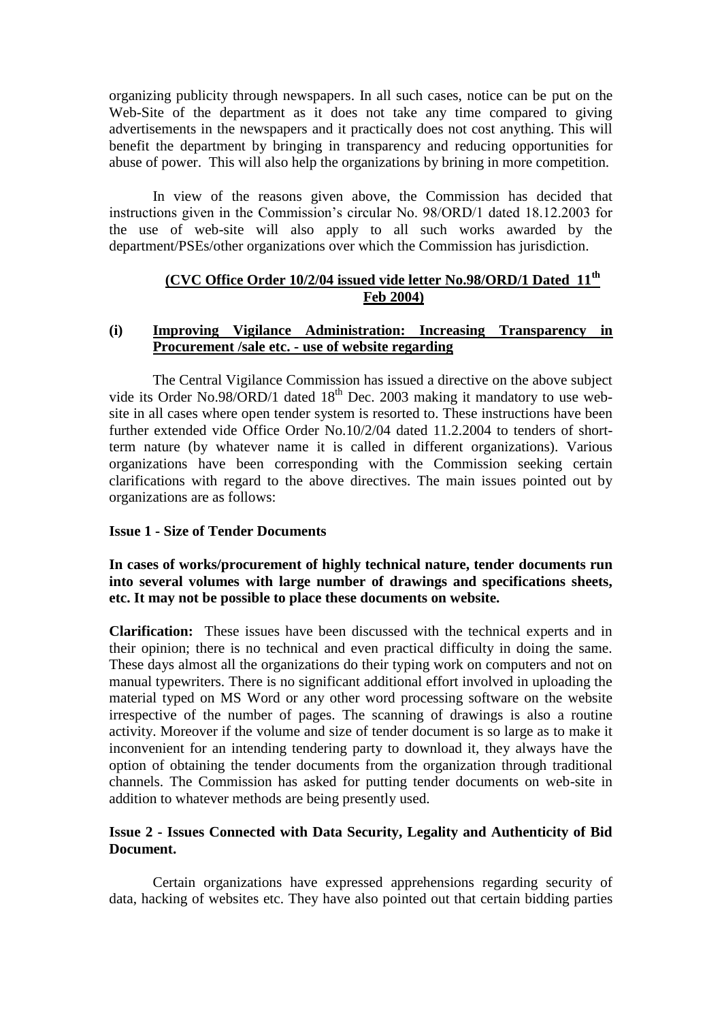organizing publicity through newspapers. In all such cases, notice can be put on the Web-Site of the department as it does not take any time compared to giving advertisements in the newspapers and it practically does not cost anything. This will benefit the department by bringing in transparency and reducing opportunities for abuse of power. This will also help the organizations by brining in more competition.

In view of the reasons given above, the Commission has decided that instructions given in the Commission's circular No. 98/ORD/1 dated 18.12.2003 for the use of web-site will also apply to all such works awarded by the department/PSEs/other organizations over which the Commission has jurisdiction.

## **(CVC Office Order 10/2/04 issued vide letter No.98/ORD/1 Dated 11th Feb 2004)**

#### **(i) Improving Vigilance Administration: Increasing Transparency in Procurement /sale etc. - use of website regarding**

The Central Vigilance Commission has issued a directive on the above subject vide its Order No.98/ORD/1 dated  $18<sup>th</sup>$  Dec. 2003 making it mandatory to use website in all cases where open tender system is resorted to. These instructions have been further extended vide Office Order No.10/2/04 dated 11.2.2004 to tenders of shortterm nature (by whatever name it is called in different organizations). Various organizations have been corresponding with the Commission seeking certain clarifications with regard to the above directives. The main issues pointed out by organizations are as follows:

#### **Issue 1 - Size of Tender Documents**

#### **In cases of works/procurement of highly technical nature, tender documents run into several volumes with large number of drawings and specifications sheets, etc. It may not be possible to place these documents on website.**

**Clarification:** These issues have been discussed with the technical experts and in their opinion; there is no technical and even practical difficulty in doing the same. These days almost all the organizations do their typing work on computers and not on manual typewriters. There is no significant additional effort involved in uploading the material typed on MS Word or any other word processing software on the website irrespective of the number of pages. The scanning of drawings is also a routine activity. Moreover if the volume and size of tender document is so large as to make it inconvenient for an intending tendering party to download it, they always have the option of obtaining the tender documents from the organization through traditional channels. The Commission has asked for putting tender documents on web-site in addition to whatever methods are being presently used.

#### **Issue 2 - Issues Connected with Data Security, Legality and Authenticity of Bid Document.**

Certain organizations have expressed apprehensions regarding security of data, hacking of websites etc. They have also pointed out that certain bidding parties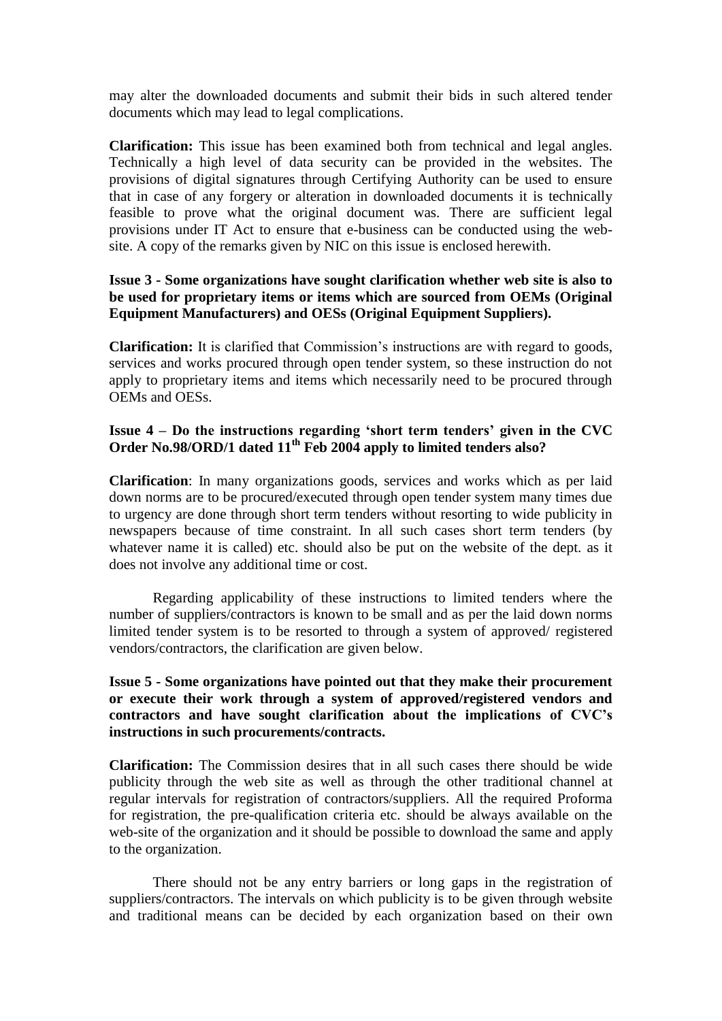may alter the downloaded documents and submit their bids in such altered tender documents which may lead to legal complications.

**Clarification:** This issue has been examined both from technical and legal angles. Technically a high level of data security can be provided in the websites. The provisions of digital signatures through Certifying Authority can be used to ensure that in case of any forgery or alteration in downloaded documents it is technically feasible to prove what the original document was. There are sufficient legal provisions under IT Act to ensure that e-business can be conducted using the website. A copy of the remarks given by NIC on this issue is enclosed herewith.

#### **Issue 3 - Some organizations have sought clarification whether web site is also to be used for proprietary items or items which are sourced from OEMs (Original Equipment Manufacturers) and OESs (Original Equipment Suppliers).**

**Clarification:** It is clarified that Commission's instructions are with regard to goods, services and works procured through open tender system, so these instruction do not apply to proprietary items and items which necessarily need to be procured through OEMs and OESs.

### **Issue 4 – Do the instructions regarding "short term tenders" given in the CVC Order No.98/ORD/1 dated 11th Feb 2004 apply to limited tenders also?**

**Clarification**: In many organizations goods, services and works which as per laid down norms are to be procured/executed through open tender system many times due to urgency are done through short term tenders without resorting to wide publicity in newspapers because of time constraint. In all such cases short term tenders (by whatever name it is called) etc. should also be put on the website of the dept. as it does not involve any additional time or cost.

Regarding applicability of these instructions to limited tenders where the number of suppliers/contractors is known to be small and as per the laid down norms limited tender system is to be resorted to through a system of approved/ registered vendors/contractors, the clarification are given below.

#### **Issue 5 - Some organizations have pointed out that they make their procurement or execute their work through a system of approved/registered vendors and contractors and have sought clarification about the implications of CVC"s instructions in such procurements/contracts.**

**Clarification:** The Commission desires that in all such cases there should be wide publicity through the web site as well as through the other traditional channel at regular intervals for registration of contractors/suppliers. All the required Proforma for registration, the pre-qualification criteria etc. should be always available on the web-site of the organization and it should be possible to download the same and apply to the organization.

 There should not be any entry barriers or long gaps in the registration of suppliers/contractors. The intervals on which publicity is to be given through website and traditional means can be decided by each organization based on their own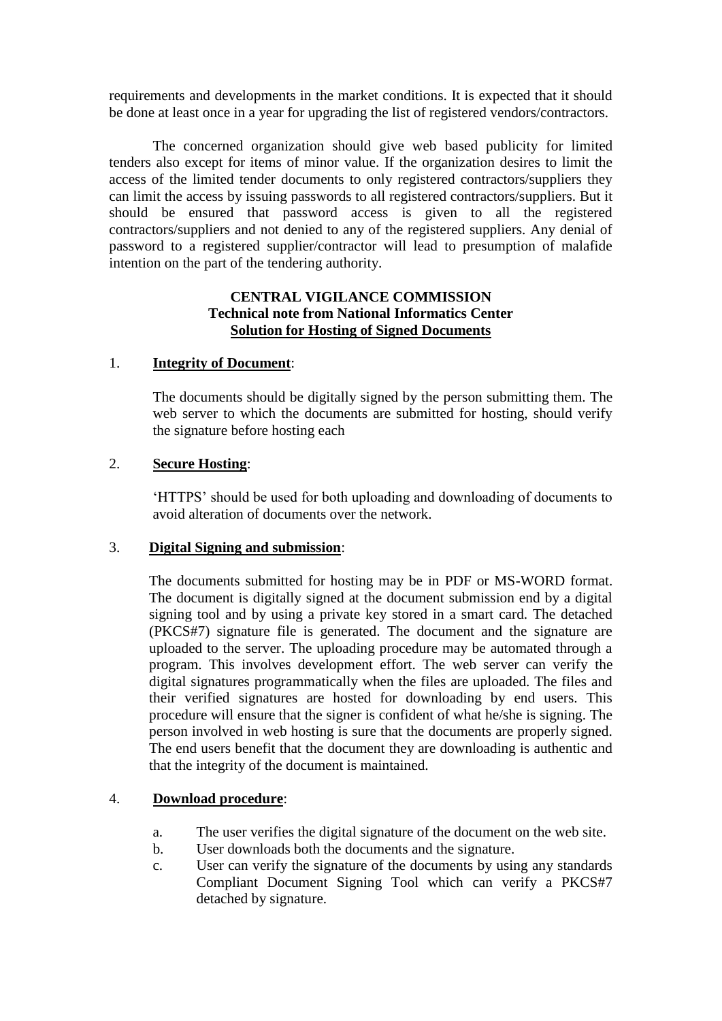requirements and developments in the market conditions. It is expected that it should be done at least once in a year for upgrading the list of registered vendors/contractors.

The concerned organization should give web based publicity for limited tenders also except for items of minor value. If the organization desires to limit the access of the limited tender documents to only registered contractors/suppliers they can limit the access by issuing passwords to all registered contractors/suppliers. But it should be ensured that password access is given to all the registered contractors/suppliers and not denied to any of the registered suppliers. Any denial of password to a registered supplier/contractor will lead to presumption of malafide intention on the part of the tendering authority.

#### **CENTRAL VIGILANCE COMMISSION Technical note from National Informatics Center Solution for Hosting of Signed Documents**

#### 1. **Integrity of Document**:

The documents should be digitally signed by the person submitting them. The web server to which the documents are submitted for hosting, should verify the signature before hosting each

#### 2. **Secure Hosting**:

"HTTPS" should be used for both uploading and downloading of documents to avoid alteration of documents over the network.

#### 3. **Digital Signing and submission**:

The documents submitted for hosting may be in PDF or MS-WORD format. The document is digitally signed at the document submission end by a digital signing tool and by using a private key stored in a smart card. The detached (PKCS#7) signature file is generated. The document and the signature are uploaded to the server. The uploading procedure may be automated through a program. This involves development effort. The web server can verify the digital signatures programmatically when the files are uploaded. The files and their verified signatures are hosted for downloading by end users. This procedure will ensure that the signer is confident of what he/she is signing. The person involved in web hosting is sure that the documents are properly signed. The end users benefit that the document they are downloading is authentic and that the integrity of the document is maintained.

### 4. **Download procedure**:

- a. The user verifies the digital signature of the document on the web site.
- b. User downloads both the documents and the signature.
- c. User can verify the signature of the documents by using any standards Compliant Document Signing Tool which can verify a PKCS#7 detached by signature.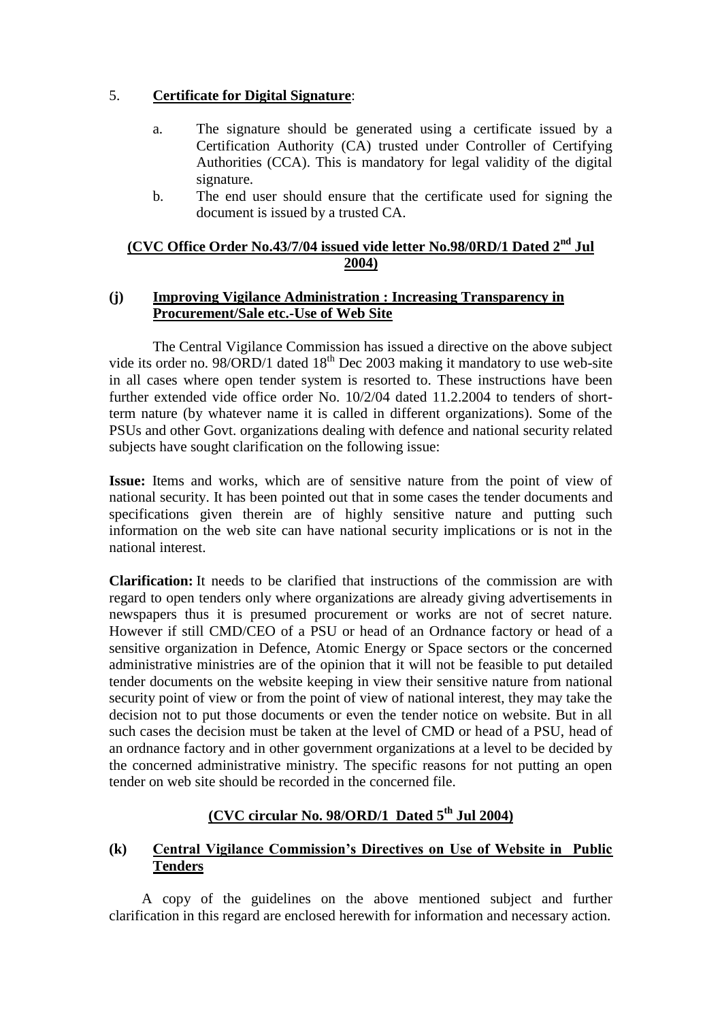### 5. **Certificate for Digital Signature**:

- a. The signature should be generated using a certificate issued by a Certification Authority (CA) trusted under Controller of Certifying Authorities (CCA). This is mandatory for legal validity of the digital signature.
- b. The end user should ensure that the certificate used for signing the document is issued by a trusted CA.

#### **(CVC Office Order No.43/7/04 issued vide letter No.98/0RD/1 Dated 2nd Jul 2004)**

#### **(j) Improving Vigilance Administration : Increasing Transparency in Procurement/Sale etc.-Use of Web Site**

The Central Vigilance Commission has issued a directive on the above subject vide its order no. 98/ORD/1 dated  $18<sup>th</sup>$  Dec 2003 making it mandatory to use web-site in all cases where open tender system is resorted to. These instructions have been further extended vide office order No. 10/2/04 dated 11.2.2004 to tenders of shortterm nature (by whatever name it is called in different organizations). Some of the PSUs and other Govt. organizations dealing with defence and national security related subjects have sought clarification on the following issue:

**Issue:** Items and works, which are of sensitive nature from the point of view of national security. It has been pointed out that in some cases the tender documents and specifications given therein are of highly sensitive nature and putting such information on the web site can have national security implications or is not in the national interest.

**Clarification:** It needs to be clarified that instructions of the commission are with regard to open tenders only where organizations are already giving advertisements in newspapers thus it is presumed procurement or works are not of secret nature. However if still CMD/CEO of a PSU or head of an Ordnance factory or head of a sensitive organization in Defence, Atomic Energy or Space sectors or the concerned administrative ministries are of the opinion that it will not be feasible to put detailed tender documents on the website keeping in view their sensitive nature from national security point of view or from the point of view of national interest, they may take the decision not to put those documents or even the tender notice on website. But in all such cases the decision must be taken at the level of CMD or head of a PSU, head of an ordnance factory and in other government organizations at a level to be decided by the concerned administrative ministry. The specific reasons for not putting an open tender on web site should be recorded in the concerned file.

## **(CVC circular No. 98/ORD/1 Dated 5th Jul 2004)**

### **(k) Central Vigilance Commission"s Directives on Use of Website in Public Tenders**

 A copy of the guidelines on the above mentioned subject and further clarification in this regard are enclosed herewith for information and necessary action.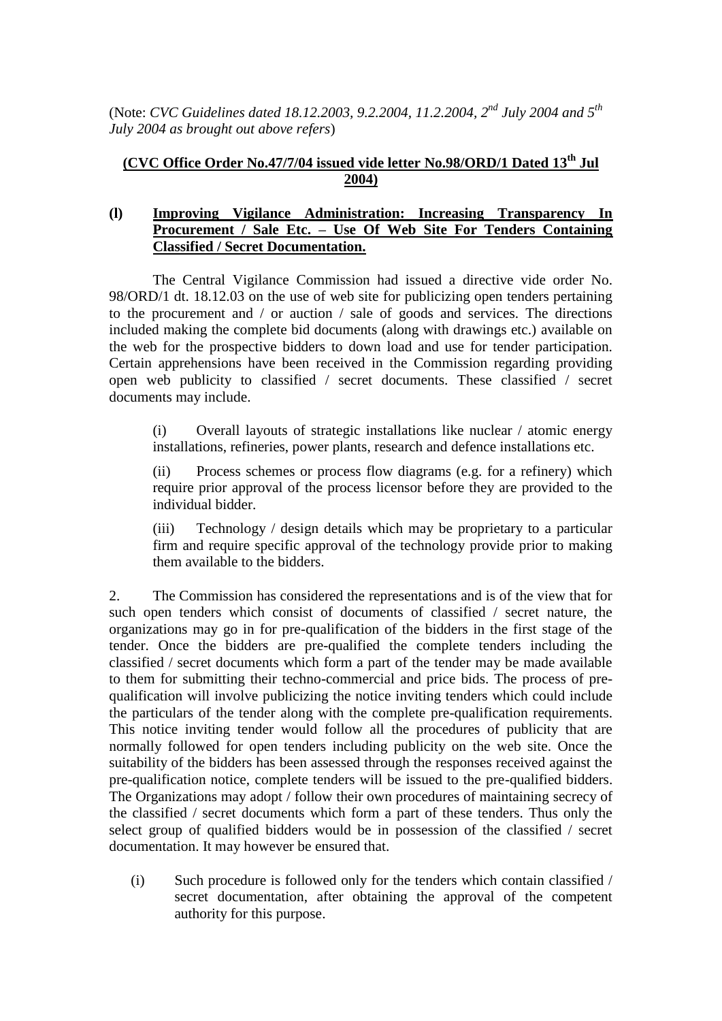(Note: *CVC Guidelines dated 18.12.2003, 9.2.2004, 11.2.2004, 2<sup>nd</sup> July 2004 and 5<sup>th</sup> July 2004 as brought out above refers*)

## **(CVC Office Order No.47/7/04 issued vide letter No.98/ORD/1 Dated 13th Jul 2004)**

#### **(l) [Improving Vigilance Administration: Increasing Transparency In](../../../../Documents%20and%20Settings/user/Desktop/draftvigmanual%2003-10-09/l.doc)  Procurement / Sale Etc. – [Use Of Web Site For Tenders Containing](../../../../Documents%20and%20Settings/user/Desktop/draftvigmanual%2003-10-09/l.doc)  [Classified / Secret Documentation.](../../../../Documents%20and%20Settings/user/Desktop/draftvigmanual%2003-10-09/l.doc)**

The Central Vigilance Commission had issued a directive vide order No. 98/ORD/1 dt. 18.12.03 on the use of web site for publicizing open tenders pertaining to the procurement and / or auction / sale of goods and services. The directions included making the complete bid documents (along with drawings etc.) available on the web for the prospective bidders to down load and use for tender participation. Certain apprehensions have been received in the Commission regarding providing open web publicity to classified / secret documents. These classified / secret documents may include.

(i) Overall layouts of strategic installations like nuclear / atomic energy installations, refineries, power plants, research and defence installations etc.

(ii) Process schemes or process flow diagrams (e.g. for a refinery) which require prior approval of the process licensor before they are provided to the individual bidder.

(iii) Technology / design details which may be proprietary to a particular firm and require specific approval of the technology provide prior to making them available to the bidders.

2. The Commission has considered the representations and is of the view that for such open tenders which consist of documents of classified / secret nature, the organizations may go in for pre-qualification of the bidders in the first stage of the tender. Once the bidders are pre-qualified the complete tenders including the classified / secret documents which form a part of the tender may be made available to them for submitting their techno-commercial and price bids. The process of prequalification will involve publicizing the notice inviting tenders which could include the particulars of the tender along with the complete pre-qualification requirements. This notice inviting tender would follow all the procedures of publicity that are normally followed for open tenders including publicity on the web site. Once the suitability of the bidders has been assessed through the responses received against the pre-qualification notice, complete tenders will be issued to the pre-qualified bidders. The Organizations may adopt / follow their own procedures of maintaining secrecy of the classified / secret documents which form a part of these tenders. Thus only the select group of qualified bidders would be in possession of the classified / secret documentation. It may however be ensured that.

(i) Such procedure is followed only for the tenders which contain classified / secret documentation, after obtaining the approval of the competent authority for this purpose.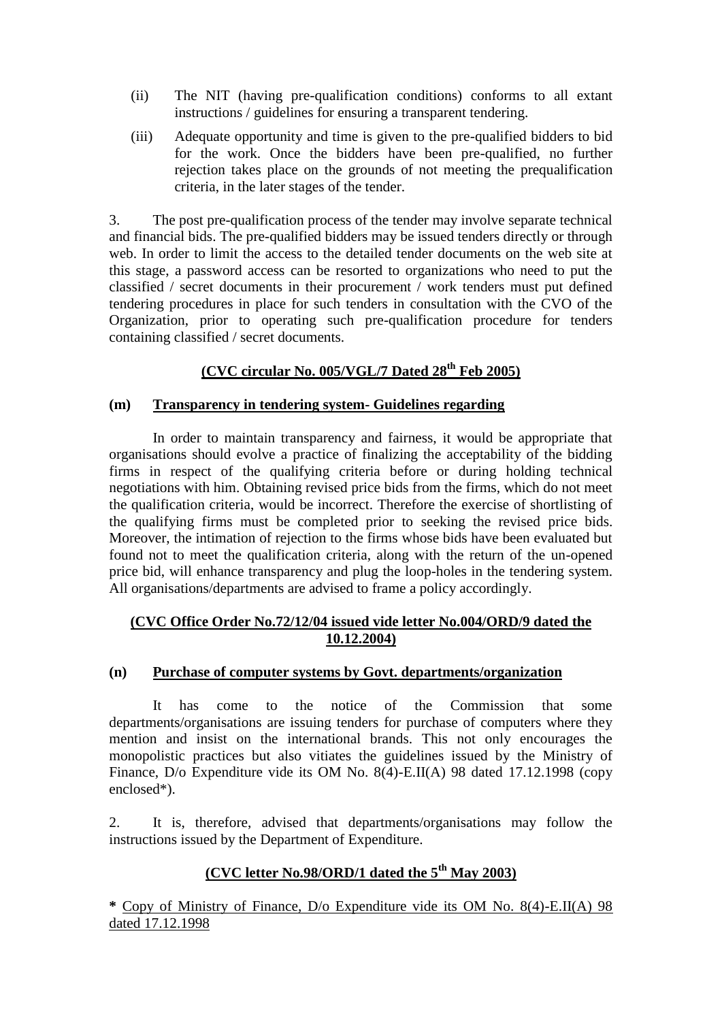- (ii) The NIT (having pre-qualification conditions) conforms to all extant instructions / guidelines for ensuring a transparent tendering.
- (iii) Adequate opportunity and time is given to the pre-qualified bidders to bid for the work. Once the bidders have been pre-qualified, no further rejection takes place on the grounds of not meeting the prequalification criteria, in the later stages of the tender.

3. The post pre-qualification process of the tender may involve separate technical and financial bids. The pre-qualified bidders may be issued tenders directly or through web. In order to limit the access to the detailed tender documents on the web site at this stage, a password access can be resorted to organizations who need to put the classified / secret documents in their procurement / work tenders must put defined tendering procedures in place for such tenders in consultation with the CVO of the Organization, prior to operating such pre-qualification procedure for tenders containing classified / secret documents.

## **(CVC circular No. 005/VGL/7 Dated 28th Feb 2005)**

#### **(m) Transparency in tendering system- Guidelines regarding**

In order to maintain transparency and fairness, it would be appropriate that organisations should evolve a practice of finalizing the acceptability of the bidding firms in respect of the qualifying criteria before or during holding technical negotiations with him. Obtaining revised price bids from the firms, which do not meet the qualification criteria, would be incorrect. Therefore the exercise of shortlisting of the qualifying firms must be completed prior to seeking the revised price bids. Moreover, the intimation of rejection to the firms whose bids have been evaluated but found not to meet the qualification criteria, along with the return of the un-opened price bid, will enhance transparency and plug the loop-holes in the tendering system. All organisations/departments are advised to frame a policy accordingly.

#### **(CVC Office Order No.72/12/04 issued vide letter No.004/ORD/9 dated the 10.12.2004)**

#### **(n) Purchase of computer systems by Govt. departments/organization**

It has come to the notice of the Commission that some departments/organisations are issuing tenders for purchase of computers where they mention and insist on the international brands. This not only encourages the monopolistic practices but also vitiates the guidelines issued by the Ministry of Finance, D/o Expenditure vide its OM No. 8(4)-E.II(A) 98 dated 17.12.1998 (copy enclosed\*).

2. It is, therefore, advised that departments/organisations may follow the instructions issued by the Department of Expenditure.

# **(CVC letter No.98/ORD/1 dated the 5th May 2003)**

**\*** Copy of Ministry of Finance, D/o Expenditure vide its OM No. 8(4)-E.II(A) 98 dated 17.12.1998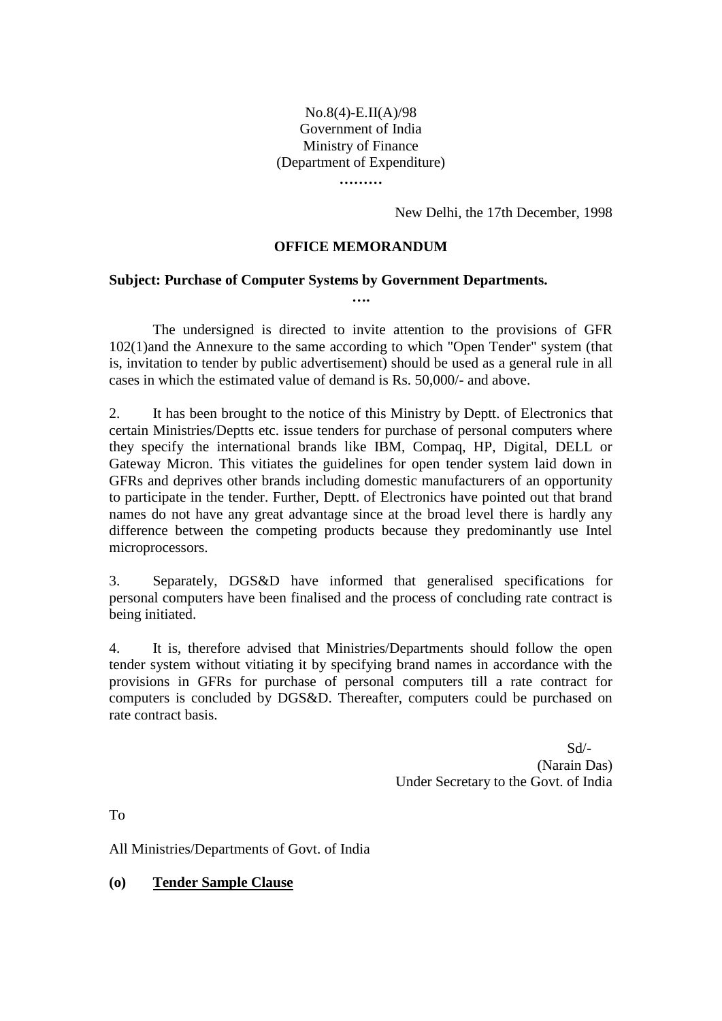#### No.8(4)-E.II(A)/98 Government of India Ministry of Finance (Department of Expenditure) **………**

New Delhi, the 17th December, 1998

#### **OFFICE MEMORANDUM**

**….**

#### **Subject: Purchase of Computer Systems by Government Departments.**

The undersigned is directed to invite attention to the provisions of GFR 102(1)and the Annexure to the same according to which "Open Tender" system (that is, invitation to tender by public advertisement) should be used as a general rule in all cases in which the estimated value of demand is Rs. 50,000/- and above.

2. It has been brought to the notice of this Ministry by Deptt. of Electronics that certain Ministries/Deptts etc. issue tenders for purchase of personal computers where they specify the international brands like IBM, Compaq, HP, Digital, DELL or Gateway Micron. This vitiates the guidelines for open tender system laid down in GFRs and deprives other brands including domestic manufacturers of an opportunity to participate in the tender. Further, Deptt. of Electronics have pointed out that brand names do not have any great advantage since at the broad level there is hardly any difference between the competing products because they predominantly use Intel microprocessors.

3. Separately, DGS&D have informed that generalised specifications for personal computers have been finalised and the process of concluding rate contract is being initiated.

4. It is, therefore advised that Ministries/Departments should follow the open tender system without vitiating it by specifying brand names in accordance with the provisions in GFRs for purchase of personal computers till a rate contract for computers is concluded by DGS&D. Thereafter, computers could be purchased on rate contract basis.

> Sd/- (Narain Das) Under Secretary to the Govt. of India

To

All Ministries/Departments of Govt. of India

**(o) Tender Sample Clause**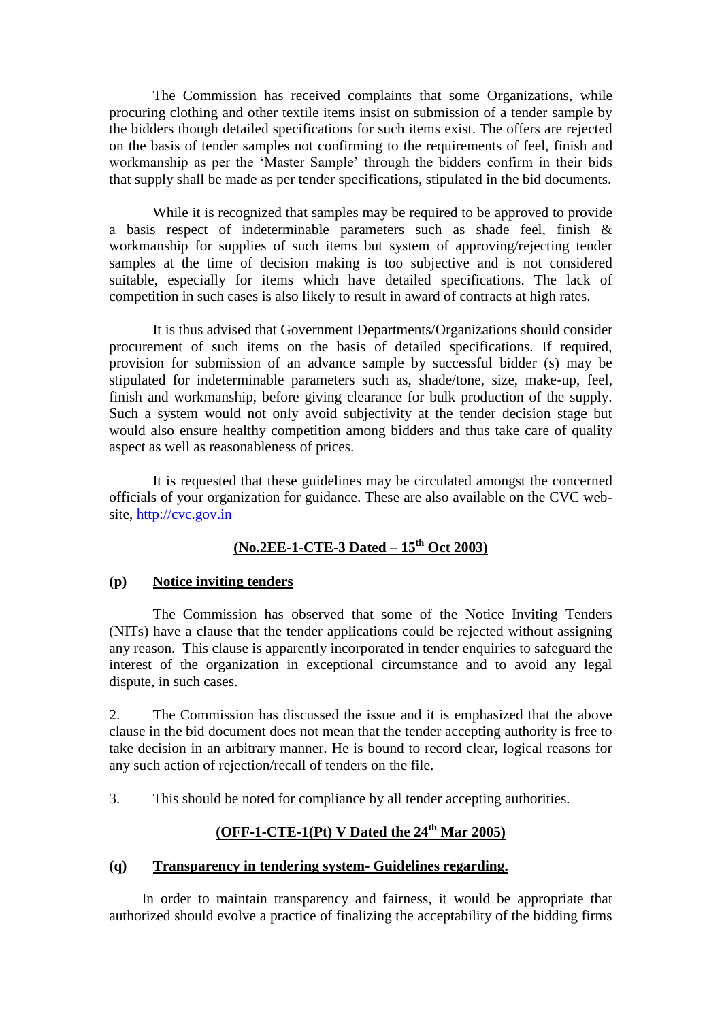The Commission has received complaints that some Organizations, while procuring clothing and other textile items insist on submission of a tender sample by the bidders though detailed specifications for such items exist. The offers are rejected on the basis of tender samples not confirming to the requirements of feel, finish and workmanship as per the "Master Sample" through the bidders confirm in their bids that supply shall be made as per tender specifications, stipulated in the bid documents.

While it is recognized that samples may be required to be approved to provide a basis respect of indeterminable parameters such as shade feel, finish & workmanship for supplies of such items but system of approving/rejecting tender samples at the time of decision making is too subjective and is not considered suitable, especially for items which have detailed specifications. The lack of competition in such cases is also likely to result in award of contracts at high rates.

It is thus advised that Government Departments/Organizations should consider procurement of such items on the basis of detailed specifications. If required, provision for submission of an advance sample by successful bidder (s) may be stipulated for indeterminable parameters such as, shade/tone, size, make-up, feel, finish and workmanship, before giving clearance for bulk production of the supply. Such a system would not only avoid subjectivity at the tender decision stage but would also ensure healthy competition among bidders and thus take care of quality aspect as well as reasonableness of prices.

It is requested that these guidelines may be circulated amongst the concerned officials of your organization for guidance. These are also available on the CVC website, [http://cvc.gov.in](http://cvc.gov.in/)

# **(No.2EE-1-CTE-3 Dated – 15th Oct 2003)**

### **(p) Notice inviting tenders**

The Commission has observed that some of the Notice Inviting Tenders (NITs) have a clause that the tender applications could be rejected without assigning any reason. This clause is apparently incorporated in tender enquiries to safeguard the interest of the organization in exceptional circumstance and to avoid any legal dispute, in such cases.

2. The Commission has discussed the issue and it is emphasized that the above clause in the bid document does not mean that the tender accepting authority is free to take decision in an arbitrary manner. He is bound to record clear, logical reasons for any such action of rejection/recall of tenders on the file.

3. This should be noted for compliance by all tender accepting authorities.

# **(OFF-1-CTE-1(Pt) V Dated the 24th Mar 2005)**

#### **(q) Transparency in tendering system- Guidelines regarding.**

 In order to maintain transparency and fairness, it would be appropriate that authorized should evolve a practice of finalizing the acceptability of the bidding firms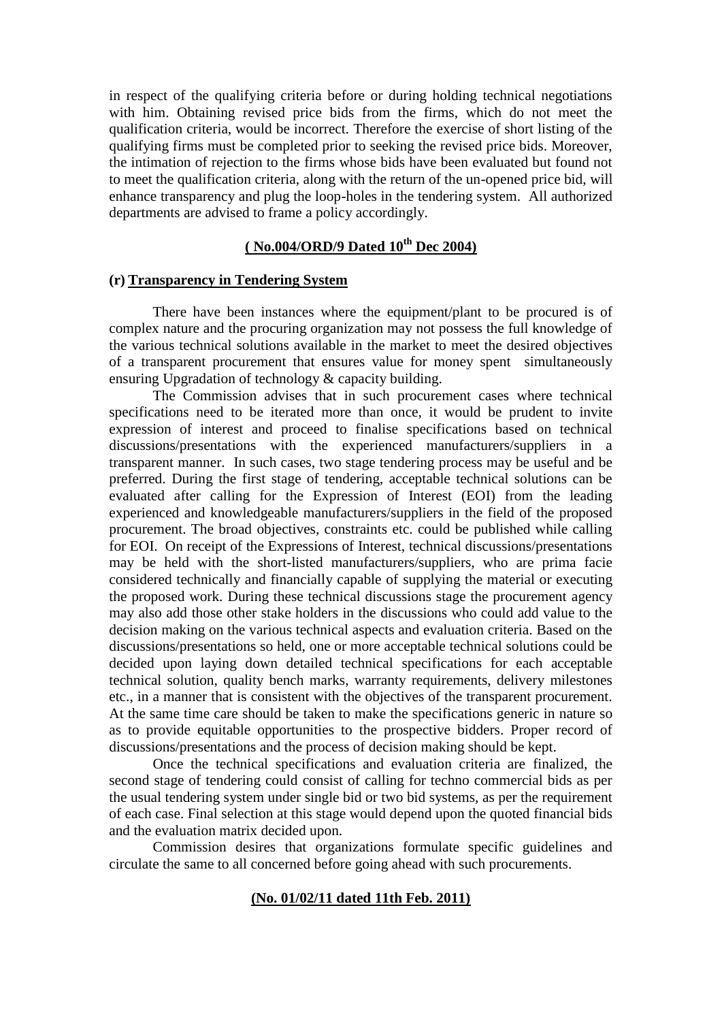in respect of the qualifying criteria before or during holding technical negotiations with him. Obtaining revised price bids from the firms, which do not meet the qualification criteria, would be incorrect. Therefore the exercise of short listing of the qualifying firms must be completed prior to seeking the revised price bids. Moreover, the intimation of rejection to the firms whose bids have been evaluated but found not to meet the qualification criteria, along with the return of the un-opened price bid, will enhance transparency and plug the loop-holes in the tendering system. All authorized departments are advised to frame a policy accordingly.

## **( No.004/ORD/9 Dated 10th Dec 2004)**

#### **(r) Transparency in Tendering System**

There have been instances where the equipment/plant to be procured is of complex nature and the procuring organization may not possess the full knowledge of the various technical solutions available in the market to meet the desired objectives of a transparent procurement that ensures value for money spent simultaneously ensuring Upgradation of technology & capacity building.

The Commission advises that in such procurement cases where technical specifications need to be iterated more than once, it would be prudent to invite expression of interest and proceed to finalise specifications based on technical discussions/presentations with the experienced manufacturers/suppliers in a transparent manner. In such cases, two stage tendering process may be useful and be preferred. During the first stage of tendering, acceptable technical solutions can be evaluated after calling for the Expression of Interest (EOI) from the leading experienced and knowledgeable manufacturers/suppliers in the field of the proposed procurement. The broad objectives, constraints etc. could be published while calling for EOI. On receipt of the Expressions of Interest, technical discussions/presentations may be held with the short-listed manufacturers/suppliers, who are prima facie considered technically and financially capable of supplying the material or executing the proposed work. During these technical discussions stage the procurement agency may also add those other stake holders in the discussions who could add value to the decision making on the various technical aspects and evaluation criteria. Based on the discussions/presentations so held, one or more acceptable technical solutions could be decided upon laying down detailed technical specifications for each acceptable technical solution, quality bench marks, warranty requirements, delivery milestones etc., in a manner that is consistent with the objectives of the transparent procurement. At the same time care should be taken to make the specifications generic in nature so as to provide equitable opportunities to the prospective bidders. Proper record of discussions/presentations and the process of decision making should be kept.

Once the technical specifications and evaluation criteria are finalized, the second stage of tendering could consist of calling for techno commercial bids as per the usual tendering system under single bid or two bid systems, as per the requirement of each case. Final selection at this stage would depend upon the quoted financial bids and the evaluation matrix decided upon.

Commission desires that organizations formulate specific guidelines and circulate the same to all concerned before going ahead with such procurements.

#### **(No. 01/02/11 dated 11th Feb. 2011)**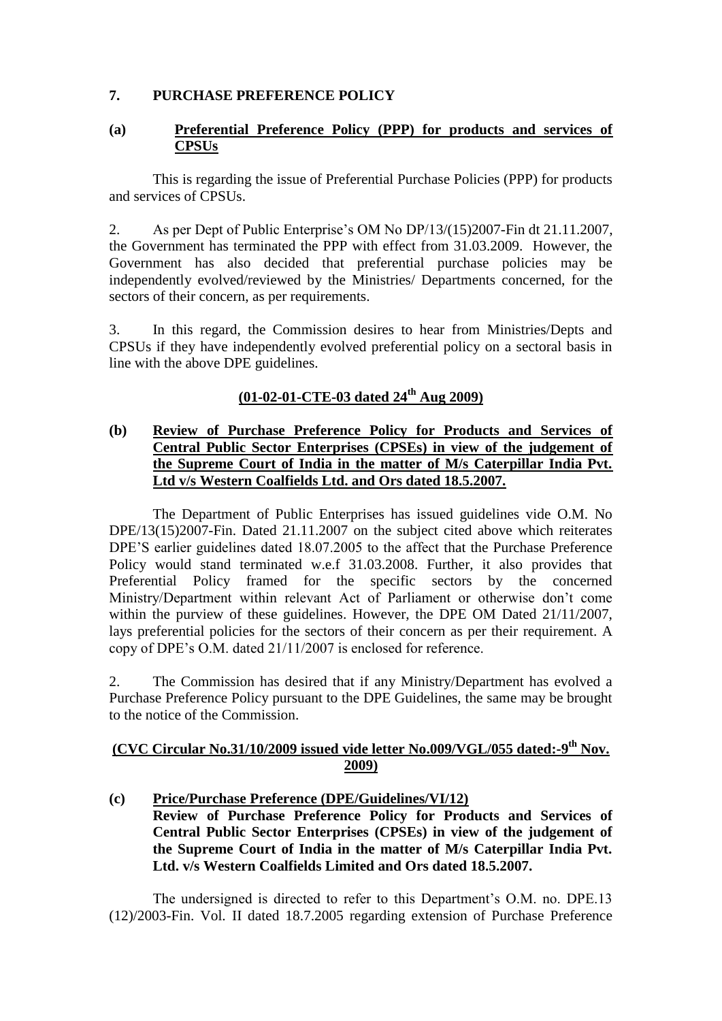#### **7. PURCHASE PREFERENCE POLICY**

#### **(a) Preferential Preference Policy (PPP) for products and services of CPSUs**

This is regarding the issue of Preferential Purchase Policies (PPP) for products and services of CPSUs.

2. As per Dept of Public Enterprise"s OM No DP/13/(15)2007-Fin dt 21.11.2007, the Government has terminated the PPP with effect from 31.03.2009. However, the Government has also decided that preferential purchase policies may be independently evolved/reviewed by the Ministries/ Departments concerned, for the sectors of their concern, as per requirements.

3. In this regard, the Commission desires to hear from Ministries/Depts and CPSUs if they have independently evolved preferential policy on a sectoral basis in line with the above DPE guidelines.

## **(01-02-01-CTE-03 dated 24th Aug 2009)**

#### **(b) Review of Purchase Preference Policy for Products and Services of Central Public Sector Enterprises (CPSEs) in view of the judgement of the Supreme Court of India in the matter of M/s Caterpillar India Pvt. Ltd v/s Western Coalfields Ltd. and Ors dated 18.5.2007.**

The Department of Public Enterprises has issued guidelines vide O.M. No DPE/13(15)2007-Fin. Dated 21.11.2007 on the subject cited above which reiterates DPE"S earlier guidelines dated 18.07.2005 to the affect that the Purchase Preference Policy would stand terminated w.e.f 31.03.2008. Further, it also provides that Preferential Policy framed for the specific sectors by the concerned Ministry/Department within relevant Act of Parliament or otherwise don"t come within the purview of these guidelines. However, the DPE OM Dated 21/11/2007, lays preferential policies for the sectors of their concern as per their requirement. A copy of DPE"s O.M. dated 21/11/2007 is enclosed for reference.

2. The Commission has desired that if any Ministry/Department has evolved a Purchase Preference Policy pursuant to the DPE Guidelines, the same may be brought to the notice of the Commission.

### **(CVC Circular No.31/10/2009 issued vide letter No.009/VGL/055 dated:-9 th Nov. 2009)**

**(c) Price/Purchase Preference (DPE/Guidelines/VI/12) Review of Purchase Preference Policy for Products and Services of Central Public Sector Enterprises (CPSEs) in view of the judgement of the Supreme Court of India in the matter of M/s Caterpillar India Pvt. Ltd. v/s Western Coalfields Limited and Ors dated 18.5.2007.**

The undersigned is directed to refer to this Department"s O.M. no. DPE.13 (12)/2003-Fin. Vol. II dated 18.7.2005 regarding extension of Purchase Preference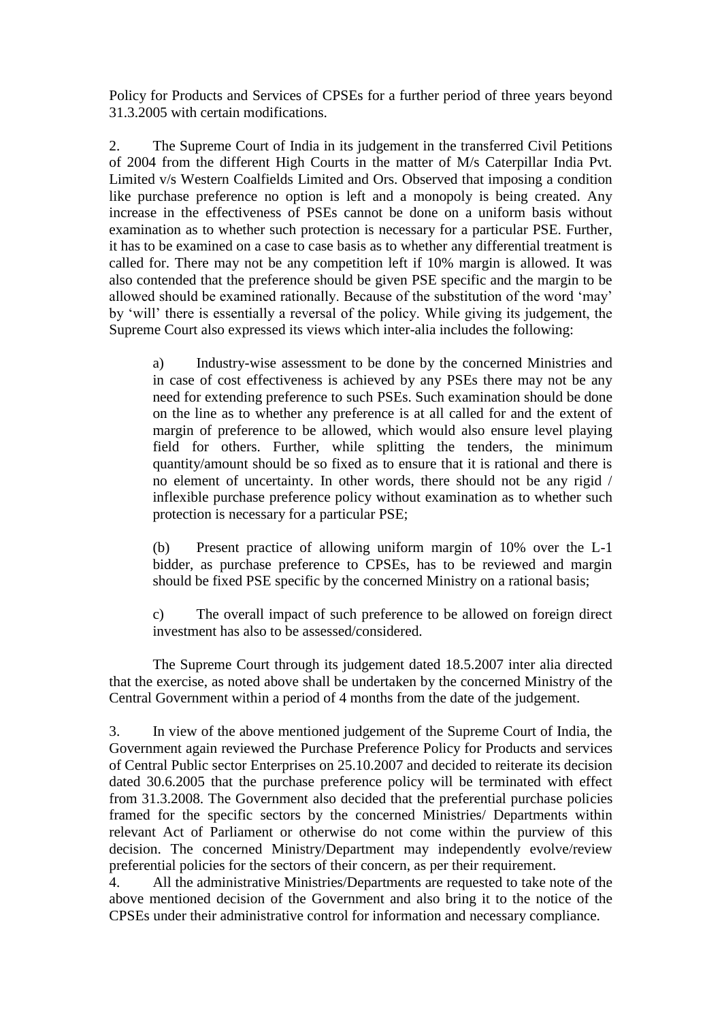Policy for Products and Services of CPSEs for a further period of three years beyond 31.3.2005 with certain modifications.

2. The Supreme Court of India in its judgement in the transferred Civil Petitions of 2004 from the different High Courts in the matter of M/s Caterpillar India Pvt. Limited v/s Western Coalfields Limited and Ors. Observed that imposing a condition like purchase preference no option is left and a monopoly is being created. Any increase in the effectiveness of PSEs cannot be done on a uniform basis without examination as to whether such protection is necessary for a particular PSE. Further, it has to be examined on a case to case basis as to whether any differential treatment is called for. There may not be any competition left if 10% margin is allowed. It was also contended that the preference should be given PSE specific and the margin to be allowed should be examined rationally. Because of the substitution of the word "may" by "will" there is essentially a reversal of the policy. While giving its judgement, the Supreme Court also expressed its views which inter-alia includes the following:

a) Industry-wise assessment to be done by the concerned Ministries and in case of cost effectiveness is achieved by any PSEs there may not be any need for extending preference to such PSEs. Such examination should be done on the line as to whether any preference is at all called for and the extent of margin of preference to be allowed, which would also ensure level playing field for others. Further, while splitting the tenders, the minimum quantity/amount should be so fixed as to ensure that it is rational and there is no element of uncertainty. In other words, there should not be any rigid / inflexible purchase preference policy without examination as to whether such protection is necessary for a particular PSE;

(b) Present practice of allowing uniform margin of 10% over the L-1 bidder, as purchase preference to CPSEs, has to be reviewed and margin should be fixed PSE specific by the concerned Ministry on a rational basis;

c) The overall impact of such preference to be allowed on foreign direct investment has also to be assessed/considered.

The Supreme Court through its judgement dated 18.5.2007 inter alia directed that the exercise, as noted above shall be undertaken by the concerned Ministry of the Central Government within a period of 4 months from the date of the judgement.

3. In view of the above mentioned judgement of the Supreme Court of India, the Government again reviewed the Purchase Preference Policy for Products and services of Central Public sector Enterprises on 25.10.2007 and decided to reiterate its decision dated 30.6.2005 that the purchase preference policy will be terminated with effect from 31.3.2008. The Government also decided that the preferential purchase policies framed for the specific sectors by the concerned Ministries/ Departments within relevant Act of Parliament or otherwise do not come within the purview of this decision. The concerned Ministry/Department may independently evolve/review preferential policies for the sectors of their concern, as per their requirement.

4. All the administrative Ministries/Departments are requested to take note of the above mentioned decision of the Government and also bring it to the notice of the CPSEs under their administrative control for information and necessary compliance.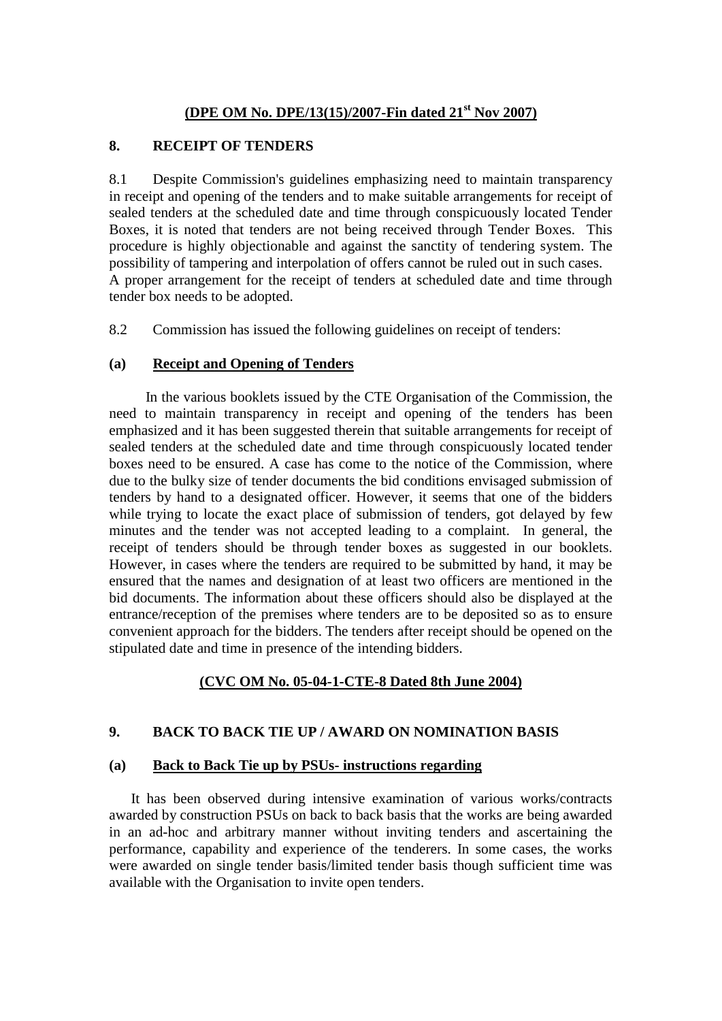#### **(DPE OM No. DPE/13(15)/2007-Fin dated 21st Nov 2007)**

#### **8. RECEIPT OF TENDERS**

8.1 Despite Commission's guidelines emphasizing need to maintain transparency in receipt and opening of the tenders and to make suitable arrangements for receipt of sealed tenders at the scheduled date and time through conspicuously located Tender Boxes, it is noted that tenders are not being received through Tender Boxes. This procedure is highly objectionable and against the sanctity of tendering system. The possibility of tampering and interpolation of offers cannot be ruled out in such cases. A proper arrangement for the receipt of tenders at scheduled date and time through tender box needs to be adopted.

8.2 Commission has issued the following guidelines on receipt of tenders:

#### **(a) Receipt and Opening of Tenders**

 In the various booklets issued by the CTE Organisation of the Commission, the need to maintain transparency in receipt and opening of the tenders has been emphasized and it has been suggested therein that suitable arrangements for receipt of sealed tenders at the scheduled date and time through conspicuously located tender boxes need to be ensured. A case has come to the notice of the Commission, where due to the bulky size of tender documents the bid conditions envisaged submission of tenders by hand to a designated officer. However, it seems that one of the bidders while trying to locate the exact place of submission of tenders, got delayed by few minutes and the tender was not accepted leading to a complaint. In general, the receipt of tenders should be through tender boxes as suggested in our booklets. However, in cases where the tenders are required to be submitted by hand, it may be ensured that the names and designation of at least two officers are mentioned in the bid documents. The information about these officers should also be displayed at the entrance/reception of the premises where tenders are to be deposited so as to ensure convenient approach for the bidders. The tenders after receipt should be opened on the stipulated date and time in presence of the intending bidders.

### **(CVC OM No. 05-04-1-CTE-8 Dated 8th June 2004)**

### **9. BACK TO BACK TIE UP / AWARD ON NOMINATION BASIS**

#### **(a) Back to Back Tie up by PSUs- instructions regarding**

 It has been observed during intensive examination of various works/contracts awarded by construction PSUs on back to back basis that the works are being awarded in an ad-hoc and arbitrary manner without inviting tenders and ascertaining the performance, capability and experience of the tenderers. In some cases, the works were awarded on single tender basis/limited tender basis though sufficient time was available with the Organisation to invite open tenders.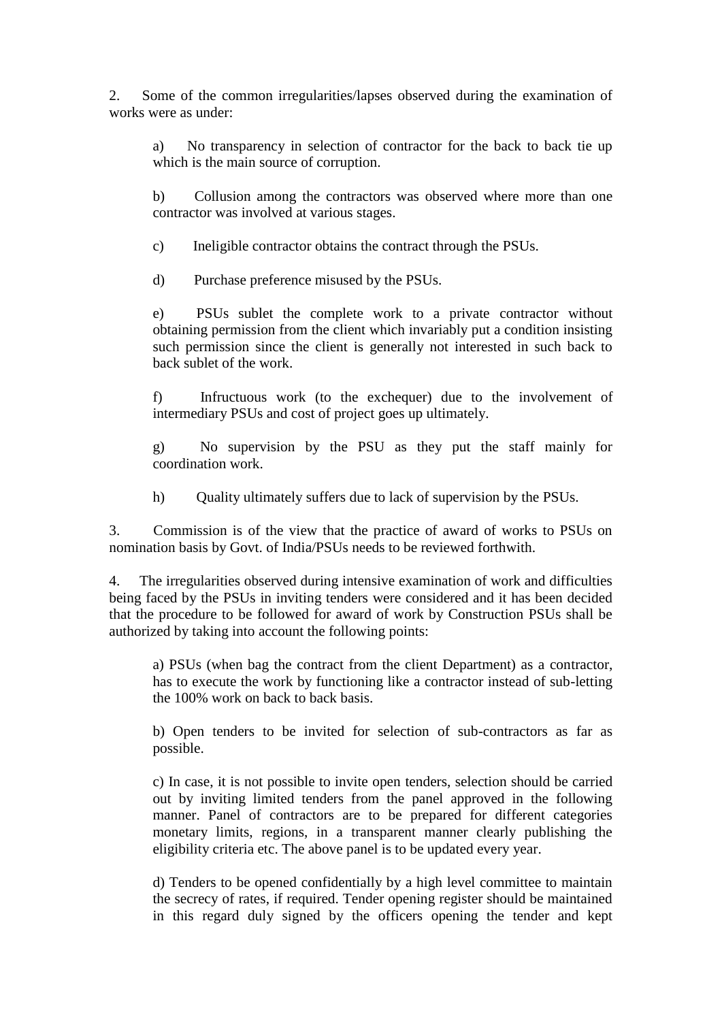2. Some of the common irregularities/lapses observed during the examination of works were as under:

a) No transparency in selection of contractor for the back to back tie up which is the main source of corruption.

b) Collusion among the contractors was observed where more than one contractor was involved at various stages.

c) Ineligible contractor obtains the contract through the PSUs.

d) Purchase preference misused by the PSUs.

e) PSUs sublet the complete work to a private contractor without obtaining permission from the client which invariably put a condition insisting such permission since the client is generally not interested in such back to back sublet of the work.

f) Infructuous work (to the exchequer) due to the involvement of intermediary PSUs and cost of project goes up ultimately.

g) No supervision by the PSU as they put the staff mainly for coordination work.

h) Quality ultimately suffers due to lack of supervision by the PSUs.

3. Commission is of the view that the practice of award of works to PSUs on nomination basis by Govt. of India/PSUs needs to be reviewed forthwith.

4. The irregularities observed during intensive examination of work and difficulties being faced by the PSUs in inviting tenders were considered and it has been decided that the procedure to be followed for award of work by Construction PSUs shall be authorized by taking into account the following points:

a) PSUs (when bag the contract from the client Department) as a contractor, has to execute the work by functioning like a contractor instead of sub-letting the 100% work on back to back basis.

b) Open tenders to be invited for selection of sub-contractors as far as possible.

c) In case, it is not possible to invite open tenders, selection should be carried out by inviting limited tenders from the panel approved in the following manner. Panel of contractors are to be prepared for different categories monetary limits, regions, in a transparent manner clearly publishing the eligibility criteria etc. The above panel is to be updated every year.

d) Tenders to be opened confidentially by a high level committee to maintain the secrecy of rates, if required. Tender opening register should be maintained in this regard duly signed by the officers opening the tender and kept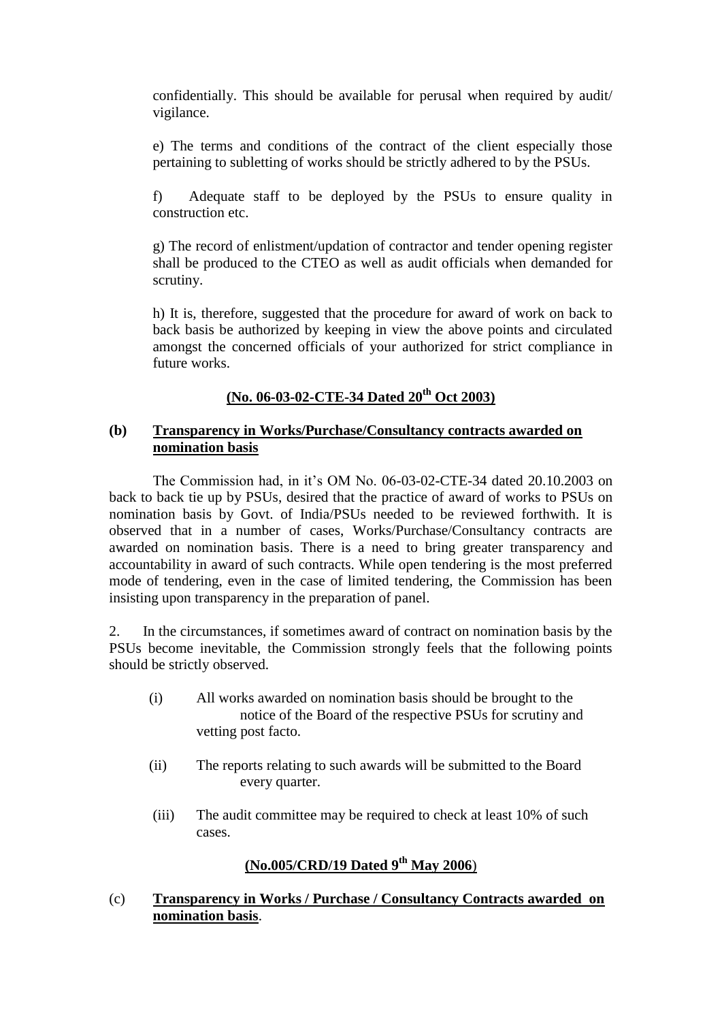confidentially. This should be available for perusal when required by audit/ vigilance.

e) The terms and conditions of the contract of the client especially those pertaining to subletting of works should be strictly adhered to by the PSUs.

f) Adequate staff to be deployed by the PSUs to ensure quality in construction etc.

g) The record of enlistment/updation of contractor and tender opening register shall be produced to the CTEO as well as audit officials when demanded for scrutiny.

h) It is, therefore, suggested that the procedure for award of work on back to back basis be authorized by keeping in view the above points and circulated amongst the concerned officials of your authorized for strict compliance in future works.

## **(No. 06-03-02-CTE-34 Dated 20th Oct 2003)**

### **(b) Transparency in Works/Purchase/Consultancy contracts awarded on nomination basis**

The Commission had, in it's OM No. 06-03-02-CTE-34 dated 20.10.2003 on back to back tie up by PSUs, desired that the practice of award of works to PSUs on nomination basis by Govt. of India/PSUs needed to be reviewed forthwith. It is observed that in a number of cases, Works/Purchase/Consultancy contracts are awarded on nomination basis. There is a need to bring greater transparency and accountability in award of such contracts. While open tendering is the most preferred mode of tendering, even in the case of limited tendering, the Commission has been insisting upon transparency in the preparation of panel.

2. In the circumstances, if sometimes award of contract on nomination basis by the PSUs become inevitable, the Commission strongly feels that the following points should be strictly observed.

- (i) All works awarded on nomination basis should be brought to the notice of the Board of the respective PSUs for scrutiny and vetting post facto.
- (ii) The reports relating to such awards will be submitted to the Board every quarter.
- (iii) The audit committee may be required to check at least 10% of such cases.

# **(No.005/CRD/19 Dated 9th May 2006**)

### (c) **Transparency in Works / Purchase / Consultancy Contracts awarded on nomination basis**.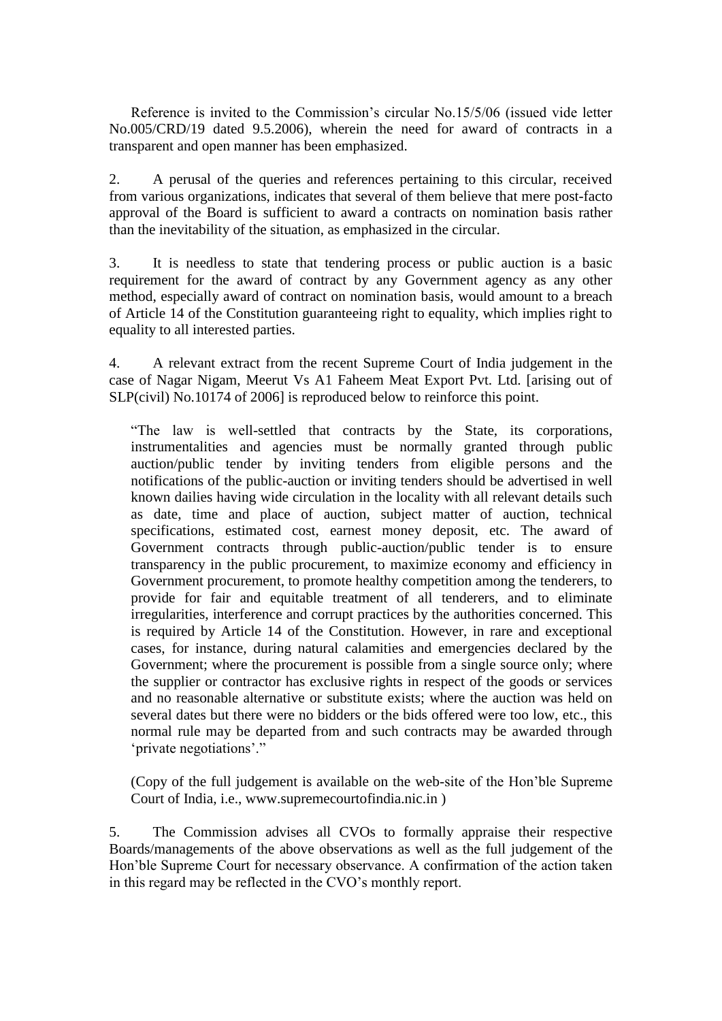Reference is invited to the Commission's circular No.15/5/06 (issued vide letter No.005/CRD/19 dated 9.5.2006), wherein the need for award of contracts in a transparent and open manner has been emphasized.

2. A perusal of the queries and references pertaining to this circular, received from various organizations, indicates that several of them believe that mere post-facto approval of the Board is sufficient to award a contracts on nomination basis rather than the inevitability of the situation, as emphasized in the circular.

3. It is needless to state that tendering process or public auction is a basic requirement for the award of contract by any Government agency as any other method, especially award of contract on nomination basis, would amount to a breach of Article 14 of the Constitution guaranteeing right to equality, which implies right to equality to all interested parties.

4. A relevant extract from the recent Supreme Court of India judgement in the case of Nagar Nigam, Meerut Vs A1 Faheem Meat Export Pvt. Ltd. [arising out of SLP(civil) No.10174 of 2006] is reproduced below to reinforce this point.

"The law is well-settled that contracts by the State, its corporations, instrumentalities and agencies must be normally granted through public auction/public tender by inviting tenders from eligible persons and the notifications of the public-auction or inviting tenders should be advertised in well known dailies having wide circulation in the locality with all relevant details such as date, time and place of auction, subject matter of auction, technical specifications, estimated cost, earnest money deposit, etc. The award of Government contracts through public-auction/public tender is to ensure transparency in the public procurement, to maximize economy and efficiency in Government procurement, to promote healthy competition among the tenderers, to provide for fair and equitable treatment of all tenderers, and to eliminate irregularities, interference and corrupt practices by the authorities concerned. This is required by Article 14 of the Constitution. However, in rare and exceptional cases, for instance, during natural calamities and emergencies declared by the Government; where the procurement is possible from a single source only; where the supplier or contractor has exclusive rights in respect of the goods or services and no reasonable alternative or substitute exists; where the auction was held on several dates but there were no bidders or the bids offered were too low, etc., this normal rule may be departed from and such contracts may be awarded through 'private negotiations'."

(Copy of the full judgement is available on the web-site of the Hon"ble Supreme Court of India, i.e., www.supremecourtofindia.nic.in )

5. The Commission advises all CVOs to formally appraise their respective Boards/managements of the above observations as well as the full judgement of the Hon"ble Supreme Court for necessary observance. A confirmation of the action taken in this regard may be reflected in the CVO"s monthly report.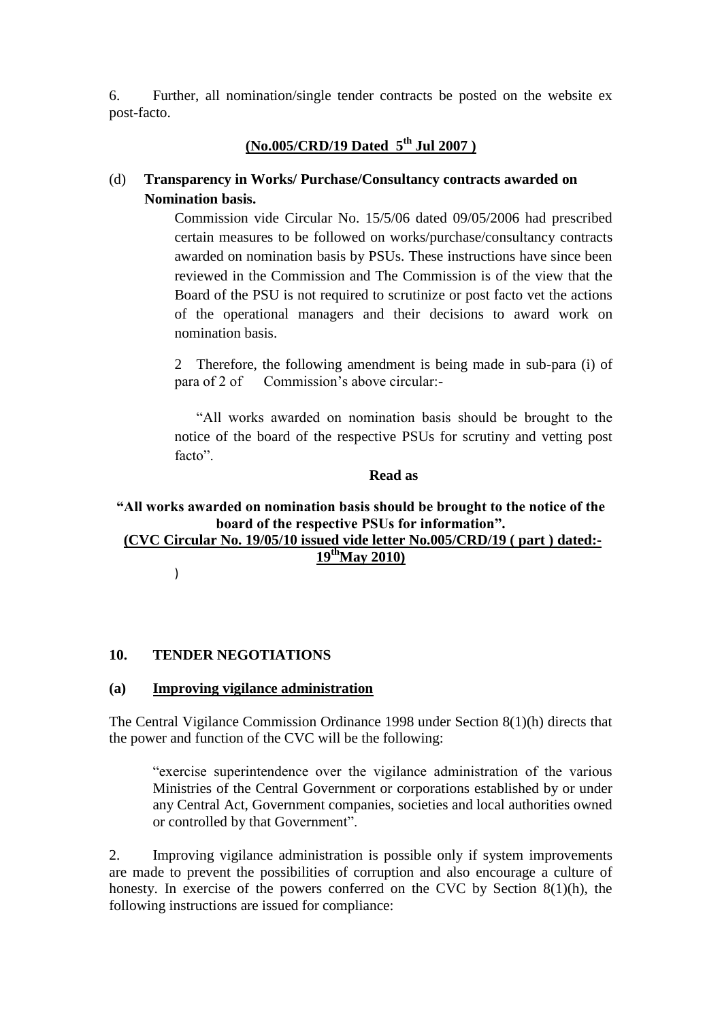6. Further, all nomination/single tender contracts be posted on the website ex post-facto.

# **(No.005/CRD/19 Dated 5th Jul 2007 )**

# (d) **Transparency in Works/ Purchase/Consultancy contracts awarded on Nomination basis.**

Commission vide Circular No. 15/5/06 dated 09/05/2006 had prescribed certain measures to be followed on works/purchase/consultancy contracts awarded on nomination basis by PSUs. These instructions have since been reviewed in the Commission and The Commission is of the view that the Board of the PSU is not required to scrutinize or post facto vet the actions of the operational managers and their decisions to award work on nomination basis.

2 Therefore, the following amendment is being made in sub-para (i) of para of 2 of Commission"s above circular:-

"All works awarded on nomination basis should be brought to the notice of the board of the respective PSUs for scrutiny and vetting post facto".

### **Read as**

# **"All works awarded on nomination basis should be brought to the notice of the board of the respective PSUs for information".**

**(CVC Circular No. 19/05/10 issued vide letter No.005/CRD/19 ( part ) dated:- 19 thMay 2010)**

)

## **10. TENDER NEGOTIATIONS**

### **(a) Improving vigilance administration**

The Central Vigilance Commission Ordinance 1998 under Section 8(1)(h) directs that the power and function of the CVC will be the following:

"exercise superintendence over the vigilance administration of the various Ministries of the Central Government or corporations established by or under any Central Act, Government companies, societies and local authorities owned or controlled by that Government".

2. Improving vigilance administration is possible only if system improvements are made to prevent the possibilities of corruption and also encourage a culture of honesty. In exercise of the powers conferred on the CVC by Section 8(1)(h), the following instructions are issued for compliance: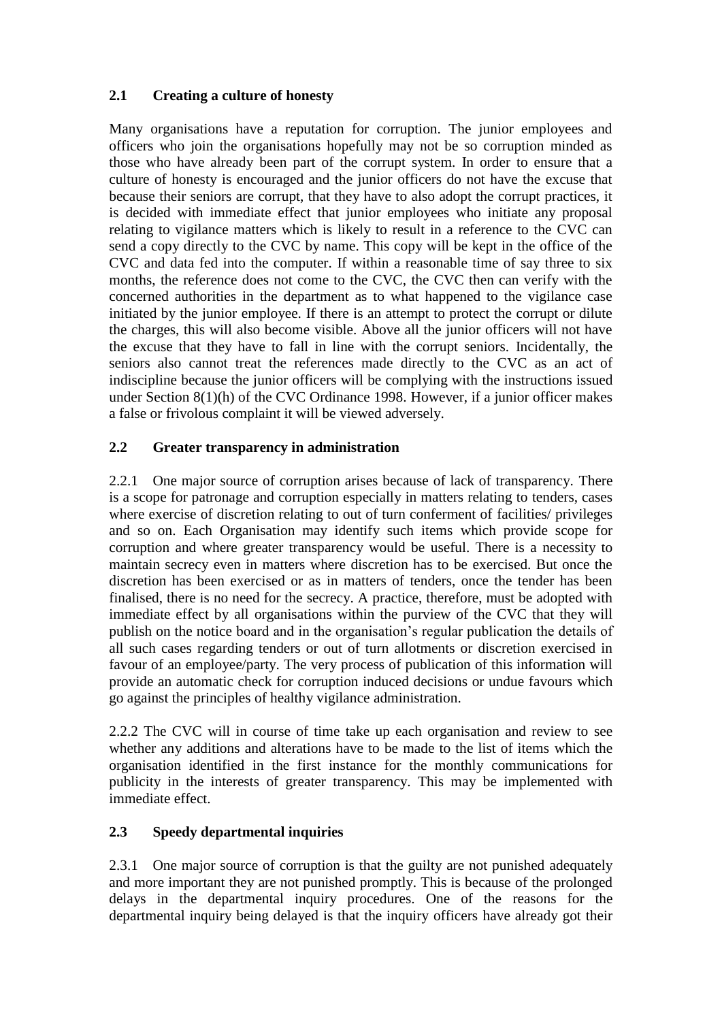# **2.1 Creating a culture of honesty**

Many organisations have a reputation for corruption. The junior employees and officers who join the organisations hopefully may not be so corruption minded as those who have already been part of the corrupt system. In order to ensure that a culture of honesty is encouraged and the junior officers do not have the excuse that because their seniors are corrupt, that they have to also adopt the corrupt practices, it is decided with immediate effect that junior employees who initiate any proposal relating to vigilance matters which is likely to result in a reference to the CVC can send a copy directly to the CVC by name. This copy will be kept in the office of the CVC and data fed into the computer. If within a reasonable time of say three to six months, the reference does not come to the CVC, the CVC then can verify with the concerned authorities in the department as to what happened to the vigilance case initiated by the junior employee. If there is an attempt to protect the corrupt or dilute the charges, this will also become visible. Above all the junior officers will not have the excuse that they have to fall in line with the corrupt seniors. Incidentally, the seniors also cannot treat the references made directly to the CVC as an act of indiscipline because the junior officers will be complying with the instructions issued under Section 8(1)(h) of the CVC Ordinance 1998. However, if a junior officer makes a false or frivolous complaint it will be viewed adversely.

# **2.2 Greater transparency in administration**

2.2.1 One major source of corruption arises because of lack of transparency. There is a scope for patronage and corruption especially in matters relating to tenders, cases where exercise of discretion relating to out of turn conferment of facilities/ privileges and so on. Each Organisation may identify such items which provide scope for corruption and where greater transparency would be useful. There is a necessity to maintain secrecy even in matters where discretion has to be exercised. But once the discretion has been exercised or as in matters of tenders, once the tender has been finalised, there is no need for the secrecy. A practice, therefore, must be adopted with immediate effect by all organisations within the purview of the CVC that they will publish on the notice board and in the organisation"s regular publication the details of all such cases regarding tenders or out of turn allotments or discretion exercised in favour of an employee/party. The very process of publication of this information will provide an automatic check for corruption induced decisions or undue favours which go against the principles of healthy vigilance administration.

2.2.2 The CVC will in course of time take up each organisation and review to see whether any additions and alterations have to be made to the list of items which the organisation identified in the first instance for the monthly communications for publicity in the interests of greater transparency. This may be implemented with immediate effect.

# **2.3 Speedy departmental inquiries**

2.3.1 One major source of corruption is that the guilty are not punished adequately and more important they are not punished promptly. This is because of the prolonged delays in the departmental inquiry procedures. One of the reasons for the departmental inquiry being delayed is that the inquiry officers have already got their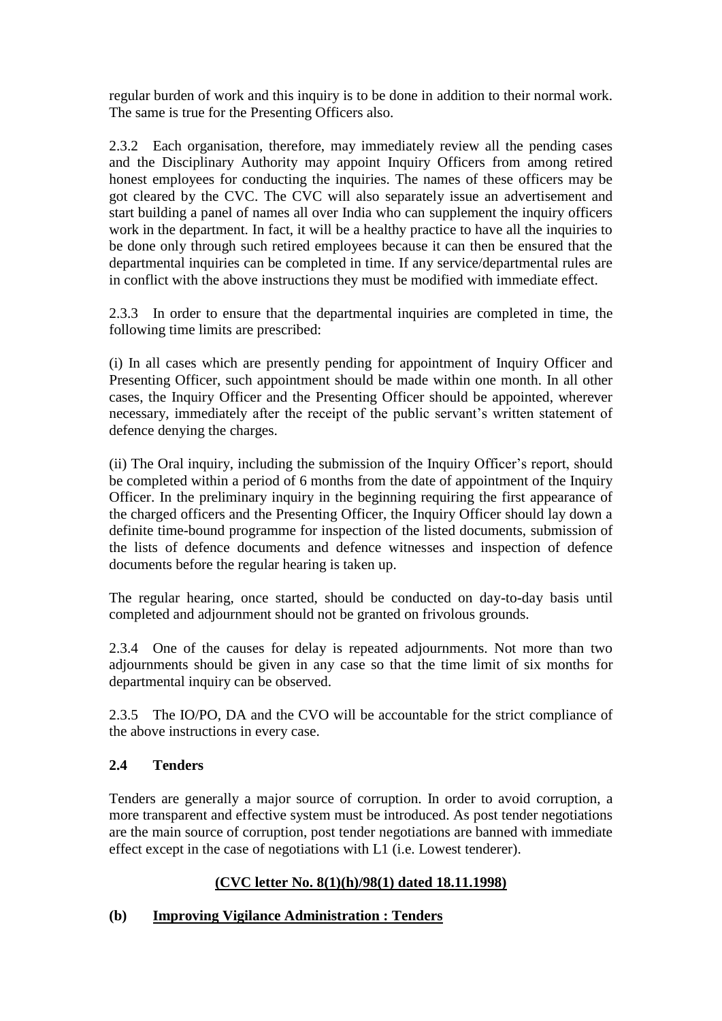regular burden of work and this inquiry is to be done in addition to their normal work. The same is true for the Presenting Officers also.

2.3.2 Each organisation, therefore, may immediately review all the pending cases and the Disciplinary Authority may appoint Inquiry Officers from among retired honest employees for conducting the inquiries. The names of these officers may be got cleared by the CVC. The CVC will also separately issue an advertisement and start building a panel of names all over India who can supplement the inquiry officers work in the department. In fact, it will be a healthy practice to have all the inquiries to be done only through such retired employees because it can then be ensured that the departmental inquiries can be completed in time. If any service/departmental rules are in conflict with the above instructions they must be modified with immediate effect.

2.3.3 In order to ensure that the departmental inquiries are completed in time, the following time limits are prescribed:

(i) In all cases which are presently pending for appointment of Inquiry Officer and Presenting Officer, such appointment should be made within one month. In all other cases, the Inquiry Officer and the Presenting Officer should be appointed, wherever necessary, immediately after the receipt of the public servant's written statement of defence denying the charges.

(ii) The Oral inquiry, including the submission of the Inquiry Officer"s report, should be completed within a period of 6 months from the date of appointment of the Inquiry Officer. In the preliminary inquiry in the beginning requiring the first appearance of the charged officers and the Presenting Officer, the Inquiry Officer should lay down a definite time-bound programme for inspection of the listed documents, submission of the lists of defence documents and defence witnesses and inspection of defence documents before the regular hearing is taken up.

The regular hearing, once started, should be conducted on day-to-day basis until completed and adjournment should not be granted on frivolous grounds.

2.3.4 One of the causes for delay is repeated adjournments. Not more than two adjournments should be given in any case so that the time limit of six months for departmental inquiry can be observed.

2.3.5 The IO/PO, DA and the CVO will be accountable for the strict compliance of the above instructions in every case.

# **2.4 Tenders**

Tenders are generally a major source of corruption. In order to avoid corruption, a more transparent and effective system must be introduced. As post tender negotiations are the main source of corruption, post tender negotiations are banned with immediate effect except in the case of negotiations with L1 (i.e. Lowest tenderer).

# **(CVC letter No. 8(1)(h)/98(1) dated 18.11.1998)**

## **(b) Improving Vigilance Administration : Tenders**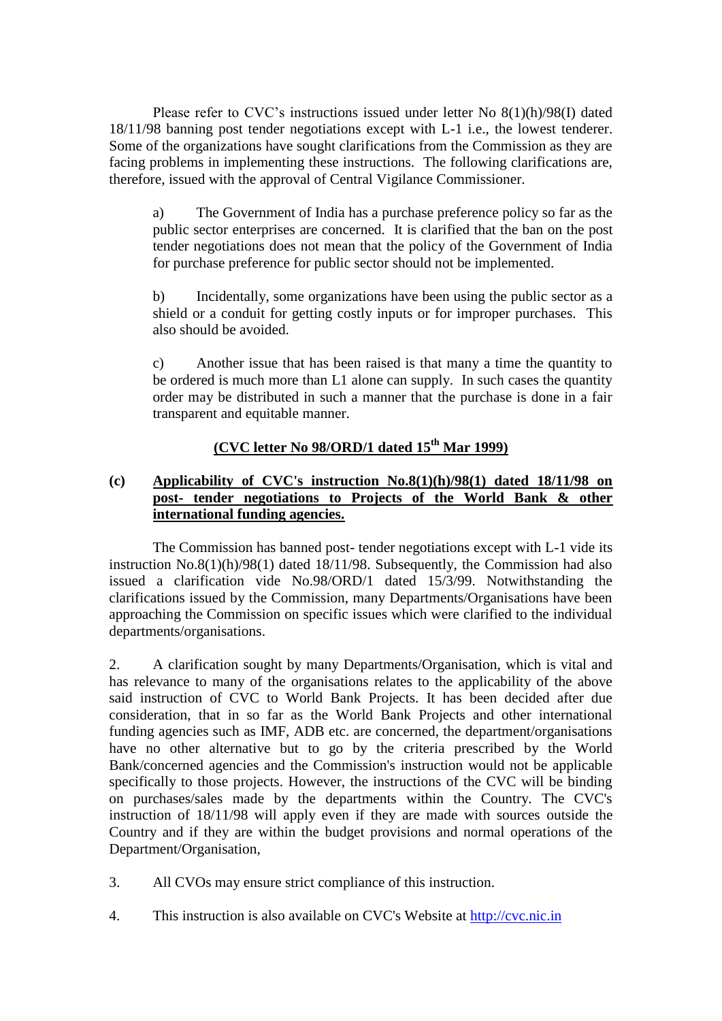Please refer to CVC"s instructions issued under letter No 8(1)(h)/98(I) dated 18/11/98 banning post tender negotiations except with L-1 i.e., the lowest tenderer. Some of the organizations have sought clarifications from the Commission as they are facing problems in implementing these instructions. The following clarifications are, therefore, issued with the approval of Central Vigilance Commissioner.

a) The Government of India has a purchase preference policy so far as the public sector enterprises are concerned. It is clarified that the ban on the post tender negotiations does not mean that the policy of the Government of India for purchase preference for public sector should not be implemented.

b) Incidentally, some organizations have been using the public sector as a shield or a conduit for getting costly inputs or for improper purchases. This also should be avoided.

c) Another issue that has been raised is that many a time the quantity to be ordered is much more than L1 alone can supply. In such cases the quantity order may be distributed in such a manner that the purchase is done in a fair transparent and equitable manner.

# **(CVC letter No 98/ORD/1 dated 15th Mar 1999)**

### **(c) Applicability of CVC's instruction No.8(1)(h)/98(1) dated 18/11/98 on post- tender negotiations to Projects of the World Bank & other international funding agencies.**

The Commission has banned post- tender negotiations except with L-1 vide its instruction No.8(1)(h)/98(1) dated 18/11/98. Subsequently, the Commission had also issued a clarification vide No.98/ORD/1 dated 15/3/99. Notwithstanding the clarifications issued by the Commission, many Departments/Organisations have been approaching the Commission on specific issues which were clarified to the individual departments/organisations.

2. A clarification sought by many Departments/Organisation, which is vital and has relevance to many of the organisations relates to the applicability of the above said instruction of CVC to World Bank Projects. It has been decided after due consideration, that in so far as the World Bank Projects and other international funding agencies such as IMF, ADB etc. are concerned, the department/organisations have no other alternative but to go by the criteria prescribed by the World Bank/concerned agencies and the Commission's instruction would not be applicable specifically to those projects. However, the instructions of the CVC will be binding on purchases/sales made by the departments within the Country. The CVC's instruction of 18/11/98 will apply even if they are made with sources outside the Country and if they are within the budget provisions and normal operations of the Department/Organisation,

- 3. All CVOs may ensure strict compliance of this instruction.
- 4. This instruction is also available on CVC's Website at [http://cvc.nic.in](http://cvc.nic.in/)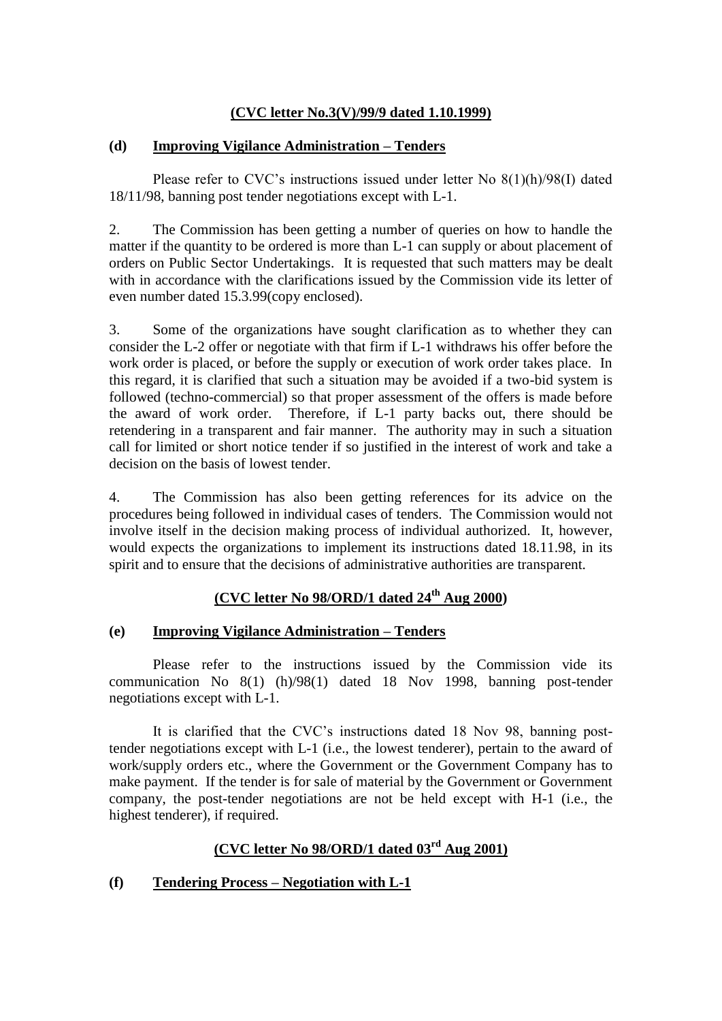### **(CVC letter No.3(V)/99/9 dated 1.10.1999)**

### **(d) Improving Vigilance Administration – Tenders**

Please refer to CVC"s instructions issued under letter No 8(1)(h)/98(I) dated 18/11/98, banning post tender negotiations except with L-1.

2. The Commission has been getting a number of queries on how to handle the matter if the quantity to be ordered is more than L-1 can supply or about placement of orders on Public Sector Undertakings. It is requested that such matters may be dealt with in accordance with the clarifications issued by the Commission vide its letter of even number dated 15.3.99(copy enclosed).

3. Some of the organizations have sought clarification as to whether they can consider the L-2 offer or negotiate with that firm if L-1 withdraws his offer before the work order is placed, or before the supply or execution of work order takes place. In this regard, it is clarified that such a situation may be avoided if a two-bid system is followed (techno-commercial) so that proper assessment of the offers is made before the award of work order. Therefore, if L-1 party backs out, there should be retendering in a transparent and fair manner. The authority may in such a situation call for limited or short notice tender if so justified in the interest of work and take a decision on the basis of lowest tender.

4. The Commission has also been getting references for its advice on the procedures being followed in individual cases of tenders. The Commission would not involve itself in the decision making process of individual authorized. It, however, would expects the organizations to implement its instructions dated 18.11.98, in its spirit and to ensure that the decisions of administrative authorities are transparent.

## **(CVC letter No 98/ORD/1 dated 24th Aug 2000)**

### **(e) Improving Vigilance Administration – Tenders**

Please refer to the instructions issued by the Commission vide its communication No 8(1) (h)/98(1) dated 18 Nov 1998, banning post-tender negotiations except with L-1.

It is clarified that the CVC"s instructions dated 18 Nov 98, banning posttender negotiations except with L-1 (i.e., the lowest tenderer), pertain to the award of work/supply orders etc., where the Government or the Government Company has to make payment. If the tender is for sale of material by the Government or Government company, the post-tender negotiations are not be held except with H-1 (i.e., the highest tenderer), if required.

# **(CVC letter No 98/ORD/1 dated 03rd Aug 2001)**

### **(f) Tendering Process – Negotiation with L-1**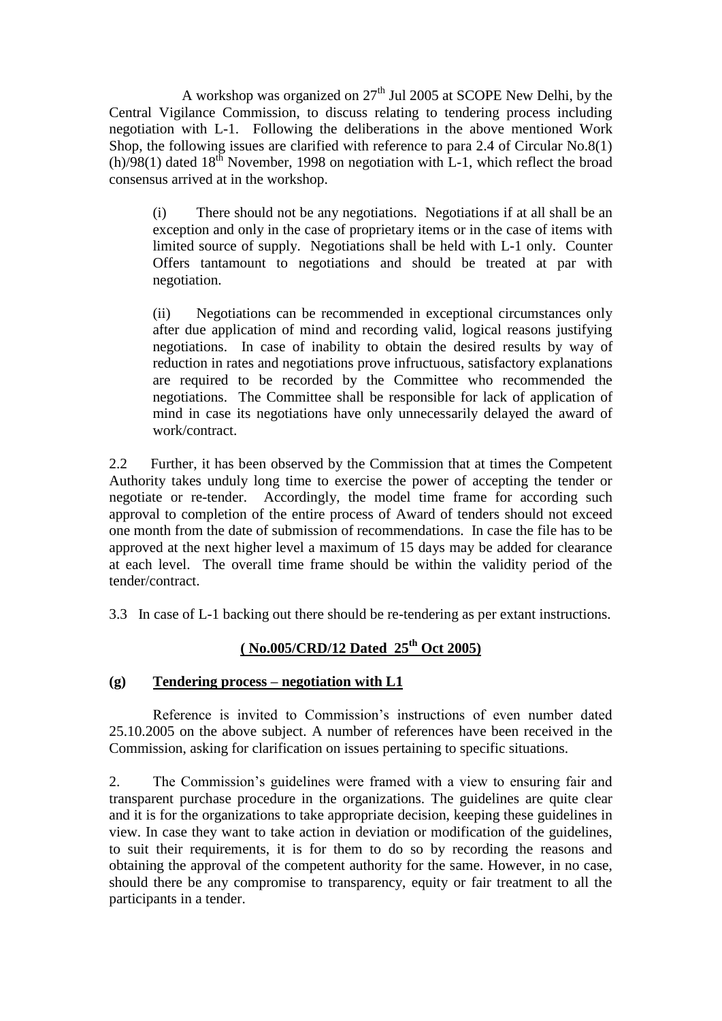A workshop was organized on  $27<sup>th</sup>$  Jul 2005 at SCOPE New Delhi, by the Central Vigilance Commission, to discuss relating to tendering process including negotiation with L-1. Following the deliberations in the above mentioned Work Shop, the following issues are clarified with reference to para 2.4 of Circular No.8(1) (h)/98(1) dated  $18^{th}$  November, 1998 on negotiation with L-1, which reflect the broad consensus arrived at in the workshop.

(i) There should not be any negotiations. Negotiations if at all shall be an exception and only in the case of proprietary items or in the case of items with limited source of supply. Negotiations shall be held with L-1 only. Counter Offers tantamount to negotiations and should be treated at par with negotiation.

(ii) Negotiations can be recommended in exceptional circumstances only after due application of mind and recording valid, logical reasons justifying negotiations. In case of inability to obtain the desired results by way of reduction in rates and negotiations prove infructuous, satisfactory explanations are required to be recorded by the Committee who recommended the negotiations. The Committee shall be responsible for lack of application of mind in case its negotiations have only unnecessarily delayed the award of work/contract.

2.2 Further, it has been observed by the Commission that at times the Competent Authority takes unduly long time to exercise the power of accepting the tender or negotiate or re-tender. Accordingly, the model time frame for according such approval to completion of the entire process of Award of tenders should not exceed one month from the date of submission of recommendations. In case the file has to be approved at the next higher level a maximum of 15 days may be added for clearance at each level. The overall time frame should be within the validity period of the tender/contract.

3.3 In case of L-1 backing out there should be re-tendering as per extant instructions.

## **( No.005/CRD/12 Dated 25th Oct 2005)**

### **(g) Tendering process – negotiation with L1**

Reference is invited to Commission's instructions of even number dated 25.10.2005 on the above subject. A number of references have been received in the Commission, asking for clarification on issues pertaining to specific situations.

2. The Commission"s guidelines were framed with a view to ensuring fair and transparent purchase procedure in the organizations. The guidelines are quite clear and it is for the organizations to take appropriate decision, keeping these guidelines in view. In case they want to take action in deviation or modification of the guidelines, to suit their requirements, it is for them to do so by recording the reasons and obtaining the approval of the competent authority for the same. However, in no case, should there be any compromise to transparency, equity or fair treatment to all the participants in a tender.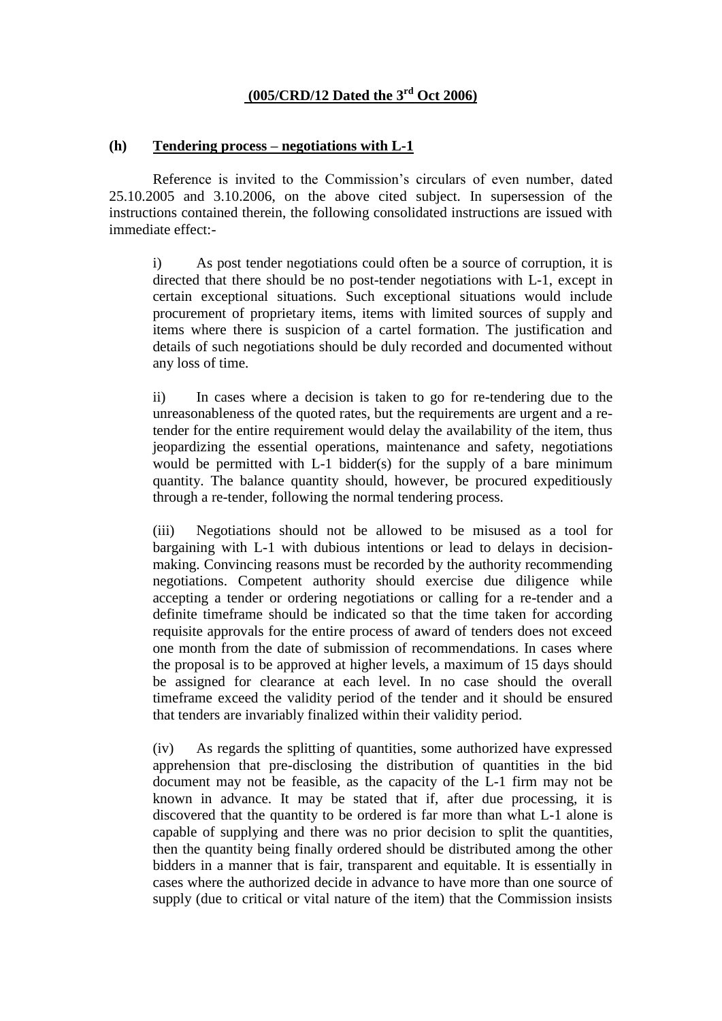# **(005/CRD/12 Dated the 3rd Oct 2006)**

#### **(h) Tendering process – negotiations with L-1**

Reference is invited to the Commission's circulars of even number, dated 25.10.2005 and 3.10.2006, on the above cited subject. In supersession of the instructions contained therein, the following consolidated instructions are issued with immediate effect:-

i) As post tender negotiations could often be a source of corruption, it is directed that there should be no post-tender negotiations with L-1, except in certain exceptional situations. Such exceptional situations would include procurement of proprietary items, items with limited sources of supply and items where there is suspicion of a cartel formation. The justification and details of such negotiations should be duly recorded and documented without any loss of time.

ii) In cases where a decision is taken to go for re-tendering due to the unreasonableness of the quoted rates, but the requirements are urgent and a retender for the entire requirement would delay the availability of the item, thus jeopardizing the essential operations, maintenance and safety, negotiations would be permitted with L-1 bidder(s) for the supply of a bare minimum quantity. The balance quantity should, however, be procured expeditiously through a re-tender, following the normal tendering process.

(iii) Negotiations should not be allowed to be misused as a tool for bargaining with L-1 with dubious intentions or lead to delays in decisionmaking. Convincing reasons must be recorded by the authority recommending negotiations. Competent authority should exercise due diligence while accepting a tender or ordering negotiations or calling for a re-tender and a definite timeframe should be indicated so that the time taken for according requisite approvals for the entire process of award of tenders does not exceed one month from the date of submission of recommendations. In cases where the proposal is to be approved at higher levels, a maximum of 15 days should be assigned for clearance at each level. In no case should the overall timeframe exceed the validity period of the tender and it should be ensured that tenders are invariably finalized within their validity period.

(iv) As regards the splitting of quantities, some authorized have expressed apprehension that pre-disclosing the distribution of quantities in the bid document may not be feasible, as the capacity of the L-1 firm may not be known in advance. It may be stated that if, after due processing, it is discovered that the quantity to be ordered is far more than what L-1 alone is capable of supplying and there was no prior decision to split the quantities, then the quantity being finally ordered should be distributed among the other bidders in a manner that is fair, transparent and equitable. It is essentially in cases where the authorized decide in advance to have more than one source of supply (due to critical or vital nature of the item) that the Commission insists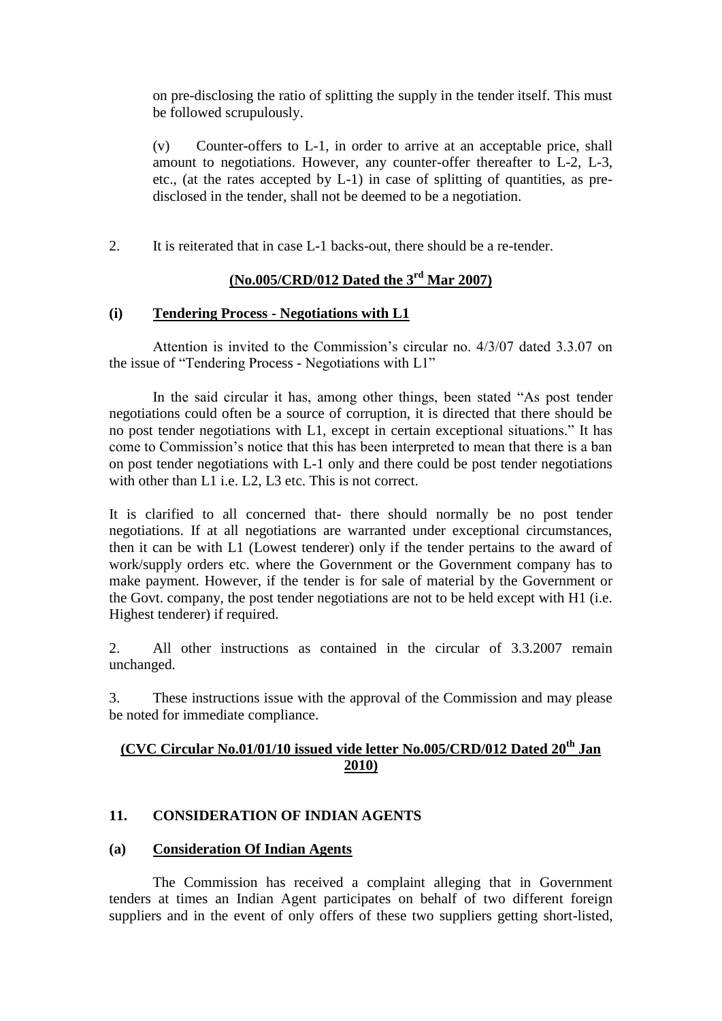on pre-disclosing the ratio of splitting the supply in the tender itself. This must be followed scrupulously.

(v) Counter-offers to L-1, in order to arrive at an acceptable price, shall amount to negotiations. However, any counter-offer thereafter to L-2, L-3, etc., (at the rates accepted by L-1) in case of splitting of quantities, as predisclosed in the tender, shall not be deemed to be a negotiation.

2. It is reiterated that in case L-1 backs-out, there should be a re-tender.

# **(No.005/CRD/012 Dated the 3rd Mar 2007)**

### **(i) Tendering Process - Negotiations with L1**

Attention is invited to the Commission's circular no.  $4/3/07$  dated 3.3.07 on the issue of "Tendering Process - Negotiations with L1"

In the said circular it has, among other things, been stated "As post tender negotiations could often be a source of corruption, it is directed that there should be no post tender negotiations with L1, except in certain exceptional situations." It has come to Commission"s notice that this has been interpreted to mean that there is a ban on post tender negotiations with L-1 only and there could be post tender negotiations with other than L1 i.e. L2, L3 etc. This is not correct.

It is clarified to all concerned that- there should normally be no post tender negotiations. If at all negotiations are warranted under exceptional circumstances, then it can be with L1 (Lowest tenderer) only if the tender pertains to the award of work/supply orders etc. where the Government or the Government company has to make payment. However, if the tender is for sale of material by the Government or the Govt. company, the post tender negotiations are not to be held except with H1 (i.e. Highest tenderer) if required.

2. All other instructions as contained in the circular of 3.3.2007 remain unchanged.

3. These instructions issue with the approval of the Commission and may please be noted for immediate compliance.

# **(CVC Circular No.01/01/10 issued vide letter No.005/CRD/012 Dated 20th Jan 2010)**

## **11. CONSIDERATION OF INDIAN AGENTS**

## **(a) Consideration Of Indian Agents**

The Commission has received a complaint alleging that in Government tenders at times an Indian Agent participates on behalf of two different foreign suppliers and in the event of only offers of these two suppliers getting short-listed,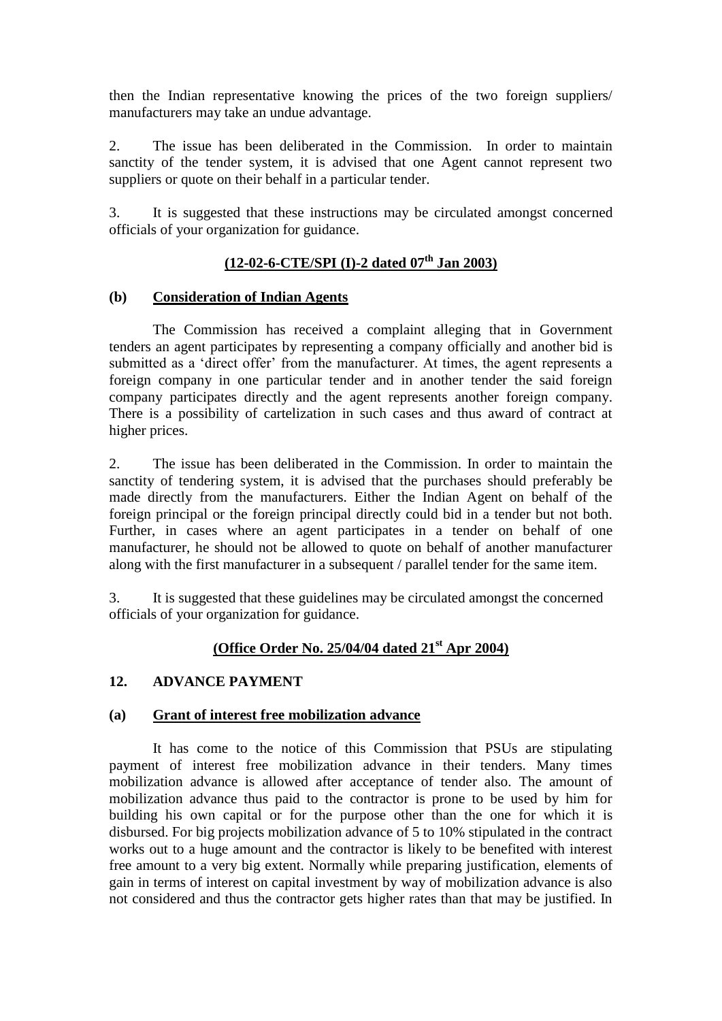then the Indian representative knowing the prices of the two foreign suppliers/ manufacturers may take an undue advantage.

2. The issue has been deliberated in the Commission. In order to maintain sanctity of the tender system, it is advised that one Agent cannot represent two suppliers or quote on their behalf in a particular tender.

3. It is suggested that these instructions may be circulated amongst concerned officials of your organization for guidance.

# **(12-02-6-CTE/SPI (I)-2 dated 07th Jan 2003)**

### **(b) Consideration of Indian Agents**

The Commission has received a complaint alleging that in Government tenders an agent participates by representing a company officially and another bid is submitted as a 'direct offer' from the manufacturer. At times, the agent represents a foreign company in one particular tender and in another tender the said foreign company participates directly and the agent represents another foreign company. There is a possibility of cartelization in such cases and thus award of contract at higher prices.

2. The issue has been deliberated in the Commission. In order to maintain the sanctity of tendering system, it is advised that the purchases should preferably be made directly from the manufacturers. Either the Indian Agent on behalf of the foreign principal or the foreign principal directly could bid in a tender but not both. Further, in cases where an agent participates in a tender on behalf of one manufacturer, he should not be allowed to quote on behalf of another manufacturer along with the first manufacturer in a subsequent / parallel tender for the same item.

3. It is suggested that these guidelines may be circulated amongst the concerned officials of your organization for guidance.

## **(Office Order No. 25/04/04 dated 21st Apr 2004)**

## **12. ADVANCE PAYMENT**

## **(a) Grant of interest free mobilization advance**

It has come to the notice of this Commission that PSUs are stipulating payment of interest free mobilization advance in their tenders. Many times mobilization advance is allowed after acceptance of tender also. The amount of mobilization advance thus paid to the contractor is prone to be used by him for building his own capital or for the purpose other than the one for which it is disbursed. For big projects mobilization advance of 5 to 10% stipulated in the contract works out to a huge amount and the contractor is likely to be benefited with interest free amount to a very big extent. Normally while preparing justification, elements of gain in terms of interest on capital investment by way of mobilization advance is also not considered and thus the contractor gets higher rates than that may be justified. In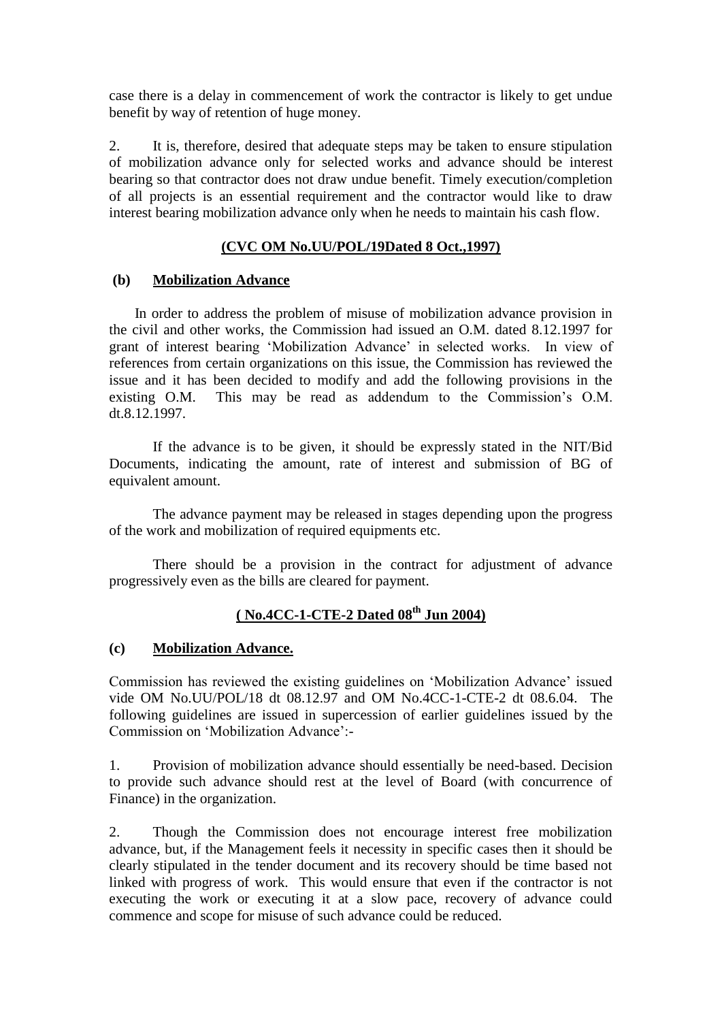case there is a delay in commencement of work the contractor is likely to get undue benefit by way of retention of huge money.

2. It is, therefore, desired that adequate steps may be taken to ensure stipulation of mobilization advance only for selected works and advance should be interest bearing so that contractor does not draw undue benefit. Timely execution/completion of all projects is an essential requirement and the contractor would like to draw interest bearing mobilization advance only when he needs to maintain his cash flow.

## **(CVC OM No.UU/POL/19Dated 8 Oct.,1997)**

## **(b) Mobilization Advance**

 In order to address the problem of misuse of mobilization advance provision in the civil and other works, the Commission had issued an O.M. dated 8.12.1997 for grant of interest bearing "Mobilization Advance" in selected works. In view of references from certain organizations on this issue, the Commission has reviewed the issue and it has been decided to modify and add the following provisions in the existing O.M. This may be read as addendum to the Commission's O.M. dt.8.12.1997.

If the advance is to be given, it should be expressly stated in the NIT/Bid Documents, indicating the amount, rate of interest and submission of BG of equivalent amount.

The advance payment may be released in stages depending upon the progress of the work and mobilization of required equipments etc.

There should be a provision in the contract for adjustment of advance progressively even as the bills are cleared for payment.

# **( No.4CC-1-CTE-2 Dated 08th Jun 2004)**

### **(c) Mobilization Advance.**

Commission has reviewed the existing guidelines on "Mobilization Advance" issued vide OM No.UU/POL/18 dt 08.12.97 and OM No.4CC-1-CTE-2 dt 08.6.04. The following guidelines are issued in supercession of earlier guidelines issued by the Commission on "Mobilization Advance":-

1. Provision of mobilization advance should essentially be need-based. Decision to provide such advance should rest at the level of Board (with concurrence of Finance) in the organization.

2. Though the Commission does not encourage interest free mobilization advance, but, if the Management feels it necessity in specific cases then it should be clearly stipulated in the tender document and its recovery should be time based not linked with progress of work. This would ensure that even if the contractor is not executing the work or executing it at a slow pace, recovery of advance could commence and scope for misuse of such advance could be reduced.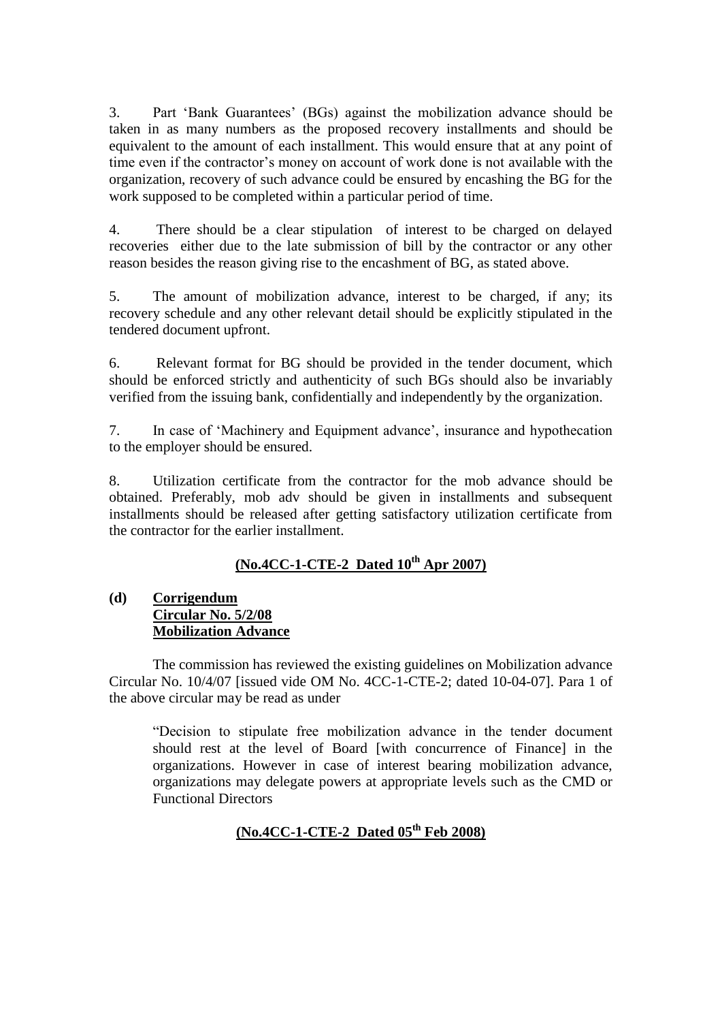3. Part "Bank Guarantees" (BGs) against the mobilization advance should be taken in as many numbers as the proposed recovery installments and should be equivalent to the amount of each installment. This would ensure that at any point of time even if the contractor's money on account of work done is not available with the organization, recovery of such advance could be ensured by encashing the BG for the work supposed to be completed within a particular period of time.

4. There should be a clear stipulation of interest to be charged on delayed recoveries either due to the late submission of bill by the contractor or any other reason besides the reason giving rise to the encashment of BG, as stated above.

5. The amount of mobilization advance, interest to be charged, if any; its recovery schedule and any other relevant detail should be explicitly stipulated in the tendered document upfront.

6. Relevant format for BG should be provided in the tender document, which should be enforced strictly and authenticity of such BGs should also be invariably verified from the issuing bank, confidentially and independently by the organization.

7. In case of "Machinery and Equipment advance", insurance and hypothecation to the employer should be ensured.

8. Utilization certificate from the contractor for the mob advance should be obtained. Preferably, mob adv should be given in installments and subsequent installments should be released after getting satisfactory utilization certificate from the contractor for the earlier installment.

# **(No.4CC-1-CTE-2 Dated 10th Apr 2007)**

## **(d) Corrigendum Circular No. 5/2/08 Mobilization Advance**

The commission has reviewed the existing guidelines on Mobilization advance Circular No. 10/4/07 [issued vide OM No. 4CC-1-CTE-2; dated 10-04-07]. Para 1 of the above circular may be read as under

"Decision to stipulate free mobilization advance in the tender document should rest at the level of Board [with concurrence of Finance] in the organizations. However in case of interest bearing mobilization advance, organizations may delegate powers at appropriate levels such as the CMD or Functional Directors

# **(No.4CC-1-CTE-2 Dated 05th Feb 2008)**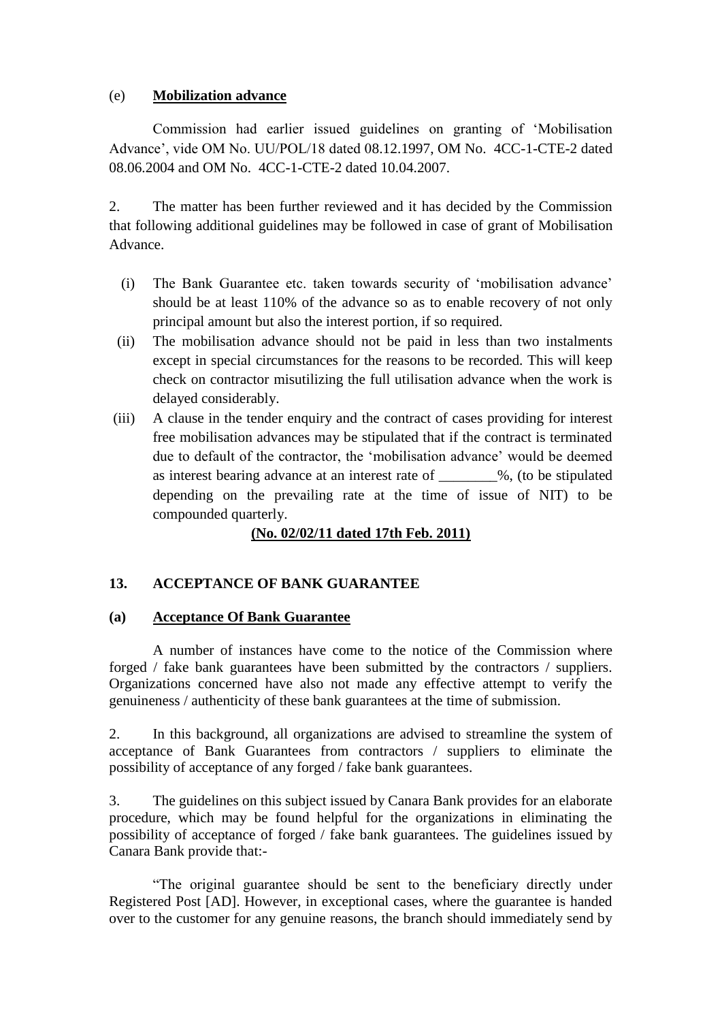### (e) **Mobilization advance**

Commission had earlier issued guidelines on granting of "Mobilisation Advance", vide OM No. UU/POL/18 dated 08.12.1997, OM No. 4CC-1-CTE-2 dated 08.06.2004 and OM No. 4CC-1-CTE-2 dated 10.04.2007.

2. The matter has been further reviewed and it has decided by the Commission that following additional guidelines may be followed in case of grant of Mobilisation Advance.

- (i) The Bank Guarantee etc. taken towards security of "mobilisation advance" should be at least 110% of the advance so as to enable recovery of not only principal amount but also the interest portion, if so required.
- (ii) The mobilisation advance should not be paid in less than two instalments except in special circumstances for the reasons to be recorded. This will keep check on contractor misutilizing the full utilisation advance when the work is delayed considerably.
- (iii) A clause in the tender enquiry and the contract of cases providing for interest free mobilisation advances may be stipulated that if the contract is terminated due to default of the contractor, the "mobilisation advance" would be deemed as interest bearing advance at an interest rate of  $\%$ , (to be stipulated depending on the prevailing rate at the time of issue of NIT) to be compounded quarterly.

# **(No. 02/02/11 dated 17th Feb. 2011)**

## **13. ACCEPTANCE OF BANK GUARANTEE**

### **(a) Acceptance Of Bank Guarantee**

A number of instances have come to the notice of the Commission where forged / fake bank guarantees have been submitted by the contractors / suppliers. Organizations concerned have also not made any effective attempt to verify the genuineness / authenticity of these bank guarantees at the time of submission.

2. In this background, all organizations are advised to streamline the system of acceptance of Bank Guarantees from contractors / suppliers to eliminate the possibility of acceptance of any forged / fake bank guarantees.

3. The guidelines on this subject issued by Canara Bank provides for an elaborate procedure, which may be found helpful for the organizations in eliminating the possibility of acceptance of forged / fake bank guarantees. The guidelines issued by Canara Bank provide that:-

"The original guarantee should be sent to the beneficiary directly under Registered Post [AD]. However, in exceptional cases, where the guarantee is handed over to the customer for any genuine reasons, the branch should immediately send by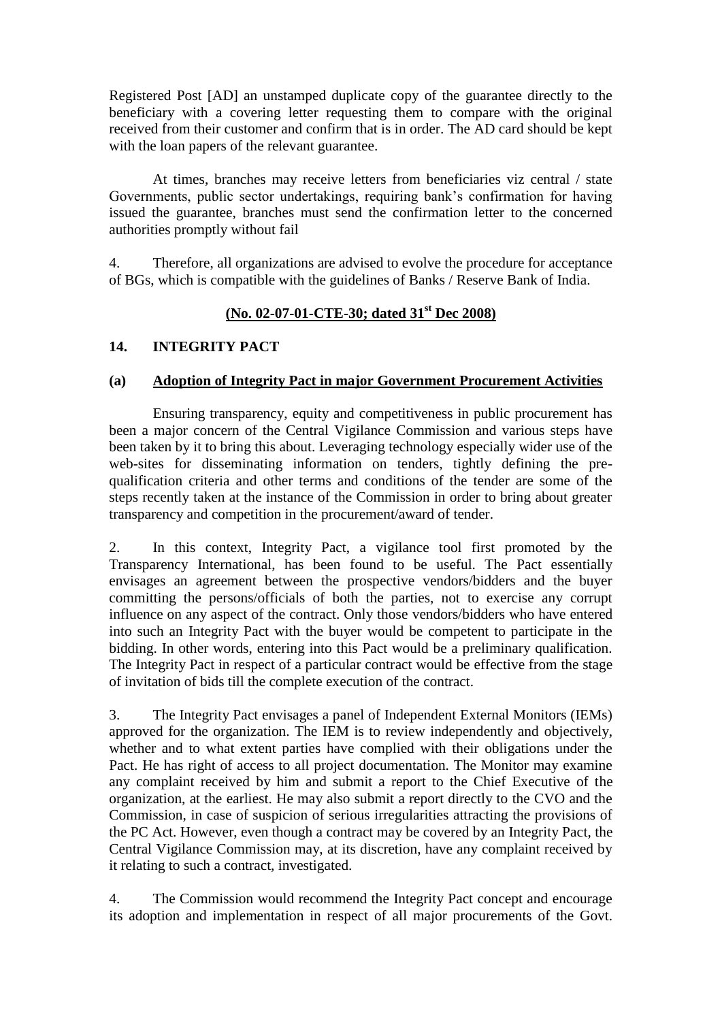Registered Post [AD] an unstamped duplicate copy of the guarantee directly to the beneficiary with a covering letter requesting them to compare with the original received from their customer and confirm that is in order. The AD card should be kept with the loan papers of the relevant guarantee.

At times, branches may receive letters from beneficiaries viz central / state Governments, public sector undertakings, requiring bank"s confirmation for having issued the guarantee, branches must send the confirmation letter to the concerned authorities promptly without fail

4. Therefore, all organizations are advised to evolve the procedure for acceptance of BGs, which is compatible with the guidelines of Banks / Reserve Bank of India.

# **(No. 02-07-01-CTE-30; dated 31st Dec 2008)**

### **14. INTEGRITY PACT**

### **(a) Adoption of Integrity Pact in major Government Procurement Activities**

Ensuring transparency, equity and competitiveness in public procurement has been a major concern of the Central Vigilance Commission and various steps have been taken by it to bring this about. Leveraging technology especially wider use of the web-sites for disseminating information on tenders, tightly defining the prequalification criteria and other terms and conditions of the tender are some of the steps recently taken at the instance of the Commission in order to bring about greater transparency and competition in the procurement/award of tender.

2. In this context, Integrity Pact, a vigilance tool first promoted by the Transparency International, has been found to be useful. The Pact essentially envisages an agreement between the prospective vendors/bidders and the buyer committing the persons/officials of both the parties, not to exercise any corrupt influence on any aspect of the contract. Only those vendors/bidders who have entered into such an Integrity Pact with the buyer would be competent to participate in the bidding. In other words, entering into this Pact would be a preliminary qualification. The Integrity Pact in respect of a particular contract would be effective from the stage of invitation of bids till the complete execution of the contract.

3. The Integrity Pact envisages a panel of Independent External Monitors (IEMs) approved for the organization. The IEM is to review independently and objectively, whether and to what extent parties have complied with their obligations under the Pact. He has right of access to all project documentation. The Monitor may examine any complaint received by him and submit a report to the Chief Executive of the organization, at the earliest. He may also submit a report directly to the CVO and the Commission, in case of suspicion of serious irregularities attracting the provisions of the PC Act. However, even though a contract may be covered by an Integrity Pact, the Central Vigilance Commission may, at its discretion, have any complaint received by it relating to such a contract, investigated.

4. The Commission would recommend the Integrity Pact concept and encourage its adoption and implementation in respect of all major procurements of the Govt.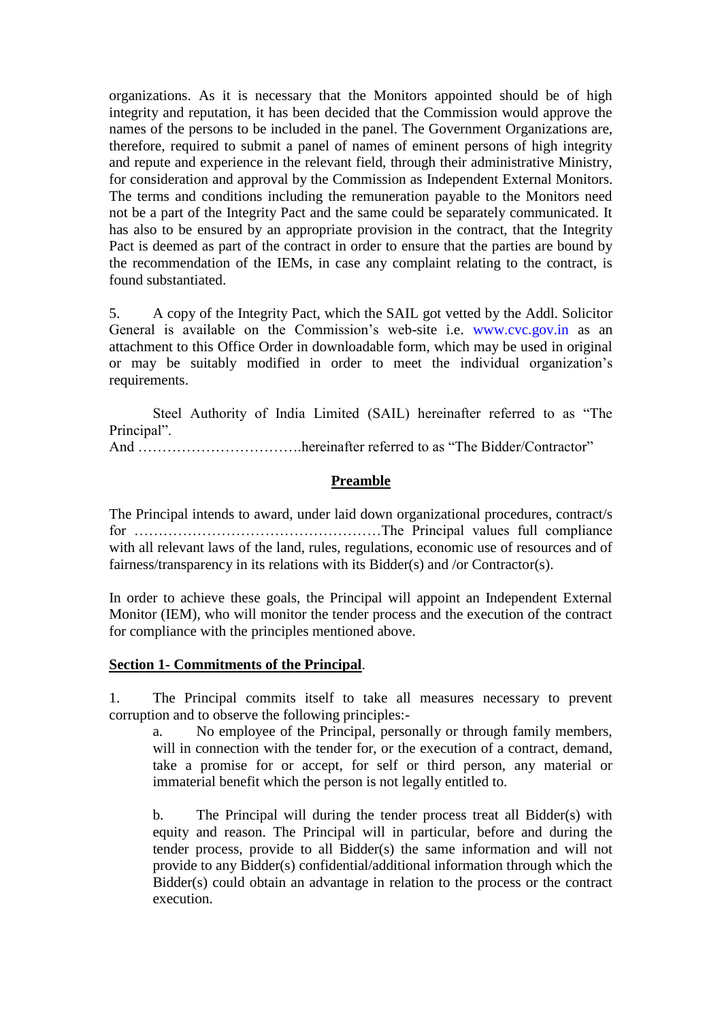organizations. As it is necessary that the Monitors appointed should be of high integrity and reputation, it has been decided that the Commission would approve the names of the persons to be included in the panel. The Government Organizations are, therefore, required to submit a panel of names of eminent persons of high integrity and repute and experience in the relevant field, through their administrative Ministry, for consideration and approval by the Commission as Independent External Monitors. The terms and conditions including the remuneration payable to the Monitors need not be a part of the Integrity Pact and the same could be separately communicated. It has also to be ensured by an appropriate provision in the contract, that the Integrity Pact is deemed as part of the contract in order to ensure that the parties are bound by the recommendation of the IEMs, in case any complaint relating to the contract, is found substantiated.

5. A copy of the Integrity Pact, which the SAIL got vetted by the Addl. Solicitor General is available on the Commission's web-site i.e. www.cvc.gov.in as an attachment to this Office Order in downloadable form, which may be used in original or may be suitably modified in order to meet the individual organization"s requirements.

Steel Authority of India Limited (SAIL) hereinafter referred to as "The Principal".

And …………………………….hereinafter referred to as "The Bidder/Contractor"

### **Preamble**

The Principal intends to award, under laid down organizational procedures, contract/s for ……………………………………………The Principal values full compliance with all relevant laws of the land, rules, regulations, economic use of resources and of fairness/transparency in its relations with its Bidder(s) and /or Contractor(s).

In order to achieve these goals, the Principal will appoint an Independent External Monitor (IEM), who will monitor the tender process and the execution of the contract for compliance with the principles mentioned above.

### **Section 1- Commitments of the Principal**.

1. The Principal commits itself to take all measures necessary to prevent corruption and to observe the following principles:-

a. No employee of the Principal, personally or through family members, will in connection with the tender for, or the execution of a contract, demand, take a promise for or accept, for self or third person, any material or immaterial benefit which the person is not legally entitled to.

b. The Principal will during the tender process treat all Bidder(s) with equity and reason. The Principal will in particular, before and during the tender process, provide to all Bidder(s) the same information and will not provide to any Bidder(s) confidential/additional information through which the Bidder(s) could obtain an advantage in relation to the process or the contract execution.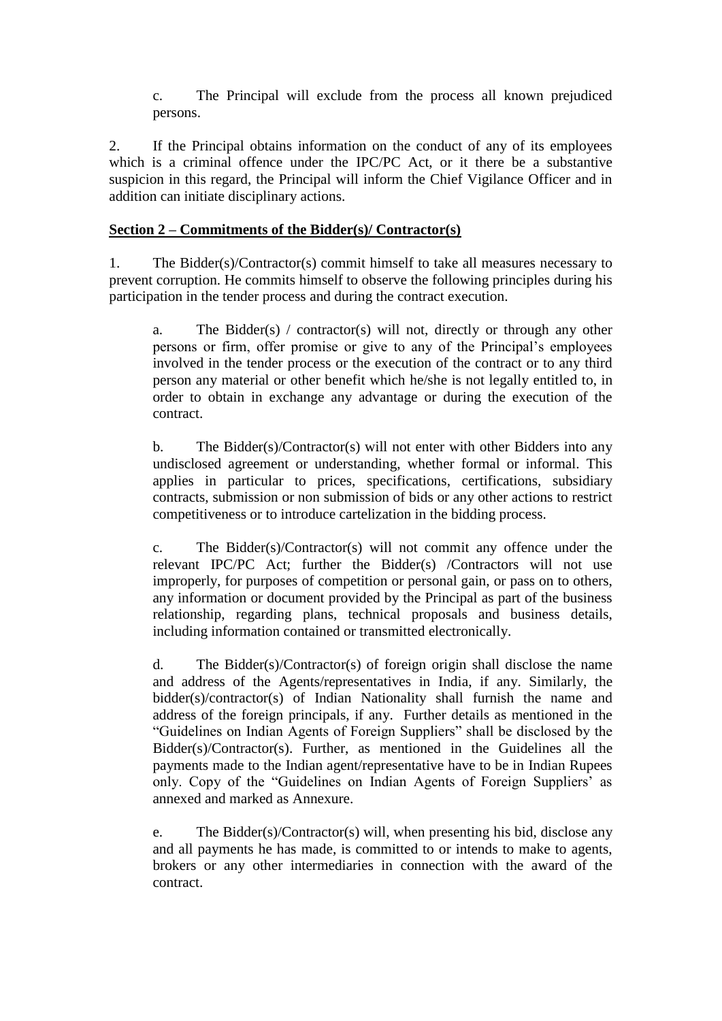c. The Principal will exclude from the process all known prejudiced persons.

2. If the Principal obtains information on the conduct of any of its employees which is a criminal offence under the IPC/PC Act, or it there be a substantive suspicion in this regard, the Principal will inform the Chief Vigilance Officer and in addition can initiate disciplinary actions.

### **Section 2 – Commitments of the Bidder(s)/ Contractor(s)**

1. The Bidder(s)/Contractor(s) commit himself to take all measures necessary to prevent corruption. He commits himself to observe the following principles during his participation in the tender process and during the contract execution.

a. The Bidder(s) / contractor(s) will not, directly or through any other persons or firm, offer promise or give to any of the Principal"s employees involved in the tender process or the execution of the contract or to any third person any material or other benefit which he/she is not legally entitled to, in order to obtain in exchange any advantage or during the execution of the contract.

b. The Bidder(s)/Contractor(s) will not enter with other Bidders into any undisclosed agreement or understanding, whether formal or informal. This applies in particular to prices, specifications, certifications, subsidiary contracts, submission or non submission of bids or any other actions to restrict competitiveness or to introduce cartelization in the bidding process.

c. The Bidder(s)/Contractor(s) will not commit any offence under the relevant IPC/PC Act; further the Bidder(s) /Contractors will not use improperly, for purposes of competition or personal gain, or pass on to others, any information or document provided by the Principal as part of the business relationship, regarding plans, technical proposals and business details, including information contained or transmitted electronically.

d. The Bidder(s)/Contractor(s) of foreign origin shall disclose the name and address of the Agents/representatives in India, if any. Similarly, the bidder(s)/contractor(s) of Indian Nationality shall furnish the name and address of the foreign principals, if any. Further details as mentioned in the "Guidelines on Indian Agents of Foreign Suppliers" shall be disclosed by the Bidder(s)/Contractor(s). Further, as mentioned in the Guidelines all the payments made to the Indian agent/representative have to be in Indian Rupees only. Copy of the "Guidelines on Indian Agents of Foreign Suppliers" as annexed and marked as Annexure.

e. The Bidder(s)/Contractor(s) will, when presenting his bid, disclose any and all payments he has made, is committed to or intends to make to agents, brokers or any other intermediaries in connection with the award of the contract.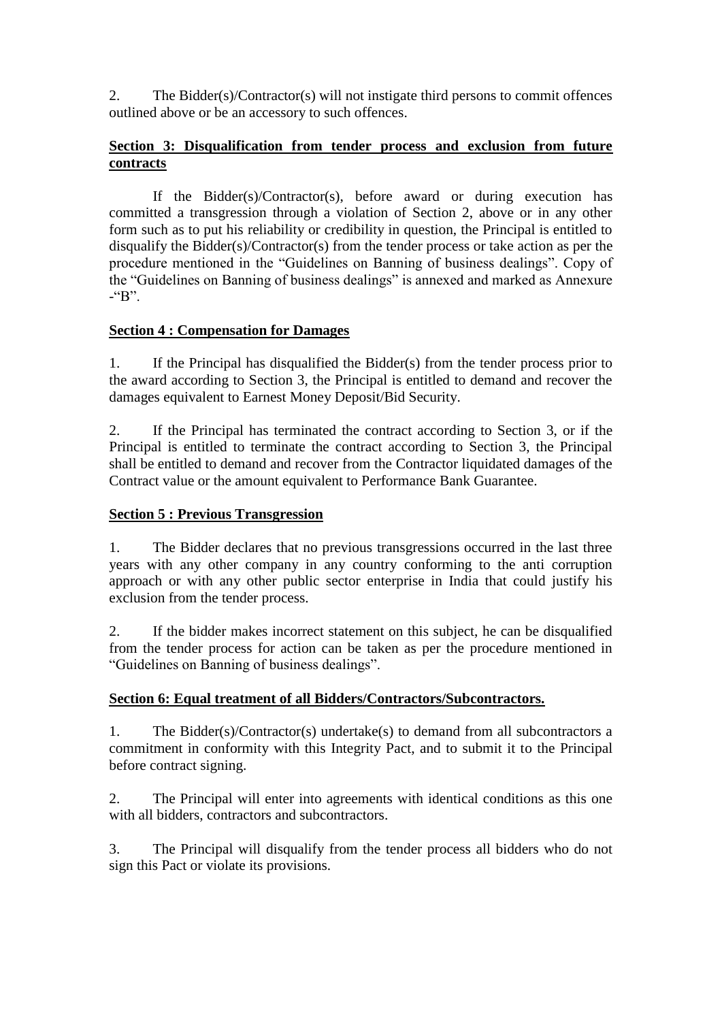2. The Bidder(s)/Contractor(s) will not instigate third persons to commit offences outlined above or be an accessory to such offences.

## **Section 3: Disqualification from tender process and exclusion from future contracts**

If the Bidder(s)/Contractor(s), before award or during execution has committed a transgression through a violation of Section 2, above or in any other form such as to put his reliability or credibility in question, the Principal is entitled to disqualify the Bidder(s)/Contractor(s) from the tender process or take action as per the procedure mentioned in the "Guidelines on Banning of business dealings". Copy of the "Guidelines on Banning of business dealings" is annexed and marked as Annexure  $-$ "B".

## **Section 4 : Compensation for Damages**

1. If the Principal has disqualified the Bidder(s) from the tender process prior to the award according to Section 3, the Principal is entitled to demand and recover the damages equivalent to Earnest Money Deposit/Bid Security.

2. If the Principal has terminated the contract according to Section 3, or if the Principal is entitled to terminate the contract according to Section 3, the Principal shall be entitled to demand and recover from the Contractor liquidated damages of the Contract value or the amount equivalent to Performance Bank Guarantee.

## **Section 5 : Previous Transgression**

1. The Bidder declares that no previous transgressions occurred in the last three years with any other company in any country conforming to the anti corruption approach or with any other public sector enterprise in India that could justify his exclusion from the tender process.

2. If the bidder makes incorrect statement on this subject, he can be disqualified from the tender process for action can be taken as per the procedure mentioned in "Guidelines on Banning of business dealings".

## **Section 6: Equal treatment of all Bidders/Contractors/Subcontractors.**

1. The Bidder(s)/Contractor(s) undertake(s) to demand from all subcontractors a commitment in conformity with this Integrity Pact, and to submit it to the Principal before contract signing.

2. The Principal will enter into agreements with identical conditions as this one with all bidders, contractors and subcontractors.

3. The Principal will disqualify from the tender process all bidders who do not sign this Pact or violate its provisions.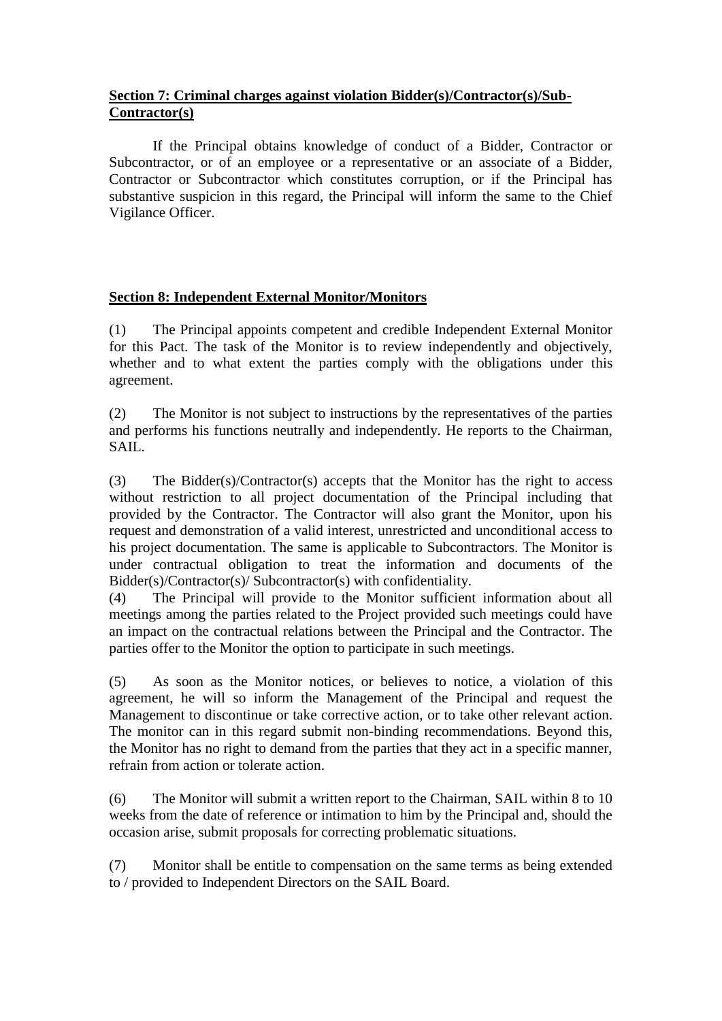## **Section 7: Criminal charges against violation Bidder(s)/Contractor(s)/Sub-Contractor(s)**

If the Principal obtains knowledge of conduct of a Bidder, Contractor or Subcontractor, or of an employee or a representative or an associate of a Bidder, Contractor or Subcontractor which constitutes corruption, or if the Principal has substantive suspicion in this regard, the Principal will inform the same to the Chief Vigilance Officer.

# **Section 8: Independent External Monitor/Monitors**

(1) The Principal appoints competent and credible Independent External Monitor for this Pact. The task of the Monitor is to review independently and objectively, whether and to what extent the parties comply with the obligations under this agreement.

(2) The Monitor is not subject to instructions by the representatives of the parties and performs his functions neutrally and independently. He reports to the Chairman, SAIL.

(3) The Bidder(s)/Contractor(s) accepts that the Monitor has the right to access without restriction to all project documentation of the Principal including that provided by the Contractor. The Contractor will also grant the Monitor, upon his request and demonstration of a valid interest, unrestricted and unconditional access to his project documentation. The same is applicable to Subcontractors. The Monitor is under contractual obligation to treat the information and documents of the Bidder(s)/Contractor(s)/ Subcontractor(s) with confidentiality.

(4) The Principal will provide to the Monitor sufficient information about all meetings among the parties related to the Project provided such meetings could have an impact on the contractual relations between the Principal and the Contractor. The parties offer to the Monitor the option to participate in such meetings.

(5) As soon as the Monitor notices, or believes to notice, a violation of this agreement, he will so inform the Management of the Principal and request the Management to discontinue or take corrective action, or to take other relevant action. The monitor can in this regard submit non-binding recommendations. Beyond this, the Monitor has no right to demand from the parties that they act in a specific manner, refrain from action or tolerate action.

(6) The Monitor will submit a written report to the Chairman, SAIL within 8 to 10 weeks from the date of reference or intimation to him by the Principal and, should the occasion arise, submit proposals for correcting problematic situations.

(7) Monitor shall be entitle to compensation on the same terms as being extended to / provided to Independent Directors on the SAIL Board.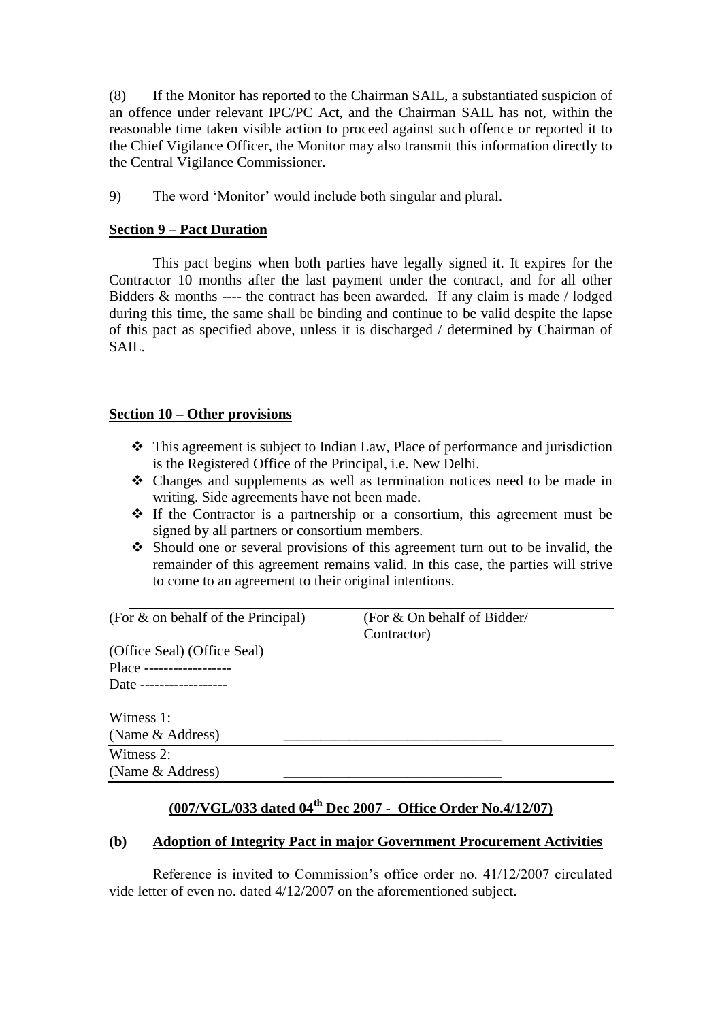(8) If the Monitor has reported to the Chairman SAIL, a substantiated suspicion of an offence under relevant IPC/PC Act, and the Chairman SAIL has not, within the reasonable time taken visible action to proceed against such offence or reported it to the Chief Vigilance Officer, the Monitor may also transmit this information directly to the Central Vigilance Commissioner.

9) The word "Monitor" would include both singular and plural.

### **Section 9 – Pact Duration**

This pact begins when both parties have legally signed it. It expires for the Contractor 10 months after the last payment under the contract, and for all other Bidders & months ---- the contract has been awarded. If any claim is made / lodged during this time, the same shall be binding and continue to be valid despite the lapse of this pact as specified above, unless it is discharged / determined by Chairman of SAIL.

### **Section 10 – Other provisions**

- This agreement is subject to Indian Law, Place of performance and jurisdiction is the Registered Office of the Principal, i.e. New Delhi.
- Changes and supplements as well as termination notices need to be made in writing. Side agreements have not been made.
- $\div$  If the Contractor is a partnership or a consortium, this agreement must be signed by all partners or consortium members.
- Should one or several provisions of this agreement turn out to be invalid, the remainder of this agreement remains valid. In this case, the parties will strive to come to an agreement to their original intentions.

(For & on behalf of the Principal) (For & On behalf of Bidder/

Contractor)

(Office Seal) (Office Seal) Place ------------------ Date ------------------

Witness 1: (Name & Address) Witness 2:

(Name & Address)

# **(007/VGL/033 dated 04th Dec 2007 - Office Order No.4/12/07)**

## **(b) Adoption of Integrity Pact in major Government Procurement Activities**

Reference is invited to Commission"s office order no. 41/12/2007 circulated vide letter of even no. dated 4/12/2007 on the aforementioned subject.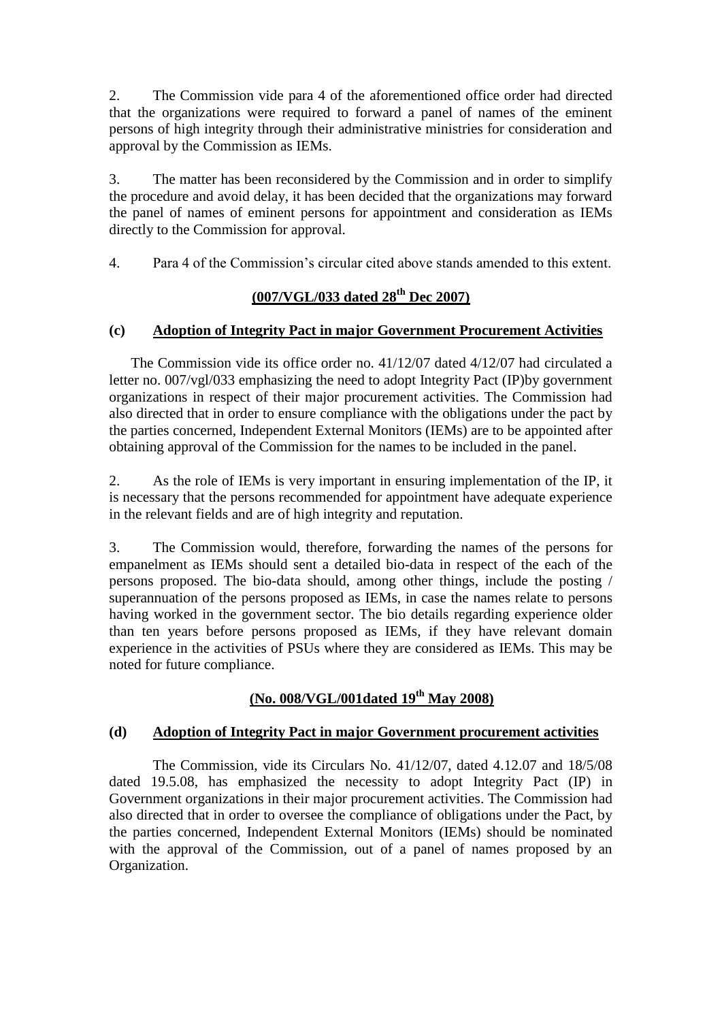2. The Commission vide para 4 of the aforementioned office order had directed that the organizations were required to forward a panel of names of the eminent persons of high integrity through their administrative ministries for consideration and approval by the Commission as IEMs.

3. The matter has been reconsidered by the Commission and in order to simplify the procedure and avoid delay, it has been decided that the organizations may forward the panel of names of eminent persons for appointment and consideration as IEMs directly to the Commission for approval.

4. Para 4 of the Commission"s circular cited above stands amended to this extent.

# **(007/VGL/033 dated 28th Dec 2007)**

### **(c) Adoption of Integrity Pact in major Government Procurement Activities**

The Commission vide its office order no. 41/12/07 dated 4/12/07 had circulated a letter no. 007/vgl/033 emphasizing the need to adopt Integrity Pact (IP)by government organizations in respect of their major procurement activities. The Commission had also directed that in order to ensure compliance with the obligations under the pact by the parties concerned, Independent External Monitors (IEMs) are to be appointed after obtaining approval of the Commission for the names to be included in the panel.

2. As the role of IEMs is very important in ensuring implementation of the IP, it is necessary that the persons recommended for appointment have adequate experience in the relevant fields and are of high integrity and reputation.

3. The Commission would, therefore, forwarding the names of the persons for empanelment as IEMs should sent a detailed bio-data in respect of the each of the persons proposed. The bio-data should, among other things, include the posting / superannuation of the persons proposed as IEMs, in case the names relate to persons having worked in the government sector. The bio details regarding experience older than ten years before persons proposed as IEMs, if they have relevant domain experience in the activities of PSUs where they are considered as IEMs. This may be noted for future compliance.

# **(No. 008/VGL/001dated 19th May 2008)**

### **(d) Adoption of Integrity Pact in major Government procurement activities**

The Commission, vide its Circulars No. 41/12/07, dated 4.12.07 and 18/5/08 dated 19.5.08, has emphasized the necessity to adopt Integrity Pact (IP) in Government organizations in their major procurement activities. The Commission had also directed that in order to oversee the compliance of obligations under the Pact, by the parties concerned, Independent External Monitors (IEMs) should be nominated with the approval of the Commission, out of a panel of names proposed by an Organization.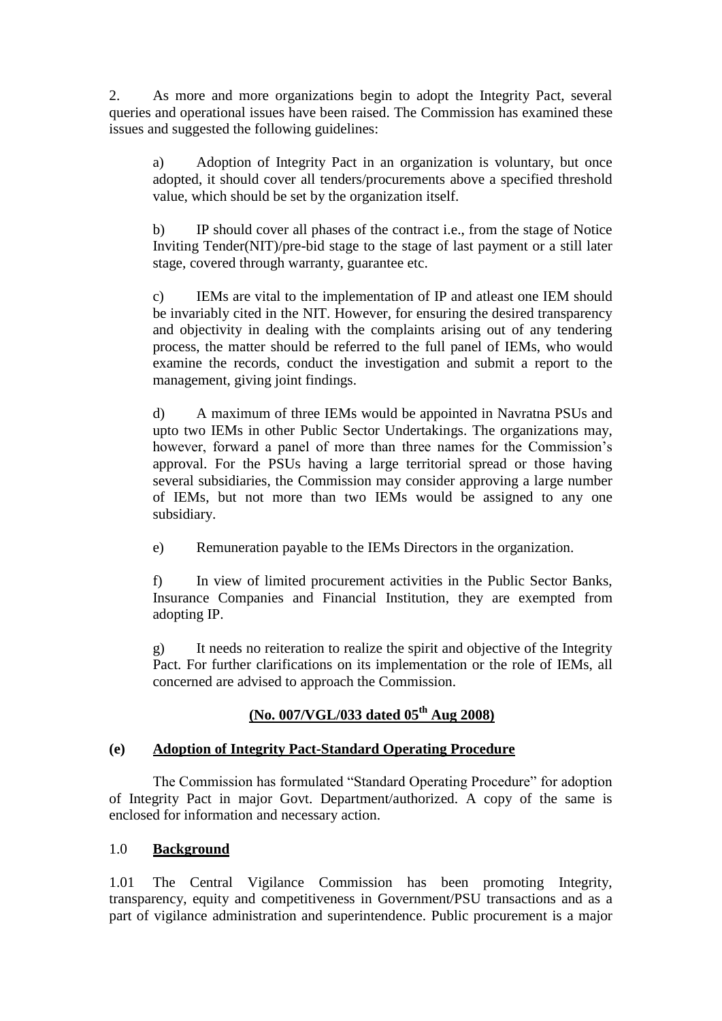2. As more and more organizations begin to adopt the Integrity Pact, several queries and operational issues have been raised. The Commission has examined these issues and suggested the following guidelines:

a) Adoption of Integrity Pact in an organization is voluntary, but once adopted, it should cover all tenders/procurements above a specified threshold value, which should be set by the organization itself.

b) IP should cover all phases of the contract i.e., from the stage of Notice Inviting Tender(NIT)/pre-bid stage to the stage of last payment or a still later stage, covered through warranty, guarantee etc.

c) IEMs are vital to the implementation of IP and atleast one IEM should be invariably cited in the NIT. However, for ensuring the desired transparency and objectivity in dealing with the complaints arising out of any tendering process, the matter should be referred to the full panel of IEMs, who would examine the records, conduct the investigation and submit a report to the management, giving joint findings.

d) A maximum of three IEMs would be appointed in Navratna PSUs and upto two IEMs in other Public Sector Undertakings. The organizations may, however, forward a panel of more than three names for the Commission's approval. For the PSUs having a large territorial spread or those having several subsidiaries, the Commission may consider approving a large number of IEMs, but not more than two IEMs would be assigned to any one subsidiary.

e) Remuneration payable to the IEMs Directors in the organization.

f) In view of limited procurement activities in the Public Sector Banks, Insurance Companies and Financial Institution, they are exempted from adopting IP.

g) It needs no reiteration to realize the spirit and objective of the Integrity Pact. For further clarifications on its implementation or the role of IEMs, all concerned are advised to approach the Commission.

# **(No. 007/VGL/033 dated 05th Aug 2008)**

# **(e) Adoption of Integrity Pact-Standard Operating Procedure**

The Commission has formulated "Standard Operating Procedure" for adoption of Integrity Pact in major Govt. Department/authorized. A copy of the same is enclosed for information and necessary action.

## 1.0 **Background**

1.01 The Central Vigilance Commission has been promoting Integrity, transparency, equity and competitiveness in Government/PSU transactions and as a part of vigilance administration and superintendence. Public procurement is a major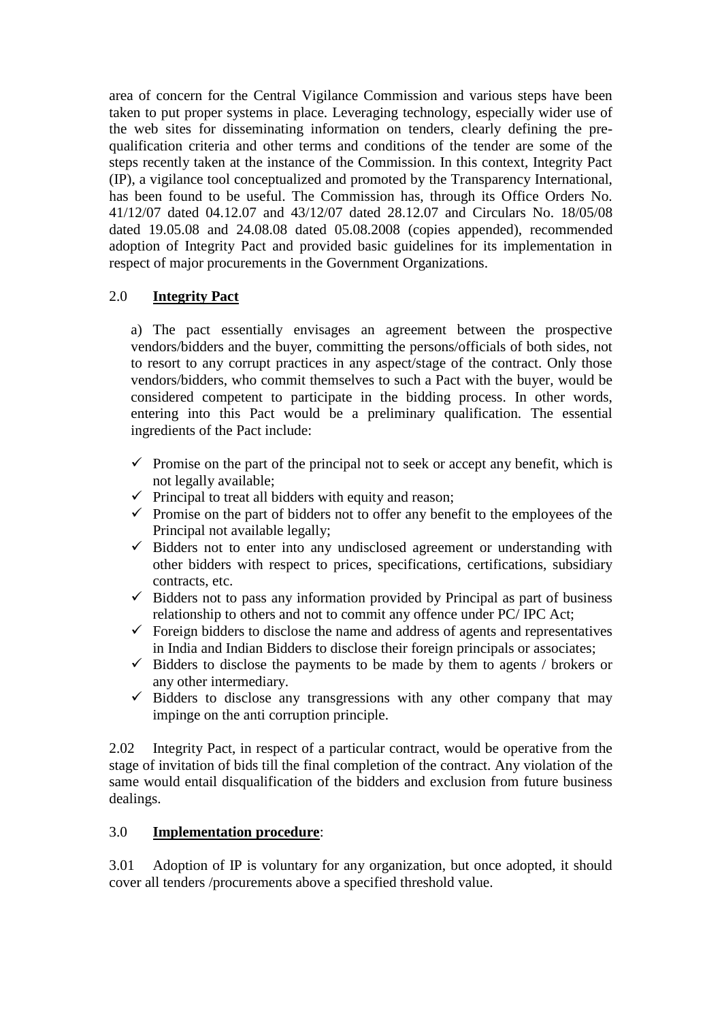area of concern for the Central Vigilance Commission and various steps have been taken to put proper systems in place. Leveraging technology, especially wider use of the web sites for disseminating information on tenders, clearly defining the prequalification criteria and other terms and conditions of the tender are some of the steps recently taken at the instance of the Commission. In this context, Integrity Pact (IP), a vigilance tool conceptualized and promoted by the Transparency International, has been found to be useful. The Commission has, through its Office Orders No. 41/12/07 dated 04.12.07 and 43/12/07 dated 28.12.07 and Circulars No. 18/05/08 dated 19.05.08 and 24.08.08 dated 05.08.2008 (copies appended), recommended adoption of Integrity Pact and provided basic guidelines for its implementation in respect of major procurements in the Government Organizations.

# 2.0 **Integrity Pact**

a) The pact essentially envisages an agreement between the prospective vendors/bidders and the buyer, committing the persons/officials of both sides, not to resort to any corrupt practices in any aspect/stage of the contract. Only those vendors/bidders, who commit themselves to such a Pact with the buyer, would be considered competent to participate in the bidding process. In other words, entering into this Pact would be a preliminary qualification. The essential ingredients of the Pact include:

- $\checkmark$  Promise on the part of the principal not to seek or accept any benefit, which is not legally available;
- $\checkmark$  Principal to treat all bidders with equity and reason;
- $\checkmark$  Promise on the part of bidders not to offer any benefit to the employees of the Principal not available legally;
- $\checkmark$  Bidders not to enter into any undisclosed agreement or understanding with other bidders with respect to prices, specifications, certifications, subsidiary contracts, etc.
- $\checkmark$  Bidders not to pass any information provided by Principal as part of business relationship to others and not to commit any offence under PC/ IPC Act;
- $\checkmark$  Foreign bidders to disclose the name and address of agents and representatives in India and Indian Bidders to disclose their foreign principals or associates;
- $\checkmark$  Bidders to disclose the payments to be made by them to agents / brokers or any other intermediary.
- $\checkmark$  Bidders to disclose any transgressions with any other company that may impinge on the anti corruption principle.

2.02 Integrity Pact, in respect of a particular contract, would be operative from the stage of invitation of bids till the final completion of the contract. Any violation of the same would entail disqualification of the bidders and exclusion from future business dealings.

## 3.0 **Implementation procedure**:

3.01 Adoption of IP is voluntary for any organization, but once adopted, it should cover all tenders /procurements above a specified threshold value.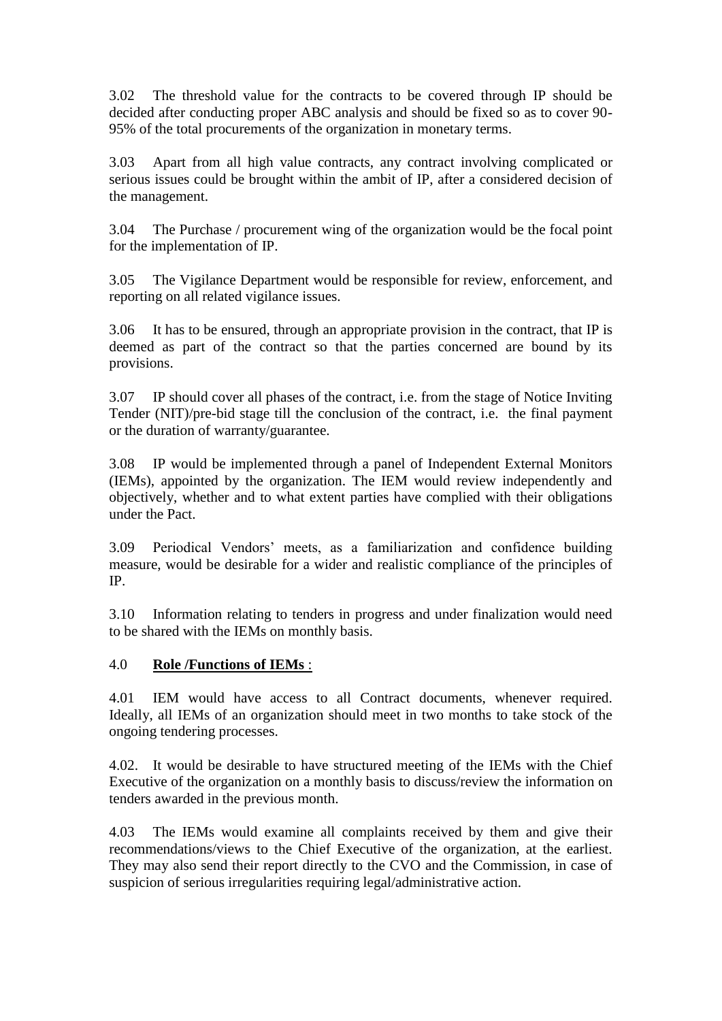3.02 The threshold value for the contracts to be covered through IP should be decided after conducting proper ABC analysis and should be fixed so as to cover 90- 95% of the total procurements of the organization in monetary terms.

3.03 Apart from all high value contracts, any contract involving complicated or serious issues could be brought within the ambit of IP, after a considered decision of the management.

3.04 The Purchase / procurement wing of the organization would be the focal point for the implementation of IP.

3.05 The Vigilance Department would be responsible for review, enforcement, and reporting on all related vigilance issues.

3.06 It has to be ensured, through an appropriate provision in the contract, that IP is deemed as part of the contract so that the parties concerned are bound by its provisions.

3.07 IP should cover all phases of the contract, i.e. from the stage of Notice Inviting Tender (NIT)/pre-bid stage till the conclusion of the contract, i.e. the final payment or the duration of warranty/guarantee.

3.08 IP would be implemented through a panel of Independent External Monitors (IEMs), appointed by the organization. The IEM would review independently and objectively, whether and to what extent parties have complied with their obligations under the Pact.

3.09 Periodical Vendors" meets, as a familiarization and confidence building measure, would be desirable for a wider and realistic compliance of the principles of IP.

3.10 Information relating to tenders in progress and under finalization would need to be shared with the IEMs on monthly basis.

## 4.0 **Role /Functions of IEMs** :

4.01 IEM would have access to all Contract documents, whenever required. Ideally, all IEMs of an organization should meet in two months to take stock of the ongoing tendering processes.

4.02. It would be desirable to have structured meeting of the IEMs with the Chief Executive of the organization on a monthly basis to discuss/review the information on tenders awarded in the previous month.

4.03 The IEMs would examine all complaints received by them and give their recommendations/views to the Chief Executive of the organization, at the earliest. They may also send their report directly to the CVO and the Commission, in case of suspicion of serious irregularities requiring legal/administrative action.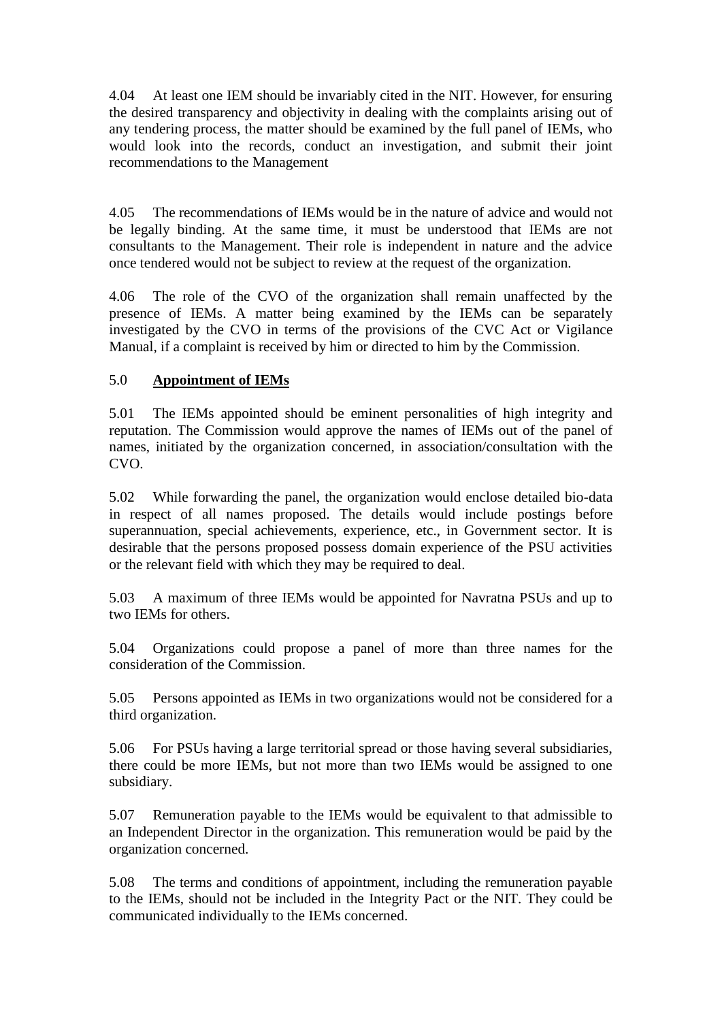4.04 At least one IEM should be invariably cited in the NIT. However, for ensuring the desired transparency and objectivity in dealing with the complaints arising out of any tendering process, the matter should be examined by the full panel of IEMs, who would look into the records, conduct an investigation, and submit their joint recommendations to the Management

4.05 The recommendations of IEMs would be in the nature of advice and would not be legally binding. At the same time, it must be understood that IEMs are not consultants to the Management. Their role is independent in nature and the advice once tendered would not be subject to review at the request of the organization.

4.06 The role of the CVO of the organization shall remain unaffected by the presence of IEMs. A matter being examined by the IEMs can be separately investigated by the CVO in terms of the provisions of the CVC Act or Vigilance Manual, if a complaint is received by him or directed to him by the Commission.

# 5.0 **Appointment of IEMs**

5.01 The IEMs appointed should be eminent personalities of high integrity and reputation. The Commission would approve the names of IEMs out of the panel of names, initiated by the organization concerned, in association/consultation with the CVO.

5.02 While forwarding the panel, the organization would enclose detailed bio-data in respect of all names proposed. The details would include postings before superannuation, special achievements, experience, etc., in Government sector. It is desirable that the persons proposed possess domain experience of the PSU activities or the relevant field with which they may be required to deal.

5.03 A maximum of three IEMs would be appointed for Navratna PSUs and up to two IEMs for others.

5.04 Organizations could propose a panel of more than three names for the consideration of the Commission.

5.05 Persons appointed as IEMs in two organizations would not be considered for a third organization.

5.06 For PSUs having a large territorial spread or those having several subsidiaries, there could be more IEMs, but not more than two IEMs would be assigned to one subsidiary.

5.07 Remuneration payable to the IEMs would be equivalent to that admissible to an Independent Director in the organization. This remuneration would be paid by the organization concerned.

5.08 The terms and conditions of appointment, including the remuneration payable to the IEMs, should not be included in the Integrity Pact or the NIT. They could be communicated individually to the IEMs concerned.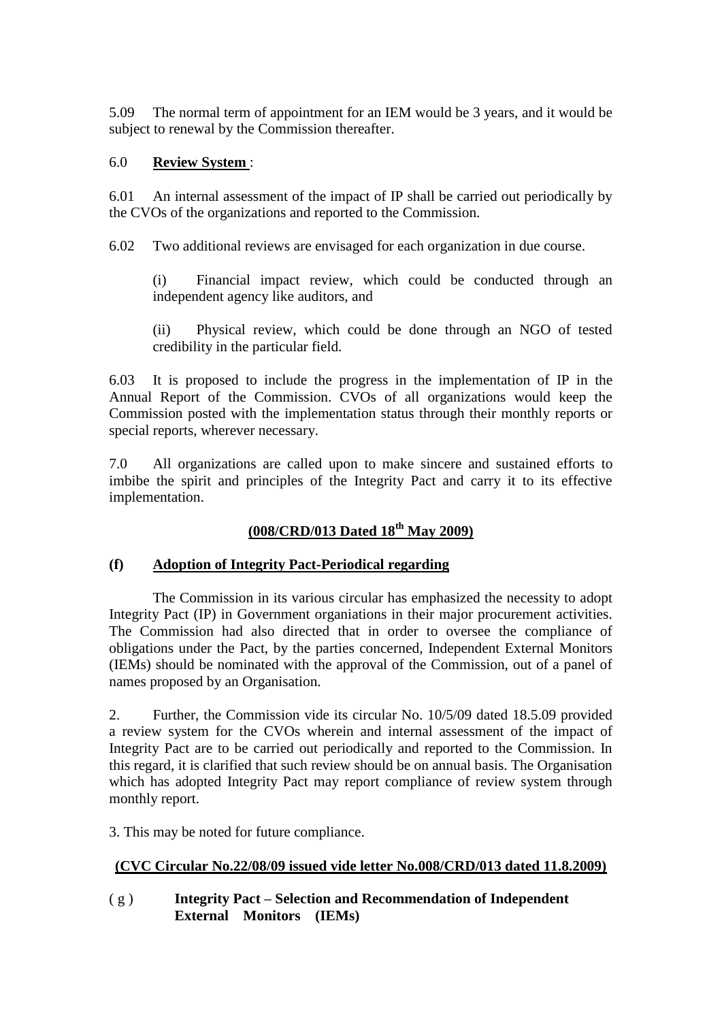5.09 The normal term of appointment for an IEM would be 3 years, and it would be subject to renewal by the Commission thereafter.

### 6.0 **Review System** :

6.01 An internal assessment of the impact of IP shall be carried out periodically by the CVOs of the organizations and reported to the Commission.

6.02 Two additional reviews are envisaged for each organization in due course.

(i) Financial impact review, which could be conducted through an independent agency like auditors, and

(ii) Physical review, which could be done through an NGO of tested credibility in the particular field.

6.03 It is proposed to include the progress in the implementation of IP in the Annual Report of the Commission. CVOs of all organizations would keep the Commission posted with the implementation status through their monthly reports or special reports, wherever necessary.

7.0 All organizations are called upon to make sincere and sustained efforts to imbibe the spirit and principles of the Integrity Pact and carry it to its effective implementation.

# **(008/CRD/013 Dated 18th May 2009)**

### **(f) Adoption of Integrity Pact-Periodical regarding**

The Commission in its various circular has emphasized the necessity to adopt Integrity Pact (IP) in Government organiations in their major procurement activities. The Commission had also directed that in order to oversee the compliance of obligations under the Pact, by the parties concerned, Independent External Monitors (IEMs) should be nominated with the approval of the Commission, out of a panel of names proposed by an Organisation.

2. Further, the Commission vide its circular No. 10/5/09 dated 18.5.09 provided a review system for the CVOs wherein and internal assessment of the impact of Integrity Pact are to be carried out periodically and reported to the Commission. In this regard, it is clarified that such review should be on annual basis. The Organisation which has adopted Integrity Pact may report compliance of review system through monthly report.

3. This may be noted for future compliance.

## **(CVC Circular No.22/08/09 issued vide letter No.008/CRD/013 dated 11.8.2009)**

( g ) **Integrity Pact – Selection and Recommendation of Independent External Monitors (IEMs)**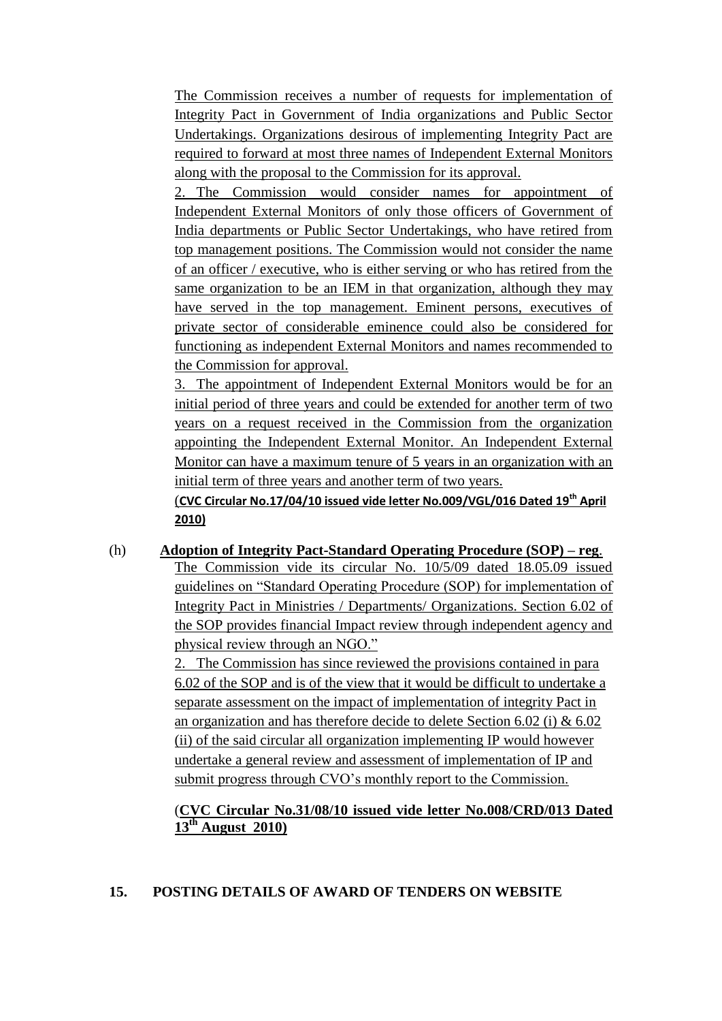The Commission receives a number of requests for implementation of Integrity Pact in Government of India organizations and Public Sector Undertakings. Organizations desirous of implementing Integrity Pact are required to forward at most three names of Independent External Monitors along with the proposal to the Commission for its approval.

2. The Commission would consider names for appointment of Independent External Monitors of only those officers of Government of India departments or Public Sector Undertakings, who have retired from top management positions. The Commission would not consider the name of an officer / executive, who is either serving or who has retired from the same organization to be an IEM in that organization, although they may have served in the top management. Eminent persons, executives of private sector of considerable eminence could also be considered for functioning as independent External Monitors and names recommended to the Commission for approval.

3. The appointment of Independent External Monitors would be for an initial period of three years and could be extended for another term of two years on a request received in the Commission from the organization appointing the Independent External Monitor. An Independent External Monitor can have a maximum tenure of 5 years in an organization with an initial term of three years and another term of two years.

(**CVC Circular No.17/04/10 issued vide letter No.009/VGL/016 Dated 19th April 2010)**

(h) **Adoption of Integrity Pact-Standard Operating Procedure (SOP) – reg**. The Commission vide its circular No. 10/5/09 dated 18.05.09 issued guidelines on "Standard Operating Procedure (SOP) for implementation of Integrity Pact in Ministries / Departments/ Organizations. Section 6.02 of the SOP provides financial Impact review through independent agency and physical review through an NGO."

> The Commission has since reviewed the provisions contained in para 6.02 of the SOP and is of the view that it would be difficult to undertake a separate assessment on the impact of implementation of integrity Pact in an organization and has therefore decide to delete Section 6.02 (i)  $& 6.02$ (ii) of the said circular all organization implementing IP would however undertake a general review and assessment of implementation of IP and submit progress through CVO's monthly report to the Commission.

# (**CVC Circular No.31/08/10 issued vide letter No.008/CRD/013 Dated 13th August 2010)**

### **15. POSTING DETAILS OF AWARD OF TENDERS ON WEBSITE**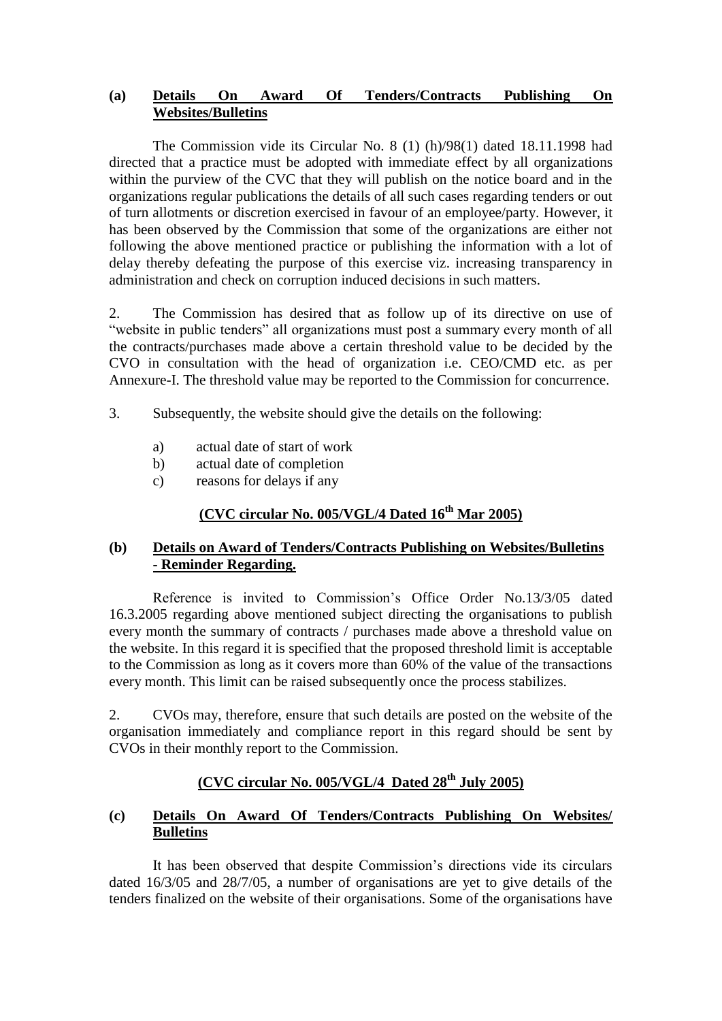### **(a) [Details On Award Of Tenders/Contracts Publishing On](../../../../Documents%20and%20Settings/user/Desktop/draftvigmanual%2003-10-09/l.doc)  [Websites/Bulletins](../../../../Documents%20and%20Settings/user/Desktop/draftvigmanual%2003-10-09/l.doc)**

The Commission vide its Circular No. 8 (1) (h)/98(1) dated 18.11.1998 had directed that a practice must be adopted with immediate effect by all organizations within the purview of the CVC that they will publish on the notice board and in the organizations regular publications the details of all such cases regarding tenders or out of turn allotments or discretion exercised in favour of an employee/party. However, it has been observed by the Commission that some of the organizations are either not following the above mentioned practice or publishing the information with a lot of delay thereby defeating the purpose of this exercise viz. increasing transparency in administration and check on corruption induced decisions in such matters.

2. The Commission has desired that as follow up of its directive on use of "website in public tenders" all organizations must post a summary every month of all the contracts/purchases made above a certain threshold value to be decided by the CVO in consultation with the head of organization i.e. CEO/CMD etc. as per Annexure-I. The threshold value may be reported to the Commission for concurrence.

- 3. Subsequently, the website should give the details on the following:
	- a) actual date of start of work
	- b) actual date of completion
	- c) reasons for delays if any

# **(CVC circular No. 005/VGL/4 Dated 16th Mar 2005)**

## **(b) Details on Award of Tenders/Contracts Publishing on Websites/Bulletins - Reminder Regarding.**

Reference is invited to Commission's Office Order No.13/3/05 dated 16.3.2005 regarding above mentioned subject directing the organisations to publish every month the summary of contracts / purchases made above a threshold value on the website. In this regard it is specified that the proposed threshold limit is acceptable to the Commission as long as it covers more than 60% of the value of the transactions every month. This limit can be raised subsequently once the process stabilizes.

2. CVOs may, therefore, ensure that such details are posted on the website of the organisation immediately and compliance report in this regard should be sent by CVOs in their monthly report to the Commission.

# **(CVC circular No. 005/VGL/4 Dated 28th July 2005)**

## **(c) Details On Award Of Tenders/Contracts Publishing On Websites/ Bulletins**

It has been observed that despite Commission's directions vide its circulars dated 16/3/05 and 28/7/05, a number of organisations are yet to give details of the tenders finalized on the website of their organisations. Some of the organisations have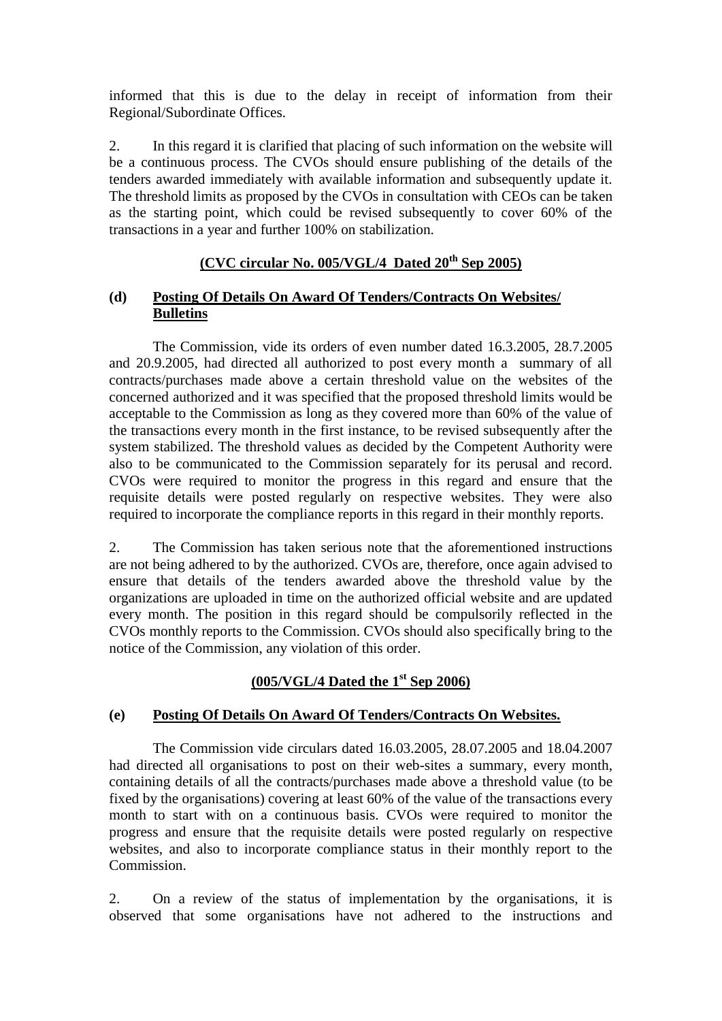informed that this is due to the delay in receipt of information from their Regional/Subordinate Offices.

2. In this regard it is clarified that placing of such information on the website will be a continuous process. The CVOs should ensure publishing of the details of the tenders awarded immediately with available information and subsequently update it. The threshold limits as proposed by the CVOs in consultation with CEOs can be taken as the starting point, which could be revised subsequently to cover 60% of the transactions in a year and further 100% on stabilization.

# **(CVC circular No. 005/VGL/4 Dated 20th Sep 2005)**

## **(d) Posting Of Details On Award Of Tenders/Contracts On Websites/ Bulletins**

The Commission, vide its orders of even number dated 16.3.2005, 28.7.2005 and 20.9.2005, had directed all authorized to post every month a summary of all contracts/purchases made above a certain threshold value on the websites of the concerned authorized and it was specified that the proposed threshold limits would be acceptable to the Commission as long as they covered more than 60% of the value of the transactions every month in the first instance, to be revised subsequently after the system stabilized. The threshold values as decided by the Competent Authority were also to be communicated to the Commission separately for its perusal and record. CVOs were required to monitor the progress in this regard and ensure that the requisite details were posted regularly on respective websites. They were also required to incorporate the compliance reports in this regard in their monthly reports.

2. The Commission has taken serious note that the aforementioned instructions are not being adhered to by the authorized. CVOs are, therefore, once again advised to ensure that details of the tenders awarded above the threshold value by the organizations are uploaded in time on the authorized official website and are updated every month. The position in this regard should be compulsorily reflected in the CVOs monthly reports to the Commission. CVOs should also specifically bring to the notice of the Commission, any violation of this order.

## **(005/VGL/4 Dated the 1st Sep 2006)**

## **(e) Posting Of Details On Award Of Tenders/Contracts On Websites.**

The Commission vide circulars dated 16.03.2005, 28.07.2005 and 18.04.2007 had directed all organisations to post on their web-sites a summary, every month, containing details of all the contracts/purchases made above a threshold value (to be fixed by the organisations) covering at least 60% of the value of the transactions every month to start with on a continuous basis. CVOs were required to monitor the progress and ensure that the requisite details were posted regularly on respective websites, and also to incorporate compliance status in their monthly report to the Commission.

2. On a review of the status of implementation by the organisations, it is observed that some organisations have not adhered to the instructions and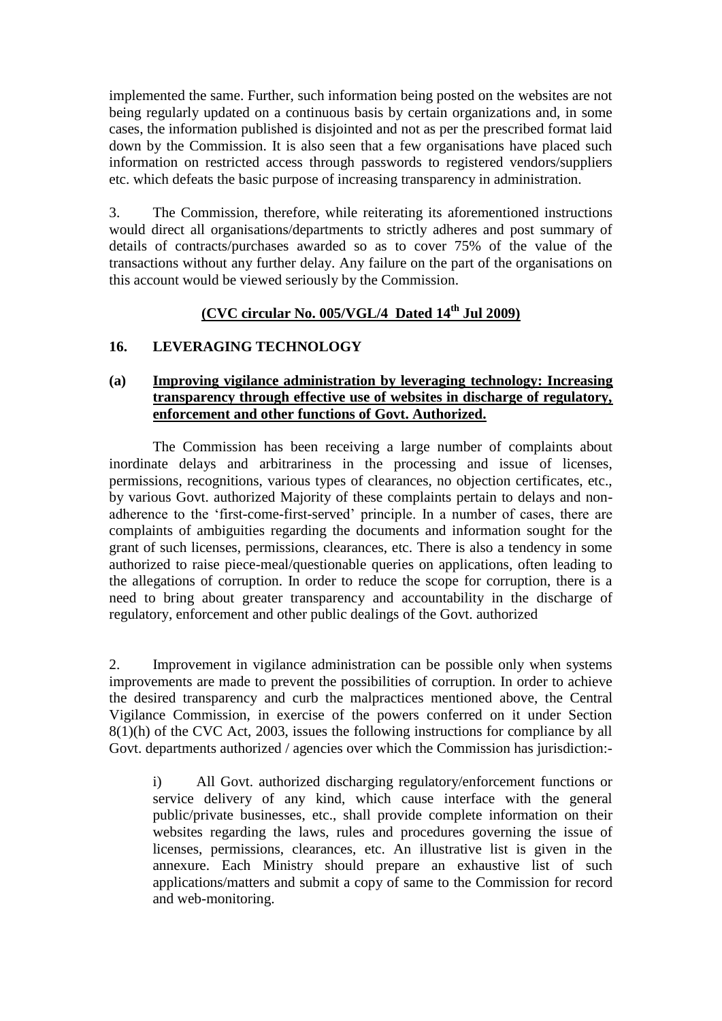implemented the same. Further, such information being posted on the websites are not being regularly updated on a continuous basis by certain organizations and, in some cases, the information published is disjointed and not as per the prescribed format laid down by the Commission. It is also seen that a few organisations have placed such information on restricted access through passwords to registered vendors/suppliers etc. which defeats the basic purpose of increasing transparency in administration.

3. The Commission, therefore, while reiterating its aforementioned instructions would direct all organisations/departments to strictly adheres and post summary of details of contracts/purchases awarded so as to cover 75% of the value of the transactions without any further delay. Any failure on the part of the organisations on this account would be viewed seriously by the Commission.

# **(CVC circular No. 005/VGL/4 Dated 14th Jul 2009)**

### **16. LEVERAGING TECHNOLOGY**

### **(a) Improving vigilance administration by leveraging technology: Increasing transparency through effective use of websites in discharge of regulatory, enforcement and other functions of Govt. Authorized.**

The Commission has been receiving a large number of complaints about inordinate delays and arbitrariness in the processing and issue of licenses, permissions, recognitions, various types of clearances, no objection certificates, etc., by various Govt. authorized Majority of these complaints pertain to delays and nonadherence to the "first-come-first-served" principle. In a number of cases, there are complaints of ambiguities regarding the documents and information sought for the grant of such licenses, permissions, clearances, etc. There is also a tendency in some authorized to raise piece-meal/questionable queries on applications, often leading to the allegations of corruption. In order to reduce the scope for corruption, there is a need to bring about greater transparency and accountability in the discharge of regulatory, enforcement and other public dealings of the Govt. authorized

2. Improvement in vigilance administration can be possible only when systems improvements are made to prevent the possibilities of corruption. In order to achieve the desired transparency and curb the malpractices mentioned above, the Central Vigilance Commission, in exercise of the powers conferred on it under Section 8(1)(h) of the CVC Act, 2003, issues the following instructions for compliance by all Govt. departments authorized / agencies over which the Commission has jurisdiction:-

i) All Govt. authorized discharging regulatory/enforcement functions or service delivery of any kind, which cause interface with the general public/private businesses, etc., shall provide complete information on their websites regarding the laws, rules and procedures governing the issue of licenses, permissions, clearances, etc. An illustrative list is given in the annexure. Each Ministry should prepare an exhaustive list of such applications/matters and submit a copy of same to the Commission for record and web-monitoring.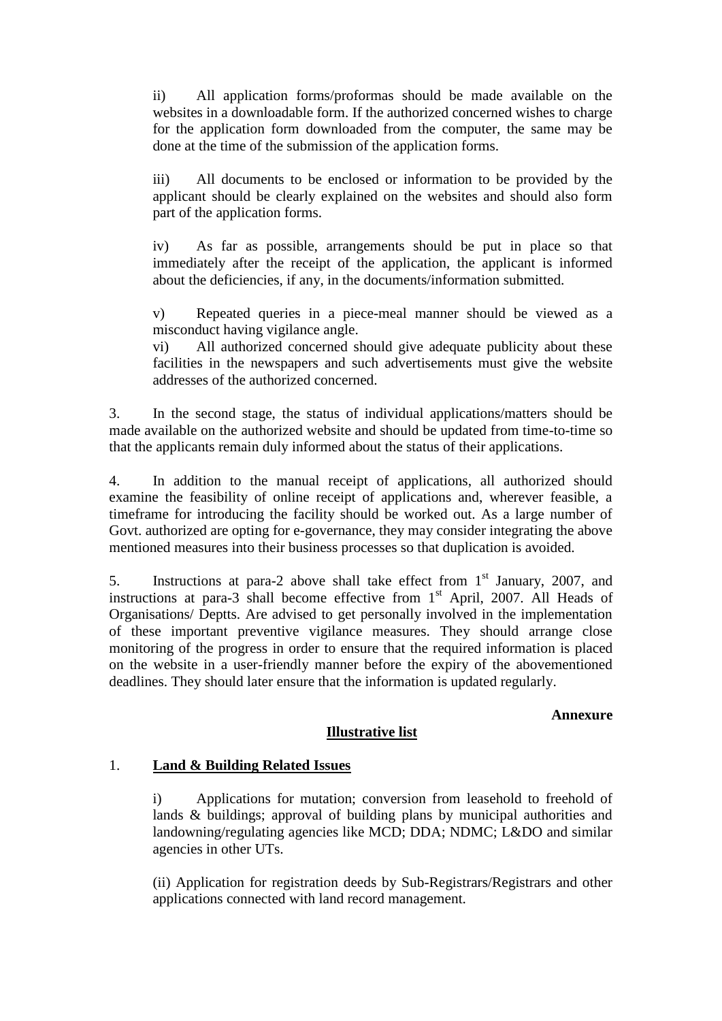ii) All application forms/proformas should be made available on the websites in a downloadable form. If the authorized concerned wishes to charge for the application form downloaded from the computer, the same may be done at the time of the submission of the application forms.

iii) All documents to be enclosed or information to be provided by the applicant should be clearly explained on the websites and should also form part of the application forms.

iv) As far as possible, arrangements should be put in place so that immediately after the receipt of the application, the applicant is informed about the deficiencies, if any, in the documents/information submitted.

v) Repeated queries in a piece-meal manner should be viewed as a misconduct having vigilance angle.

vi) All authorized concerned should give adequate publicity about these facilities in the newspapers and such advertisements must give the website addresses of the authorized concerned.

3. In the second stage, the status of individual applications/matters should be made available on the authorized website and should be updated from time-to-time so that the applicants remain duly informed about the status of their applications.

4. In addition to the manual receipt of applications, all authorized should examine the feasibility of online receipt of applications and, wherever feasible, a timeframe for introducing the facility should be worked out. As a large number of Govt. authorized are opting for e-governance, they may consider integrating the above mentioned measures into their business processes so that duplication is avoided.

5. Instructions at para-2 above shall take effect from  $1<sup>st</sup>$  January, 2007, and instructions at para-3 shall become effective from  $1<sup>st</sup>$  April, 2007. All Heads of Organisations/ Deptts. Are advised to get personally involved in the implementation of these important preventive vigilance measures. They should arrange close monitoring of the progress in order to ensure that the required information is placed on the website in a user-friendly manner before the expiry of the abovementioned deadlines. They should later ensure that the information is updated regularly.

### **Annexure**

## **Illustrative list**

## 1. **Land & Building Related Issues**

i) Applications for mutation; conversion from leasehold to freehold of lands & buildings; approval of building plans by municipal authorities and landowning/regulating agencies like MCD; DDA; NDMC; L&DO and similar agencies in other UTs.

(ii) Application for registration deeds by Sub-Registrars/Registrars and other applications connected with land record management.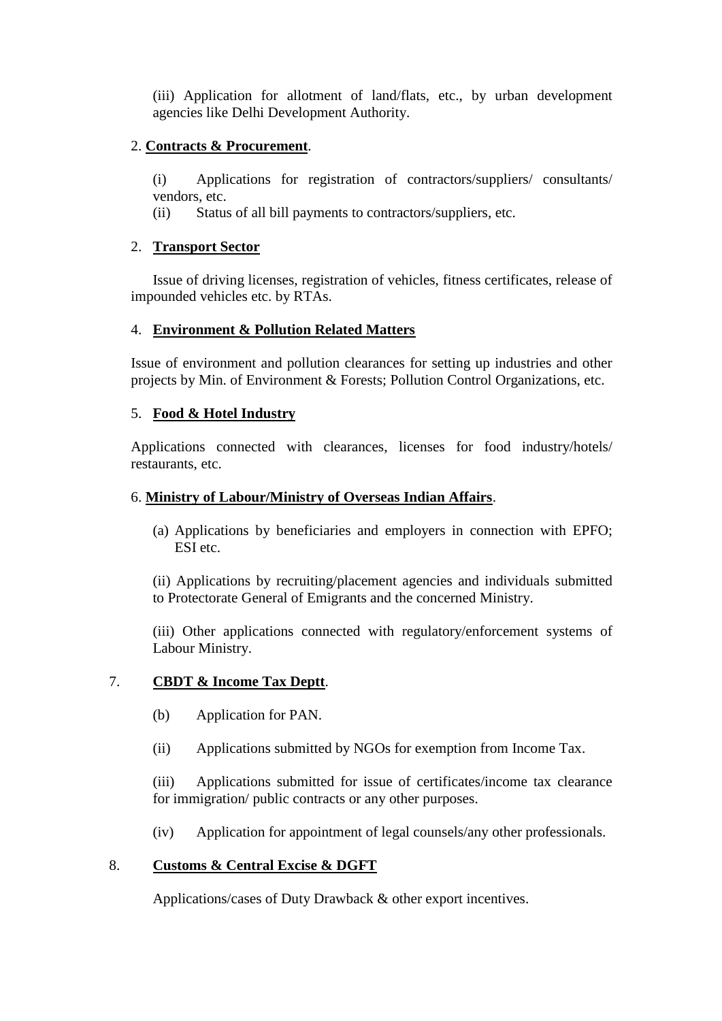(iii) Application for allotment of land/flats, etc., by urban development agencies like Delhi Development Authority.

## 2. **Contracts & Procurement**.

(i) Applications for registration of contractors/suppliers/ consultants/ vendors, etc.

(ii) Status of all bill payments to contractors/suppliers, etc.

# 2. **Transport Sector**

Issue of driving licenses, registration of vehicles, fitness certificates, release of impounded vehicles etc. by RTAs.

# 4. **Environment & Pollution Related Matters**

Issue of environment and pollution clearances for setting up industries and other projects by Min. of Environment & Forests; Pollution Control Organizations, etc.

# 5. **Food & Hotel Industry**

Applications connected with clearances, licenses for food industry/hotels/ restaurants, etc.

## 6. **Ministry of Labour/Ministry of Overseas Indian Affairs**.

(a) Applications by beneficiaries and employers in connection with EPFO; ESI etc.

(ii) Applications by recruiting/placement agencies and individuals submitted to Protectorate General of Emigrants and the concerned Ministry.

(iii) Other applications connected with regulatory/enforcement systems of Labour Ministry.

## 7. **CBDT & Income Tax Deptt**.

- (b) Application for PAN.
- (ii) Applications submitted by NGOs for exemption from Income Tax.

(iii) Applications submitted for issue of certificates/income tax clearance for immigration/ public contracts or any other purposes.

(iv) Application for appointment of legal counsels/any other professionals.

# 8. **Customs & Central Excise & DGFT**

Applications/cases of Duty Drawback & other export incentives.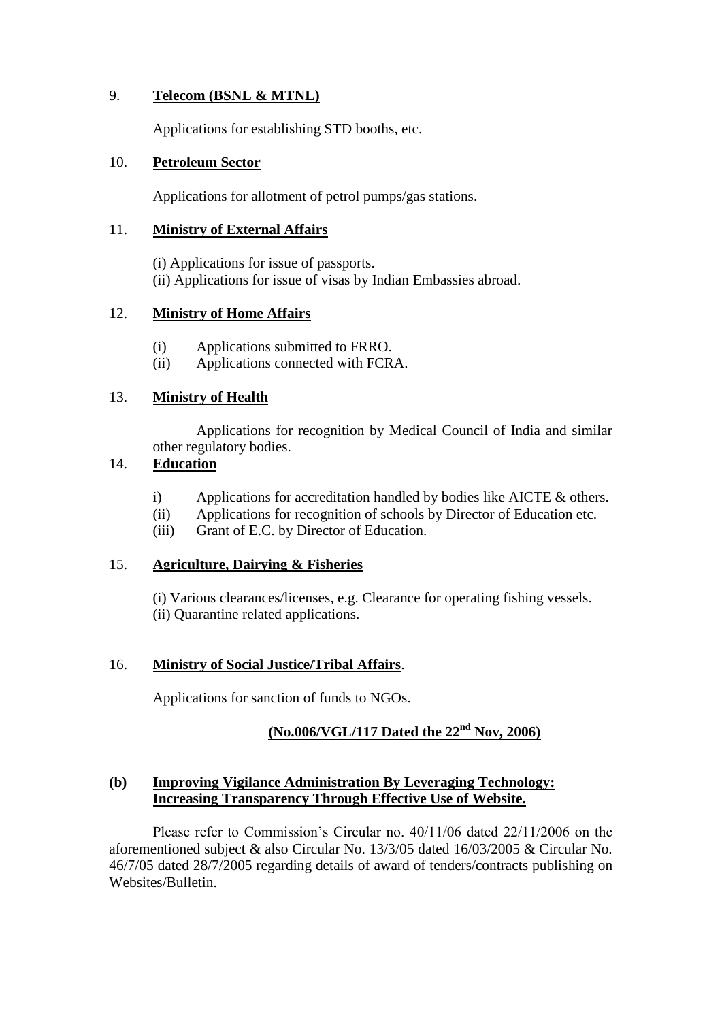## 9. **Telecom (BSNL & MTNL)**

Applications for establishing STD booths, etc.

### 10. **Petroleum Sector**

Applications for allotment of petrol pumps/gas stations.

### 11. **Ministry of External Affairs**

(i) Applications for issue of passports. (ii) Applications for issue of visas by Indian Embassies abroad.

### 12. **Ministry of Home Affairs**

- (i) Applications submitted to FRRO.
- (ii) Applications connected with FCRA.

## 13. **Ministry of Health**

Applications for recognition by Medical Council of India and similar other regulatory bodies.

# 14. **Education**

- i) Applications for accreditation handled by bodies like AICTE & others.
- (ii) Applications for recognition of schools by Director of Education etc.
- (iii) Grant of E.C. by Director of Education.

## 15. **Agriculture, Dairying & Fisheries**

(i) Various clearances/licenses, e.g. Clearance for operating fishing vessels. (ii) Quarantine related applications.

## 16. **Ministry of Social Justice/Tribal Affairs**.

Applications for sanction of funds to NGOs.

# **(No.006/VGL/117 Dated the 22nd Nov, 2006)**

### **(b) Improving Vigilance Administration By Leveraging Technology: Increasing Transparency Through Effective Use of Website.**

Please refer to Commission's Circular no.  $40/11/06$  dated 22/11/2006 on the aforementioned subject & also Circular No. 13/3/05 dated 16/03/2005 & Circular No. 46/7/05 dated 28/7/2005 regarding details of award of tenders/contracts publishing on Websites/Bulletin.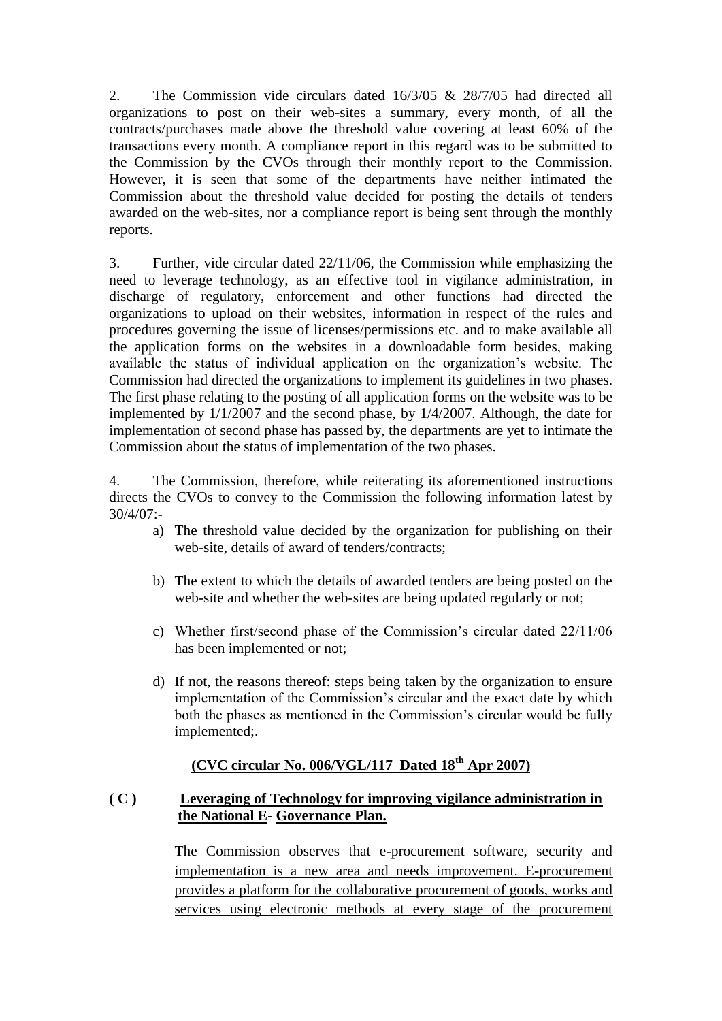2. The Commission vide circulars dated 16/3/05 & 28/7/05 had directed all organizations to post on their web-sites a summary, every month, of all the contracts/purchases made above the threshold value covering at least 60% of the transactions every month. A compliance report in this regard was to be submitted to the Commission by the CVOs through their monthly report to the Commission. However, it is seen that some of the departments have neither intimated the Commission about the threshold value decided for posting the details of tenders awarded on the web-sites, nor a compliance report is being sent through the monthly reports.

3. Further, vide circular dated 22/11/06, the Commission while emphasizing the need to leverage technology, as an effective tool in vigilance administration, in discharge of regulatory, enforcement and other functions had directed the organizations to upload on their websites, information in respect of the rules and procedures governing the issue of licenses/permissions etc. and to make available all the application forms on the websites in a downloadable form besides, making available the status of individual application on the organization"s website. The Commission had directed the organizations to implement its guidelines in two phases. The first phase relating to the posting of all application forms on the website was to be implemented by 1/1/2007 and the second phase, by 1/4/2007. Although, the date for implementation of second phase has passed by, the departments are yet to intimate the Commission about the status of implementation of the two phases.

4. The Commission, therefore, while reiterating its aforementioned instructions directs the CVOs to convey to the Commission the following information latest by 30/4/07:-

- a) The threshold value decided by the organization for publishing on their web-site, details of award of tenders/contracts;
- b) The extent to which the details of awarded tenders are being posted on the web-site and whether the web-sites are being updated regularly or not;
- c) Whether first/second phase of the Commission"s circular dated 22/11/06 has been implemented or not;
- d) If not, the reasons thereof: steps being taken by the organization to ensure implementation of the Commission"s circular and the exact date by which both the phases as mentioned in the Commission's circular would be fully implemented;.

# **(CVC circular No. 006/VGL/117 Dated 18th Apr 2007)**

## **( C ) Leveraging of Technology for improving vigilance administration in the National E- Governance Plan.**

The Commission observes that e-procurement software, security and implementation is a new area and needs improvement. E-procurement provides a platform for the collaborative procurement of goods, works and services using electronic methods at every stage of the procurement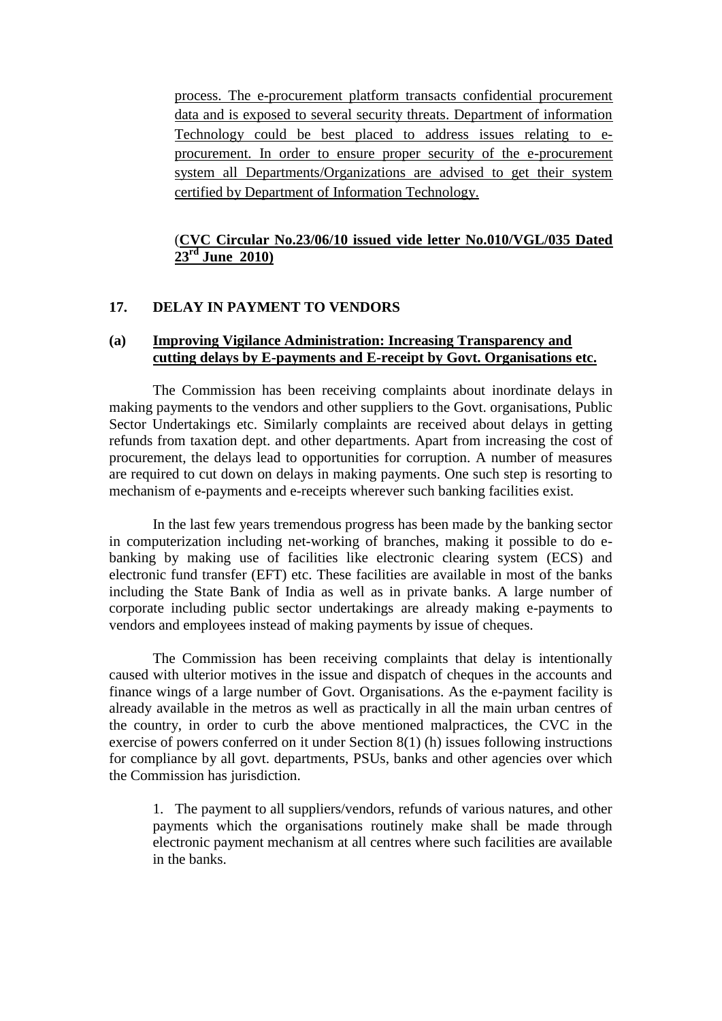process. The e-procurement platform transacts confidential procurement data and is exposed to several security threats. Department of information Technology could be best placed to address issues relating to eprocurement. In order to ensure proper security of the e-procurement system all Departments/Organizations are advised to get their system certified by Department of Information Technology.

## (**CVC Circular No.23/06/10 issued vide letter No.010/VGL/035 Dated 23 rd June 2010)**

### **17. DELAY IN PAYMENT TO VENDORS**

## **(a) Improving Vigilance Administration: Increasing Transparency and cutting delays by E-payments and E-receipt by Govt. Organisations etc.**

 The Commission has been receiving complaints about inordinate delays in making payments to the vendors and other suppliers to the Govt. organisations, Public Sector Undertakings etc. Similarly complaints are received about delays in getting refunds from taxation dept. and other departments. Apart from increasing the cost of procurement, the delays lead to opportunities for corruption. A number of measures are required to cut down on delays in making payments. One such step is resorting to mechanism of e-payments and e-receipts wherever such banking facilities exist.

 In the last few years tremendous progress has been made by the banking sector in computerization including net-working of branches, making it possible to do ebanking by making use of facilities like electronic clearing system (ECS) and electronic fund transfer (EFT) etc. These facilities are available in most of the banks including the State Bank of India as well as in private banks. A large number of corporate including public sector undertakings are already making e-payments to vendors and employees instead of making payments by issue of cheques.

 The Commission has been receiving complaints that delay is intentionally caused with ulterior motives in the issue and dispatch of cheques in the accounts and finance wings of a large number of Govt. Organisations. As the e-payment facility is already available in the metros as well as practically in all the main urban centres of the country, in order to curb the above mentioned malpractices, the CVC in the exercise of powers conferred on it under Section 8(1) (h) issues following instructions for compliance by all govt. departments, PSUs, banks and other agencies over which the Commission has jurisdiction.

1. The payment to all suppliers/vendors, refunds of various natures, and other payments which the organisations routinely make shall be made through electronic payment mechanism at all centres where such facilities are available in the banks.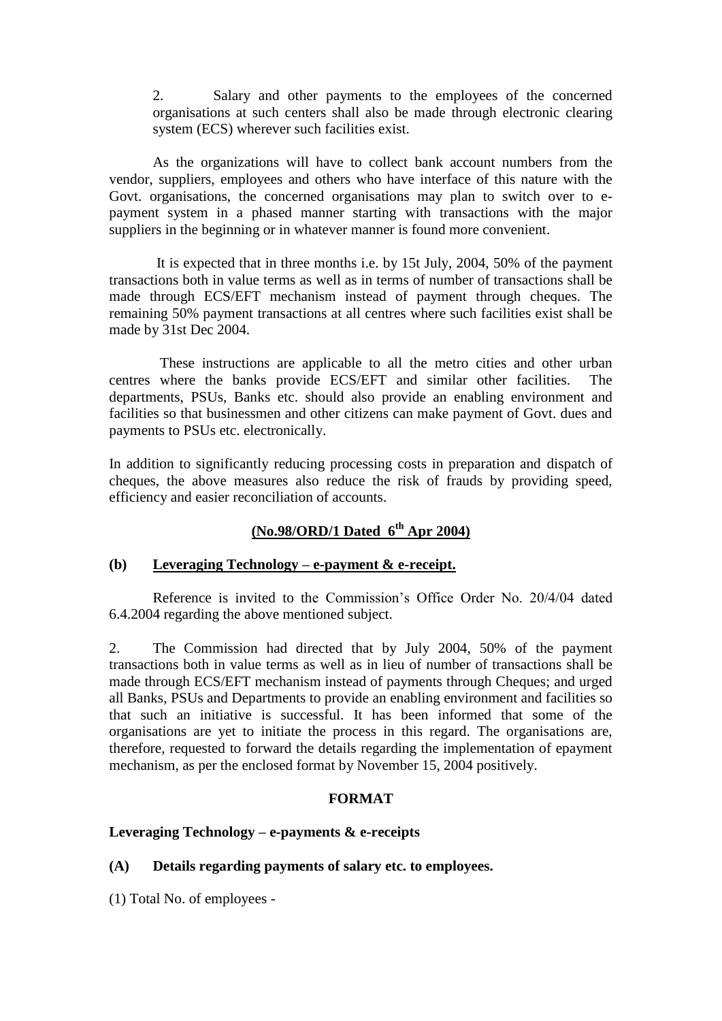2. Salary and other payments to the employees of the concerned organisations at such centers shall also be made through electronic clearing system (ECS) wherever such facilities exist.

As the organizations will have to collect bank account numbers from the vendor, suppliers, employees and others who have interface of this nature with the Govt. organisations, the concerned organisations may plan to switch over to epayment system in a phased manner starting with transactions with the major suppliers in the beginning or in whatever manner is found more convenient.

 It is expected that in three months i.e. by 15t July, 2004, 50% of the payment transactions both in value terms as well as in terms of number of transactions shall be made through ECS/EFT mechanism instead of payment through cheques. The remaining 50% payment transactions at all centres where such facilities exist shall be made by 31st Dec 2004.

 These instructions are applicable to all the metro cities and other urban centres where the banks provide ECS/EFT and similar other facilities. The departments, PSUs, Banks etc. should also provide an enabling environment and facilities so that businessmen and other citizens can make payment of Govt. dues and payments to PSUs etc. electronically.

In addition to significantly reducing processing costs in preparation and dispatch of cheques, the above measures also reduce the risk of frauds by providing speed, efficiency and easier reconciliation of accounts.

# **(No.98/ORD/1 Dated 6th Apr 2004)**

#### **(b) Leveraging Technology – e-payment & e-receipt.**

Reference is invited to the Commission"s Office Order No. 20/4/04 dated 6.4.2004 regarding the above mentioned subject.

2. The Commission had directed that by July 2004, 50% of the payment transactions both in value terms as well as in lieu of number of transactions shall be made through ECS/EFT mechanism instead of payments through Cheques; and urged all Banks, PSUs and Departments to provide an enabling environment and facilities so that such an initiative is successful. It has been informed that some of the organisations are yet to initiate the process in this regard. The organisations are, therefore, requested to forward the details regarding the implementation of epayment mechanism, as per the enclosed format by November 15, 2004 positively.

#### **FORMAT**

### **Leveraging Technology – e-payments & e-receipts**

**(A) Details regarding payments of salary etc. to employees.**

(1) Total No. of employees -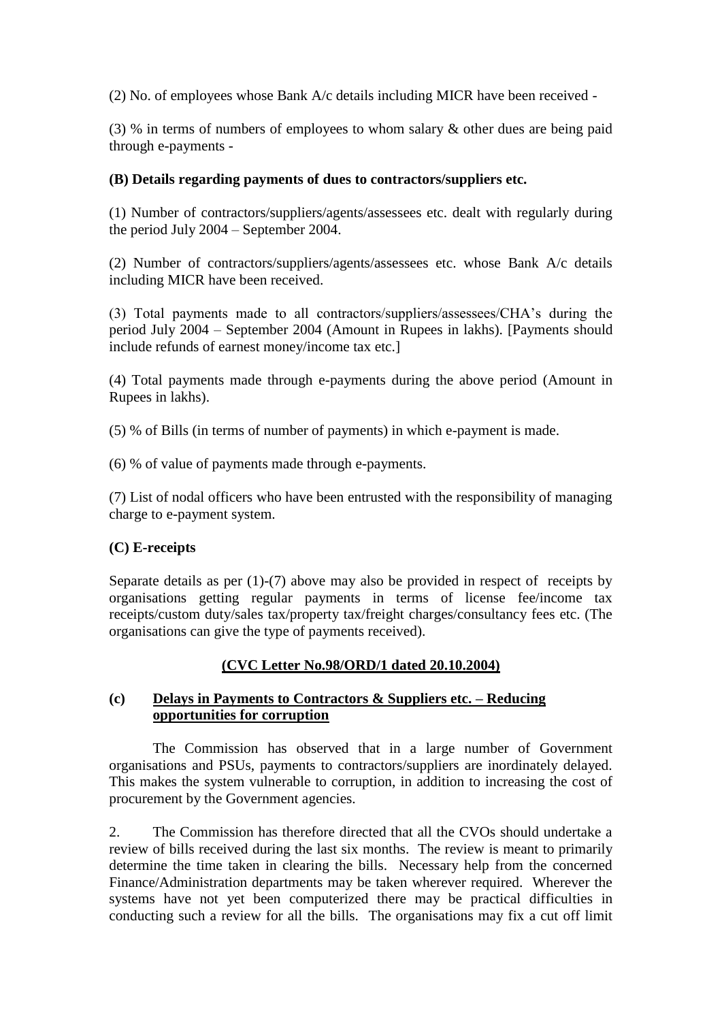(2) No. of employees whose Bank A/c details including MICR have been received -

(3) % in terms of numbers of employees to whom salary & other dues are being paid through e-payments -

# **(B) Details regarding payments of dues to contractors/suppliers etc.**

(1) Number of contractors/suppliers/agents/assessees etc. dealt with regularly during the period July 2004 – September 2004.

(2) Number of contractors/suppliers/agents/assessees etc. whose Bank A/c details including MICR have been received.

(3) Total payments made to all contractors/suppliers/assessees/CHA"s during the period July 2004 – September 2004 (Amount in Rupees in lakhs). [Payments should include refunds of earnest money/income tax etc.]

(4) Total payments made through e-payments during the above period (Amount in Rupees in lakhs).

(5) % of Bills (in terms of number of payments) in which e-payment is made.

(6) % of value of payments made through e-payments.

(7) List of nodal officers who have been entrusted with the responsibility of managing charge to e-payment system.

# **(C) E-receipts**

Separate details as per (1)-(7) above may also be provided in respect of receipts by organisations getting regular payments in terms of license fee/income tax receipts/custom duty/sales tax/property tax/freight charges/consultancy fees etc. (The organisations can give the type of payments received).

# **(CVC Letter No.98/ORD/1 dated 20.10.2004)**

### **(c) Delays in Payments to Contractors & Suppliers etc. – Reducing opportunities for corruption**

The Commission has observed that in a large number of Government organisations and PSUs, payments to contractors/suppliers are inordinately delayed. This makes the system vulnerable to corruption, in addition to increasing the cost of procurement by the Government agencies.

2. The Commission has therefore directed that all the CVOs should undertake a review of bills received during the last six months. The review is meant to primarily determine the time taken in clearing the bills. Necessary help from the concerned Finance/Administration departments may be taken wherever required. Wherever the systems have not yet been computerized there may be practical difficulties in conducting such a review for all the bills. The organisations may fix a cut off limit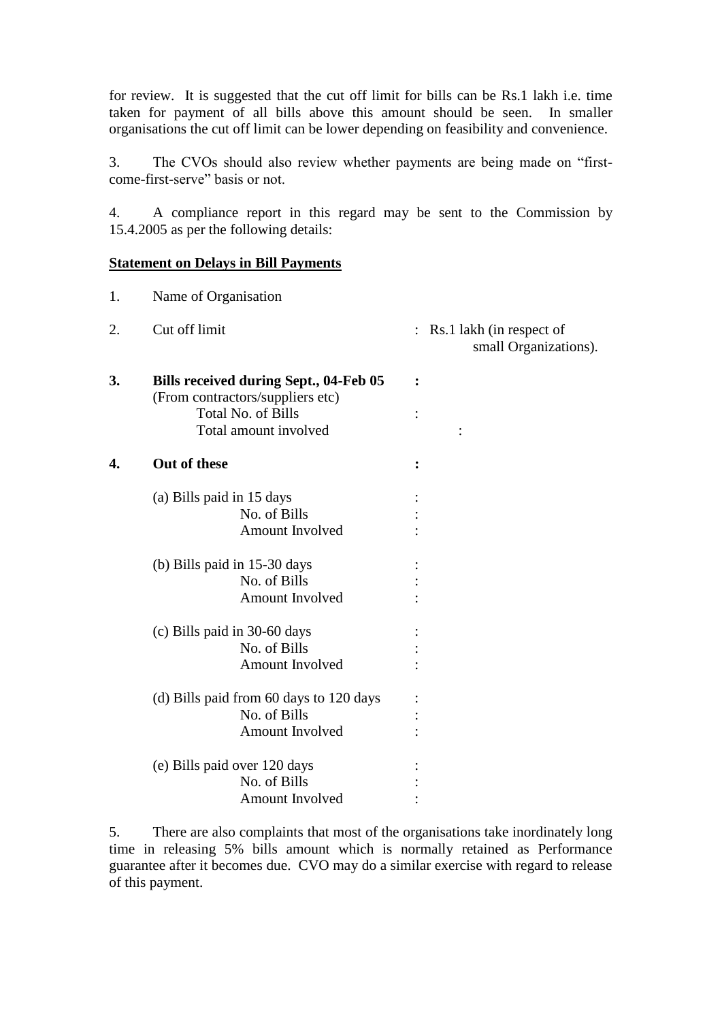for review. It is suggested that the cut off limit for bills can be Rs.1 lakh i.e. time taken for payment of all bills above this amount should be seen. In smaller organisations the cut off limit can be lower depending on feasibility and convenience.

3. The CVOs should also review whether payments are being made on "firstcome-first-serve" basis or not.

4. A compliance report in this regard may be sent to the Commission by 15.4.2005 as per the following details:

#### **Statement on Delays in Bill Payments**

| 1. | Name of Organisation                                                       |                                                                     |
|----|----------------------------------------------------------------------------|---------------------------------------------------------------------|
| 2. | Cut off limit                                                              | Rs.1 lakh (in respect of<br>$\ddot{\cdot}$<br>small Organizations). |
| 3. | Bills received during Sept., 04-Feb 05<br>(From contractors/suppliers etc) | $\ddot{\cdot}$                                                      |
|    | <b>Total No. of Bills</b>                                                  |                                                                     |
|    | Total amount involved                                                      |                                                                     |
| 4. | Out of these                                                               |                                                                     |
|    | (a) Bills paid in 15 days                                                  |                                                                     |
|    | No. of Bills                                                               |                                                                     |
|    | <b>Amount Involved</b>                                                     |                                                                     |
|    | (b) Bills paid in 15-30 days                                               |                                                                     |
|    | No. of Bills                                                               |                                                                     |
|    | Amount Involved                                                            |                                                                     |
|    | (c) Bills paid in 30-60 days                                               |                                                                     |
|    | No. of Bills                                                               |                                                                     |
|    | Amount Involved                                                            |                                                                     |
|    | (d) Bills paid from 60 days to 120 days                                    |                                                                     |
|    | No. of Bills                                                               |                                                                     |
|    | Amount Involved                                                            |                                                                     |
|    | (e) Bills paid over 120 days                                               |                                                                     |
|    | No. of Bills                                                               |                                                                     |
|    | <b>Amount Involved</b>                                                     |                                                                     |

5. There are also complaints that most of the organisations take inordinately long time in releasing 5% bills amount which is normally retained as Performance guarantee after it becomes due. CVO may do a similar exercise with regard to release of this payment.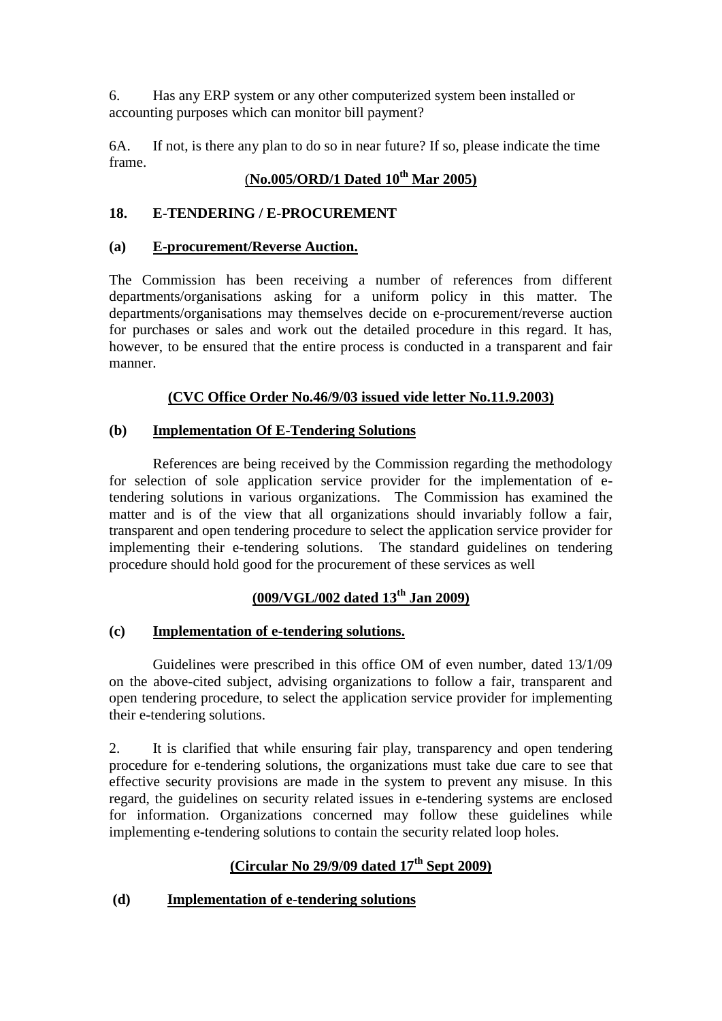6. Has any ERP system or any other computerized system been installed or accounting purposes which can monitor bill payment?

6A. If not, is there any plan to do so in near future? If so, please indicate the time frame.

# (**No.005/ORD/1 Dated 10th Mar 2005)**

# **18. E-TENDERING / E-PROCUREMENT**

### **(a) E-procurement/Reverse Auction.**

The Commission has been receiving a number of references from different departments/organisations asking for a uniform policy in this matter. The departments/organisations may themselves decide on e-procurement/reverse auction for purchases or sales and work out the detailed procedure in this regard. It has, however, to be ensured that the entire process is conducted in a transparent and fair manner.

### **(CVC Office Order No.46/9/03 issued vide letter No.11.9.2003)**

### **(b) Implementation Of E-Tendering Solutions**

References are being received by the Commission regarding the methodology for selection of sole application service provider for the implementation of etendering solutions in various organizations. The Commission has examined the matter and is of the view that all organizations should invariably follow a fair, transparent and open tendering procedure to select the application service provider for implementing their e-tendering solutions. The standard guidelines on tendering procedure should hold good for the procurement of these services as well

# **(009/VGL/002 dated 13th Jan 2009)**

### **(c) Implementation of e-tendering solutions.**

Guidelines were prescribed in this office OM of even number, dated 13/1/09 on the above-cited subject, advising organizations to follow a fair, transparent and open tendering procedure, to select the application service provider for implementing their e-tendering solutions.

2. It is clarified that while ensuring fair play, transparency and open tendering procedure for e-tendering solutions, the organizations must take due care to see that effective security provisions are made in the system to prevent any misuse. In this regard, the guidelines on security related issues in e-tendering systems are enclosed for information. Organizations concerned may follow these guidelines while implementing e-tendering solutions to contain the security related loop holes.

# **(Circular No 29/9/09 dated 17th Sept 2009)**

# **(d) Implementation of e-tendering solutions**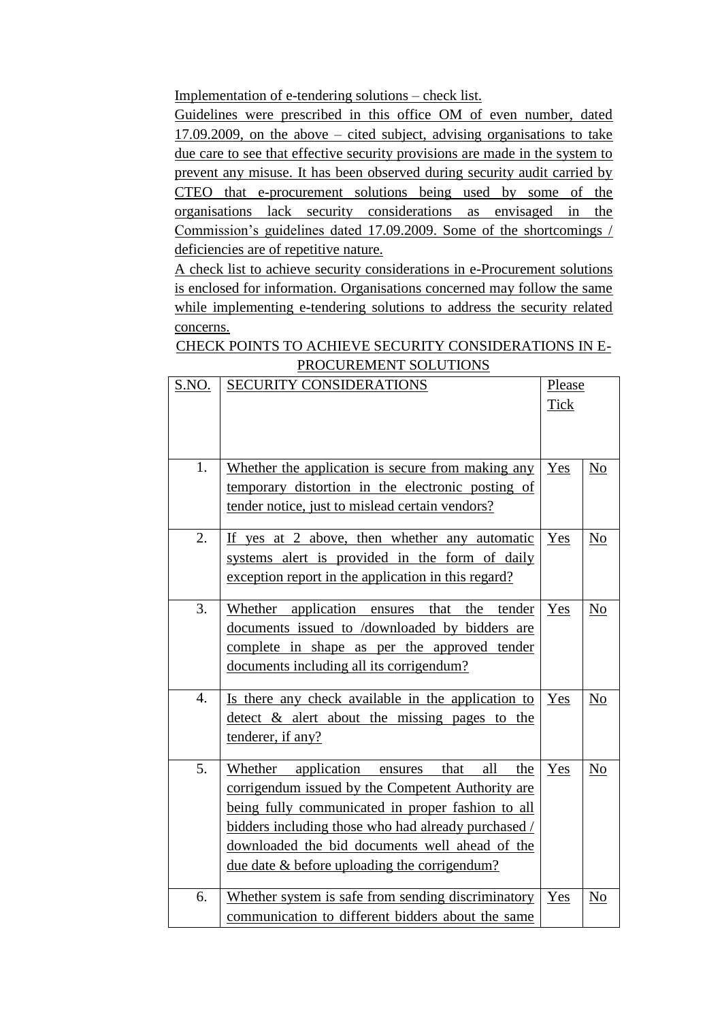Implementation of e-tendering solutions – check list.

Guidelines were prescribed in this office OM of even number, dated 17.09.2009, on the above – cited subject, advising organisations to take due care to see that effective security provisions are made in the system to prevent any misuse. It has been observed during security audit carried by CTEO that e-procurement solutions being used by some of the organisations lack security considerations as envisaged in the Commission"s guidelines dated 17.09.2009. Some of the shortcomings / deficiencies are of repetitive nature.

A check list to achieve security considerations in e-Procurement solutions is enclosed for information. Organisations concerned may follow the same while implementing e-tendering solutions to address the security related concerns.

| <b>CHECK POINTS TO ACHIEVE SECURITY CONSIDERATIONS IN E-</b> |  |
|--------------------------------------------------------------|--|
| PROCUREMENT SOLUTIONS                                        |  |

| S.NO.            | <b>SECURITY CONSIDERATIONS</b><br>Please<br><b>Tick</b>                                                                                                                                                                                                                                                                         |     |                  |
|------------------|---------------------------------------------------------------------------------------------------------------------------------------------------------------------------------------------------------------------------------------------------------------------------------------------------------------------------------|-----|------------------|
|                  |                                                                                                                                                                                                                                                                                                                                 |     |                  |
| 1.               | Whether the application is secure from making any<br>temporary distortion in the electronic posting of<br>tender notice, just to mislead certain vendors?                                                                                                                                                                       | Yes | No               |
| 2.               | If yes at 2 above, then whether any automatic<br>systems alert is provided in the form of daily<br>exception report in the application in this regard?                                                                                                                                                                          | Yes | $\underline{No}$ |
| 3.               | Whether application ensures that the<br>tender<br>documents issued to /downloaded by bidders are<br>complete in shape as per the approved tender<br>documents including all its corrigendum?                                                                                                                                    | Yes | No               |
| $\overline{4}$ . | Is there any check available in the application to<br>detect & alert about the missing pages to the<br>tenderer, if any?                                                                                                                                                                                                        | Yes | N <sub>o</sub>   |
| 5.               | Whether application ensures<br>all<br>that<br>the<br>corrigendum issued by the Competent Authority are<br>being fully communicated in proper fashion to all<br>bidders including those who had already purchased /<br>downloaded the bid documents well ahead of the<br><u>due date &amp; before uploading the corrigendum?</u> | Yes | N <sub>o</sub>   |
| 6.               | Whether system is safe from sending discriminatory<br>communication to different bidders about the same                                                                                                                                                                                                                         | Yes | No               |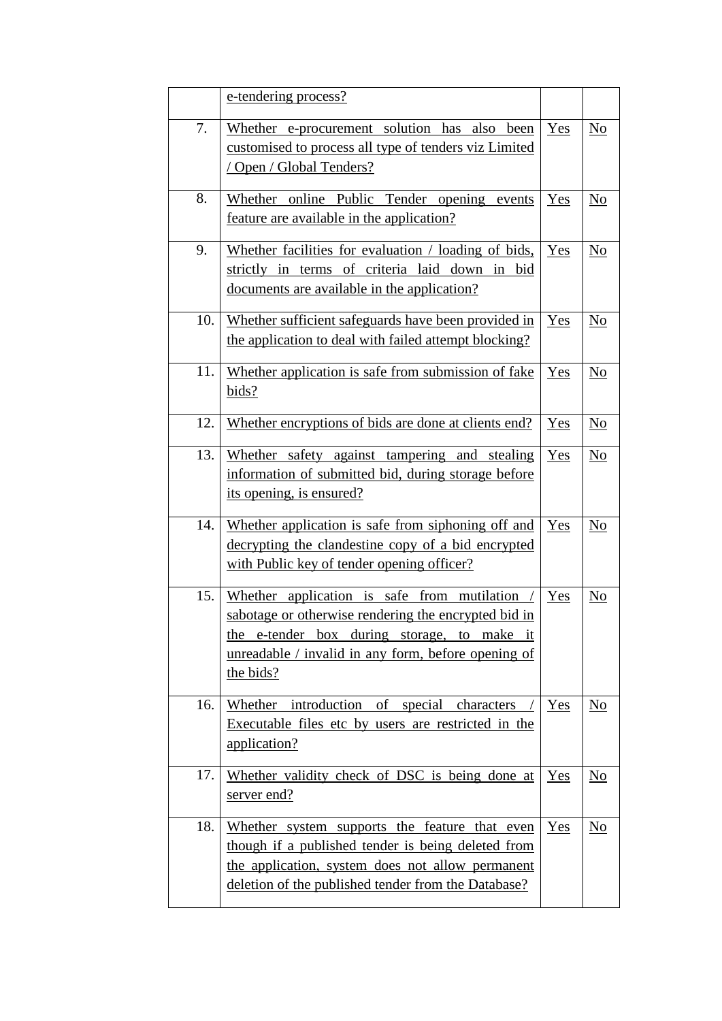|     | e-tendering process?                                                                                                                                                                                                         |       |                           |
|-----|------------------------------------------------------------------------------------------------------------------------------------------------------------------------------------------------------------------------------|-------|---------------------------|
| 7.  | Whether e-procurement solution has also been<br>customised to process all type of tenders viz Limited<br>/ Open / Global Tenders?                                                                                            | Yes   | $\underline{No}$          |
| 8.  | Whether online Public Tender opening events<br>feature are available in the application?                                                                                                                                     | Yes   | No                        |
| 9.  | Whether facilities for evaluation / loading of bids,<br>strictly in terms of criteria laid down in<br>bid<br>documents are available in the application?                                                                     | Yes   | $\underline{\mathrm{No}}$ |
| 10. | Whether sufficient safeguards have been provided in<br>the application to deal with failed attempt blocking?                                                                                                                 | Yes   | $\underline{\mathrm{No}}$ |
| 11. | Whether application is safe from submission of fake<br>bids?                                                                                                                                                                 | Yes   | $\underline{\mathrm{No}}$ |
| 12. | Whether encryptions of bids are done at clients end?                                                                                                                                                                         | Yes   | $\underline{\mathrm{No}}$ |
| 13. | Whether safety against tampering and stealing<br>information of submitted bid, during storage before<br>its opening, is ensured?                                                                                             | Yes   | N <sub>0</sub>            |
| 14. | Whether application is safe from siphoning off and<br>decrypting the clandestine copy of a bid encrypted<br>with Public key of tender opening officer?                                                                       | Yes   | No                        |
| 15. | Whether application is safe from<br>mutilation<br>sabotage or otherwise rendering the encrypted bid in<br>e-tender box during storage, to make it<br>the<br>unreadable / invalid in any form, before opening of<br>the bids? | Yes   | No                        |
| 16. | Whether introduction of special characters<br>Executable files etc by users are restricted in the<br>application?                                                                                                            | Yes   | No                        |
| 17. | Whether validity check of DSC is being done at<br>server end?                                                                                                                                                                | $Yes$ | $\underline{No}$          |
| 18. | Whether system supports the feature that even<br>though if a published tender is being deleted from<br>the application, system does not allow permanent<br>deletion of the published tender from the Database?               | Yes   | N <sub>0</sub>            |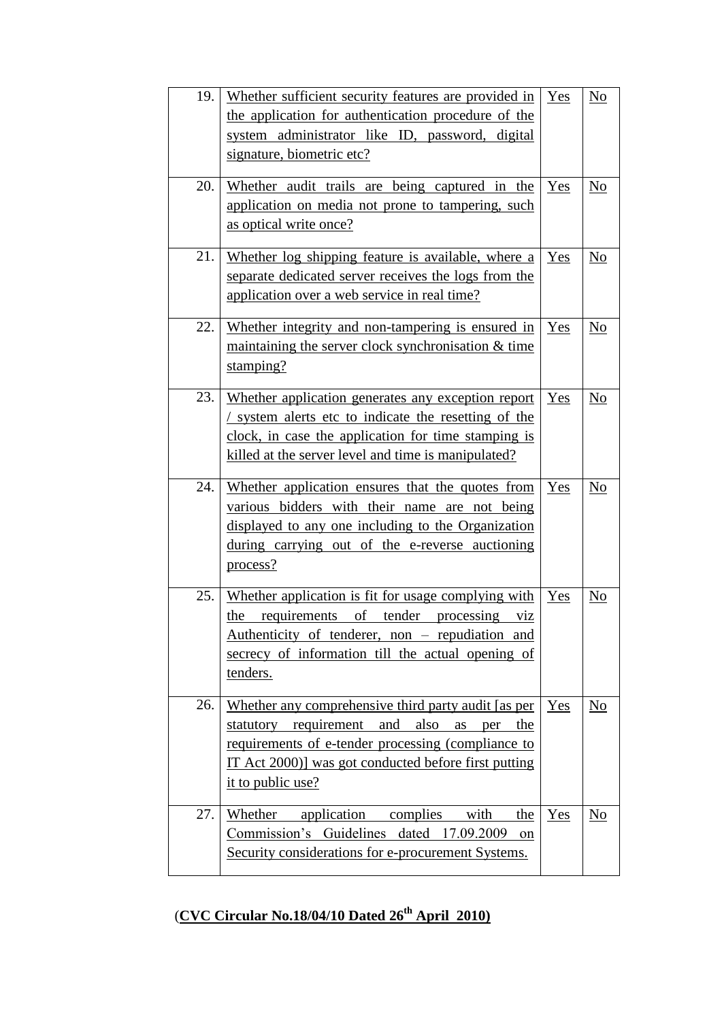| 19.<br>20. | Whether sufficient security features are provided in<br>the application for authentication procedure of the<br>system administrator like ID, password, digital<br>signature, biometric etc?<br>Whether audit trails are being captured in the | Yes<br>Yes | No<br>No               |
|------------|-----------------------------------------------------------------------------------------------------------------------------------------------------------------------------------------------------------------------------------------------|------------|------------------------|
|            | application on media not prone to tampering, such<br>as optical write once?                                                                                                                                                                   |            |                        |
| 21.        | Whether log shipping feature is available, where a<br>separate dedicated server receives the logs from the<br>application over a web service in real time?                                                                                    | Yes        | No                     |
| 22.        | Whether integrity and non-tampering is ensured in<br>maintaining the server clock synchronisation & time<br>stamping?                                                                                                                         | $Yes$      | $\overline{\text{No}}$ |
| 23.        | Whether application generates any exception report<br>/ system alerts etc to indicate the resetting of the<br>clock, in case the application for time stamping is<br>killed at the server level and time is manipulated?                      | Yes        | No                     |
| 24.        | Whether application ensures that the quotes from<br>various bidders with their name are not being<br>displayed to any one including to the Organization<br>during carrying out of the e-reverse auctioning<br>process?                        | Yes        | No                     |
| 25.        | Whether application is fit for usage complying with<br>the requirements of tender processing viz<br>Authenticity of tenderer, non – repudiation and<br>secrecy of information till the actual opening of<br>tenders.                          | Yes        | No                     |
| 26.        | Whether any comprehensive third party audit [as per<br>statutory requirement and also<br>as<br>per<br>the<br>requirements of e-tender processing (compliance to<br>IT Act 2000)] was got conducted before first putting<br>it to public use?  | $Yes$      | $\underline{No}$       |
| 27.        | Whether<br>application<br>complies<br>with<br>the<br>Commission's Guidelines dated 17.09.2009<br>on<br>Security considerations for e-procurement Systems.                                                                                     | Yes        | N <sub>0</sub>         |

# (**CVC Circular No.18/04/10 Dated 26th April 2010)**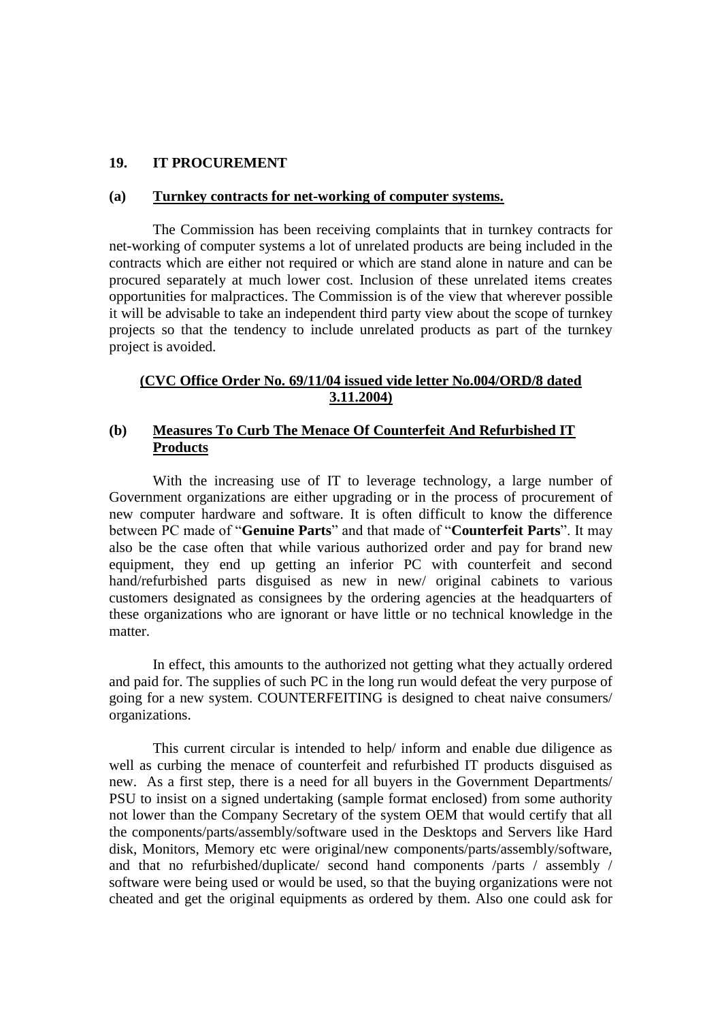#### **19. IT PROCUREMENT**

#### **(a) Turnkey contracts for net-working of computer systems.**

The Commission has been receiving complaints that in turnkey contracts for net-working of computer systems a lot of unrelated products are being included in the contracts which are either not required or which are stand alone in nature and can be procured separately at much lower cost. Inclusion of these unrelated items creates opportunities for malpractices. The Commission is of the view that wherever possible it will be advisable to take an independent third party view about the scope of turnkey projects so that the tendency to include unrelated products as part of the turnkey project is avoided.

#### **(CVC Office Order No. 69/11/04 issued vide letter No.004/ORD/8 dated 3.11.2004)**

#### **(b) Measures To Curb The Menace Of Counterfeit And Refurbished IT Products**

With the increasing use of IT to leverage technology, a large number of Government organizations are either upgrading or in the process of procurement of new computer hardware and software. It is often difficult to know the difference between PC made of "**Genuine Parts**" and that made of "**Counterfeit Parts**". It may also be the case often that while various authorized order and pay for brand new equipment, they end up getting an inferior PC with counterfeit and second hand/refurbished parts disguised as new in new/ original cabinets to various customers designated as consignees by the ordering agencies at the headquarters of these organizations who are ignorant or have little or no technical knowledge in the matter.

In effect, this amounts to the authorized not getting what they actually ordered and paid for. The supplies of such PC in the long run would defeat the very purpose of going for a new system. COUNTERFEITING is designed to cheat naive consumers/ organizations.

This current circular is intended to help/ inform and enable due diligence as well as curbing the menace of counterfeit and refurbished IT products disguised as new. As a first step, there is a need for all buyers in the Government Departments/ PSU to insist on a signed undertaking (sample format enclosed) from some authority not lower than the Company Secretary of the system OEM that would certify that all the components/parts/assembly/software used in the Desktops and Servers like Hard disk, Monitors, Memory etc were original/new components/parts/assembly/software, and that no refurbished/duplicate/ second hand components /parts / assembly / software were being used or would be used, so that the buying organizations were not cheated and get the original equipments as ordered by them. Also one could ask for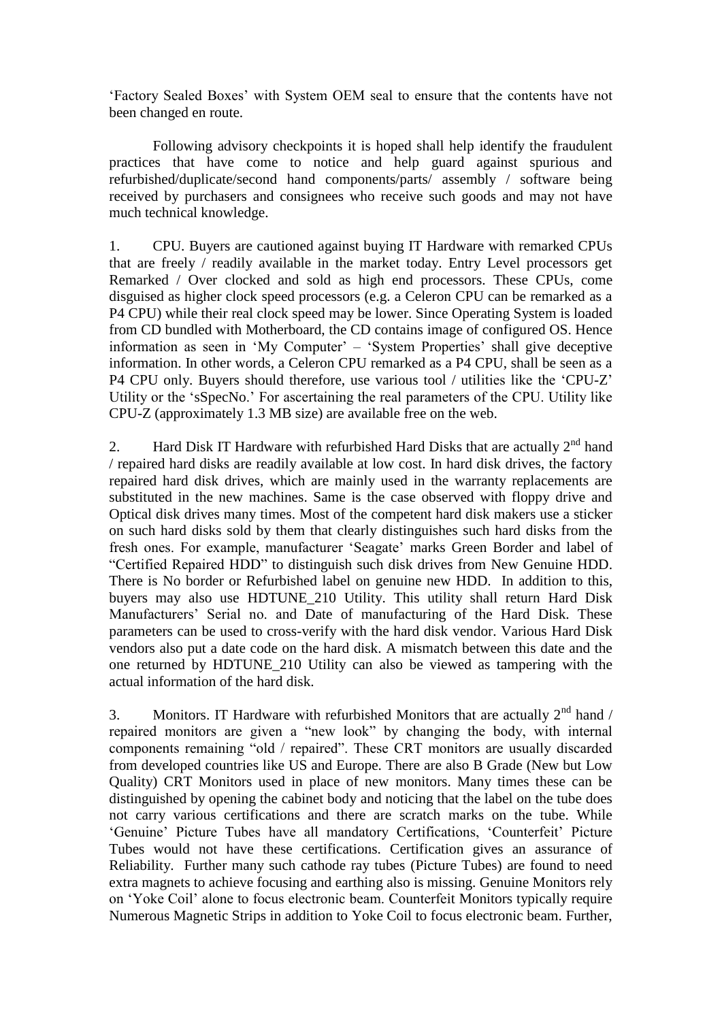"Factory Sealed Boxes" with System OEM seal to ensure that the contents have not been changed en route.

Following advisory checkpoints it is hoped shall help identify the fraudulent practices that have come to notice and help guard against spurious and refurbished/duplicate/second hand components/parts/ assembly / software being received by purchasers and consignees who receive such goods and may not have much technical knowledge.

1. CPU. Buyers are cautioned against buying IT Hardware with remarked CPUs that are freely / readily available in the market today. Entry Level processors get Remarked / Over clocked and sold as high end processors. These CPUs, come disguised as higher clock speed processors (e.g. a Celeron CPU can be remarked as a P4 CPU) while their real clock speed may be lower. Since Operating System is loaded from CD bundled with Motherboard, the CD contains image of configured OS. Hence information as seen in 'My Computer' – 'System Properties' shall give deceptive information. In other words, a Celeron CPU remarked as a P4 CPU, shall be seen as a P4 CPU only. Buyers should therefore, use various tool / utilities like the "CPU-Z" Utility or the "sSpecNo." For ascertaining the real parameters of the CPU. Utility like CPU-Z (approximately 1.3 MB size) are available free on the web.

2. Hard Disk IT Hardware with refurbished Hard Disks that are actually  $2^{nd}$  hand / repaired hard disks are readily available at low cost. In hard disk drives, the factory repaired hard disk drives, which are mainly used in the warranty replacements are substituted in the new machines. Same is the case observed with floppy drive and Optical disk drives many times. Most of the competent hard disk makers use a sticker on such hard disks sold by them that clearly distinguishes such hard disks from the fresh ones. For example, manufacturer "Seagate" marks Green Border and label of "Certified Repaired HDD" to distinguish such disk drives from New Genuine HDD. There is No border or Refurbished label on genuine new HDD. In addition to this, buyers may also use HDTUNE\_210 Utility. This utility shall return Hard Disk Manufacturers" Serial no. and Date of manufacturing of the Hard Disk. These parameters can be used to cross-verify with the hard disk vendor. Various Hard Disk vendors also put a date code on the hard disk. A mismatch between this date and the one returned by HDTUNE\_210 Utility can also be viewed as tampering with the actual information of the hard disk.

3. Monitors. IT Hardware with refurbished Monitors that are actually  $2<sup>nd</sup>$  hand / repaired monitors are given a "new look" by changing the body, with internal components remaining "old / repaired". These CRT monitors are usually discarded from developed countries like US and Europe. There are also B Grade (New but Low Quality) CRT Monitors used in place of new monitors. Many times these can be distinguished by opening the cabinet body and noticing that the label on the tube does not carry various certifications and there are scratch marks on the tube. While 'Genuine' Picture Tubes have all mandatory Certifications, 'Counterfeit' Picture Tubes would not have these certifications. Certification gives an assurance of Reliability. Further many such cathode ray tubes (Picture Tubes) are found to need extra magnets to achieve focusing and earthing also is missing. Genuine Monitors rely on "Yoke Coil" alone to focus electronic beam. Counterfeit Monitors typically require Numerous Magnetic Strips in addition to Yoke Coil to focus electronic beam. Further,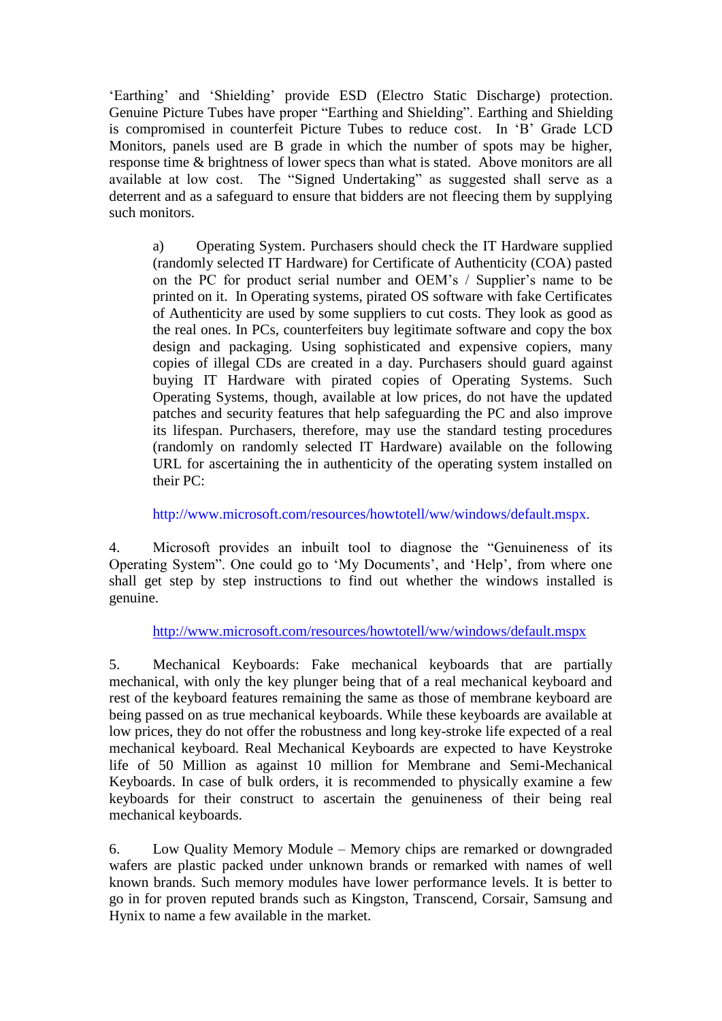"Earthing" and "Shielding" provide ESD (Electro Static Discharge) protection. Genuine Picture Tubes have proper "Earthing and Shielding". Earthing and Shielding is compromised in counterfeit Picture Tubes to reduce cost. In "B" Grade LCD Monitors, panels used are B grade in which the number of spots may be higher, response time & brightness of lower specs than what is stated. Above monitors are all available at low cost. The "Signed Undertaking" as suggested shall serve as a deterrent and as a safeguard to ensure that bidders are not fleecing them by supplying such monitors.

a) Operating System. Purchasers should check the IT Hardware supplied (randomly selected IT Hardware) for Certificate of Authenticity (COA) pasted on the PC for product serial number and OEM's / Supplier's name to be printed on it. In Operating systems, pirated OS software with fake Certificates of Authenticity are used by some suppliers to cut costs. They look as good as the real ones. In PCs, counterfeiters buy legitimate software and copy the box design and packaging. Using sophisticated and expensive copiers, many copies of illegal CDs are created in a day. Purchasers should guard against buying IT Hardware with pirated copies of Operating Systems. Such Operating Systems, though, available at low prices, do not have the updated patches and security features that help safeguarding the PC and also improve its lifespan. Purchasers, therefore, may use the standard testing procedures (randomly on randomly selected IT Hardware) available on the following URL for ascertaining the in authenticity of the operating system installed on their PC:

http://www.microsoft.com/resources/howtotell/ww/windows/default.mspx.

4. Microsoft provides an inbuilt tool to diagnose the "Genuineness of its Operating System". One could go to "My Documents", and "Help", from where one shall get step by step instructions to find out whether the windows installed is genuine.

<http://www.microsoft.com/resources/howtotell/ww/windows/default.mspx>

5. Mechanical Keyboards: Fake mechanical keyboards that are partially mechanical, with only the key plunger being that of a real mechanical keyboard and rest of the keyboard features remaining the same as those of membrane keyboard are being passed on as true mechanical keyboards. While these keyboards are available at low prices, they do not offer the robustness and long key-stroke life expected of a real mechanical keyboard. Real Mechanical Keyboards are expected to have Keystroke life of 50 Million as against 10 million for Membrane and Semi-Mechanical Keyboards. In case of bulk orders, it is recommended to physically examine a few keyboards for their construct to ascertain the genuineness of their being real mechanical keyboards.

6. Low Quality Memory Module – Memory chips are remarked or downgraded wafers are plastic packed under unknown brands or remarked with names of well known brands. Such memory modules have lower performance levels. It is better to go in for proven reputed brands such as Kingston, Transcend, Corsair, Samsung and Hynix to name a few available in the market.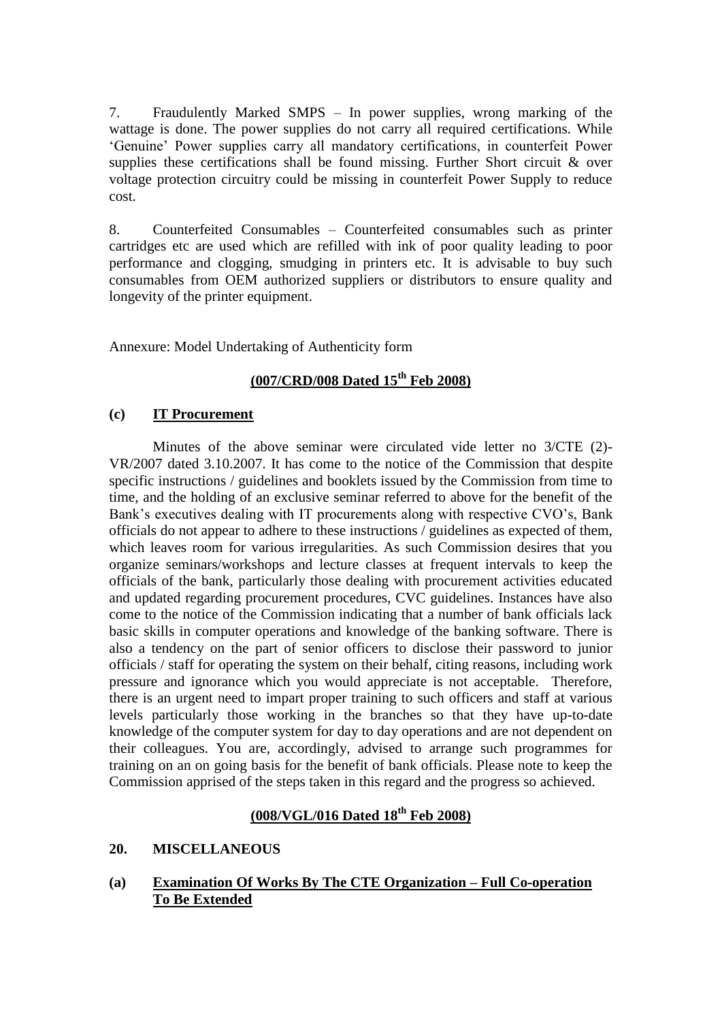7. Fraudulently Marked SMPS – In power supplies, wrong marking of the wattage is done. The power supplies do not carry all required certifications. While "Genuine" Power supplies carry all mandatory certifications, in counterfeit Power supplies these certifications shall be found missing. Further Short circuit & over voltage protection circuitry could be missing in counterfeit Power Supply to reduce cost.

8. Counterfeited Consumables – Counterfeited consumables such as printer cartridges etc are used which are refilled with ink of poor quality leading to poor performance and clogging, smudging in printers etc. It is advisable to buy such consumables from OEM authorized suppliers or distributors to ensure quality and longevity of the printer equipment.

Annexure: Model Undertaking of Authenticity form

# **(007/CRD/008 Dated 15th Feb 2008)**

#### **(c) IT Procurement**

Minutes of the above seminar were circulated vide letter no 3/CTE (2)- VR/2007 dated 3.10.2007. It has come to the notice of the Commission that despite specific instructions / guidelines and booklets issued by the Commission from time to time, and the holding of an exclusive seminar referred to above for the benefit of the Bank's executives dealing with IT procurements along with respective CVO's, Bank officials do not appear to adhere to these instructions / guidelines as expected of them, which leaves room for various irregularities. As such Commission desires that you organize seminars/workshops and lecture classes at frequent intervals to keep the officials of the bank, particularly those dealing with procurement activities educated and updated regarding procurement procedures, CVC guidelines. Instances have also come to the notice of the Commission indicating that a number of bank officials lack basic skills in computer operations and knowledge of the banking software. There is also a tendency on the part of senior officers to disclose their password to junior officials / staff for operating the system on their behalf, citing reasons, including work pressure and ignorance which you would appreciate is not acceptable. Therefore, there is an urgent need to impart proper training to such officers and staff at various levels particularly those working in the branches so that they have up-to-date knowledge of the computer system for day to day operations and are not dependent on their colleagues. You are, accordingly, advised to arrange such programmes for training on an on going basis for the benefit of bank officials. Please note to keep the Commission apprised of the steps taken in this regard and the progress so achieved.

# **(008/VGL/016 Dated 18th Feb 2008)**

#### **20. MISCELLANEOUS**

#### **(a) Examination Of Works By The CTE Organization – Full Co-operation To Be Extended**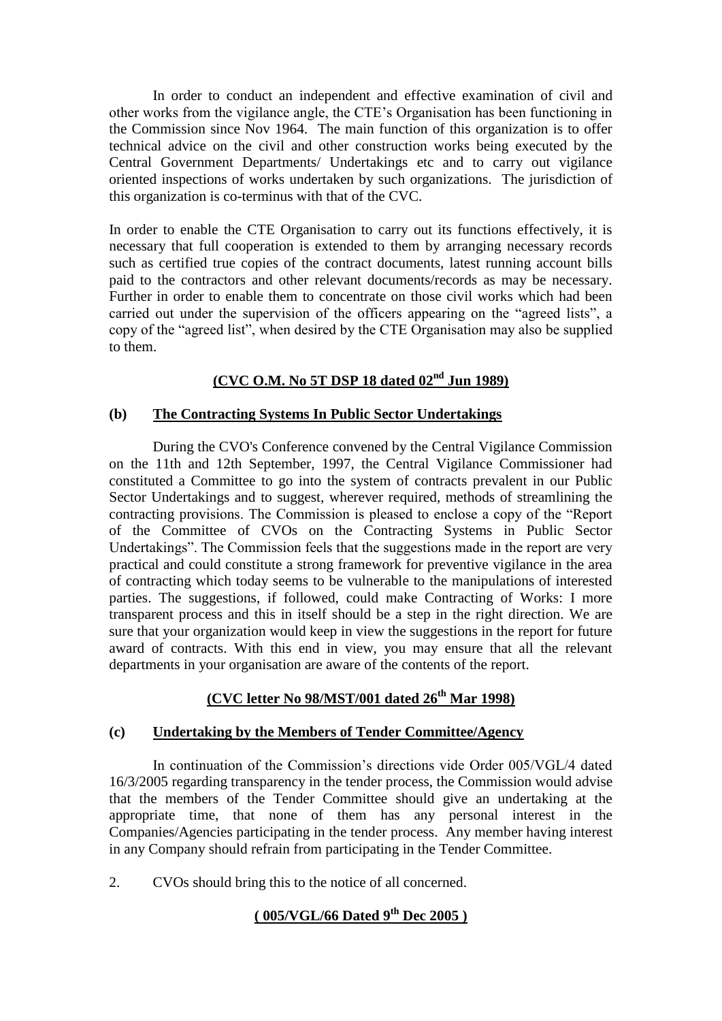In order to conduct an independent and effective examination of civil and other works from the vigilance angle, the CTE"s Organisation has been functioning in the Commission since Nov 1964. The main function of this organization is to offer technical advice on the civil and other construction works being executed by the Central Government Departments/ Undertakings etc and to carry out vigilance oriented inspections of works undertaken by such organizations. The jurisdiction of this organization is co-terminus with that of the CVC.

In order to enable the CTE Organisation to carry out its functions effectively, it is necessary that full cooperation is extended to them by arranging necessary records such as certified true copies of the contract documents, latest running account bills paid to the contractors and other relevant documents/records as may be necessary. Further in order to enable them to concentrate on those civil works which had been carried out under the supervision of the officers appearing on the "agreed lists", a copy of the "agreed list", when desired by the CTE Organisation may also be supplied to them.

# **(CVC O.M. No 5T DSP 18 dated 02nd Jun 1989)**

#### **(b) The Contracting Systems In Public Sector Undertakings**

During the CVO's Conference convened by the Central Vigilance Commission on the 11th and 12th September, 1997, the Central Vigilance Commissioner had constituted a Committee to go into the system of contracts prevalent in our Public Sector Undertakings and to suggest, wherever required, methods of streamlining the contracting provisions. The Commission is pleased to enclose a copy of the "Report of the Committee of CVOs on the Contracting Systems in Public Sector Undertakings". The Commission feels that the suggestions made in the report are very practical and could constitute a strong framework for preventive vigilance in the area of contracting which today seems to be vulnerable to the manipulations of interested parties. The suggestions, if followed, could make Contracting of Works: I more transparent process and this in itself should be a step in the right direction. We are sure that your organization would keep in view the suggestions in the report for future award of contracts. With this end in view, you may ensure that all the relevant departments in your organisation are aware of the contents of the report.

# **(CVC letter No 98/MST/001 dated 26th Mar 1998)**

### **(c) Undertaking by the Members of Tender Committee/Agency**

In continuation of the Commission"s directions vide Order 005/VGL/4 dated 16/3/2005 regarding transparency in the tender process, the Commission would advise that the members of the Tender Committee should give an undertaking at the appropriate time, that none of them has any personal interest in the Companies/Agencies participating in the tender process. Any member having interest in any Company should refrain from participating in the Tender Committee.

2. CVOs should bring this to the notice of all concerned.

# **( 005/VGL/66 Dated 9th Dec 2005 )**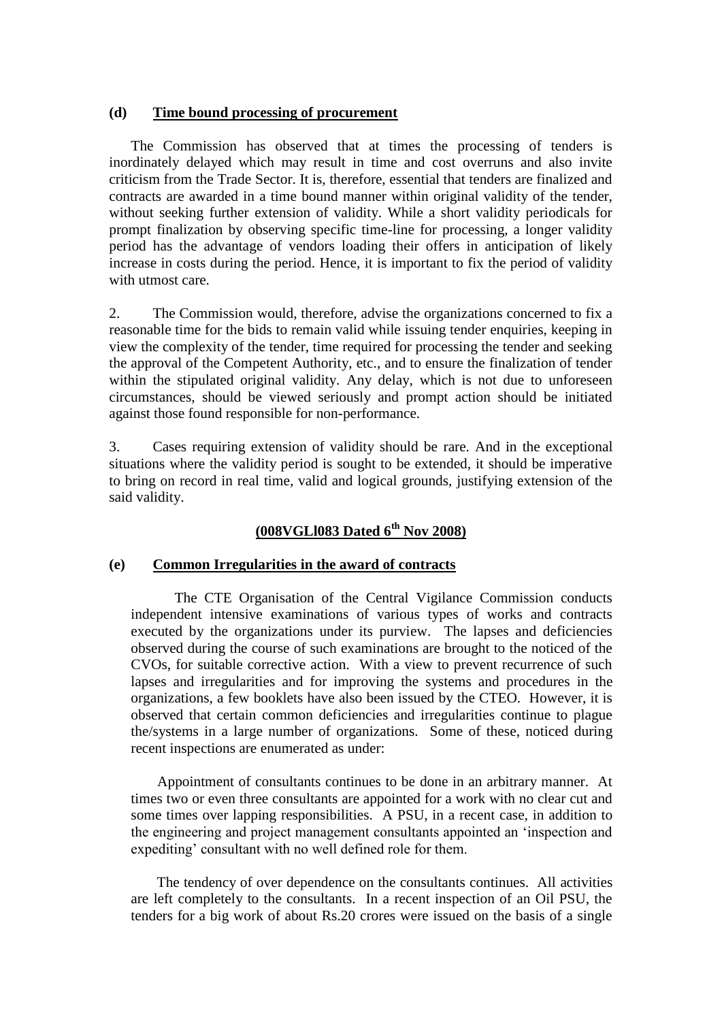#### **(d) Time bound processing of procurement**

The Commission has observed that at times the processing of tenders is inordinately delayed which may result in time and cost overruns and also invite criticism from the Trade Sector. It is, therefore, essential that tenders are finalized and contracts are awarded in a time bound manner within original validity of the tender, without seeking further extension of validity. While a short validity periodicals for prompt finalization by observing specific time-line for processing, a longer validity period has the advantage of vendors loading their offers in anticipation of likely increase in costs during the period. Hence, it is important to fix the period of validity with utmost care.

2. The Commission would, therefore, advise the organizations concerned to fix a reasonable time for the bids to remain valid while issuing tender enquiries, keeping in view the complexity of the tender, time required for processing the tender and seeking the approval of the Competent Authority, etc., and to ensure the finalization of tender within the stipulated original validity. Any delay, which is not due to unforeseen circumstances, should be viewed seriously and prompt action should be initiated against those found responsible for non-performance.

3. Cases requiring extension of validity should be rare. And in the exceptional situations where the validity period is sought to be extended, it should be imperative to bring on record in real time, valid and logical grounds, justifying extension of the said validity.

# **(008VGLl083 Dated 6th Nov 2008)**

#### **(e) Common Irregularities in the award of contracts**

 The CTE Organisation of the Central Vigilance Commission conducts independent intensive examinations of various types of works and contracts executed by the organizations under its purview. The lapses and deficiencies observed during the course of such examinations are brought to the noticed of the CVOs, for suitable corrective action. With a view to prevent recurrence of such lapses and irregularities and for improving the systems and procedures in the organizations, a few booklets have also been issued by the CTEO. However, it is observed that certain common deficiencies and irregularities continue to plague the/systems in a large number of organizations. Some of these, noticed during recent inspections are enumerated as under:

 Appointment of consultants continues to be done in an arbitrary manner. At times two or even three consultants are appointed for a work with no clear cut and some times over lapping responsibilities. A PSU, in a recent case, in addition to the engineering and project management consultants appointed an "inspection and expediting' consultant with no well defined role for them.

 The tendency of over dependence on the consultants continues. All activities are left completely to the consultants. In a recent inspection of an Oil PSU, the tenders for a big work of about Rs.20 crores were issued on the basis of a single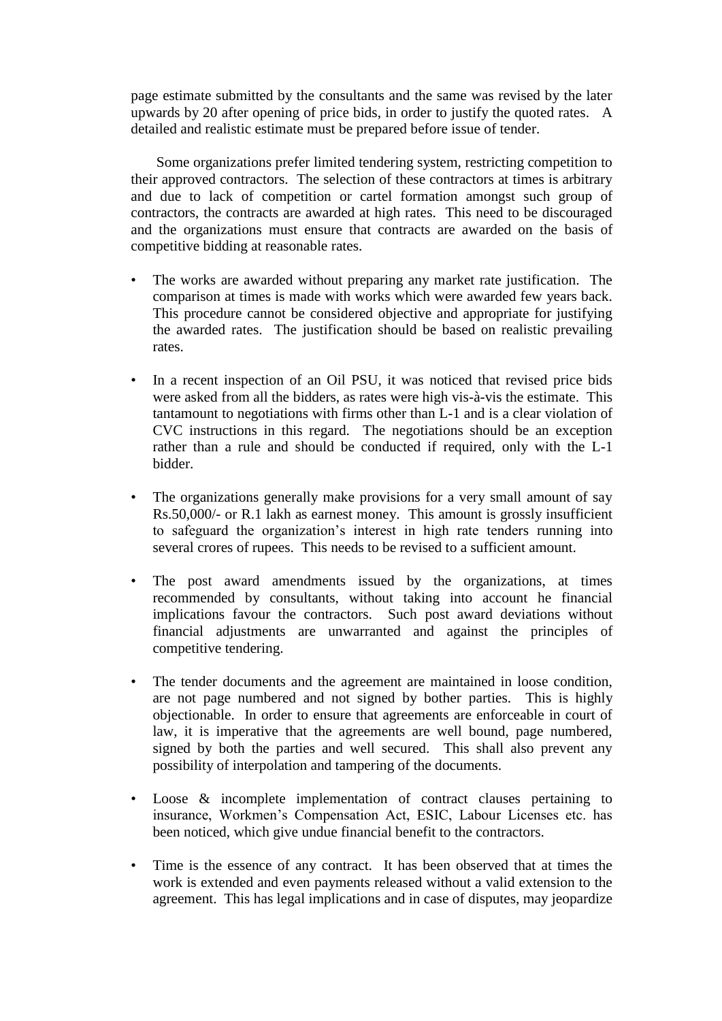page estimate submitted by the consultants and the same was revised by the later upwards by 20 after opening of price bids, in order to justify the quoted rates. A detailed and realistic estimate must be prepared before issue of tender.

 Some organizations prefer limited tendering system, restricting competition to their approved contractors. The selection of these contractors at times is arbitrary and due to lack of competition or cartel formation amongst such group of contractors, the contracts are awarded at high rates. This need to be discouraged and the organizations must ensure that contracts are awarded on the basis of competitive bidding at reasonable rates.

- The works are awarded without preparing any market rate justification. The comparison at times is made with works which were awarded few years back. This procedure cannot be considered objective and appropriate for justifying the awarded rates. The justification should be based on realistic prevailing rates.
- In a recent inspection of an Oil PSU, it was noticed that revised price bids were asked from all the bidders, as rates were high vis-à-vis the estimate. This tantamount to negotiations with firms other than L-1 and is a clear violation of CVC instructions in this regard. The negotiations should be an exception rather than a rule and should be conducted if required, only with the L-1 bidder.
- The organizations generally make provisions for a very small amount of say Rs.50,000/- or R.1 lakh as earnest money. This amount is grossly insufficient to safeguard the organization"s interest in high rate tenders running into several crores of rupees. This needs to be revised to a sufficient amount.
- The post award amendments issued by the organizations, at times recommended by consultants, without taking into account he financial implications favour the contractors. Such post award deviations without financial adjustments are unwarranted and against the principles of competitive tendering.
- The tender documents and the agreement are maintained in loose condition, are not page numbered and not signed by bother parties. This is highly objectionable. In order to ensure that agreements are enforceable in court of law, it is imperative that the agreements are well bound, page numbered, signed by both the parties and well secured. This shall also prevent any possibility of interpolation and tampering of the documents.
- Loose & incomplete implementation of contract clauses pertaining to insurance, Workmen"s Compensation Act, ESIC, Labour Licenses etc. has been noticed, which give undue financial benefit to the contractors.
- Time is the essence of any contract. It has been observed that at times the work is extended and even payments released without a valid extension to the agreement. This has legal implications and in case of disputes, may jeopardize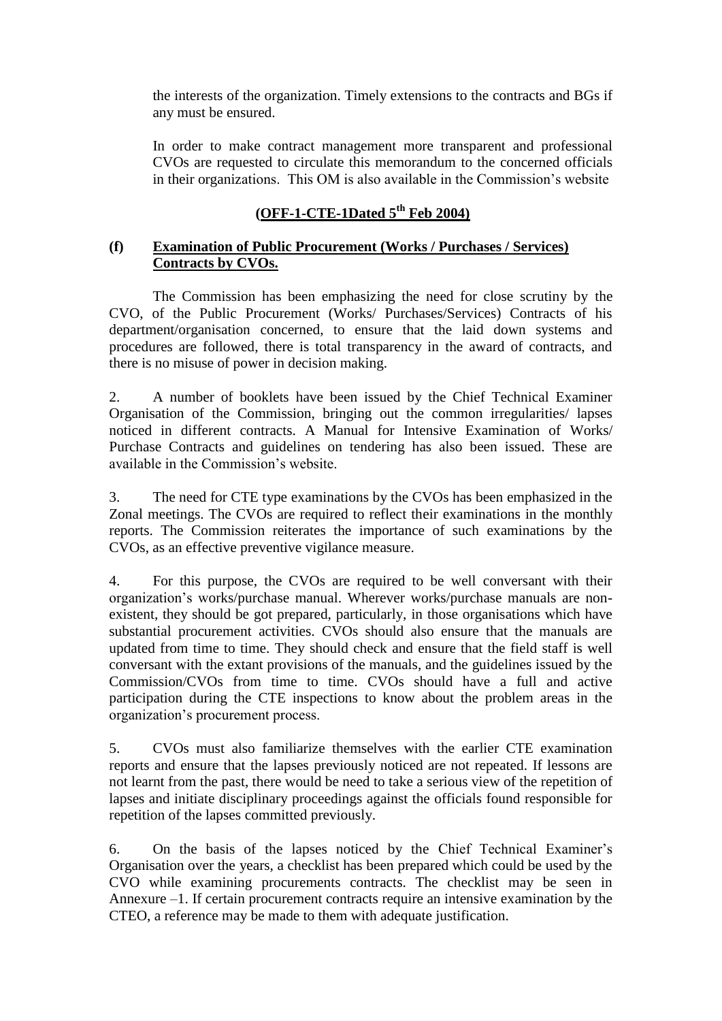the interests of the organization. Timely extensions to the contracts and BGs if any must be ensured.

In order to make contract management more transparent and professional CVOs are requested to circulate this memorandum to the concerned officials in their organizations. This OM is also available in the Commission"s website

# **(OFF-1-CTE-1Dated 5th Feb 2004)**

# **(f) Examination of Public Procurement (Works / Purchases / Services) Contracts by CVOs.**

The Commission has been emphasizing the need for close scrutiny by the CVO, of the Public Procurement (Works/ Purchases/Services) Contracts of his department/organisation concerned, to ensure that the laid down systems and procedures are followed, there is total transparency in the award of contracts, and there is no misuse of power in decision making.

2. A number of booklets have been issued by the Chief Technical Examiner Organisation of the Commission, bringing out the common irregularities/ lapses noticed in different contracts. A Manual for Intensive Examination of Works/ Purchase Contracts and guidelines on tendering has also been issued. These are available in the Commission"s website.

3. The need for CTE type examinations by the CVOs has been emphasized in the Zonal meetings. The CVOs are required to reflect their examinations in the monthly reports. The Commission reiterates the importance of such examinations by the CVOs, as an effective preventive vigilance measure.

4. For this purpose, the CVOs are required to be well conversant with their organization"s works/purchase manual. Wherever works/purchase manuals are nonexistent, they should be got prepared, particularly, in those organisations which have substantial procurement activities. CVOs should also ensure that the manuals are updated from time to time. They should check and ensure that the field staff is well conversant with the extant provisions of the manuals, and the guidelines issued by the Commission/CVOs from time to time. CVOs should have a full and active participation during the CTE inspections to know about the problem areas in the organization"s procurement process.

5. CVOs must also familiarize themselves with the earlier CTE examination reports and ensure that the lapses previously noticed are not repeated. If lessons are not learnt from the past, there would be need to take a serious view of the repetition of lapses and initiate disciplinary proceedings against the officials found responsible for repetition of the lapses committed previously.

6. On the basis of the lapses noticed by the Chief Technical Examiner"s Organisation over the years, a checklist has been prepared which could be used by the CVO while examining procurements contracts. The checklist may be seen in Annexure –1. If certain procurement contracts require an intensive examination by the CTEO, a reference may be made to them with adequate justification.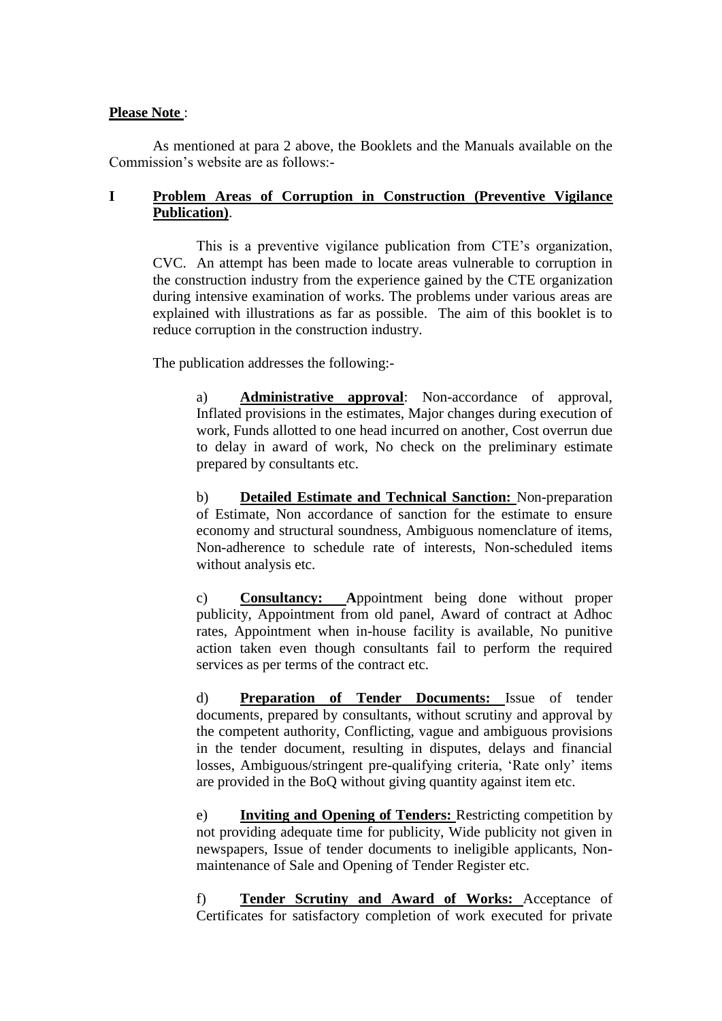#### **Please Note** :

As mentioned at para 2 above, the Booklets and the Manuals available on the Commission"s website are as follows:-

#### **I Problem Areas of Corruption in Construction (Preventive Vigilance Publication)**.

This is a preventive vigilance publication from CTE"s organization, CVC. An attempt has been made to locate areas vulnerable to corruption in the construction industry from the experience gained by the CTE organization during intensive examination of works. The problems under various areas are explained with illustrations as far as possible. The aim of this booklet is to reduce corruption in the construction industry.

The publication addresses the following:-

a) **Administrative approval**: Non-accordance of approval, Inflated provisions in the estimates, Major changes during execution of work, Funds allotted to one head incurred on another, Cost overrun due to delay in award of work, No check on the preliminary estimate prepared by consultants etc.

b) **Detailed Estimate and Technical Sanction:** Non-preparation of Estimate, Non accordance of sanction for the estimate to ensure economy and structural soundness, Ambiguous nomenclature of items, Non-adherence to schedule rate of interests, Non-scheduled items without analysis etc.

c) **Consultancy: A**ppointment being done without proper publicity, Appointment from old panel, Award of contract at Adhoc rates, Appointment when in-house facility is available, No punitive action taken even though consultants fail to perform the required services as per terms of the contract etc.

d) **Preparation of Tender Documents:** Issue of tender documents, prepared by consultants, without scrutiny and approval by the competent authority, Conflicting, vague and ambiguous provisions in the tender document, resulting in disputes, delays and financial losses, Ambiguous/stringent pre-qualifying criteria, 'Rate only' items are provided in the BoQ without giving quantity against item etc.

e) **Inviting and Opening of Tenders:** Restricting competition by not providing adequate time for publicity, Wide publicity not given in newspapers, Issue of tender documents to ineligible applicants, Nonmaintenance of Sale and Opening of Tender Register etc.

f) **Tender Scrutiny and Award of Works:** Acceptance of Certificates for satisfactory completion of work executed for private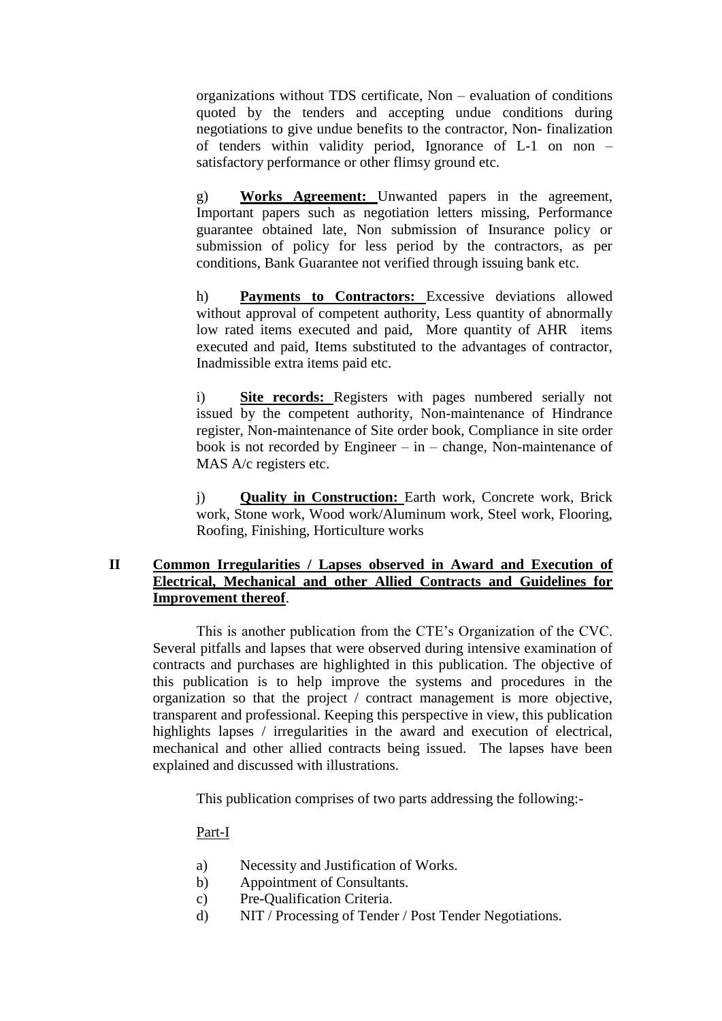organizations without TDS certificate, Non – evaluation of conditions quoted by the tenders and accepting undue conditions during negotiations to give undue benefits to the contractor, Non- finalization of tenders within validity period, Ignorance of L-1 on non – satisfactory performance or other flimsy ground etc.

g) **Works Agreement:** Unwanted papers in the agreement, Important papers such as negotiation letters missing, Performance guarantee obtained late, Non submission of Insurance policy or submission of policy for less period by the contractors, as per conditions, Bank Guarantee not verified through issuing bank etc.

h) **Payments to Contractors:** Excessive deviations allowed without approval of competent authority, Less quantity of abnormally low rated items executed and paid, More quantity of AHR items executed and paid, Items substituted to the advantages of contractor, Inadmissible extra items paid etc.

i) **Site records:** Registers with pages numbered serially not issued by the competent authority, Non-maintenance of Hindrance register, Non-maintenance of Site order book, Compliance in site order book is not recorded by Engineer – in – change, Non-maintenance of MAS A/c registers etc.

j) **Quality in Construction:** Earth work, Concrete work, Brick work, Stone work, Wood work/Aluminum work, Steel work, Flooring, Roofing, Finishing, Horticulture works

### **II Common Irregularities / Lapses observed in Award and Execution of Electrical, Mechanical and other Allied Contracts and Guidelines for Improvement thereof**.

This is another publication from the CTE"s Organization of the CVC. Several pitfalls and lapses that were observed during intensive examination of contracts and purchases are highlighted in this publication. The objective of this publication is to help improve the systems and procedures in the organization so that the project / contract management is more objective, transparent and professional. Keeping this perspective in view, this publication highlights lapses / irregularities in the award and execution of electrical, mechanical and other allied contracts being issued. The lapses have been explained and discussed with illustrations.

This publication comprises of two parts addressing the following:-

### Part-I

- a) Necessity and Justification of Works.
- b) Appointment of Consultants.
- c) Pre-Qualification Criteria.
- d) NIT / Processing of Tender / Post Tender Negotiations.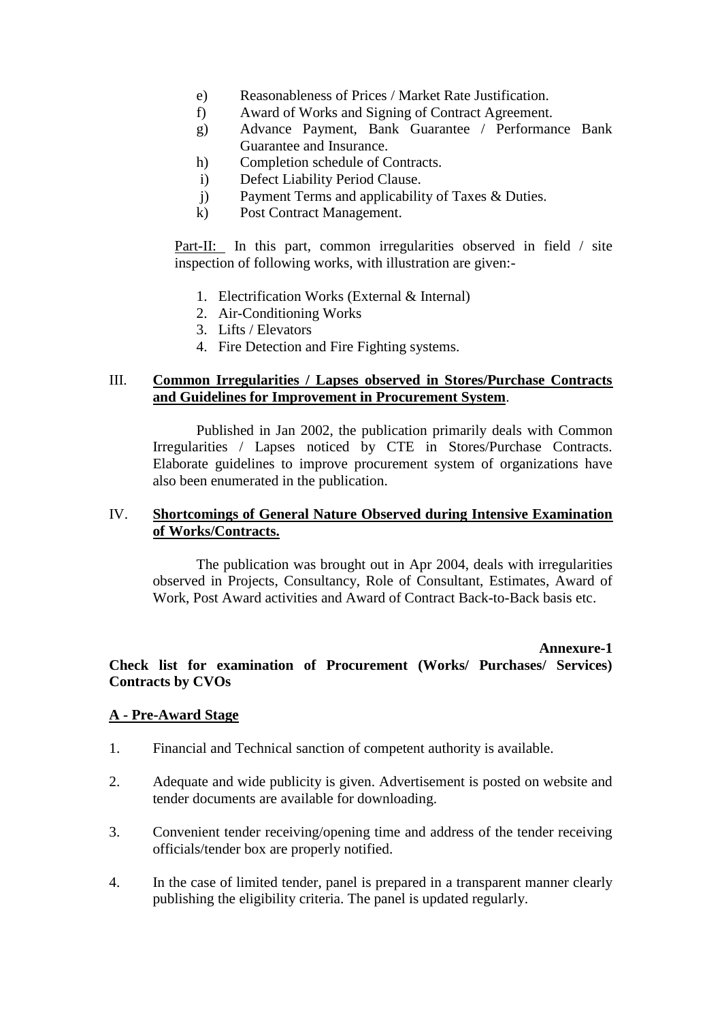- e) Reasonableness of Prices / Market Rate Justification.
- f) Award of Works and Signing of Contract Agreement.
- g) Advance Payment, Bank Guarantee / Performance Bank Guarantee and Insurance.
- h) Completion schedule of Contracts.
- i) Defect Liability Period Clause.
- j) Payment Terms and applicability of Taxes & Duties.
- k) Post Contract Management.

Part-II: In this part, common irregularities observed in field / site inspection of following works, with illustration are given:-

- 1. Electrification Works (External & Internal)
- 2. Air-Conditioning Works
- 3. Lifts / Elevators
- 4. Fire Detection and Fire Fighting systems.

#### III. **Common Irregularities / Lapses observed in Stores/Purchase Contracts and Guidelines for Improvement in Procurement System**.

Published in Jan 2002, the publication primarily deals with Common Irregularities / Lapses noticed by CTE in Stores/Purchase Contracts. Elaborate guidelines to improve procurement system of organizations have also been enumerated in the publication.

#### IV. **Shortcomings of General Nature Observed during Intensive Examination of Works/Contracts.**

The publication was brought out in Apr 2004, deals with irregularities observed in Projects, Consultancy, Role of Consultant, Estimates, Award of Work, Post Award activities and Award of Contract Back-to-Back basis etc.

#### **Annexure-1**

#### **Check list for examination of Procurement (Works/ Purchases/ Services) Contracts by CVOs**

#### **A - Pre-Award Stage**

- 1. Financial and Technical sanction of competent authority is available.
- 2. Adequate and wide publicity is given. Advertisement is posted on website and tender documents are available for downloading.
- 3. Convenient tender receiving/opening time and address of the tender receiving officials/tender box are properly notified.
- 4. In the case of limited tender, panel is prepared in a transparent manner clearly publishing the eligibility criteria. The panel is updated regularly.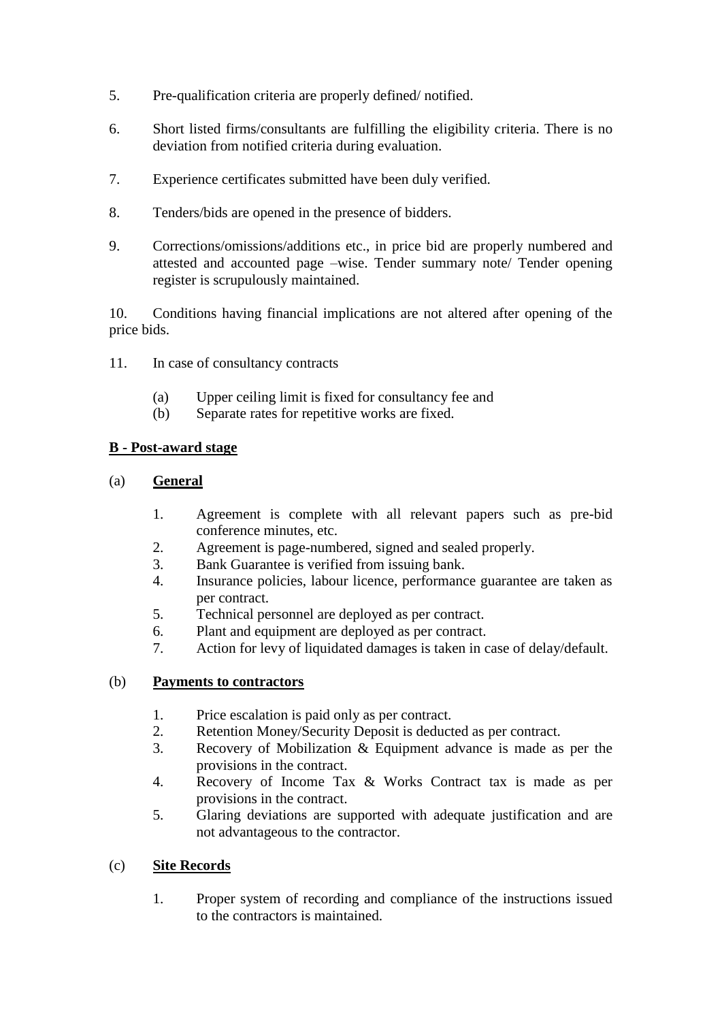- 5. Pre-qualification criteria are properly defined/ notified.
- 6. Short listed firms/consultants are fulfilling the eligibility criteria. There is no deviation from notified criteria during evaluation.
- 7. Experience certificates submitted have been duly verified.
- 8. Tenders/bids are opened in the presence of bidders.
- 9. Corrections/omissions/additions etc., in price bid are properly numbered and attested and accounted page –wise. Tender summary note/ Tender opening register is scrupulously maintained.

10. Conditions having financial implications are not altered after opening of the price bids.

- 11. In case of consultancy contracts
	- (a) Upper ceiling limit is fixed for consultancy fee and
	- (b) Separate rates for repetitive works are fixed.

### **B - Post-award stage**

#### (a) **General**

- 1. Agreement is complete with all relevant papers such as pre-bid conference minutes, etc.
- 2. Agreement is page-numbered, signed and sealed properly.
- 3. Bank Guarantee is verified from issuing bank.
- 4. Insurance policies, labour licence, performance guarantee are taken as per contract.
- 5. Technical personnel are deployed as per contract.
- 6. Plant and equipment are deployed as per contract.
- 7. Action for levy of liquidated damages is taken in case of delay/default.

#### (b) **Payments to contractors**

- 1. Price escalation is paid only as per contract.
- 2. Retention Money/Security Deposit is deducted as per contract.
- 3. Recovery of Mobilization & Equipment advance is made as per the provisions in the contract.
- 4. Recovery of Income Tax & Works Contract tax is made as per provisions in the contract.
- 5. Glaring deviations are supported with adequate justification and are not advantageous to the contractor.

### (c) **Site Records**

1. Proper system of recording and compliance of the instructions issued to the contractors is maintained.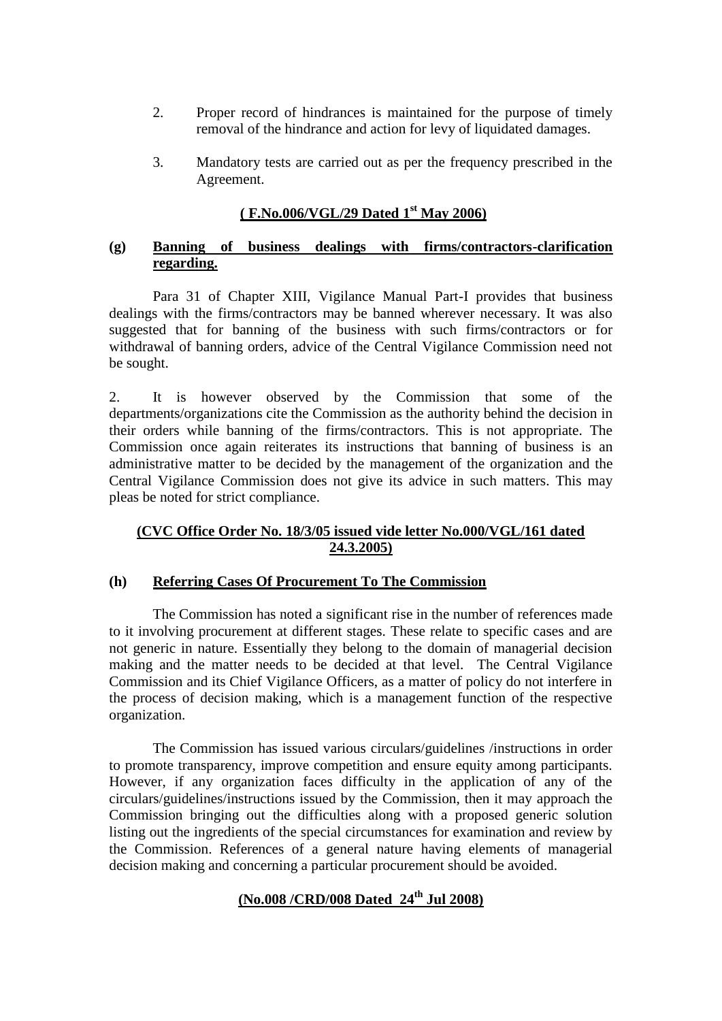- 2. Proper record of hindrances is maintained for the purpose of timely removal of the hindrance and action for levy of liquidated damages.
- 3. Mandatory tests are carried out as per the frequency prescribed in the Agreement.

# **( F.No.006/VGL/29 Dated 1st May 2006)**

#### **(g) Banning of business dealings with firms/contractors-clarification regarding.**

Para 31 of Chapter XIII, Vigilance Manual Part-I provides that business dealings with the firms/contractors may be banned wherever necessary. It was also suggested that for banning of the business with such firms/contractors or for withdrawal of banning orders, advice of the Central Vigilance Commission need not be sought.

2. It is however observed by the Commission that some of the departments/organizations cite the Commission as the authority behind the decision in their orders while banning of the firms/contractors. This is not appropriate. The Commission once again reiterates its instructions that banning of business is an administrative matter to be decided by the management of the organization and the Central Vigilance Commission does not give its advice in such matters. This may pleas be noted for strict compliance.

# **(CVC Office Order No. 18/3/05 issued vide letter No.000/VGL/161 dated 24.3.2005)**

### **(h) Referring Cases Of Procurement To The Commission**

The Commission has noted a significant rise in the number of references made to it involving procurement at different stages. These relate to specific cases and are not generic in nature. Essentially they belong to the domain of managerial decision making and the matter needs to be decided at that level. The Central Vigilance Commission and its Chief Vigilance Officers, as a matter of policy do not interfere in the process of decision making, which is a management function of the respective organization.

The Commission has issued various circulars/guidelines /instructions in order to promote transparency, improve competition and ensure equity among participants. However, if any organization faces difficulty in the application of any of the circulars/guidelines/instructions issued by the Commission, then it may approach the Commission bringing out the difficulties along with a proposed generic solution listing out the ingredients of the special circumstances for examination and review by the Commission. References of a general nature having elements of managerial decision making and concerning a particular procurement should be avoided.

# **(No.008 /CRD/008 Dated 24th Jul 2008)**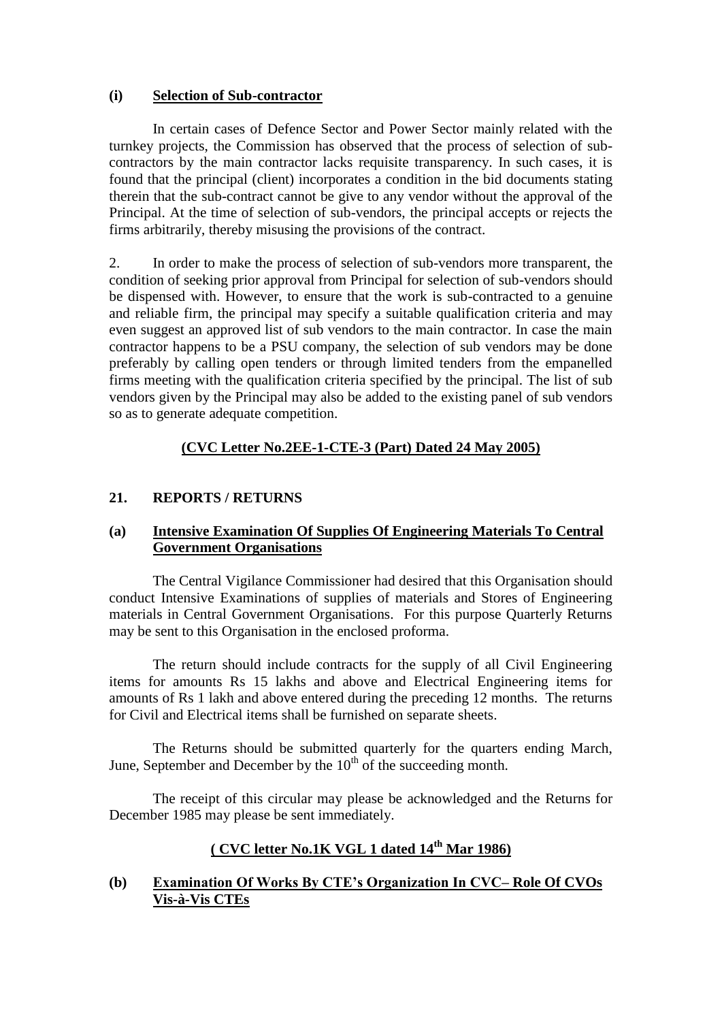#### **(i) Selection of Sub-contractor**

In certain cases of Defence Sector and Power Sector mainly related with the turnkey projects, the Commission has observed that the process of selection of subcontractors by the main contractor lacks requisite transparency. In such cases, it is found that the principal (client) incorporates a condition in the bid documents stating therein that the sub-contract cannot be give to any vendor without the approval of the Principal. At the time of selection of sub-vendors, the principal accepts or rejects the firms arbitrarily, thereby misusing the provisions of the contract.

2. In order to make the process of selection of sub-vendors more transparent, the condition of seeking prior approval from Principal for selection of sub-vendors should be dispensed with. However, to ensure that the work is sub-contracted to a genuine and reliable firm, the principal may specify a suitable qualification criteria and may even suggest an approved list of sub vendors to the main contractor. In case the main contractor happens to be a PSU company, the selection of sub vendors may be done preferably by calling open tenders or through limited tenders from the empanelled firms meeting with the qualification criteria specified by the principal. The list of sub vendors given by the Principal may also be added to the existing panel of sub vendors so as to generate adequate competition.

# **(CVC Letter No.2EE-1-CTE-3 (Part) Dated 24 May 2005)**

### **21. REPORTS / RETURNS**

### **(a) Intensive Examination Of Supplies Of Engineering Materials To Central Government Organisations**

The Central Vigilance Commissioner had desired that this Organisation should conduct Intensive Examinations of supplies of materials and Stores of Engineering materials in Central Government Organisations. For this purpose Quarterly Returns may be sent to this Organisation in the enclosed proforma.

The return should include contracts for the supply of all Civil Engineering items for amounts Rs 15 lakhs and above and Electrical Engineering items for amounts of Rs 1 lakh and above entered during the preceding 12 months. The returns for Civil and Electrical items shall be furnished on separate sheets.

The Returns should be submitted quarterly for the quarters ending March, June, September and December by the  $10<sup>th</sup>$  of the succeeding month.

The receipt of this circular may please be acknowledged and the Returns for December 1985 may please be sent immediately.

# **( CVC letter No.1K VGL 1 dated 14th Mar 1986)**

### **(b) Examination Of Works By CTE"s Organization In CVC– Role Of CVOs Vis-à-Vis CTEs**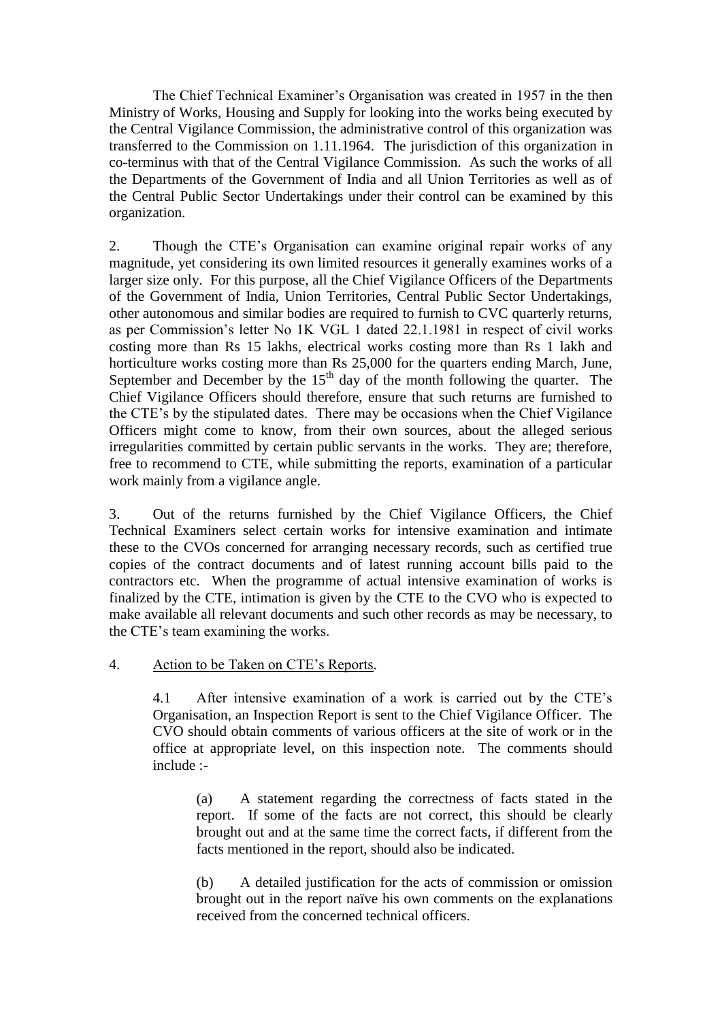The Chief Technical Examiner"s Organisation was created in 1957 in the then Ministry of Works, Housing and Supply for looking into the works being executed by the Central Vigilance Commission, the administrative control of this organization was transferred to the Commission on 1.11.1964. The jurisdiction of this organization in co-terminus with that of the Central Vigilance Commission. As such the works of all the Departments of the Government of India and all Union Territories as well as of the Central Public Sector Undertakings under their control can be examined by this organization.

2. Though the CTE"s Organisation can examine original repair works of any magnitude, yet considering its own limited resources it generally examines works of a larger size only. For this purpose, all the Chief Vigilance Officers of the Departments of the Government of India, Union Territories, Central Public Sector Undertakings, other autonomous and similar bodies are required to furnish to CVC quarterly returns, as per Commission"s letter No 1K VGL 1 dated 22.1.1981 in respect of civil works costing more than Rs 15 lakhs, electrical works costing more than Rs 1 lakh and horticulture works costing more than Rs 25,000 for the quarters ending March, June, September and December by the  $15<sup>th</sup>$  day of the month following the quarter. The Chief Vigilance Officers should therefore, ensure that such returns are furnished to the CTE"s by the stipulated dates. There may be occasions when the Chief Vigilance Officers might come to know, from their own sources, about the alleged serious irregularities committed by certain public servants in the works. They are; therefore, free to recommend to CTE, while submitting the reports, examination of a particular work mainly from a vigilance angle.

3. Out of the returns furnished by the Chief Vigilance Officers, the Chief Technical Examiners select certain works for intensive examination and intimate these to the CVOs concerned for arranging necessary records, such as certified true copies of the contract documents and of latest running account bills paid to the contractors etc. When the programme of actual intensive examination of works is finalized by the CTE, intimation is given by the CTE to the CVO who is expected to make available all relevant documents and such other records as may be necessary, to the CTE"s team examining the works.

#### 4. Action to be Taken on CTE"s Reports.

4.1 After intensive examination of a work is carried out by the CTE"s Organisation, an Inspection Report is sent to the Chief Vigilance Officer. The CVO should obtain comments of various officers at the site of work or in the office at appropriate level, on this inspection note. The comments should include :-

(a) A statement regarding the correctness of facts stated in the report. If some of the facts are not correct, this should be clearly brought out and at the same time the correct facts, if different from the facts mentioned in the report, should also be indicated.

(b) A detailed justification for the acts of commission or omission brought out in the report naïve his own comments on the explanations received from the concerned technical officers.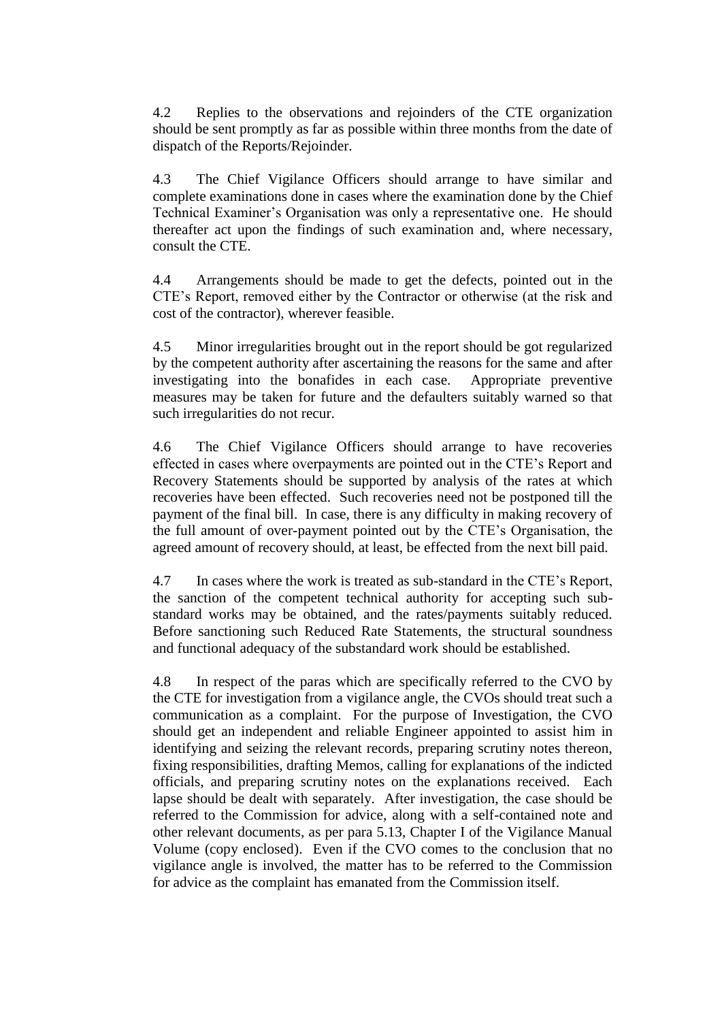4.2 Replies to the observations and rejoinders of the CTE organization should be sent promptly as far as possible within three months from the date of dispatch of the Reports/Rejoinder.

4.3 The Chief Vigilance Officers should arrange to have similar and complete examinations done in cases where the examination done by the Chief Technical Examiner"s Organisation was only a representative one. He should thereafter act upon the findings of such examination and, where necessary, consult the CTE.

4.4 Arrangements should be made to get the defects, pointed out in the CTE"s Report, removed either by the Contractor or otherwise (at the risk and cost of the contractor), wherever feasible.

4.5 Minor irregularities brought out in the report should be got regularized by the competent authority after ascertaining the reasons for the same and after investigating into the bonafides in each case. Appropriate preventive measures may be taken for future and the defaulters suitably warned so that such irregularities do not recur.

4.6 The Chief Vigilance Officers should arrange to have recoveries effected in cases where overpayments are pointed out in the CTE"s Report and Recovery Statements should be supported by analysis of the rates at which recoveries have been effected. Such recoveries need not be postponed till the payment of the final bill. In case, there is any difficulty in making recovery of the full amount of over-payment pointed out by the CTE"s Organisation, the agreed amount of recovery should, at least, be effected from the next bill paid.

4.7 In cases where the work is treated as sub-standard in the CTE"s Report, the sanction of the competent technical authority for accepting such substandard works may be obtained, and the rates/payments suitably reduced. Before sanctioning such Reduced Rate Statements, the structural soundness and functional adequacy of the substandard work should be established.

4.8 In respect of the paras which are specifically referred to the CVO by the CTE for investigation from a vigilance angle, the CVOs should treat such a communication as a complaint. For the purpose of Investigation, the CVO should get an independent and reliable Engineer appointed to assist him in identifying and seizing the relevant records, preparing scrutiny notes thereon, fixing responsibilities, drafting Memos, calling for explanations of the indicted officials, and preparing scrutiny notes on the explanations received. Each lapse should be dealt with separately. After investigation, the case should be referred to the Commission for advice, along with a self-contained note and other relevant documents, as per para 5.13, Chapter I of the Vigilance Manual Volume (copy enclosed). Even if the CVO comes to the conclusion that no vigilance angle is involved, the matter has to be referred to the Commission for advice as the complaint has emanated from the Commission itself.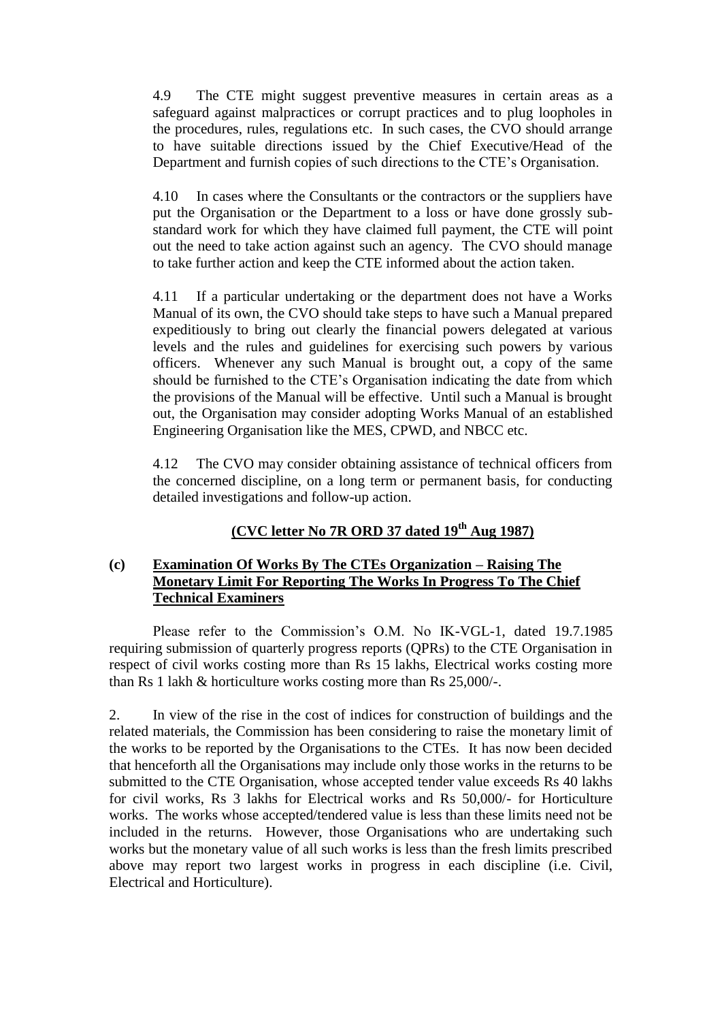4.9 The CTE might suggest preventive measures in certain areas as a safeguard against malpractices or corrupt practices and to plug loopholes in the procedures, rules, regulations etc. In such cases, the CVO should arrange to have suitable directions issued by the Chief Executive/Head of the Department and furnish copies of such directions to the CTE"s Organisation.

4.10 In cases where the Consultants or the contractors or the suppliers have put the Organisation or the Department to a loss or have done grossly substandard work for which they have claimed full payment, the CTE will point out the need to take action against such an agency. The CVO should manage to take further action and keep the CTE informed about the action taken.

4.11 If a particular undertaking or the department does not have a Works Manual of its own, the CVO should take steps to have such a Manual prepared expeditiously to bring out clearly the financial powers delegated at various levels and the rules and guidelines for exercising such powers by various officers. Whenever any such Manual is brought out, a copy of the same should be furnished to the CTE"s Organisation indicating the date from which the provisions of the Manual will be effective. Until such a Manual is brought out, the Organisation may consider adopting Works Manual of an established Engineering Organisation like the MES, CPWD, and NBCC etc.

4.12 The CVO may consider obtaining assistance of technical officers from the concerned discipline, on a long term or permanent basis, for conducting detailed investigations and follow-up action.

# **(CVC letter No 7R ORD 37 dated 19th Aug 1987)**

### **(c) Examination Of Works By The CTEs Organization – Raising The Monetary Limit For Reporting The Works In Progress To The Chief Technical Examiners**

Please refer to the Commission's O.M. No IK-VGL-1, dated 19.7.1985 requiring submission of quarterly progress reports (QPRs) to the CTE Organisation in respect of civil works costing more than Rs 15 lakhs, Electrical works costing more than Rs 1 lakh & horticulture works costing more than Rs 25,000/-.

2. In view of the rise in the cost of indices for construction of buildings and the related materials, the Commission has been considering to raise the monetary limit of the works to be reported by the Organisations to the CTEs. It has now been decided that henceforth all the Organisations may include only those works in the returns to be submitted to the CTE Organisation, whose accepted tender value exceeds Rs 40 lakhs for civil works, Rs 3 lakhs for Electrical works and Rs 50,000/- for Horticulture works. The works whose accepted/tendered value is less than these limits need not be included in the returns. However, those Organisations who are undertaking such works but the monetary value of all such works is less than the fresh limits prescribed above may report two largest works in progress in each discipline (i.e. Civil, Electrical and Horticulture).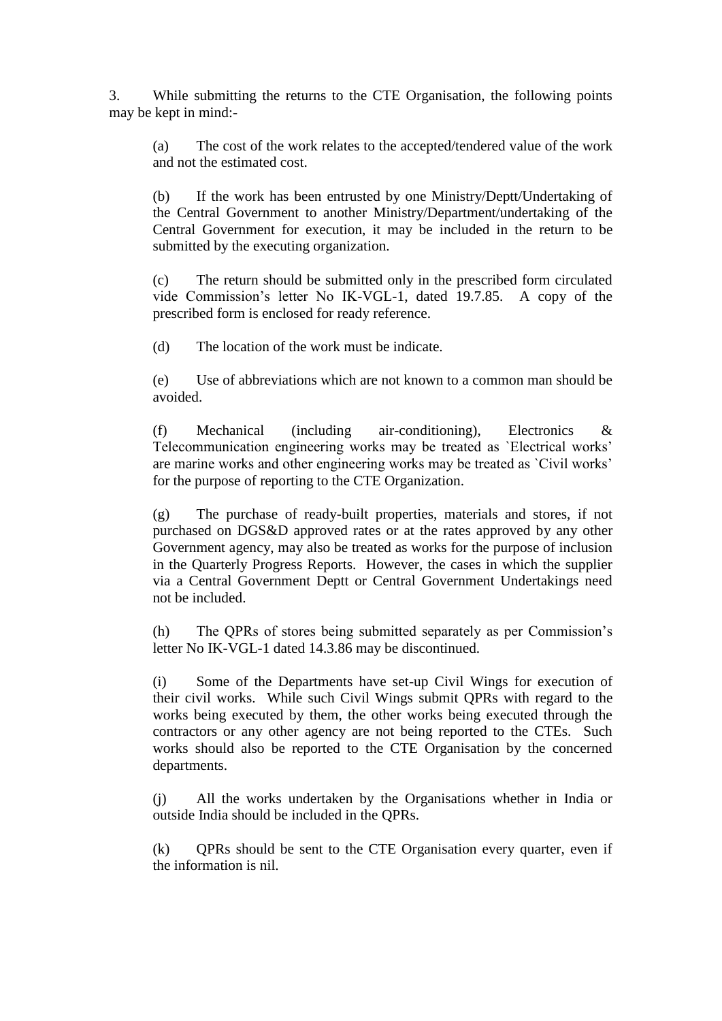3. While submitting the returns to the CTE Organisation, the following points may be kept in mind:-

(a) The cost of the work relates to the accepted/tendered value of the work and not the estimated cost.

(b) If the work has been entrusted by one Ministry/Deptt/Undertaking of the Central Government to another Ministry/Department/undertaking of the Central Government for execution, it may be included in the return to be submitted by the executing organization.

(c) The return should be submitted only in the prescribed form circulated vide Commission"s letter No IK-VGL-1, dated 19.7.85. A copy of the prescribed form is enclosed for ready reference.

(d) The location of the work must be indicate.

(e) Use of abbreviations which are not known to a common man should be avoided.

(f) Mechanical (including air-conditioning), Electronics & Telecommunication engineering works may be treated as `Electrical works" are marine works and other engineering works may be treated as `Civil works" for the purpose of reporting to the CTE Organization.

(g) The purchase of ready-built properties, materials and stores, if not purchased on DGS&D approved rates or at the rates approved by any other Government agency, may also be treated as works for the purpose of inclusion in the Quarterly Progress Reports. However, the cases in which the supplier via a Central Government Deptt or Central Government Undertakings need not be included.

(h) The QPRs of stores being submitted separately as per Commission"s letter No IK-VGL-1 dated 14.3.86 may be discontinued.

(i) Some of the Departments have set-up Civil Wings for execution of their civil works. While such Civil Wings submit QPRs with regard to the works being executed by them, the other works being executed through the contractors or any other agency are not being reported to the CTEs. Such works should also be reported to the CTE Organisation by the concerned departments.

(j) All the works undertaken by the Organisations whether in India or outside India should be included in the QPRs.

(k) QPRs should be sent to the CTE Organisation every quarter, even if the information is nil.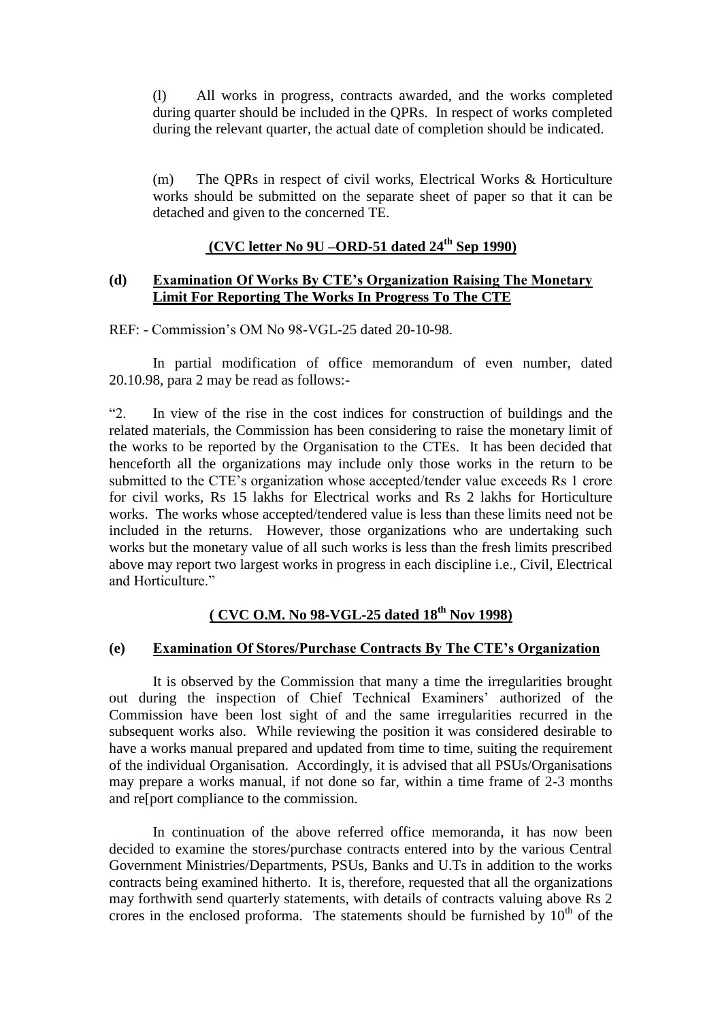(l) All works in progress, contracts awarded, and the works completed during quarter should be included in the QPRs. In respect of works completed during the relevant quarter, the actual date of completion should be indicated.

(m) The QPRs in respect of civil works, Electrical Works & Horticulture works should be submitted on the separate sheet of paper so that it can be detached and given to the concerned TE.

#### **(CVC letter No 9U –ORD-51 dated 24th Sep 1990)**

#### **(d) Examination Of Works By CTE"s Organization Raising The Monetary Limit For Reporting The Works In Progress To The CTE**

REF: - Commission"s OM No 98-VGL-25 dated 20-10-98.

In partial modification of office memorandum of even number, dated 20.10.98, para 2 may be read as follows:-

"2. In view of the rise in the cost indices for construction of buildings and the related materials, the Commission has been considering to raise the monetary limit of the works to be reported by the Organisation to the CTEs. It has been decided that henceforth all the organizations may include only those works in the return to be submitted to the CTE"s organization whose accepted/tender value exceeds Rs 1 crore for civil works, Rs 15 lakhs for Electrical works and Rs 2 lakhs for Horticulture works. The works whose accepted/tendered value is less than these limits need not be included in the returns. However, those organizations who are undertaking such works but the monetary value of all such works is less than the fresh limits prescribed above may report two largest works in progress in each discipline i.e., Civil, Electrical and Horticulture"

# **( CVC O.M. No 98-VGL-25 dated 18th Nov 1998)**

#### **(e) Examination Of Stores/Purchase Contracts By The CTE"s Organization**

It is observed by the Commission that many a time the irregularities brought out during the inspection of Chief Technical Examiners" authorized of the Commission have been lost sight of and the same irregularities recurred in the subsequent works also. While reviewing the position it was considered desirable to have a works manual prepared and updated from time to time, suiting the requirement of the individual Organisation. Accordingly, it is advised that all PSUs/Organisations may prepare a works manual, if not done so far, within a time frame of 2-3 months and re[port compliance to the commission.

In continuation of the above referred office memoranda, it has now been decided to examine the stores/purchase contracts entered into by the various Central Government Ministries/Departments, PSUs, Banks and U.Ts in addition to the works contracts being examined hitherto. It is, therefore, requested that all the organizations may forthwith send quarterly statements, with details of contracts valuing above Rs 2 crores in the enclosed proforma. The statements should be furnished by  $10<sup>th</sup>$  of the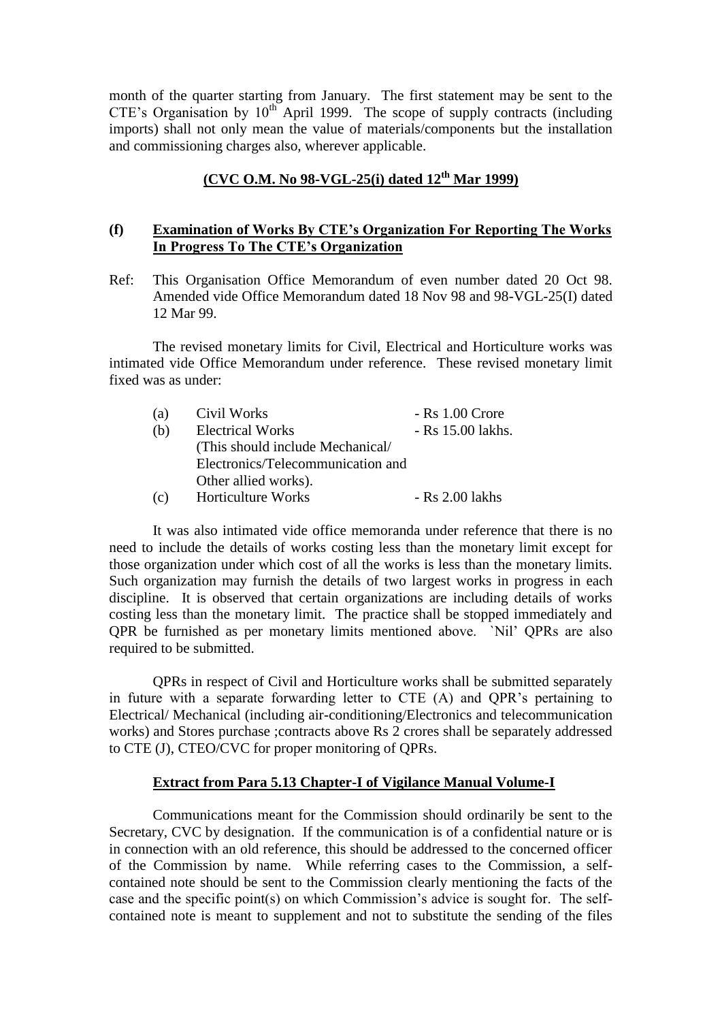month of the quarter starting from January. The first statement may be sent to the CTE's Organisation by  $10^{th}$  April 1999. The scope of supply contracts (including imports) shall not only mean the value of materials/components but the installation and commissioning charges also, wherever applicable.

# **(CVC O.M. No 98-VGL-25(i) dated 12th Mar 1999)**

#### **(f) Examination of Works By CTE"s Organization For Reporting The Works In Progress To The CTE"s Organization**

Ref: This Organisation Office Memorandum of even number dated 20 Oct 98. Amended vide Office Memorandum dated 18 Nov 98 and 98-VGL-25(I) dated 12 Mar 99.

The revised monetary limits for Civil, Electrical and Horticulture works was intimated vide Office Memorandum under reference. These revised monetary limit fixed was as under:

| (a) | Civil Works                       | $-Rs$ 1.00 Crore  |  |  |  |
|-----|-----------------------------------|-------------------|--|--|--|
| (b) | <b>Electrical Works</b>           | - Rs 15.00 lakhs. |  |  |  |
|     | (This should include Mechanical/  |                   |  |  |  |
|     | Electronics/Telecommunication and |                   |  |  |  |
|     | Other allied works).              |                   |  |  |  |
| (c) | Horticulture Works                | $-Rs$ 2.00 lakhs  |  |  |  |

It was also intimated vide office memoranda under reference that there is no need to include the details of works costing less than the monetary limit except for those organization under which cost of all the works is less than the monetary limits. Such organization may furnish the details of two largest works in progress in each discipline. It is observed that certain organizations are including details of works costing less than the monetary limit. The practice shall be stopped immediately and QPR be furnished as per monetary limits mentioned above. `Nil" QPRs are also required to be submitted.

QPRs in respect of Civil and Horticulture works shall be submitted separately in future with a separate forwarding letter to CTE (A) and QPR's pertaining to Electrical/ Mechanical (including air-conditioning/Electronics and telecommunication works) and Stores purchase ;contracts above Rs 2 crores shall be separately addressed to CTE (J), CTEO/CVC for proper monitoring of QPRs.

#### **Extract from Para 5.13 Chapter-I of Vigilance Manual Volume-I**

Communications meant for the Commission should ordinarily be sent to the Secretary, CVC by designation. If the communication is of a confidential nature or is in connection with an old reference, this should be addressed to the concerned officer of the Commission by name. While referring cases to the Commission, a selfcontained note should be sent to the Commission clearly mentioning the facts of the case and the specific point(s) on which Commission's advice is sought for. The selfcontained note is meant to supplement and not to substitute the sending of the files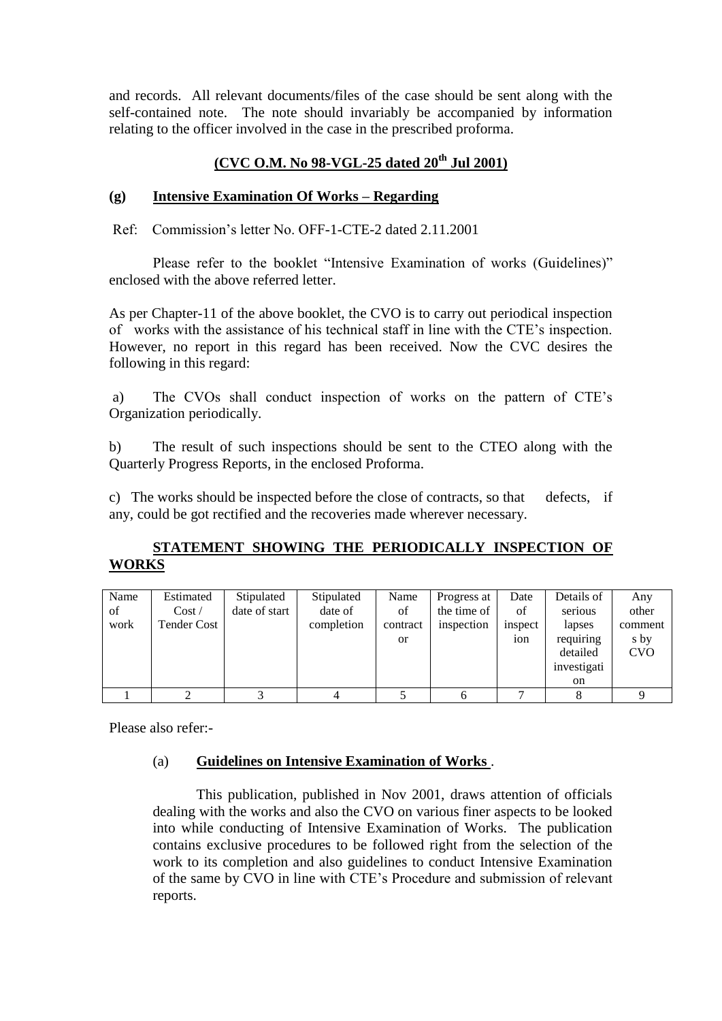and records. All relevant documents/files of the case should be sent along with the self-contained note. The note should invariably be accompanied by information relating to the officer involved in the case in the prescribed proforma.

# **(CVC O.M. No 98-VGL-25 dated 20th Jul 2001)**

# **(g) Intensive Examination Of Works – Regarding**

Ref: Commission"s letter No. OFF-1-CTE-2 dated 2.11.2001

Please refer to the booklet "Intensive Examination of works (Guidelines)" enclosed with the above referred letter.

As per Chapter-11 of the above booklet, the CVO is to carry out periodical inspection of works with the assistance of his technical staff in line with the CTE"s inspection. However, no report in this regard has been received. Now the CVC desires the following in this regard:

a) The CVOs shall conduct inspection of works on the pattern of CTE"s Organization periodically.

b) The result of such inspections should be sent to the CTEO along with the Quarterly Progress Reports, in the enclosed Proforma.

c) The works should be inspected before the close of contracts, so that defects, if any, could be got rectified and the recoveries made wherever necessary.

# **STATEMENT SHOWING THE PERIODICALLY INSPECTION OF WORKS**

| Name | Estimated          | Stipulated    | Stipulated | Name          | Progress at | Date            | Details of    | Any        |
|------|--------------------|---------------|------------|---------------|-------------|-----------------|---------------|------------|
| of   | Cost /             | date of start | date of    | of            | the time of | of              | serious       | other      |
| work | <b>Tender Cost</b> |               | completion | contract      | inspection  | inspect         | lapses        | comment    |
|      |                    |               |            | <sub>or</sub> |             | 10 <sub>n</sub> | requiring     | s by       |
|      |                    |               |            |               |             |                 | detailed      | <b>CVO</b> |
|      |                    |               |            |               |             |                 | investigati   |            |
|      |                    |               |            |               |             |                 | <sub>on</sub> |            |
|      |                    |               |            |               |             |                 |               |            |

Please also refer:-

### (a) **Guidelines on Intensive Examination of Works** .

This publication, published in Nov 2001, draws attention of officials dealing with the works and also the CVO on various finer aspects to be looked into while conducting of Intensive Examination of Works. The publication contains exclusive procedures to be followed right from the selection of the work to its completion and also guidelines to conduct Intensive Examination of the same by CVO in line with CTE"s Procedure and submission of relevant reports.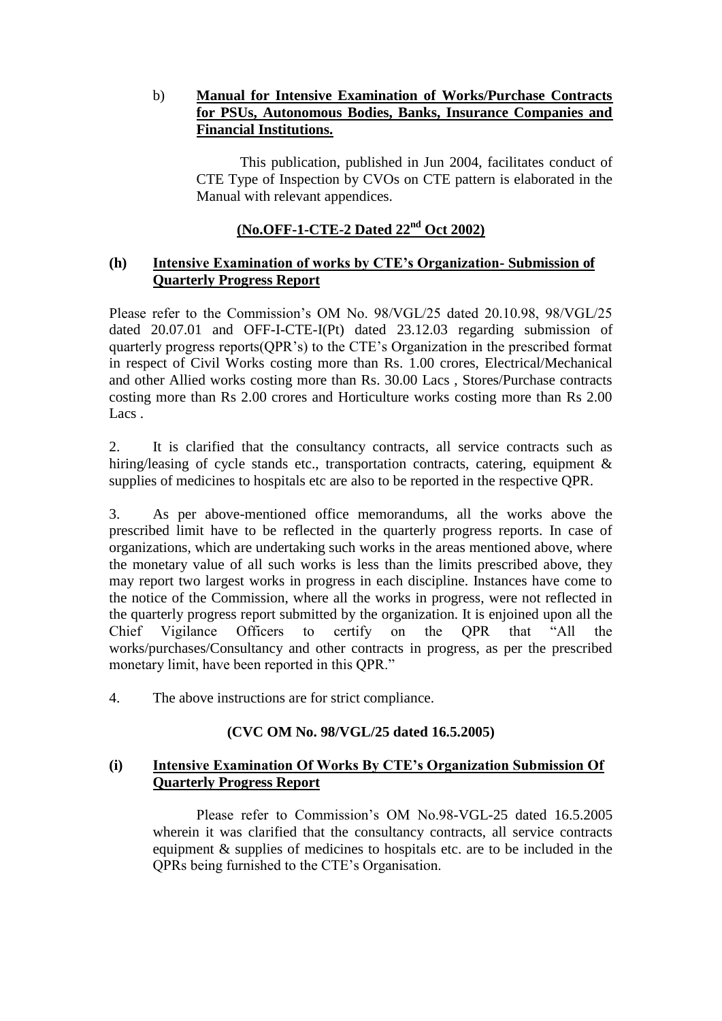# b) **Manual for Intensive Examination of Works/Purchase Contracts for PSUs, Autonomous Bodies, Banks, Insurance Companies and Financial Institutions.**

This publication, published in Jun 2004, facilitates conduct of CTE Type of Inspection by CVOs on CTE pattern is elaborated in the Manual with relevant appendices.

# **(No.OFF-1-CTE-2 Dated 22nd Oct 2002)**

### **(h) Intensive Examination of works by CTE"s Organization- Submission of Quarterly Progress Report**

Please refer to the Commission"s OM No. 98/VGL/25 dated 20.10.98, 98/VGL/25 dated 20.07.01 and OFF-I-CTE-I(Pt) dated 23.12.03 regarding submission of quarterly progress reports(QPR"s) to the CTE"s Organization in the prescribed format in respect of Civil Works costing more than Rs. 1.00 crores, Electrical/Mechanical and other Allied works costing more than Rs. 30.00 Lacs , Stores/Purchase contracts costing more than Rs 2.00 crores and Horticulture works costing more than Rs 2.00 Lacs .

2. It is clarified that the consultancy contracts, all service contracts such as hiring/leasing of cycle stands etc., transportation contracts, catering, equipment & supplies of medicines to hospitals etc are also to be reported in the respective QPR.

3. As per above-mentioned office memorandums, all the works above the prescribed limit have to be reflected in the quarterly progress reports. In case of organizations, which are undertaking such works in the areas mentioned above, where the monetary value of all such works is less than the limits prescribed above, they may report two largest works in progress in each discipline. Instances have come to the notice of the Commission, where all the works in progress, were not reflected in the quarterly progress report submitted by the organization. It is enjoined upon all the Chief Vigilance Officers to certify on the QPR that "All the works/purchases/Consultancy and other contracts in progress, as per the prescribed monetary limit, have been reported in this QPR."

4. The above instructions are for strict compliance.

### **(CVC OM No. 98/VGL/25 dated 16.5.2005)**

### **(i) Intensive Examination Of Works By CTE"s Organization Submission Of Quarterly Progress Report**

Please refer to Commission's OM No.98-VGL-25 dated 16.5.2005 wherein it was clarified that the consultancy contracts, all service contracts equipment & supplies of medicines to hospitals etc. are to be included in the QPRs being furnished to the CTE"s Organisation.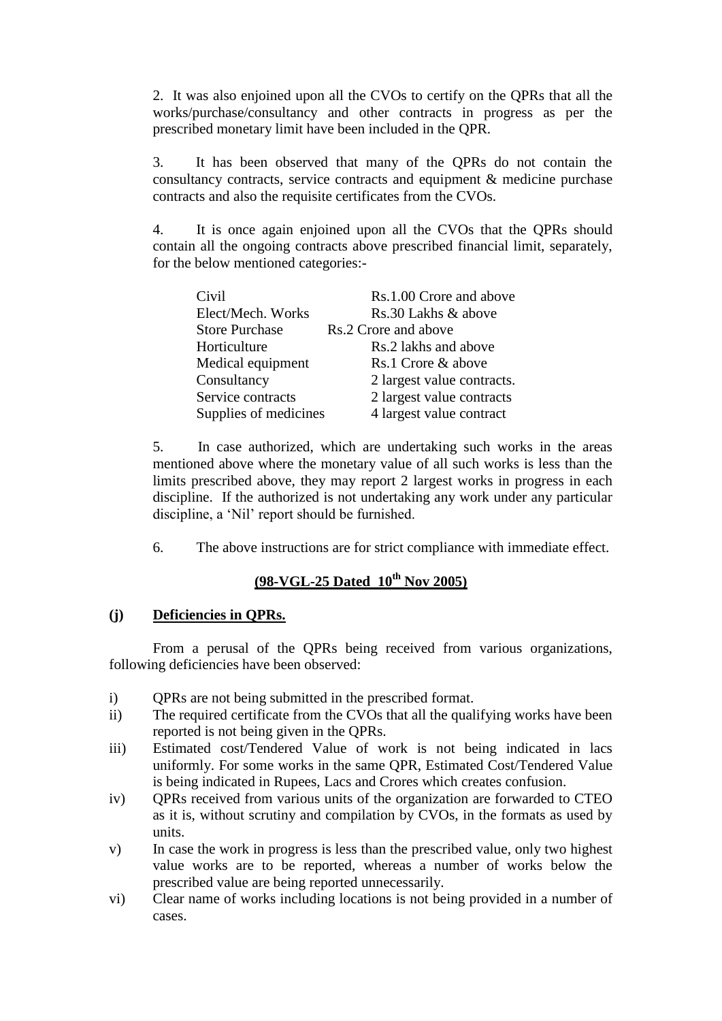2. It was also enjoined upon all the CVOs to certify on the QPRs that all the works/purchase/consultancy and other contracts in progress as per the prescribed monetary limit have been included in the QPR.

3. It has been observed that many of the QPRs do not contain the consultancy contracts, service contracts and equipment & medicine purchase contracts and also the requisite certificates from the CVOs.

4. It is once again enjoined upon all the CVOs that the QPRs should contain all the ongoing contracts above prescribed financial limit, separately, for the below mentioned categories:-

| Civil                 | Rs.1.00 Crore and above    |
|-----------------------|----------------------------|
| Elect/Mech. Works     | Rs.30 Lakhs & above        |
| <b>Store Purchase</b> | Rs.2 Crore and above       |
| Horticulture          | Rs.2 lakhs and above       |
| Medical equipment     | Rs.1 Crore & above         |
| Consultancy           | 2 largest value contracts. |
| Service contracts     | 2 largest value contracts  |
| Supplies of medicines | 4 largest value contract   |

5. In case authorized, which are undertaking such works in the areas mentioned above where the monetary value of all such works is less than the limits prescribed above, they may report 2 largest works in progress in each discipline. If the authorized is not undertaking any work under any particular discipline, a "Nil" report should be furnished.

6. The above instructions are for strict compliance with immediate effect.

# **(98-VGL-25 Dated 10 th Nov 2005)**

#### **(j) Deficiencies in QPRs.**

From a perusal of the QPRs being received from various organizations, following deficiencies have been observed:

- i) QPRs are not being submitted in the prescribed format.
- ii) The required certificate from the CVOs that all the qualifying works have been reported is not being given in the QPRs.
- iii) Estimated cost/Tendered Value of work is not being indicated in lacs uniformly. For some works in the same QPR, Estimated Cost/Tendered Value is being indicated in Rupees, Lacs and Crores which creates confusion.
- iv) QPRs received from various units of the organization are forwarded to CTEO as it is, without scrutiny and compilation by CVOs, in the formats as used by units.
- v) In case the work in progress is less than the prescribed value, only two highest value works are to be reported, whereas a number of works below the prescribed value are being reported unnecessarily.
- vi) Clear name of works including locations is not being provided in a number of cases.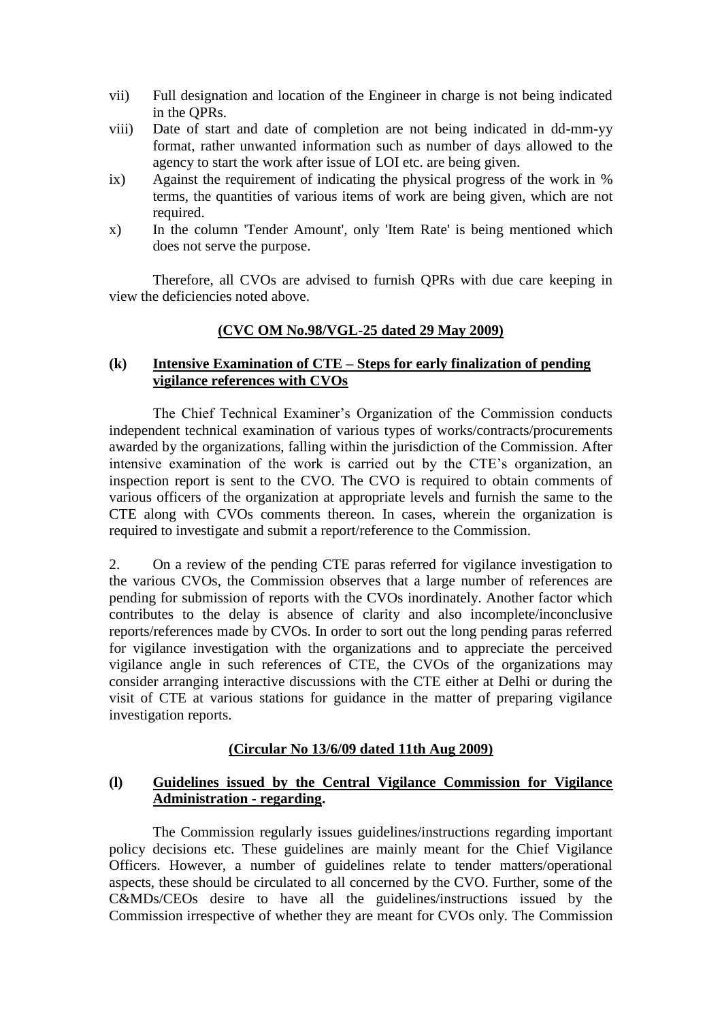- vii) Full designation and location of the Engineer in charge is not being indicated in the QPRs.
- viii) Date of start and date of completion are not being indicated in dd-mm-yy format, rather unwanted information such as number of days allowed to the agency to start the work after issue of LOI etc. are being given.
- ix) Against the requirement of indicating the physical progress of the work in % terms, the quantities of various items of work are being given, which are not required.
- x) In the column 'Tender Amount', only 'Item Rate' is being mentioned which does not serve the purpose.

Therefore, all CVOs are advised to furnish QPRs with due care keeping in view the deficiencies noted above.

#### **(CVC OM No.98/VGL-25 dated 29 May 2009)**

### **(k) Intensive Examination of CTE – Steps for early finalization of pending vigilance references with CVOs**

The Chief Technical Examiner"s Organization of the Commission conducts independent technical examination of various types of works/contracts/procurements awarded by the organizations, falling within the jurisdiction of the Commission. After intensive examination of the work is carried out by the CTE"s organization, an inspection report is sent to the CVO. The CVO is required to obtain comments of various officers of the organization at appropriate levels and furnish the same to the CTE along with CVOs comments thereon. In cases, wherein the organization is required to investigate and submit a report/reference to the Commission.

2. On a review of the pending CTE paras referred for vigilance investigation to the various CVOs, the Commission observes that a large number of references are pending for submission of reports with the CVOs inordinately. Another factor which contributes to the delay is absence of clarity and also incomplete/inconclusive reports/references made by CVOs. In order to sort out the long pending paras referred for vigilance investigation with the organizations and to appreciate the perceived vigilance angle in such references of CTE, the CVOs of the organizations may consider arranging interactive discussions with the CTE either at Delhi or during the visit of CTE at various stations for guidance in the matter of preparing vigilance investigation reports.

### **(Circular No 13/6/09 dated 11th Aug 2009)**

#### **(l) Guidelines issued by the Central Vigilance Commission for Vigilance Administration - regarding.**

The Commission regularly issues guidelines/instructions regarding important policy decisions etc. These guidelines are mainly meant for the Chief Vigilance Officers. However, a number of guidelines relate to tender matters/operational aspects, these should be circulated to all concerned by the CVO. Further, some of the C&MDs/CEOs desire to have all the guidelines/instructions issued by the Commission irrespective of whether they are meant for CVOs only. The Commission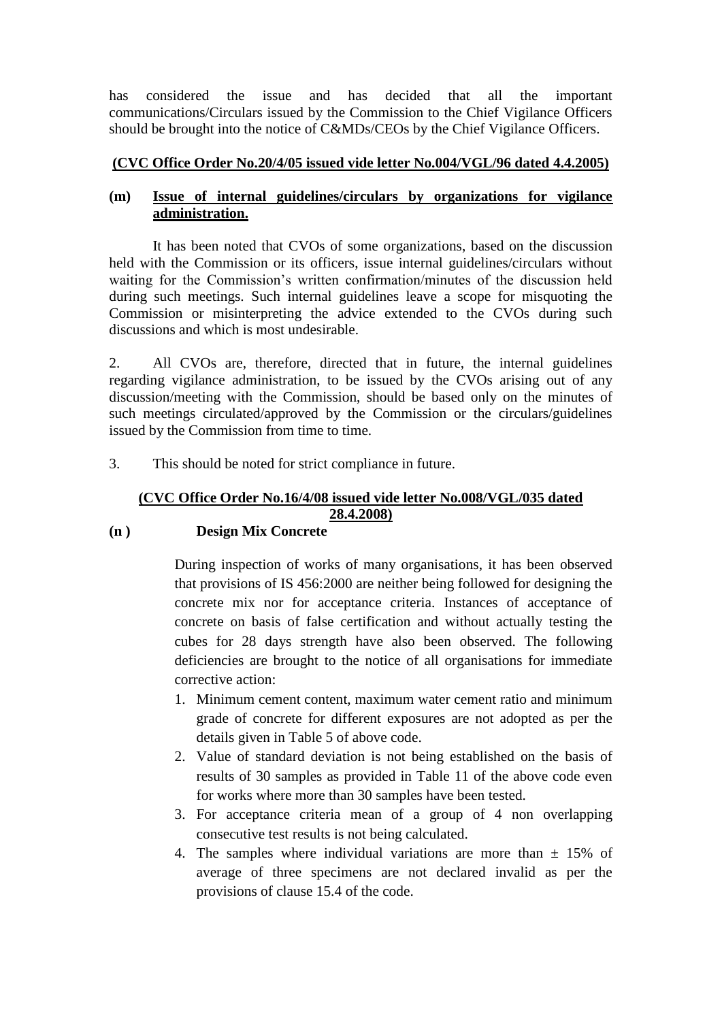has considered the issue and has decided that all the important communications/Circulars issued by the Commission to the Chief Vigilance Officers should be brought into the notice of C&MDs/CEOs by the Chief Vigilance Officers.

# **(CVC Office Order No.20/4/05 issued vide letter No.004/VGL/96 dated 4.4.2005)**

# **(m) Issue of internal guidelines/circulars by organizations for vigilance administration.**

It has been noted that CVOs of some organizations, based on the discussion held with the Commission or its officers, issue internal guidelines/circulars without waiting for the Commission's written confirmation/minutes of the discussion held during such meetings. Such internal guidelines leave a scope for misquoting the Commission or misinterpreting the advice extended to the CVOs during such discussions and which is most undesirable.

2. All CVOs are, therefore, directed that in future, the internal guidelines regarding vigilance administration, to be issued by the CVOs arising out of any discussion/meeting with the Commission, should be based only on the minutes of such meetings circulated/approved by the Commission or the circulars/guidelines issued by the Commission from time to time.

3. This should be noted for strict compliance in future.

# **(CVC Office Order No.16/4/08 issued vide letter No.008/VGL/035 dated 28.4.2008)**

### **(n ) Design Mix Concrete**

During inspection of works of many organisations, it has been observed that provisions of IS 456:2000 are neither being followed for designing the concrete mix nor for acceptance criteria. Instances of acceptance of concrete on basis of false certification and without actually testing the cubes for 28 days strength have also been observed. The following deficiencies are brought to the notice of all organisations for immediate corrective action:

- 1. Minimum cement content, maximum water cement ratio and minimum grade of concrete for different exposures are not adopted as per the details given in Table 5 of above code.
- 2. Value of standard deviation is not being established on the basis of results of 30 samples as provided in Table 11 of the above code even for works where more than 30 samples have been tested.
- 3. For acceptance criteria mean of a group of 4 non overlapping consecutive test results is not being calculated.
- 4. The samples where individual variations are more than  $\pm$  15% of average of three specimens are not declared invalid as per the provisions of clause 15.4 of the code.